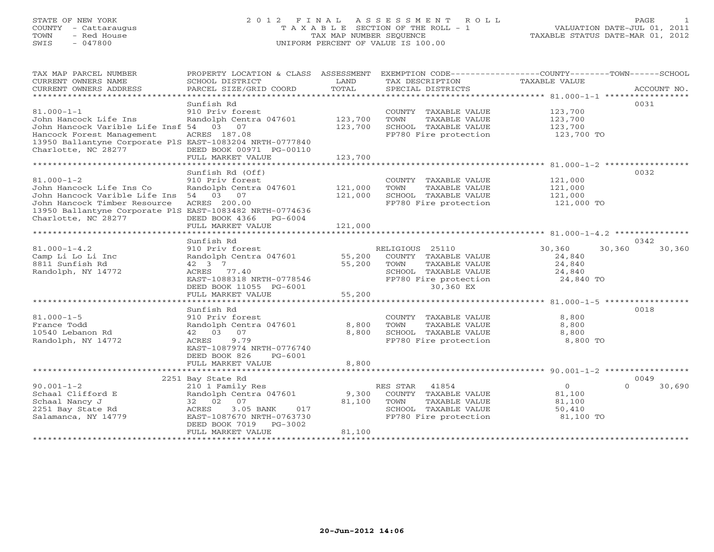# STATE OF NEW YORK 2 0 1 2 F I N A L A S S E S S M E N T R O L L PAGE 1 COUNTY - Cattaraugus T A X A B L E SECTION OF THE ROLL - 1 VALUATION DATE-JUL 01, 2011 TOWN - Red House TAX MAP NUMBER SEQUENCE TAXABLE STATUS DATE-MAR 01, 2012 SWIS - 047800 UNIFORM PERCENT OF VALUE IS 100.00

| TAX MAP PARCEL NUMBER<br>CURRENT OWNERS NAME<br>CURRENT OWNERS ADDRESS                                                                                                                               | PROPERTY LOCATION & CLASS ASSESSMENT<br>SCHOOL DISTRICT<br>PARCEL SIZE/GRID COORD                                                                                                          | LAND<br>TOTAL                           | TAX DESCRIPTION<br>SPECIAL DISTRICTS                                                                                           | EXEMPTION CODE----------------COUNTY-------TOWN------SCHOOL<br>TAXABLE VALUE               | ACCOUNT NO.        |
|------------------------------------------------------------------------------------------------------------------------------------------------------------------------------------------------------|--------------------------------------------------------------------------------------------------------------------------------------------------------------------------------------------|-----------------------------------------|--------------------------------------------------------------------------------------------------------------------------------|--------------------------------------------------------------------------------------------|--------------------|
| $81.000 - 1 - 1$<br>John Hancock Life Ins<br>John Hancock Varible Life Insf 54 03 07<br>Hancock Forest Management<br>13950 Ballantyne Corporate PlS EAST-1083204 NRTH-0777840<br>Charlotte, NC 28277 | Sunfish Rd<br>910 Priv forest<br>Randolph Centra 047601<br>ACRES 187.08<br>DEED BOOK 00971 PG-00110                                                                                        | 123,700<br>123,700                      | COUNTY TAXABLE VALUE<br>TOWN<br>TAXABLE VALUE<br>SCHOOL TAXABLE VALUE<br>FP780 Fire protection                                 | 123,700<br>123,700<br>123,700<br>123,700 TO                                                | 0031               |
| $81.000 - 1 - 2$<br>John Hancock Life Ins Co<br>John Hancock Varible Life Ins<br>John Hancock Timber Resource<br>13950 Ballantyne Corporate PlS EAST-1083482 NRTH-0774636                            | FULL MARKET VALUE<br>Sunfish Rd (Off)<br>910 Priv forest<br>Randolph Centra 047601<br>54 03 07<br>ACRES 200.00                                                                             | 123,700<br>121,000<br>121,000           | COUNTY TAXABLE VALUE<br>TAXABLE VALUE<br>TOWN<br>SCHOOL TAXABLE VALUE<br>FP780 Fire protection                                 | 121,000<br>121,000<br>121,000<br>121,000 TO                                                | 0032               |
| Charlotte, NC 28277                                                                                                                                                                                  | DEED BOOK 4366 PG-6004<br>FULL MARKET VALUE                                                                                                                                                | 121,000                                 |                                                                                                                                |                                                                                            |                    |
|                                                                                                                                                                                                      | Sunfish Rd                                                                                                                                                                                 |                                         |                                                                                                                                |                                                                                            | 0342               |
| $81.000 - 1 - 4.2$<br>Camp Li Lo Li Inc<br>8811 Sunfish Rd<br>Randolph, NY 14772                                                                                                                     | 910 Priv forest<br>Randolph Centra 047601<br>42 3 7<br>ACRES 77.40<br>EAST-1088318 NRTH-0778546<br>DEED BOOK 11055 PG-6001                                                                 | 55,200<br>55,200                        | RELIGIOUS 25110<br>COUNTY TAXABLE VALUE<br>TOWN<br>TAXABLE VALUE<br>SCHOOL TAXABLE VALUE<br>FP780 Fire protection<br>30,360 EX | 30,360<br>30,360<br>24,840<br>24,840<br>24,840<br>24,840 TO                                | 30,360             |
|                                                                                                                                                                                                      | FULL MARKET VALUE                                                                                                                                                                          | 55,200                                  |                                                                                                                                |                                                                                            |                    |
| $81.000 - 1 - 5$<br>France Todd<br>10540 Lebanon Rd<br>Randolph, NY 14772                                                                                                                            | ********************<br>Sunfish Rd<br>910 Priv forest<br>Randolph Centra 047601<br>42 03 07<br>9.79<br>ACRES<br>EAST-1087974 NRTH-0776740<br>DEED BOOK 826<br>PG-6001<br>FULL MARKET VALUE | ************<br>8,800<br>8,800<br>8,800 | COUNTY TAXABLE VALUE<br>TOWN<br>TAXABLE VALUE<br>SCHOOL TAXABLE VALUE<br>FP780 Fire protection                                 | ********************* 81.000-1-5 ******************<br>8,800<br>8,800<br>8,800<br>8,800 TO | 0018               |
| **********************                                                                                                                                                                               |                                                                                                                                                                                            |                                         |                                                                                                                                |                                                                                            |                    |
|                                                                                                                                                                                                      | 2251 Bay State Rd                                                                                                                                                                          |                                         |                                                                                                                                |                                                                                            | 0049               |
| $90.001 - 1 - 2$<br>Schaal Clifford E<br>Schaal Nancy J<br>2251 Bay State Rd<br>Salamanca, NY 14779                                                                                                  | 210 1 Family Res<br>Randolph Centra 047601<br>32 02 07<br>3.05 BANK<br>ACRES<br>017<br>EAST-1087670 NRTH-0763730<br>DEED BOOK 7019 PG-3002<br>FULL MARKET VALUE                            | 9,300<br>81,100<br>81,100               | RES STAR<br>41854<br>COUNTY TAXABLE VALUE<br>TAXABLE VALUE<br>TOWN<br>SCHOOL TAXABLE VALUE<br>FP780 Fire protection            | $\circ$<br>81,100<br>81,100<br>50,410<br>81,100 TO                                         | $\Omega$<br>30,690 |
|                                                                                                                                                                                                      |                                                                                                                                                                                            |                                         |                                                                                                                                |                                                                                            |                    |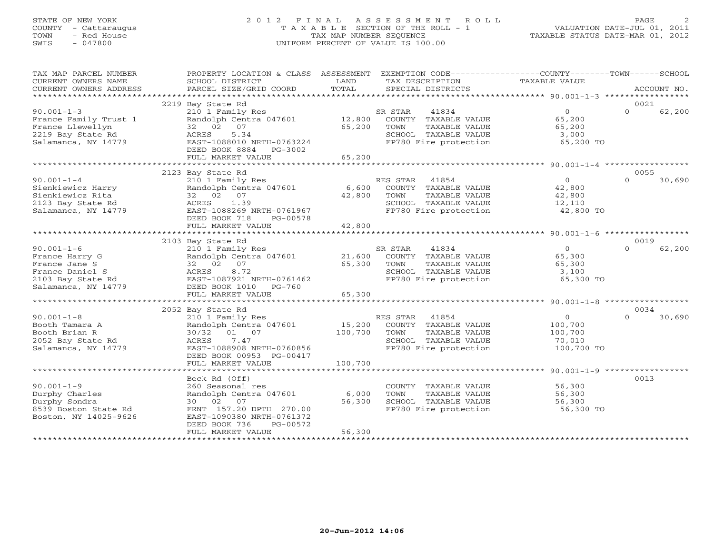## STATE OF NEW YORK 2 0 1 2 F I N A L A S S E S S M E N T R O L L PAGE 2COUNTY - Cattaraugus T A X A B L E SECTION OF THE ROLL - 1 VALUATION DATE-JUL 01, 2011 TOWN - Red House TAX MAP NUMBER SEQUENCE TAXABLE STATUS DATE-MAR 01, 2012<br>TAXABLE STATUS DATE-MAR 01, 2012 SWIS - 047800 UNIFORM PERCENT OF VALUE IS 100.00

| TAX MAP PARCEL NUMBER<br>CURRENT OWNERS NAME<br>CURRENT OWNERS ADDRESS                                             | PROPERTY LOCATION & CLASS ASSESSMENT<br>SCHOOL DISTRICT<br>PARCEL SIZE/GRID COORD                                                                                                                               | LAND<br>TOTAL                                      | EXEMPTION CODE-----------------COUNTY-------TOWN------SCHOOL<br>TAX DESCRIPTION<br>SPECIAL DISTRICTS               | TAXABLE VALUE                                                                                         | ACCOUNT NO.                |
|--------------------------------------------------------------------------------------------------------------------|-----------------------------------------------------------------------------------------------------------------------------------------------------------------------------------------------------------------|----------------------------------------------------|--------------------------------------------------------------------------------------------------------------------|-------------------------------------------------------------------------------------------------------|----------------------------|
| $90.001 - 1 - 3$<br>France Family Trust 1<br>France Llewellyn<br>2219 Bay State Rd<br>Salamanca, NY 14779          | 2219 Bay State Rd<br>210 1 Family Res<br>Randolph Centra 047601<br>32 02 07<br>5.34<br>ACRES<br>EAST-1088010 NRTH-0763224<br>DEED BOOK 8884<br>PG-3002<br>FULL MARKET VALUE                                     | 12,800<br>65,200<br>65,200                         | SR STAR<br>41834<br>COUNTY TAXABLE VALUE<br>TOWN<br>TAXABLE VALUE<br>SCHOOL TAXABLE VALUE<br>FP780 Fire protection | $\Omega$<br>65,200<br>65,200<br>3,000<br>65,200 TO                                                    | 0021<br>$\Omega$<br>62,200 |
| $90.001 - 1 - 4$<br>Sienkiewicz Harry<br>Sienkiewicz Rita<br>2123 Bay State Rd<br>Salamanca, NY 14779              | 2123 Bay State Rd<br>210 1 Family Res<br>Randolph Centra 047601<br>32 02 07<br>ACRES<br>1.39<br>EAST-1088269 NRTH-0761967<br>DEED BOOK 718<br>PG-00578<br>FULL MARKET VALUE<br>*************************        | 6,600<br>42,800<br>42,800<br>********************* | RES STAR 41854<br>COUNTY TAXABLE VALUE<br>TOWN<br>TAXABLE VALUE<br>SCHOOL TAXABLE VALUE<br>FP780 Fire protection   | $\Omega$<br>42,800<br>42,800<br>12,110<br>42,800 TO<br>********************* 90.001-1-6 ************* | 0055<br>$\Omega$<br>30,690 |
|                                                                                                                    | 2103 Bay State Rd                                                                                                                                                                                               |                                                    |                                                                                                                    |                                                                                                       | 0019                       |
| $90.001 - 1 - 6$<br>France Harry G<br>France Jane S<br>France Daniel S<br>2103 Bay State Rd<br>Salamanca, NY 14779 | 210 1 Family Res<br>Randolph Centra 047601<br>32 02 07<br>8.72<br>ACRES<br>EAST-1087921 NRTH-0761462<br>DEED BOOK 1010 PG-760                                                                                   | 21,600<br>65,300                                   | 41834<br>SR STAR<br>COUNTY TAXABLE VALUE<br>TOWN<br>TAXABLE VALUE<br>SCHOOL TAXABLE VALUE<br>FP780 Fire protection | $\Omega$<br>65,300<br>65,300<br>3,100<br>65,300 TO                                                    | $\Omega$<br>62,200         |
|                                                                                                                    | FULL MARKET VALUE                                                                                                                                                                                               | 65,300                                             |                                                                                                                    |                                                                                                       |                            |
|                                                                                                                    | 2052 Bay State Rd                                                                                                                                                                                               |                                                    |                                                                                                                    |                                                                                                       | 0034                       |
| $90.001 - 1 - 8$<br>Booth Tamara A<br>Booth Brian R<br>2052 Bay State Rd<br>Salamanca, NY 14779                    | 210 1 Family Res<br>Randolph Centra 047601<br>30/32 01 07<br>7.47<br>ACRES<br>EAST-1088908 NRTH-0760856<br>DEED BOOK 00953 PG-00417                                                                             | 15,200<br>100,700                                  | RES STAR 41854<br>COUNTY TAXABLE VALUE<br>TAXABLE VALUE<br>TOWN<br>SCHOOL TAXABLE VALUE<br>FP780 Fire protection   | $\circ$<br>100,700<br>100,700<br>70,010<br>100,700 TO                                                 | $\Omega$<br>30,690         |
|                                                                                                                    | FULL MARKET VALUE                                                                                                                                                                                               | 100,700                                            |                                                                                                                    |                                                                                                       |                            |
| $90.001 - 1 - 9$<br>Durphy Charles<br>Durphy Sondra<br>8539 Boston State Rd<br>Boston, NY 14025-9626               | Beck Rd (Off)<br>260 Seasonal res<br>Randolph Centra 047601<br>30 02 07<br>FRNT 157.20 DPTH 270.00<br>EAST-1090380 NRTH-0761372<br>DEED BOOK 736<br>PG-00572<br>FULL MARKET VALUE<br>************************** | 6,000<br>56,300<br>56,300                          | COUNTY TAXABLE VALUE<br>TOWN<br>TAXABLE VALUE<br>SCHOOL TAXABLE VALUE<br>FP780 Fire protection                     | 56,300<br>56,300<br>56,300<br>56,300 TO                                                               | 0013                       |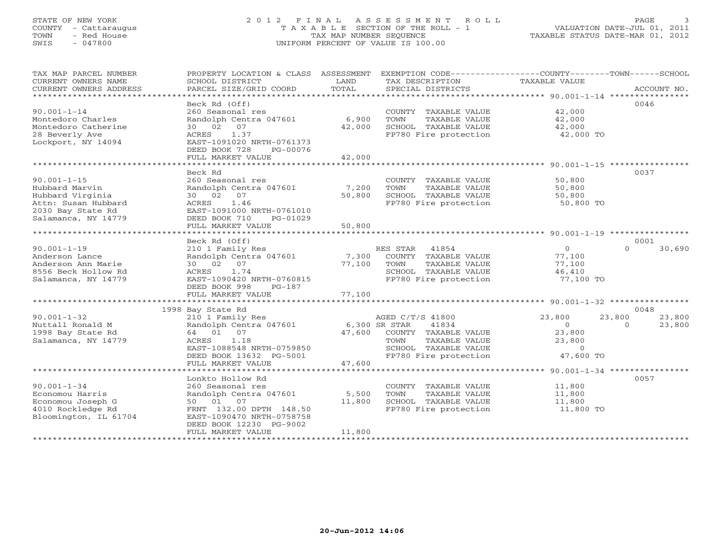## STATE OF NEW YORK 2 0 1 2 F I N A L A S S E S S M E N T R O L L PAGE 3 COUNTY - Cattaraugus T A X A B L E SECTION OF THE ROLL - 1 VALUATION DATE-JUL 01, 2011 TOWN - Red House TAX MAP NUMBER SEQUENCE TAXABLE STATUS DATE-MAR 01, 2012 SWIS - 047800 UNIFORM PERCENT OF VALUE IS 100.00

| TAX MAP PARCEL NUMBER<br>CURRENT OWNERS NAME<br>CURRENT OWNERS ADDRESS                                                     | PROPERTY LOCATION & CLASS ASSESSMENT<br>SCHOOL DISTRICT<br>PARCEL SIZE/GRID COORD                                                                                                  | LAND<br>TOTAL             | EXEMPTION CODE-----------------COUNTY-------TOWN------SCHOOL<br>TAX DESCRIPTION<br>SPECIAL DISTRICTS                               | TAXABLE VALUE                                                        | ACCOUNT NO.                                    |
|----------------------------------------------------------------------------------------------------------------------------|------------------------------------------------------------------------------------------------------------------------------------------------------------------------------------|---------------------------|------------------------------------------------------------------------------------------------------------------------------------|----------------------------------------------------------------------|------------------------------------------------|
| $90.001 - 1 - 14$<br>Montedoro Charles<br>Montedoro Catherine<br>28 Beverly Ave<br>Lockport, NY 14094                      | Beck Rd (Off)<br>260 Seasonal res<br>Randolph Centra 047601<br>30 02 07<br>1.37<br>ACRES<br>EAST-1091020 NRTH-0761373<br>DEED BOOK 728<br>PG-00076<br>FULL MARKET VALUE            | 6,900<br>42,000<br>42,000 | COUNTY TAXABLE VALUE<br>TOWN<br>TAXABLE VALUE<br>SCHOOL TAXABLE VALUE<br>FP780 Fire protection                                     | 42,000<br>42,000<br>42,000<br>42,000 TO                              | 0046                                           |
|                                                                                                                            |                                                                                                                                                                                    |                           |                                                                                                                                    |                                                                      |                                                |
| $90.001 - 1 - 15$<br>Hubbard Marvin<br>Hubbard Virginia<br>Attn: Susan Hubbard<br>2030 Bay State Rd<br>Salamanca, NY 14779 | Beck Rd<br>260 Seasonal res<br>Randolph Centra 047601<br>30 02 07<br>1.46<br>ACRES<br>EAST-1091000 NRTH-0761010<br>DEED BOOK 710<br>PG-01029<br>FULL MARKET VALUE                  | 7,200<br>50,800<br>50,800 | COUNTY TAXABLE VALUE<br>TOWN<br>TAXABLE VALUE<br>SCHOOL TAXABLE VALUE<br>FP780 Fire protection                                     | 50,800<br>50,800<br>50,800<br>50,800 TO                              | 0037                                           |
| ******************************                                                                                             |                                                                                                                                                                                    |                           |                                                                                                                                    |                                                                      |                                                |
|                                                                                                                            | Beck Rd (Off)                                                                                                                                                                      |                           |                                                                                                                                    |                                                                      | 0001                                           |
| $90.001 - 1 - 19$<br>Anderson Lance<br>Anderson Ann Marie<br>8556 Beck Hollow Rd<br>Salamanca, NY 14779                    | 210 1 Family Res<br>Randolph Centra 047601<br>30 02 07<br>1.74<br>ACRES<br>EAST-1090420 NRTH-0760815<br>DEED BOOK 998<br>PG-187                                                    | 7,300<br>77,100           | RES STAR<br>41854<br>COUNTY TAXABLE VALUE<br>TOWN<br>TAXABLE VALUE<br>SCHOOL TAXABLE VALUE<br>FP780 Fire protection                | $\overline{0}$<br>77,100<br>77,100<br>46,410<br>77,100 TO            | $\Omega$<br>30,690                             |
|                                                                                                                            | FULL MARKET VALUE                                                                                                                                                                  | 77,100                    |                                                                                                                                    |                                                                      |                                                |
| **********************                                                                                                     |                                                                                                                                                                                    |                           |                                                                                                                                    |                                                                      |                                                |
| $90.001 - 1 - 32$<br>Nuttall Ronald M<br>1998 Bay State Rd<br>Salamanca, NY 14779                                          | 1998 Bay State Rd<br>210 1 Family Res<br>Randolph Centra 047601<br>64 01 07<br>1.18<br>ACRES<br>EAST-1088548 NRTH-0759850<br>DEED BOOK 13632 PG-5001                               | 6,300 SR STAR             | AGED C/T/S 41800<br>41834<br>47,600 COUNTY TAXABLE VALUE<br>TAXABLE VALUE<br>TOWN<br>SCHOOL TAXABLE VALUE<br>FP780 Fire protection | 23,800<br>$\overline{0}$<br>23,800<br>23,800<br>$\circ$<br>47,600 TO | 0048<br>23,800<br>23,800<br>$\Omega$<br>23,800 |
|                                                                                                                            | FULL MARKET VALUE                                                                                                                                                                  | 47,600                    |                                                                                                                                    |                                                                      |                                                |
| $90.001 - 1 - 34$<br>Economou Harris<br>Economou Joseph G<br>4010 Rockledge Rd<br>Bloomington, IL 61704                    | Lonkto Hollow Rd<br>260 Seasonal res<br>Randolph Centra 047601<br>50 01 07<br>FRNT 132.00 DPTH 148.50<br>EAST-1090470 NRTH-0758758<br>DEED BOOK 12230 PG-9002<br>FULL MARKET VALUE | 5,500<br>11,800<br>11,800 | COUNTY TAXABLE VALUE<br>TOWN<br>TAXABLE VALUE<br>SCHOOL TAXABLE VALUE<br>FP780 Fire protection                                     | 11,800<br>11,800<br>11,800<br>11,800 TO                              | 0057                                           |
|                                                                                                                            | *************************************                                                                                                                                              |                           |                                                                                                                                    |                                                                      |                                                |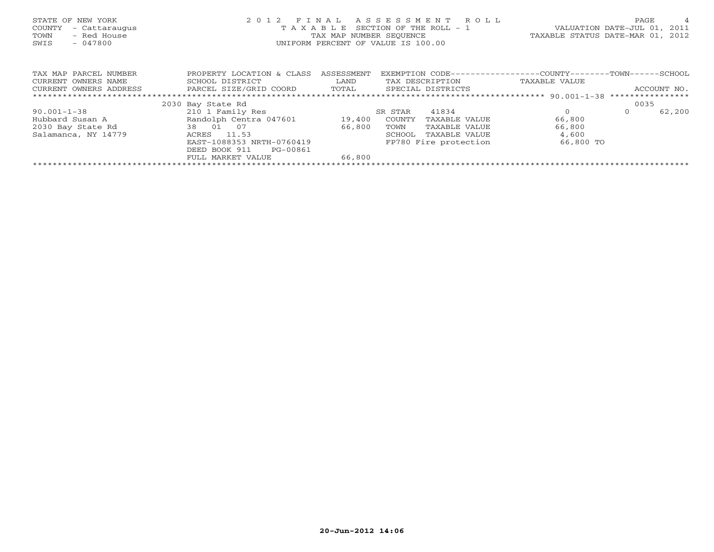| STATE OF NEW YORK<br>- Cattaraugus<br>COUNTY<br>- Red House<br>TOWN<br>$-047800$<br>SWIS | 2 0 1 2<br>TAXABLE        | FINAL<br>TAX MAP NUMBER SEQUENCE | ASSESSMENT<br>R O L L<br>SECTION OF THE ROLL - 1<br>UNIFORM PERCENT OF VALUE IS 100.00 | VALUATION DATE-JUL 01, 2011<br>TAXABLE STATUS DATE-MAR 01, 2012 | PAGE    | $\overline{4}$ |
|------------------------------------------------------------------------------------------|---------------------------|----------------------------------|----------------------------------------------------------------------------------------|-----------------------------------------------------------------|---------|----------------|
| TAX MAP PARCEL NUMBER                                                                    | PROPERTY LOCATION & CLASS | ASSESSMENT                       | EXEMPTION CODE----------------COUNTY-------TOWN------SCHOOL                            |                                                                 |         |                |
| CURRENT OWNERS NAME                                                                      | SCHOOL DISTRICT           | LAND                             | TAX DESCRIPTION                                                                        | TAXABLE VALUE                                                   |         |                |
| PARCEL SIZE/GRID COORD<br>CURRENT OWNERS ADDRESS                                         |                           | TOTAL                            | SPECIAL DISTRICTS                                                                      |                                                                 |         | ACCOUNT NO.    |
|                                                                                          |                           |                                  |                                                                                        |                                                                 |         |                |
|                                                                                          | 2030 Bay State Rd         |                                  |                                                                                        |                                                                 | 0035    |                |
| $90.001 - 1 - 38$                                                                        | 210 1 Family Res          |                                  | 41834<br>SR STAR                                                                       | $\Omega$                                                        | $\circ$ | 62,200         |
| Hubbard Susan A                                                                          | Randolph Centra 047601    | 19,400                           | COUNTY<br>TAXABLE VALUE                                                                | 66,800                                                          |         |                |
| 2030 Bay State Rd                                                                        | 38 01 07                  | 66,800                           | TOWN<br>TAXABLE VALUE                                                                  | 66,800                                                          |         |                |
| Salamanca, NY 14779                                                                      | ACRES 11.53               |                                  | SCHOOL<br>TAXABLE VALUE                                                                | 4,600                                                           |         |                |
| EAST-1088353 NRTH-0760419                                                                |                           |                                  | FP780 Fire protection                                                                  | 66,800 TO                                                       |         |                |
|                                                                                          | DEED BOOK 911<br>PG-00861 |                                  |                                                                                        |                                                                 |         |                |
|                                                                                          | FULL MARKET VALUE         | 66,800                           |                                                                                        |                                                                 |         |                |
|                                                                                          |                           |                                  |                                                                                        |                                                                 |         |                |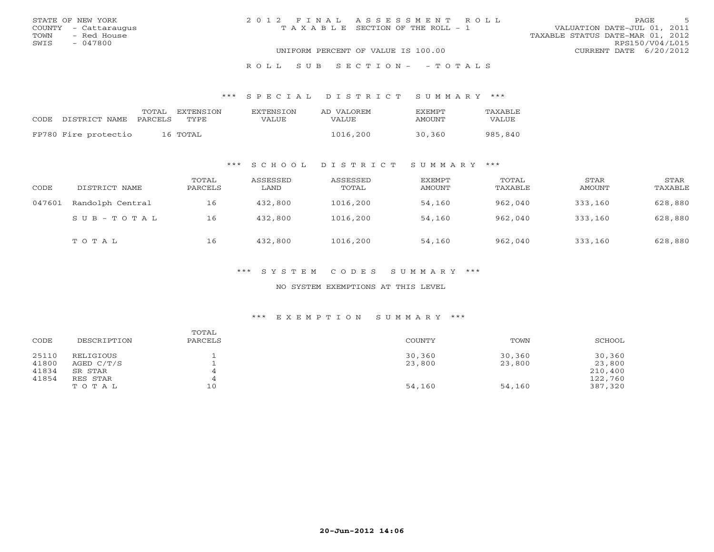|      | STATE OF NEW YORK    | 2012 FINAL ASSESSMENT ROLL |                                       |                                  | <b>PAGE</b>     |  |
|------|----------------------|----------------------------|---------------------------------------|----------------------------------|-----------------|--|
|      | COUNTY - Cattaraugus |                            | T A X A B L E SECTION OF THE ROLL - 1 | VALUATION DATE-JUL 01, 2011      |                 |  |
| TOWN | - Red House          |                            |                                       | TAXABLE STATUS DATE-MAR 01, 2012 |                 |  |
| SWIS | - 047800             |                            |                                       |                                  | RPS150/V04/L015 |  |
|      |                      |                            | UNIFORM PERCENT OF VALUE IS 100.00    | CURRENT DATE 6/20/2012           |                 |  |
|      |                      |                            |                                       |                                  |                 |  |

## R O L L S U B S E C T I O N - - T O T A L S

#### \*\*\* S P E C I A L D I S T R I C T S U M M A R Y \*\*\*

|                            | TOTAL | EXTENSTON | <b>EXTENSION</b> | AD VALOREM | <b>FXFMPT</b> | <b>TAXABLE</b> |
|----------------------------|-------|-----------|------------------|------------|---------------|----------------|
| CODE DISTRICT NAME PARCELS |       | TYPF.     | VALUE            | VALUE.     | AMOUNT        | VALUE          |
| FP780 Fire protectio       |       | 16 TOTAL  |                  | 1016,200   | 30,360        | 985,840        |

## \*\*\* S C H O O L D I S T R I C T S U M M A R Y \*\*\*

| CODE   | DISTRICT NAME             | TOTAL<br>PARCELS | ASSESSED<br>LAND | ASSESSED<br>TOTAL | EXEMPT<br>AMOUNT | TOTAL<br>TAXABLE | STAR<br>AMOUNT | STAR<br>TAXABLE |
|--------|---------------------------|------------------|------------------|-------------------|------------------|------------------|----------------|-----------------|
| 047601 | Randolph Central          | 16               | 432,800          | 1016,200          | 54,160           | 962,040          | 333,160        | 628,880         |
|        | $S \cup B - T \cup T A L$ | 16               | 432,800          | 1016,200          | 54,160           | 962,040          | 333,160        | 628,880         |
|        | TOTAL                     | 16               | 432,800          | 1016,200          | 54,160           | 962,040          | 333,160        | 628,880         |

## \*\*\* S Y S T E M C O D E S S U M M A R Y \*\*\*

#### NO SYSTEM EXEMPTIONS AT THIS LEVEL

#### \*\*\* E X E M P T I O N S U M M A R Y \*\*\*

| CODE  | DESCRIPTION | TOTAL<br>PARCELS | COUNTY | TOWN   | SCHOOL  |
|-------|-------------|------------------|--------|--------|---------|
| 25110 | RELIGIOUS   |                  | 30,360 | 30,360 | 30,360  |
| 41800 | AGED C/T/S  |                  | 23,800 | 23,800 | 23,800  |
| 41834 | SR STAR     |                  |        |        | 210,400 |
| 41854 | RES STAR    |                  |        |        | 122,760 |
|       | TOTAL       | 10               | 54,160 | 54,160 | 387,320 |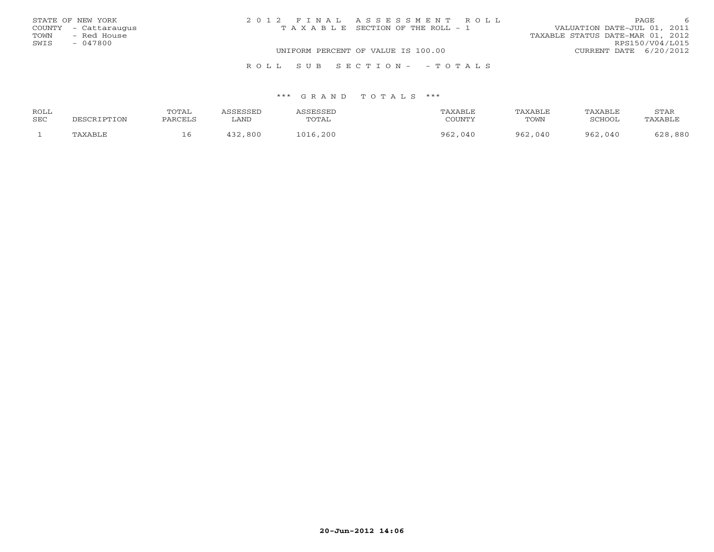| STATE OF NEW YORK    | 2012 FINAL ASSESSMENT ROLL            | 6<br>PAGE                        |
|----------------------|---------------------------------------|----------------------------------|
| COUNTY - Cattaraugus | T A X A B L E SECTION OF THE ROLL - 1 | VALUATION DATE-JUL 01, 2011      |
| TOWN - Red House     |                                       | TAXABLE STATUS DATE-MAR 01, 2012 |
| SWIS<br>- 047800     |                                       | RPS150/V04/L015                  |
|                      | UNIFORM PERCENT OF VALUE IS 100.00    | CURRENT DATE 6/20/2012           |
|                      | ROLL SUB SECTION- - TOTALS            |                                  |

| ROLL | TOTAL    |      | CCFCCFT     | "AXABLL    | <b>TAXABLF</b> | TAXABLE     | STAR               |
|------|----------|------|-------------|------------|----------------|-------------|--------------------|
| SEC  | DADOTT ( | ∟AND | TOTAL       | COUNTY     | TOWN           | SCHOOL      | AXABL <sub>I</sub> |
|      |          | 800  | ,200<br>101 | 962<br>040 | 962<br>,040    | 962<br>.040 | ,880<br>- റ റ      |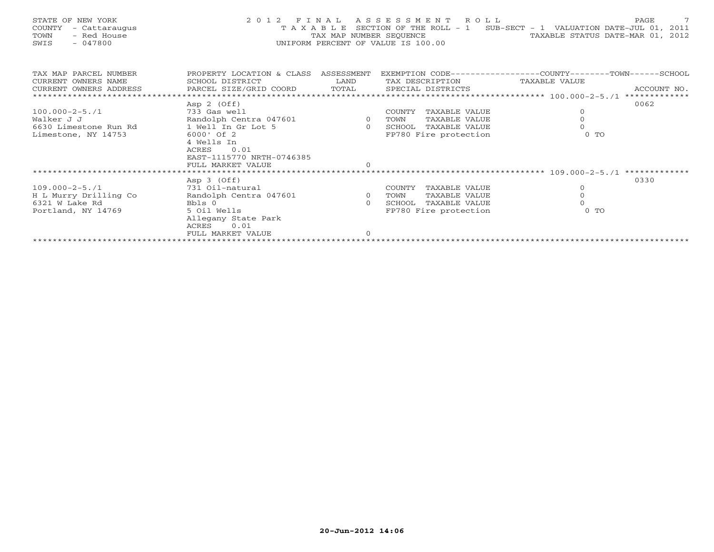| STATE OF NEW YORK<br>COUNTY<br>- Cattaraugus<br>- Red House<br>TOWN<br>$-047800$<br>SWIS                              |                                                                                                          |                                                              | 2012 FINAL ASSESSMENT ROLL<br>UNIFORM PERCENT OF VALUE IS 100.00                                     | $\overline{7}$<br>PAGE<br>T A X A B L E SECTION OF THE ROLL - 1 SUB-SECT - 1 VALUATION DATE-JUL 01, 2011<br>TAX MAP NUMBER SEQUENCE TAXABLE STATUS DATE-MAR 01, 2012 |
|-----------------------------------------------------------------------------------------------------------------------|----------------------------------------------------------------------------------------------------------|--------------------------------------------------------------|------------------------------------------------------------------------------------------------------|----------------------------------------------------------------------------------------------------------------------------------------------------------------------|
| TAX MAP PARCEL NUMBER<br>CURRENT OWNERS NAME<br>CURRENT OWNERS ADDRESS BARCEL SIZE/GRID COORD TOTAL SPECIAL DISTRICTS | PROPERTY LOCATION & CLASS ASSESSMENT<br>SCHOOL DISTRICT                                                  | <b>LAND</b>                                                  | TAX DESCRIPTION TAXABLE VALUE                                                                        | EXEMPTION CODE-----------------COUNTY-------TOWN------SCHOOL<br>ACCOUNT NO.                                                                                          |
|                                                                                                                       | Asp 2 (Off)                                                                                              |                                                              |                                                                                                      | 0062                                                                                                                                                                 |
| $100.000 - 2 - 5.71$                                                                                                  |                                                                                                          |                                                              |                                                                                                      |                                                                                                                                                                      |
| Walker J J                                                                                                            |                                                                                                          |                                                              |                                                                                                      | $\begin{matrix} 0 \\ 0 \end{matrix}$                                                                                                                                 |
| 6630 Limestone Run Rd 1 Well In Gr Lot 5                                                                              |                                                                                                          |                                                              |                                                                                                      | $\Omega$                                                                                                                                                             |
| Limestone, NY 14753                                                                                                   | 6000' Of 2<br>4 Wells In<br>0.01<br>ACRES<br>EAST-1115770 NRTH-0746385<br>FULL MARKET VALUE              | $\circ$                                                      | FP780 Fire protection                                                                                | $0$ TO                                                                                                                                                               |
|                                                                                                                       |                                                                                                          |                                                              |                                                                                                      |                                                                                                                                                                      |
| $109.000 - 2 - 5.71$<br>H L Murry Drilling Co<br>6321 W Lake Rd<br>Portland, NY 14769                                 | Asp 3 (Off)<br>731 Oil-natural<br>Randolph Centra 047601<br>Bbls 0<br>5 Oil Wells<br>Allegany State Park | $\begin{matrix}\n601 & 0 \\ 0 & 0\n\end{matrix}$<br>$\Omega$ | COUNTY<br>TAXABLE VALUE<br>TOWN<br>TAXABLE VALUE<br>TAXABLE VALUE<br>SCHOOL<br>FP780 Fire protection | 0330<br>$\overline{0}$<br>$\overline{0}$<br>$0$ TO                                                                                                                   |

FULL MARKET VALUE 0 \*\*\*\*\*\*\*\*\*\*\*\*\*\*\*\*\*\*\*\*\*\*\*\*\*\*\*\*\*\*\*\*\*\*\*\*\*\*\*\*\*\*\*\*\*\*\*\*\*\*\*\*\*\*\*\*\*\*\*\*\*\*\*\*\*\*\*\*\*\*\*\*\*\*\*\*\*\*\*\*\*\*\*\*\*\*\*\*\*\*\*\*\*\*\*\*\*\*\*\*\*\*\*\*\*\*\*\*\*\*\*\*\*\*\*\*\*\*\*\*\*\*\*\*\*\*\*\*\*\*\*\*

ACRES 0.01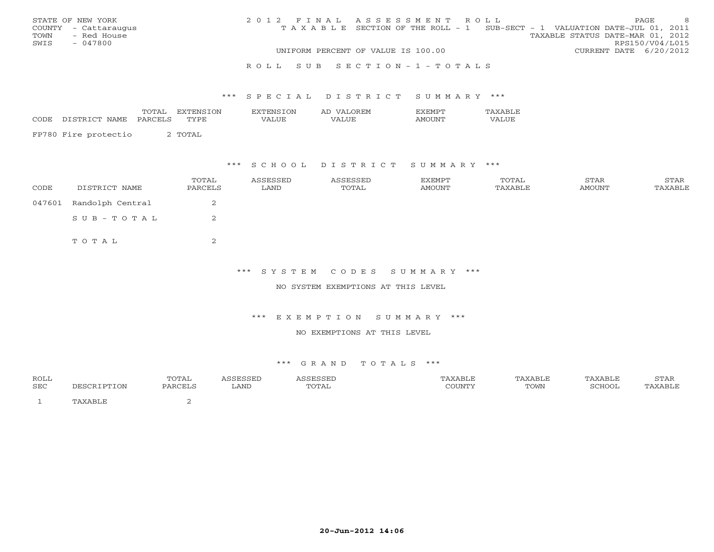|      | STATE OF NEW YORK    | 2012 FINAL ASSESSMENT ROLL |                                                                                |                                  |                        | <b>PAGE</b> | -8 |
|------|----------------------|----------------------------|--------------------------------------------------------------------------------|----------------------------------|------------------------|-------------|----|
|      | COUNTY - Cattaraugus |                            | T A X A B L E SECTION OF THE ROLL - 1 SUB-SECT - 1 VALUATION DATE-JUL 01, 2011 |                                  |                        |             |    |
| TOWN | - Red House          |                            |                                                                                | TAXABLE STATUS DATE-MAR 01, 2012 |                        |             |    |
| SWIS | - 047800             |                            |                                                                                |                                  | RPS150/V04/L015        |             |    |
|      |                      |                            | UNIFORM PERCENT OF VALUE IS 100.00                                             |                                  | CURRENT DATE 6/20/2012 |             |    |
|      |                      |                            |                                                                                |                                  |                        |             |    |

#### R O L L S U B S E C T I O N - 1 - T O T A L S

#### \*\*\* S P E C I A L D I S T R I C T S U M M A R Y \*\*\*

|      |                       | $\frac{1}{2}$<br><b>111</b> | ON          | √∪∖   | ำ⊌н'M<br>2 A.L |       |
|------|-----------------------|-----------------------------|-------------|-------|----------------|-------|
| CODE | $\cdots$<br>NAMH<br>. | ≀ס ∧ס<br>- - <del>- -</del> | <b>TVDE</b> | /ALUE | $\sqrt{ }$     | 'ALUE |
|      |                       |                             |             |       |                |       |

FP780 Fire protectio 2 TOTAL

### \*\*\* S C H O O L D I S T R I C T S U M M A R Y \*\*\*

| CODE   | DISTRICT NAME    | TOTAL<br>PARCELS | ASSESSED<br>LAND | ASSESSED<br>TOTAL | EXEMPT<br>AMOUNT | TOTAL<br>TAXABLE | STAR<br><b>AMOUNT</b> | STAR<br>TAXABLE |
|--------|------------------|------------------|------------------|-------------------|------------------|------------------|-----------------------|-----------------|
| 047601 | Randolph Central | ∠                |                  |                   |                  |                  |                       |                 |
|        | SUB-TOTAL        |                  |                  |                   |                  |                  |                       |                 |
|        | TOTAL            | ∠                |                  |                   |                  |                  |                       |                 |

## \*\*\* S Y S T E M C O D E S S U M M A R Y \*\*\*

#### NO SYSTEM EXEMPTIONS AT THIS LEVEL

#### \*\*\* E X E M P T I O N S U M M A R Y \*\*\*

#### NO EXEMPTIONS AT THIS LEVEL

| ROLL |                     | TOTAL   | 0.000000<br>- - - - - - - -<br>---- | ASSESSED | 'AXABLE | TAXABLE | TAXABLE | CDR<br>.⊿ ⊢<br>י ⊥ב∠ ⊥י |
|------|---------------------|---------|-------------------------------------|----------|---------|---------|---------|-------------------------|
| SEC  | <b>IPTION</b>       | PARCELS | LAND                                | TOTAL    | COUNTY  | TOWN    | SCHOOL  | PAXABLE                 |
|      | <sup>¬</sup> AXABLĿ |         |                                     |          |         |         |         |                         |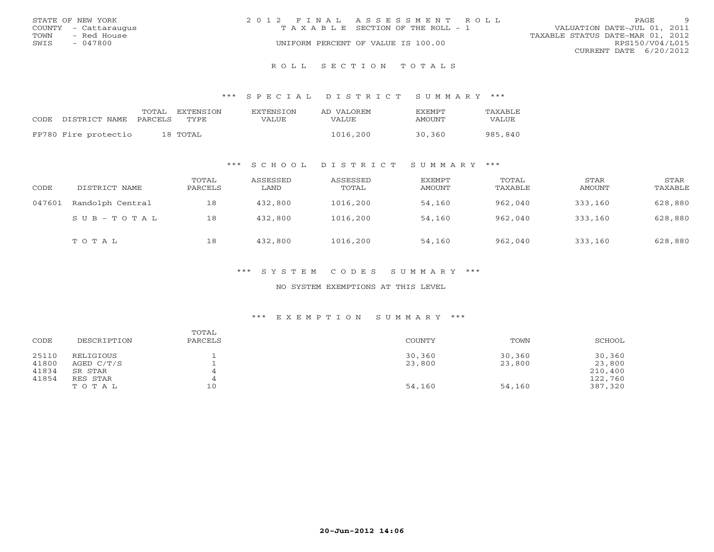|      | STATE OF NEW YORK    | 2012 FINAL ASSESSMENT ROLL |                                    |                                  | PAGE.           | $\alpha$ |
|------|----------------------|----------------------------|------------------------------------|----------------------------------|-----------------|----------|
|      | COUNTY - Cattaraugus |                            | TAXABLE SECTION OF THE ROLL - 1    | VALUATION DATE-JUL 01, 2011      |                 |          |
| TOWN | - Red House          |                            |                                    | TAXABLE STATUS DATE-MAR 01, 2012 |                 |          |
| SWIS | $-047800$            |                            | UNIFORM PERCENT OF VALUE IS 100.00 |                                  | RPS150/V04/L015 |          |
|      |                      |                            |                                    | CURRENT DATE 6/20/2012           |                 |          |
|      |                      |                            |                                    |                                  |                 |          |

#### R O L L S E C T I O N T O T A L S

#### \*\*\* S P E C I A L D I S T R I C T S U M M A R Y \*\*\*

| CODE DISTRICT NAME   | TOTAL<br>PARCELS | <b>FXTENSTON</b><br>TYPE | <b>EXTENSION</b><br>VALUE | AD VALOREM<br><b>VALUE</b> | <b>FXFMPT</b><br>AMOUNT | <b>TAXABLE</b><br>VALUE |
|----------------------|------------------|--------------------------|---------------------------|----------------------------|-------------------------|-------------------------|
| FP780 Fire protectio |                  | 18 ТОТАL                 |                           | 1016,200                   | 30,360                  | 985,840                 |

## \*\*\* S C H O O L D I S T R I C T S U M M A R Y \*\*\*

| CODE   | DISTRICT NAME    | TOTAL<br>PARCELS | ASSESSED<br>LAND | ASSESSED<br>TOTAL | <b>EXEMPT</b><br>AMOUNT | TOTAL<br>TAXABLE | STAR<br>AMOUNT | STAR<br>TAXABLE |
|--------|------------------|------------------|------------------|-------------------|-------------------------|------------------|----------------|-----------------|
| 047601 | Randolph Central | 18               | 432,800          | 1016,200          | 54,160                  | 962,040          | 333,160        | 628,880         |
|        | SUB-TOTAL        | 18               | 432,800          | 1016,200          | 54,160                  | 962,040          | 333,160        | 628,880         |
|        | TOTAL            | 18               | 432,800          | 1016,200          | 54,160                  | 962,040          | 333,160        | 628,880         |

## \*\*\* S Y S T E M C O D E S S U M M A R Y \*\*\*

#### NO SYSTEM EXEMPTIONS AT THIS LEVEL

#### \*\*\* E X E M P T I O N S U M M A R Y \*\*\*

| CODE  | DESCRIPTION | TOTAL<br>PARCELS | COUNTY | TOWN   | SCHOOL  |
|-------|-------------|------------------|--------|--------|---------|
| 25110 | RELIGIOUS   |                  | 30,360 | 30,360 | 30,360  |
| 41800 | AGED C/T/S  |                  | 23,800 | 23,800 | 23,800  |
| 41834 | SR STAR     |                  |        |        | 210,400 |
| 41854 | RES STAR    |                  |        |        | 122,760 |
|       | TOTAL       | 10               | 54,160 | 54,160 | 387,320 |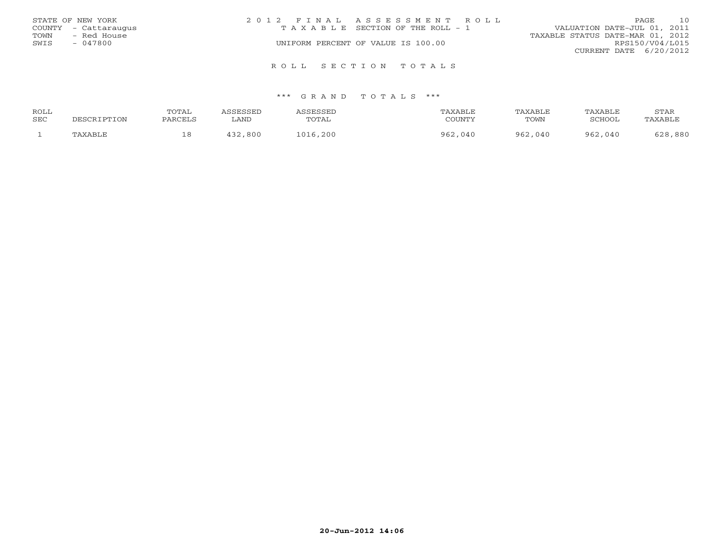|      | STATE OF NEW YORK    | 2012 FINAL ASSESSMENT ROLL            |  |                                  | PAGE            | 10 |
|------|----------------------|---------------------------------------|--|----------------------------------|-----------------|----|
|      | COUNTY - Cattaraugus | T A X A B L E SECTION OF THE ROLL - 1 |  | VALUATION DATE-JUL 01, 2011      |                 |    |
| TOWN | - Red House          |                                       |  | TAXABLE STATUS DATE-MAR 01, 2012 |                 |    |
| SWIS | - 047800             | UNIFORM PERCENT OF VALUE IS 100.00    |  |                                  | RPS150/V04/L015 |    |
|      |                      |                                       |  | CURRENT DATE $6/20/2012$         |                 |    |
|      |                      | ROLL SECTION TOTALS                   |  |                                  |                 |    |

| ROLL |             | TOTAL   | <i><b>ASSESSED</b></i> | <b><i>ASSESSED</i></b> | TAXABLE | TAXABLE | TAXABLE | STAR    |
|------|-------------|---------|------------------------|------------------------|---------|---------|---------|---------|
| SEC  | PESCRIPTION | PARCELS | LAND                   | TOTAL                  | COUNTY  | TOWN    | SCHOOL  | TAXABLE |
|      | TAXABLE     | 18      | 800<br>イマつ             | 1016,200               | 962,040 | 962,040 | 962,040 | 628,880 |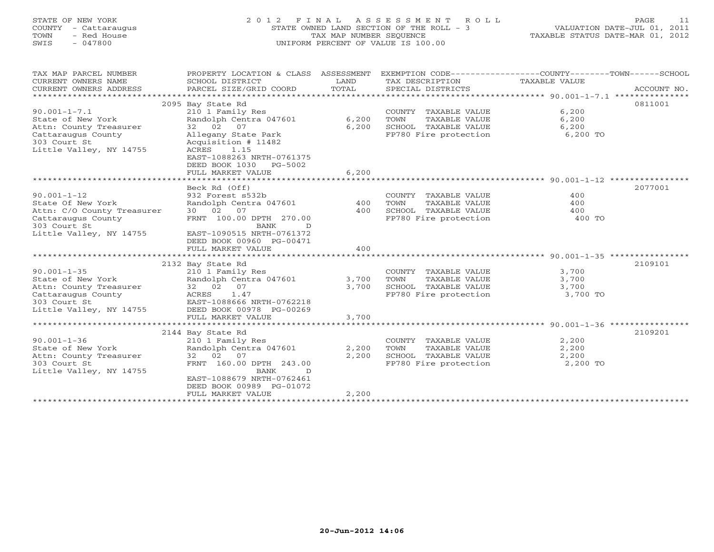## STATE OF NEW YORK 2 0 1 2 F I N A L A S S E S S M E N T R O L L PAGE 11 COUNTY - Cattaraugus STATE OWNED LAND SECTION OF THE ROLL - 3 VALUATION DATE-JUL 01, 2011 TOWN - Red House TAX MAP NUMBER SEQUENCE TAXABLE STATUS DATE-MAR 01, 2012 SWIS - 047800 UNIFORM PERCENT OF VALUE IS 100.00UNIFORM PERCENT OF VALUE IS 100.00

| TAX MAP PARCEL NUMBER<br>CURRENT OWNERS NAME<br>CURRENT OWNERS ADDRESS | PROPERTY LOCATION & CLASS ASSESSMENT<br>SCHOOL DISTRICT<br>PARCEL SIZE/GRID COORD | LAND<br>TOTAL | TAX DESCRIPTION TAXABLE VALUE<br>SPECIAL DISTRICTS | EXEMPTION CODE-----------------COUNTY-------TOWN------SCHOOL<br>ACCOUNT NO. |
|------------------------------------------------------------------------|-----------------------------------------------------------------------------------|---------------|----------------------------------------------------|-----------------------------------------------------------------------------|
|                                                                        |                                                                                   |               |                                                    |                                                                             |
|                                                                        | 2095 Bay State Rd                                                                 |               |                                                    | 0811001                                                                     |
| $90.001 - 1 - 7.1$                                                     | 210 1 Family Res                                                                  |               | COUNTY TAXABLE VALUE                               | 6,200                                                                       |
| State of New York                                                      | Randolph Centra 047601                                                            | 6,200         | TAXABLE VALUE<br>TOWN                              | 6,200                                                                       |
| Attn: County Treasurer                                                 | 32 02 07                                                                          | 6,200         | SCHOOL TAXABLE VALUE                               | 6,200                                                                       |
| Cattaraugus County                                                     | Allegany State Park                                                               |               | FP780 Fire protection                              | 6,200 TO                                                                    |
| 303 Court St                                                           | Acquisition # 11482                                                               |               |                                                    |                                                                             |
| Little Valley, NY 14755                                                | ACRES<br>1.15                                                                     |               |                                                    |                                                                             |
|                                                                        | EAST-1088263 NRTH-0761375                                                         |               |                                                    |                                                                             |
|                                                                        | DEED BOOK 1030 PG-5002                                                            |               |                                                    |                                                                             |
|                                                                        | FULL MARKET VALUE                                                                 | 6,200         |                                                    |                                                                             |
|                                                                        |                                                                                   |               |                                                    |                                                                             |
|                                                                        | Beck Rd (Off)                                                                     |               |                                                    | 2077001                                                                     |
| $90.001 - 1 - 12$                                                      | 932 Forest s532b                                                                  |               | COUNTY TAXABLE VALUE                               | 400                                                                         |
| State Of New York                                                      | Randolph Centra 047601                                                            | 400           | TOWN<br>TAXABLE VALUE                              | 400                                                                         |
| Attn: C/O County Treasurer                                             | 30 02 07                                                                          | 400           | SCHOOL TAXABLE VALUE                               | 400                                                                         |
| Cattaraugus County                                                     | FRNT 100.00 DPTH 270.00                                                           |               | FP780 Fire protection                              | 400 TO                                                                      |
| 303 Court St                                                           | BANK<br>D.                                                                        |               |                                                    |                                                                             |
| Little Valley, NY 14755                                                | EAST-1090515 NRTH-0761372                                                         |               |                                                    |                                                                             |
|                                                                        | DEED BOOK 00960 PG-00471                                                          |               |                                                    |                                                                             |
|                                                                        | FULL MARKET VALUE                                                                 | 400           |                                                    |                                                                             |
|                                                                        |                                                                                   |               |                                                    |                                                                             |
|                                                                        | 2132 Bay State Rd                                                                 |               |                                                    | 2109101                                                                     |
| $90.001 - 1 - 35$                                                      | 210 1 Family Res                                                                  |               | COUNTY TAXABLE VALUE                               | 3,700                                                                       |
| State of New York                                                      | Randolph Centra 047601                                                            | 3,700         | TOWN<br>TAXABLE VALUE                              | 3,700                                                                       |
| Attn: County Treasurer                                                 | 32 02 07                                                                          | 3,700         | SCHOOL TAXABLE VALUE<br>FP780 Fire protection      | 3,700                                                                       |
| Cattaraugus County                                                     | ACRES<br>1.47                                                                     |               |                                                    | 3,700 TO                                                                    |
| 303 Court St                                                           | EAST-1088666 NRTH-0762218                                                         |               |                                                    |                                                                             |
| Little Valley, NY 14755                                                | DEED BOOK 00978 PG-00269                                                          |               |                                                    |                                                                             |
|                                                                        | FULL MARKET VALUE                                                                 | 3,700         |                                                    |                                                                             |
|                                                                        |                                                                                   |               |                                                    |                                                                             |
|                                                                        | 2144 Bay State Rd                                                                 |               |                                                    | 2109201                                                                     |
| $90.001 - 1 - 36$<br>State of New York                                 | 210 1 Family Res<br>Randolph Centra 047601                                        | 2,200         | COUNTY TAXABLE VALUE<br>TOWN                       | 2,200<br>2,200                                                              |
|                                                                        |                                                                                   |               | TAXABLE VALUE                                      |                                                                             |
| Attn: County Treasurer<br>303 Court St                                 | 32 02 07<br>FRNT 160.00 DPTH 243.00                                               | 2,200         | SCHOOL TAXABLE VALUE<br>FP780 Fire protection      | 2,200<br>2,200 TO                                                           |
|                                                                        | <b>BANK</b>                                                                       |               |                                                    |                                                                             |
| Little Valley, NY 14755                                                | D<br>EAST-1088679 NRTH-0762461                                                    |               |                                                    |                                                                             |
|                                                                        | DEED BOOK 00989 PG-01072                                                          |               |                                                    |                                                                             |
|                                                                        | FULL MARKET VALUE                                                                 | 2,200         |                                                    |                                                                             |
|                                                                        |                                                                                   |               |                                                    |                                                                             |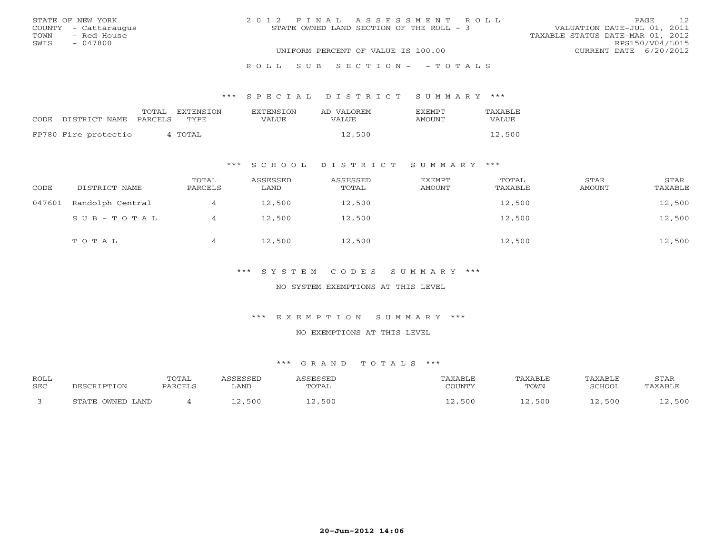| STATE OF NEW YORK    | 2012 FINAL ASSESSMENT ROLL               | 12<br>PAGE                       |
|----------------------|------------------------------------------|----------------------------------|
| COUNTY - Cattaraugus | STATE OWNED LAND SECTION OF THE ROLL - 3 | VALUATION DATE-JUL 01, 2011      |
| TOWN<br>- Red House  |                                          | TAXABLE STATUS DATE-MAR 01, 2012 |
| SWTS<br>- 047800     |                                          | RPS150/V04/L015                  |
|                      | UNIFORM PERCENT OF VALUE IS 100.00       | CURRENT DATE 6/20/2012           |
|                      | ROLL SUB SECTION- - TOTALS               |                                  |

#### \*\*\* S P E C I A L D I S T R I C T S U M M A R Y \*\*\*

| CODE DISTRICT NAME   | TOTAL<br>EXTENSTON<br>PARCELS<br>TYPE | EXTENSION<br>VALUE | AD VALOREM<br>VALUE. | <b>FXFMPT</b><br>AMOUNT | TAXABLE<br>VALUE. |
|----------------------|---------------------------------------|--------------------|----------------------|-------------------------|-------------------|
| FP780 Fire protectio | 4 TOTAL                               |                    | 12,500               |                         | 12,500            |

## \*\*\* S C H O O L D I S T R I C T S U M M A R Y \*\*\*

| CODE   | DISTRICT NAME    | TOTAL<br>PARCELS | ASSESSED<br>LAND | ASSESSED<br>TOTAL | EXEMPT<br>AMOUNT | TOTAL<br>TAXABLE | STAR<br>AMOUNT | STAR<br>TAXABLE |
|--------|------------------|------------------|------------------|-------------------|------------------|------------------|----------------|-----------------|
| 047601 | Randolph Central | 4                | 12,500           | 12,500            |                  | 12,500           |                | 12,500          |
|        | SUB-TOTAL        |                  | 12,500           | 12,500            |                  | 12,500           |                | 12,500          |
|        | TOTAL            | 4                | 12,500           | 12,500            |                  | 12,500           |                | 12,500          |

## \*\*\* S Y S T E M C O D E S S U M M A R Y \*\*\*

#### NO SYSTEM EXEMPTIONS AT THIS LEVEL

#### \*\*\* E X E M P T I O N S U M M A R Y \*\*\*

#### NO EXEMPTIONS AT THIS LEVEL

| <b>ROLL</b><br><b>SEC</b> |                                                  | TOTAL<br>PARCELS | <b>CORCORD</b><br>∟AND | TOTAL  | TAXABLE<br>$\gamma$ $\cap$ tairi $\nu$ | TAXABLE<br>TOWN | TAXABLE<br>SCHOOL | STAR<br>TAXABLE |
|---------------------------|--------------------------------------------------|------------------|------------------------|--------|----------------------------------------|-----------------|-------------------|-----------------|
|                           | . OWNED LAND<br>$C$ m $\lambda$ m $\overline{D}$ |                  | 12,500                 | 12,500 | ,500                                   | 500             | ,500              | ,500            |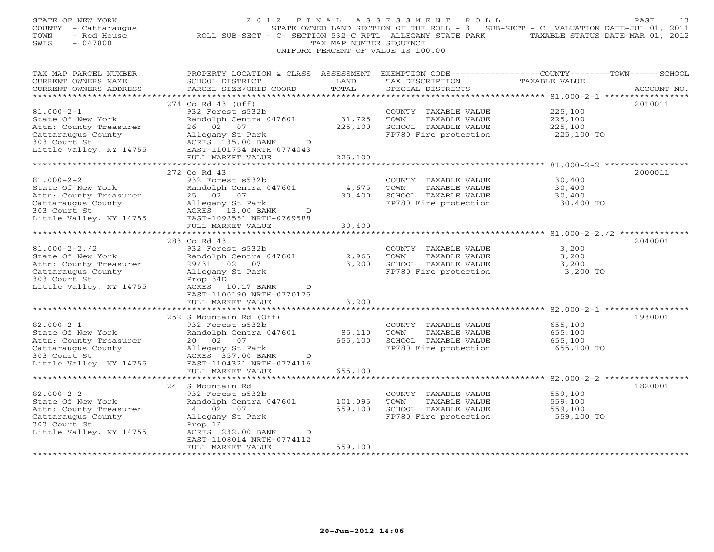| STATE OF NEW YORK<br>COUNTY - Cattaraugus<br>TOWN<br>- Red House<br>SWIS<br>$-047800$ | 2 0 1 2<br>ROLL SUB-SECT - C- SECTION 532-C RPTL ALLEGANY STATE PARK              | FINAL<br>TAX MAP NUMBER SEQUENCE | A S S E S S M E N T<br>R O L L<br>UNIFORM PERCENT OF VALUE IS 100.00 | STATE OWNED LAND SECTION OF THE ROLL - 3 SUB-SECT - C VALUATION DATE-JUL 01, 2011<br>TAXABLE STATUS DATE-MAR 01, 2012 | PAGE<br>13  |
|---------------------------------------------------------------------------------------|-----------------------------------------------------------------------------------|----------------------------------|----------------------------------------------------------------------|-----------------------------------------------------------------------------------------------------------------------|-------------|
| TAX MAP PARCEL NUMBER<br>CURRENT OWNERS NAME<br>CURRENT OWNERS ADDRESS                | PROPERTY LOCATION & CLASS ASSESSMENT<br>SCHOOL DISTRICT<br>PARCEL SIZE/GRID COORD | LAND<br>TOTAL                    | TAX DESCRIPTION<br>SPECIAL DISTRICTS                                 | EXEMPTION CODE-----------------COUNTY-------TOWN------SCHOOL<br>TAXABLE VALUE                                         | ACCOUNT NO. |
| ***********************                                                               | *************************                                                         |                                  |                                                                      |                                                                                                                       |             |
| $81.000 - 2 - 1$                                                                      | 274 Co Rd 43 (Off)<br>932 Forest s532b                                            |                                  | COUNTY TAXABLE VALUE                                                 | 225,100                                                                                                               | 2010011     |
| State Of New York                                                                     | Randolph Centra 047601                                                            | 31,725                           | TOWN<br>TAXABLE VALUE                                                | 225,100                                                                                                               |             |
| Attn: County Treasurer                                                                | 26 02<br>07                                                                       | 225,100                          | SCHOOL TAXABLE VALUE                                                 | 225,100                                                                                                               |             |
| Cattaraugus County                                                                    | Allegany St Park                                                                  |                                  | FP780 Fire protection                                                | 225,100 TO                                                                                                            |             |
| 303 Court St                                                                          | ACRES 135.00 BANK<br>D                                                            |                                  |                                                                      |                                                                                                                       |             |
| Little Valley, NY 14755                                                               | EAST-1101754 NRTH-0774043<br>FULL MARKET VALUE                                    | 225,100                          |                                                                      |                                                                                                                       |             |
|                                                                                       |                                                                                   |                                  |                                                                      |                                                                                                                       |             |
|                                                                                       | 272 Co Rd 43                                                                      |                                  |                                                                      |                                                                                                                       | 2000011     |
| $81.000 - 2 - 2$                                                                      | 932 Forest s532b                                                                  |                                  | COUNTY TAXABLE VALUE                                                 | 30,400                                                                                                                |             |
| State Of New York                                                                     | Randolph Centra 047601                                                            | 4,675                            | TOWN<br>TAXABLE VALUE                                                | 30,400                                                                                                                |             |
| Attn: County Treasurer<br>Cattaraugus County                                          | 07<br>25 02<br>Allegany St Park                                                   | 30,400                           | SCHOOL TAXABLE VALUE<br>FP780 Fire protection                        | 30,400<br>30,400 TO                                                                                                   |             |
| 303 Court St                                                                          | ACRES 13.00 BANK<br>D                                                             |                                  |                                                                      |                                                                                                                       |             |
| Little Valley, NY 14755                                                               | EAST-1098551 NRTH-0769588                                                         |                                  |                                                                      |                                                                                                                       |             |
|                                                                                       | FULL MARKET VALUE                                                                 | 30,400                           |                                                                      |                                                                                                                       |             |
|                                                                                       |                                                                                   |                                  |                                                                      | *********** 81.000-2-2./2 ***********                                                                                 |             |
| $81.000 - 2 - 2.72$                                                                   | 283 Co Rd 43<br>932 Forest s532b                                                  |                                  | COUNTY TAXABLE VALUE                                                 | 3,200                                                                                                                 | 2040001     |
| State Of New York                                                                     | Randolph Centra 047601                                                            | 2,965                            | TOWN<br>TAXABLE VALUE                                                | 3,200                                                                                                                 |             |
| Attn: County Treasurer                                                                | 29/31 02 07                                                                       | 3,200                            | SCHOOL TAXABLE VALUE                                                 | 3,200                                                                                                                 |             |
| Cattaraugus County                                                                    | Allegany St Park                                                                  |                                  | FP780 Fire protection                                                | 3,200 TO                                                                                                              |             |
| 303 Court St                                                                          | Prop 34D                                                                          |                                  |                                                                      |                                                                                                                       |             |
| Little Valley, NY 14755                                                               | ACRES 10.17 BANK<br>D<br>EAST-1100190 NRTH-0770175                                |                                  |                                                                      |                                                                                                                       |             |
|                                                                                       | FULL MARKET VALUE                                                                 | 3,200                            |                                                                      |                                                                                                                       |             |
|                                                                                       |                                                                                   |                                  |                                                                      | ** 82.000-2-1 ***                                                                                                     |             |
|                                                                                       | 252 S Mountain Rd (Off)                                                           |                                  |                                                                      |                                                                                                                       | 1930001     |
| $82.000 - 2 - 1$                                                                      | 932 Forest s532b                                                                  |                                  | COUNTY TAXABLE VALUE                                                 | 655,100                                                                                                               |             |
| State Of New York                                                                     | Randolph Centra 047601<br>20  02  07                                              | 85,110                           | TOWN<br>TAXABLE VALUE                                                | 655,100                                                                                                               |             |
| Attn: County Treasurer<br>Cattaraugus County                                          | Allegany St Park                                                                  | 655,100                          | SCHOOL TAXABLE VALUE<br>FP780 Fire protection                        | 655,100<br>655,100 TO                                                                                                 |             |
| 303 Court St                                                                          | ACRES 357.00 BANK<br>D                                                            |                                  |                                                                      |                                                                                                                       |             |
| Little Valley, NY 14755                                                               | EAST-1104321 NRTH-0774116                                                         |                                  |                                                                      |                                                                                                                       |             |
|                                                                                       | FULL MARKET VALUE                                                                 | 655,100                          |                                                                      |                                                                                                                       |             |
|                                                                                       | 241 S Mountain Rd                                                                 |                                  |                                                                      |                                                                                                                       | 1820001     |
| $82.000 - 2 - 2$                                                                      | 932 Forest s532b                                                                  |                                  | COUNTY TAXABLE VALUE                                                 | 559,100                                                                                                               |             |
| State Of New York                                                                     | Randolph Centra 047601                                                            | 101,095                          | TOWN<br>TAXABLE VALUE                                                | 559,100                                                                                                               |             |
| Attn: County Treasurer                                                                | 14 02<br>07                                                                       | 559,100                          | SCHOOL TAXABLE VALUE                                                 | 559,100                                                                                                               |             |
| Cattaraugus County                                                                    | Allegany St Park                                                                  |                                  | FP780 Fire protection                                                | 559,100 TO                                                                                                            |             |
| 303 Court St                                                                          | Prop 12                                                                           |                                  |                                                                      |                                                                                                                       |             |
| Little Valley, NY 14755                                                               | ACRES 232.00 BANK<br>D<br>EAST-1108014 NRTH-0774112                               |                                  |                                                                      |                                                                                                                       |             |
|                                                                                       | FULL MARKET VALUE                                                                 | 559,100                          |                                                                      |                                                                                                                       |             |
|                                                                                       | * * * * * * * * * * * * * * * * * * *                                             | ***********                      |                                                                      |                                                                                                                       |             |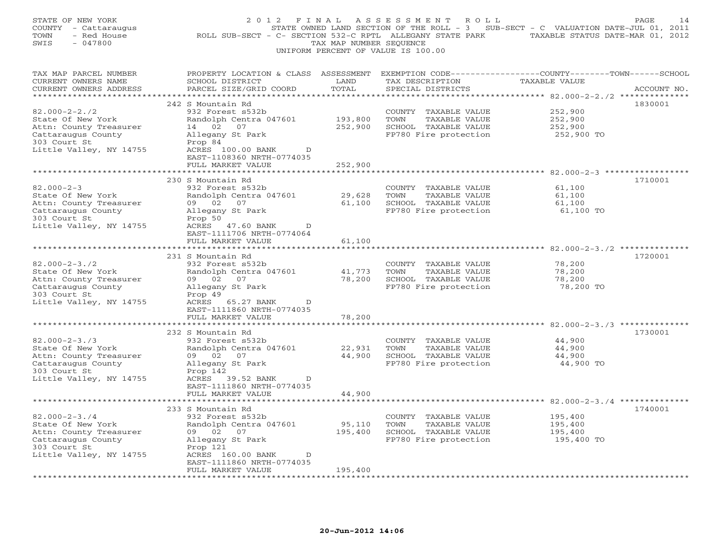| STATE OF NEW YORK<br>COUNTY - Cattaraugus<br>- Red House<br>TOWN<br>SWIS<br>$-047800$                                               | 2 0 1 2<br>ROLL SUB-SECT - C- SECTION 532-C RPTL ALLEGANY STATE PARK                                                                                                                      | FINAL<br>TAX MAP NUMBER SEQUENCE           | ASSESSMENT<br>R O L L<br>UNIFORM PERCENT OF VALUE IS 100.00                                    | STATE OWNED LAND SECTION OF THE ROLL - 3 SUB-SECT - C VALUATION DATE-JUL 01, 2011<br>TAXABLE STATUS DATE-MAR 01, 2012   | PAGE<br>-14 |
|-------------------------------------------------------------------------------------------------------------------------------------|-------------------------------------------------------------------------------------------------------------------------------------------------------------------------------------------|--------------------------------------------|------------------------------------------------------------------------------------------------|-------------------------------------------------------------------------------------------------------------------------|-------------|
| TAX MAP PARCEL NUMBER<br>CURRENT OWNERS NAME<br>CURRENT OWNERS ADDRESS<br>**********************                                    | PROPERTY LOCATION & CLASS ASSESSMENT<br>SCHOOL DISTRICT<br>PARCEL SIZE/GRID COORD<br>************************                                                                             | LAND<br>TOTAL<br>*********                 | TAX DESCRIPTION<br>SPECIAL DISTRICTS                                                           | EXEMPTION CODE-----------------COUNTY-------TOWN------SCHOOL<br>TAXABLE VALUE<br>********* 82.000-2-2./2 ************** | ACCOUNT NO. |
| $82.000 - 2 - 2.72$<br>State Of New York<br>Attn: County Treasurer<br>Cattaraugus County<br>303 Court St<br>Little Valley, NY 14755 | 242 S Mountain Rd<br>932 Forest s532b<br>Randolph Centra 047601<br>14 02<br>07<br>Allegany St Park<br>Prop 84<br>ACRES 100.00 BANK<br>D<br>EAST-1108360 NRTH-0774035<br>FULL MARKET VALUE | 193,800<br>252,900<br>252,900              | COUNTY TAXABLE VALUE<br>TOWN<br>TAXABLE VALUE<br>SCHOOL TAXABLE VALUE<br>FP780 Fire protection | 252,900<br>252,900<br>252,900<br>252,900 TO                                                                             | 1830001     |
| $82.000 - 2 - 3$<br>State Of New York<br>Attn: County Treasurer<br>Cattaraugus County<br>303 Court St<br>Little Valley, NY 14755    | 230 S Mountain Rd<br>932 Forest s532b<br>Randolph Centra 047601<br>09 02<br>07<br>Allegany St Park<br>Prop 50<br>ACRES 47.60 BANK<br>D                                                    | 29,628<br>61,100                           | COUNTY TAXABLE VALUE<br>TOWN<br>TAXABLE VALUE<br>SCHOOL TAXABLE VALUE<br>FP780 Fire protection | $82.000 - 2 - 3$ **<br>61,100<br>61,100<br>61,100<br>61,100 TO                                                          | 1710001     |
| *******************<br>$82.000 - 2 - 3.72$<br>State Of New York<br>Attn: County Treasurer<br>Cattaraugus County<br>303 Court St     | EAST-1111706 NRTH-0774064<br>FULL MARKET VALUE<br>231 S Mountain Rd<br>932 Forest s532b<br>Randolph Centra 047601<br>09 02 07<br>Allegany St Park<br>Prop 49                              | 61,100<br>************<br>41,773<br>78,200 | COUNTY TAXABLE VALUE<br>TOWN<br>TAXABLE VALUE<br>SCHOOL TAXABLE VALUE<br>FP780 Fire protection | 78,200<br>78,200<br>78,200<br>78,200 TO                                                                                 | 1720001     |
| Little Valley, NY 14755                                                                                                             | ACRES 65.27 BANK<br>D<br>EAST-1111860 NRTH-0774035<br>FULL MARKET VALUE<br>232 S Mountain Rd                                                                                              | 78,200                                     |                                                                                                |                                                                                                                         | 1730001     |
| $82.000 - 2 - 3.73$<br>State Of New York<br>Attn: County Treasurer<br>Cattaraugus County<br>303 Court St<br>Little Valley, NY 14755 | 932 Forest s532b<br>Randolph Centra 047601<br>09 02<br>07<br>Allegany St Park<br>Prop 142<br>ACRES 39.52 BANK<br>D<br>EAST-1111860 NRTH-0774035                                           | 22,931<br>44,900                           | COUNTY TAXABLE VALUE<br>TOWN<br>TAXABLE VALUE<br>SCHOOL TAXABLE VALUE<br>FP780 Fire protection | 44,900<br>44,900<br>44,900<br>44,900 TO                                                                                 |             |
|                                                                                                                                     | FULL MARKET VALUE                                                                                                                                                                         | 44,900                                     |                                                                                                |                                                                                                                         |             |
| $82.000 - 2 - 3.74$<br>State Of New York<br>Attn: County Treasurer<br>Cattaraugus County<br>303 Court St<br>Little Valley, NY 14755 | 233 S Mountain Rd<br>932 Forest s532b<br>Randolph Centra 047601<br>09 02<br>07<br>Allegany St Park<br>Prop 121<br>ACRES 160.00 BANK<br>D<br>EAST-1111860 NRTH-0774035                     | 95,110<br>195,400                          | COUNTY TAXABLE VALUE<br>TOWN<br>TAXABLE VALUE<br>SCHOOL TAXABLE VALUE<br>FP780 Fire protection | 195,400<br>195,400<br>195,400<br>195,400 TO                                                                             | 1740001     |
|                                                                                                                                     | FULL MARKET VALUE<br>.                                                                                                                                                                    | 195,400                                    |                                                                                                |                                                                                                                         |             |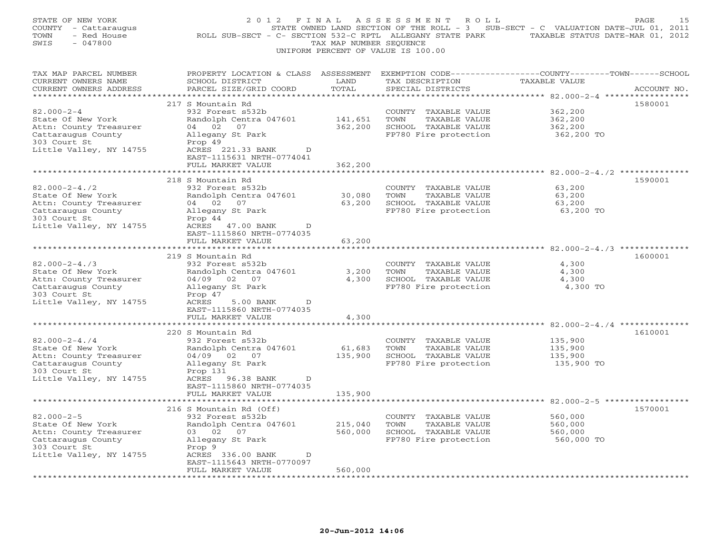| STATE OF NEW YORK<br>COUNTY - Cattaraugus<br>- Red House<br>TOWN<br>SWIS<br>$-047800$                                               | 2012 FINAL<br>ROLL SUB-SECT - C- SECTION 532-C RPTL ALLEGANY STATE PARK                                                                                                                   | TAX MAP NUMBER SEQUENCE       | ASSESSMENT<br>R O L L<br>UNIFORM PERCENT OF VALUE IS 100.00                                    | STATE OWNED LAND SECTION OF THE ROLL - 3 SUB-SECT - C VALUATION DATE-JUL 01, 2011<br>TAXABLE STATUS DATE-MAR 01, 2012 | PAGE<br>15  |
|-------------------------------------------------------------------------------------------------------------------------------------|-------------------------------------------------------------------------------------------------------------------------------------------------------------------------------------------|-------------------------------|------------------------------------------------------------------------------------------------|-----------------------------------------------------------------------------------------------------------------------|-------------|
| TAX MAP PARCEL NUMBER<br>CURRENT OWNERS NAME<br>CURRENT OWNERS ADDRESS<br>**********************                                    | PROPERTY LOCATION & CLASS ASSESSMENT<br>SCHOOL DISTRICT<br>PARCEL SIZE/GRID COORD<br>***************************                                                                          | LAND<br>TOTAL<br>*********    | TAX DESCRIPTION<br>SPECIAL DISTRICTS                                                           | EXEMPTION CODE-----------------COUNTY-------TOWN------SCHOOL<br>TAXABLE VALUE                                         | ACCOUNT NO. |
| $82.000 - 2 - 4$<br>State Of New York<br>Attn: County Treasurer<br>Cattaraugus County<br>303 Court St<br>Little Valley, NY 14755    | 217 S Mountain Rd<br>932 Forest s532b<br>Randolph Centra 047601<br>04 02<br>07<br>Allegany St Park<br>Prop 49<br>ACRES 221.33 BANK<br>D<br>EAST-1115631 NRTH-0774041<br>FULL MARKET VALUE | 141,651<br>362,200<br>362,200 | COUNTY TAXABLE VALUE<br>TOWN<br>TAXABLE VALUE<br>SCHOOL TAXABLE VALUE<br>FP780 Fire protection | 362,200<br>362,200<br>362,200<br>362,200 TO                                                                           | 1580001     |
| $82.000 - 2 - 4.72$<br>State Of New York<br>Attn: County Treasurer<br>Cattaraugus County<br>303 Court St<br>Little Valley, NY 14755 | 218 S Mountain Rd<br>932 Forest s532b<br>Randolph Centra 047601<br>04 02 07<br>Allegany St Park<br>Prop 44<br>ACRES 47.00 BANK<br>D                                                       | 30,080<br>63,200              | COUNTY TAXABLE VALUE<br>TOWN<br>TAXABLE VALUE<br>SCHOOL TAXABLE VALUE<br>FP780 Fire protection | ** 82.000-2-4./2 **********<br>63,200<br>63,200<br>63,200<br>63,200 TO                                                | 1590001     |
| *********************<br>$82.000 - 2 - 4.73$<br>State Of New York<br>Attn: County Treasurer<br>Cattaraugus County<br>303 Court St   | EAST-1115860 NRTH-0774035<br>FULL MARKET VALUE<br>219 S Mountain Rd<br>932 Forest s532b<br>Randolph Centra 047601<br>04/09 02 07<br>Allegany St Park<br>Prop 47                           | 63,200<br>3,200<br>4,300      | COUNTY TAXABLE VALUE<br>TOWN<br>TAXABLE VALUE<br>SCHOOL TAXABLE VALUE<br>FP780 Fire protection | 4,300<br>4,300<br>4,300<br>4,300 TO                                                                                   | 1600001     |
| Little Valley, NY 14755                                                                                                             | ACRES<br>5.00 BANK<br>$\mathbb{D}$<br>EAST-1115860 NRTH-0774035<br>FULL MARKET VALUE<br>*****************<br>220 S Mountain Rd                                                            | 4,300                         |                                                                                                |                                                                                                                       | 1610001     |
| $82.000 - 2 - 4.74$<br>State Of New York<br>Attn: County Treasurer<br>Cattaraugus County<br>303 Court St<br>Little Valley, NY 14755 | 932 Forest s532b<br>Randolph Centra 047601<br>04/09 02 07<br>Allegany St Park<br>Prop 131<br>ACRES 96.38 BANK<br>D<br>EAST-1115860 NRTH-0774035<br>FULL MARKET VALUE                      | 61,683<br>135,900<br>135,900  | COUNTY TAXABLE VALUE<br>TOWN<br>TAXABLE VALUE<br>SCHOOL TAXABLE VALUE<br>FP780 Fire protection | 135,900<br>135,900<br>135,900<br>135,900 TO                                                                           |             |
| $82.000 - 2 - 5$<br>State Of New York<br>Attn: County Treasurer<br>Cattaraugus County<br>303 Court St                               | 216 S Mountain Rd (Off)<br>932 Forest s532b<br>Randolph Centra 047601<br>03 02 07<br>Allegany St Park<br>Prop 9                                                                           | 215,040<br>560,000            | COUNTY TAXABLE VALUE<br>TOWN<br>TAXABLE VALUE<br>SCHOOL TAXABLE VALUE<br>FP780 Fire protection | 560,000<br>560,000<br>560,000<br>560,000 TO                                                                           | 1570001     |
| Little Valley, NY 14755                                                                                                             | ACRES 336.00 BANK<br>D<br>EAST-1115643 NRTH-0770097<br>FULL MARKET VALUE<br>.                                                                                                             | 560,000                       |                                                                                                |                                                                                                                       |             |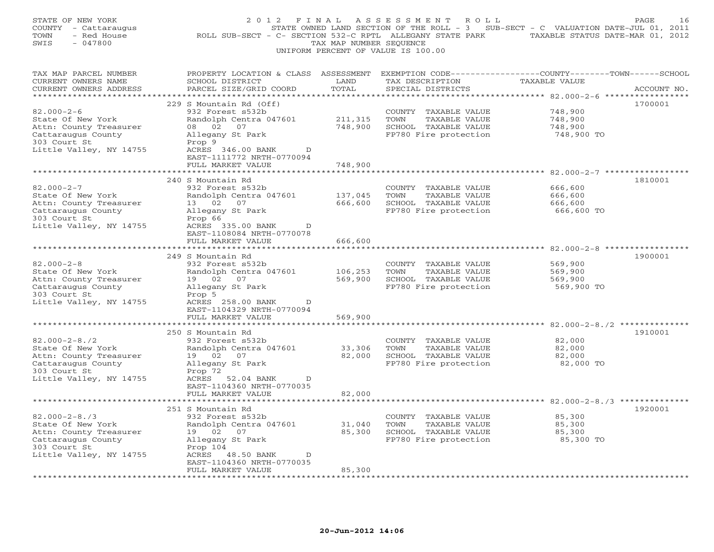| STATE OF NEW YORK<br>COUNTY - Cattaraugus<br>- Red House<br>TOWN<br>SWIS<br>$-047800$ | 2 0 1 2<br>ROLL SUB-SECT - C- SECTION 532-C RPTL ALLEGANY STATE PARK | FINAL<br>TAX MAP NUMBER SEQUENCE | ASSESSMENT<br>ROLL<br>STATE OWNED LAND SECTION OF THE ROLL - 3<br>UNIFORM PERCENT OF VALUE IS 100.00 | SUB-SECT - C VALUATION DATE-JUL 01, 2011<br>TAXABLE STATUS DATE-MAR 01, 2012 | PAGE<br>16  |
|---------------------------------------------------------------------------------------|----------------------------------------------------------------------|----------------------------------|------------------------------------------------------------------------------------------------------|------------------------------------------------------------------------------|-------------|
| TAX MAP PARCEL NUMBER                                                                 | PROPERTY LOCATION & CLASS ASSESSMENT                                 |                                  | EXEMPTION CODE-----------------COUNTY-------TOWN------SCHOOL                                         |                                                                              |             |
| CURRENT OWNERS NAME<br>CURRENT OWNERS ADDRESS                                         | SCHOOL DISTRICT<br>PARCEL SIZE/GRID COORD                            | LAND<br>TOTAL                    | TAX DESCRIPTION<br>SPECIAL DISTRICTS                                                                 | TAXABLE VALUE                                                                | ACCOUNT NO. |
|                                                                                       |                                                                      |                                  |                                                                                                      | ***** 82.000-2-6 ****                                                        | *********   |
|                                                                                       | 229 S Mountain Rd (Off)                                              |                                  |                                                                                                      |                                                                              | 1700001     |
| $82.000 - 2 - 6$                                                                      | 932 Forest s532b                                                     |                                  | COUNTY<br>TAXABLE VALUE                                                                              | 748,900                                                                      |             |
| State Of New York                                                                     | Randolph Centra 047601                                               | 211,315                          | TOWN<br>TAXABLE VALUE                                                                                | 748,900                                                                      |             |
| Attn: County Treasurer                                                                | 02<br>07<br>08                                                       | 748,900                          | SCHOOL TAXABLE VALUE                                                                                 | 748,900                                                                      |             |
| Cattaraugus County<br>303 Court St                                                    | Allegany St Park<br>Prop 9                                           |                                  | FP780 Fire protection                                                                                | 748,900 TO                                                                   |             |
| Little Valley, NY 14755                                                               | ACRES 346.00 BANK<br>D<br>EAST-1111772 NRTH-0770094                  |                                  |                                                                                                      |                                                                              |             |
|                                                                                       | FULL MARKET VALUE                                                    | 748,900                          |                                                                                                      |                                                                              |             |
|                                                                                       | 240 S Mountain Rd                                                    |                                  |                                                                                                      |                                                                              | 1810001     |
| $82.000 - 2 - 7$                                                                      | 932 Forest s532b                                                     |                                  | COUNTY TAXABLE VALUE                                                                                 | 666,600                                                                      |             |
| State Of New York                                                                     | Randolph Centra 047601                                               | 137,045                          | TAXABLE VALUE<br>TOWN                                                                                | 666,600                                                                      |             |
| Attn: County Treasurer                                                                | 13 02<br>07                                                          | 666,600                          | SCHOOL TAXABLE VALUE                                                                                 | 666,600                                                                      |             |
| Cattaraugus County                                                                    | Allegany St Park                                                     |                                  | FP780 Fire protection                                                                                | 666,600 TO                                                                   |             |
| 303 Court St                                                                          | Prop 66                                                              |                                  |                                                                                                      |                                                                              |             |
| Little Valley, NY 14755                                                               | ACRES 335.00 BANK<br>D                                               |                                  |                                                                                                      |                                                                              |             |
|                                                                                       | EAST-1108084 NRTH-0770078<br>FULL MARKET VALUE                       | 666,600                          |                                                                                                      |                                                                              |             |
|                                                                                       | *******************                                                  |                                  |                                                                                                      | $82.000 - 2 - 8$ *****                                                       |             |
|                                                                                       | 249 S Mountain Rd                                                    |                                  |                                                                                                      |                                                                              | 1900001     |
| $82.000 - 2 - 8$                                                                      | 932 Forest s532b                                                     |                                  | COUNTY TAXABLE VALUE                                                                                 | 569,900                                                                      |             |
| State Of New York                                                                     | Randolph Centra 047601                                               | 106,253                          | TOWN<br>TAXABLE VALUE                                                                                | 569,900                                                                      |             |
| Attn: County Treasurer                                                                | 19 02<br>07                                                          | 569,900                          | SCHOOL TAXABLE VALUE                                                                                 | 569,900                                                                      |             |
| Cattaraugus County                                                                    | Allegany St Park                                                     |                                  | FP780 Fire protection                                                                                | 569,900 TO                                                                   |             |
| 303 Court St                                                                          | Prop 5                                                               |                                  |                                                                                                      |                                                                              |             |
| Little Valley, NY 14755                                                               | ACRES 258.00 BANK<br>D                                               |                                  |                                                                                                      |                                                                              |             |
|                                                                                       | EAST-1104329 NRTH-0770094<br>FULL MARKET VALUE                       | 569,900                          |                                                                                                      |                                                                              |             |
|                                                                                       |                                                                      |                                  |                                                                                                      | $82.000 - 2 - 8.72$ **                                                       |             |
|                                                                                       | 250 S Mountain Rd                                                    |                                  |                                                                                                      |                                                                              | 1910001     |
| $82.000 - 2 - 8.72$                                                                   | 932 Forest s532b                                                     |                                  | COUNTY TAXABLE VALUE                                                                                 | 82,000                                                                       |             |
| State Of New York                                                                     | Randolph Centra 047601                                               | 33,306                           | TOWN<br>TAXABLE VALUE                                                                                | 82,000                                                                       |             |
| Attn: County Treasurer                                                                | 19 02<br>07                                                          | 82,000                           | SCHOOL TAXABLE VALUE                                                                                 | 82,000                                                                       |             |
| Cattaraugus County                                                                    | Allegany St Park                                                     |                                  | FP780 Fire protection                                                                                | 82,000 TO                                                                    |             |
| 303 Court St                                                                          | Prop 72                                                              |                                  |                                                                                                      |                                                                              |             |
| Little Valley, NY 14755                                                               | ACRES 52.04 BANK<br>D<br>EAST-1104360 NRTH-0770035                   |                                  |                                                                                                      |                                                                              |             |
|                                                                                       | FULL MARKET VALUE                                                    | 82,000                           |                                                                                                      |                                                                              |             |
|                                                                                       |                                                                      |                                  |                                                                                                      |                                                                              |             |
|                                                                                       | 251 S Mountain Rd                                                    |                                  |                                                                                                      |                                                                              | 1920001     |
| $82.000 - 2 - 8.73$                                                                   | 932 Forest s532b                                                     |                                  | COUNTY TAXABLE VALUE                                                                                 | 85,300                                                                       |             |
| State Of New York                                                                     | Randolph Centra 047601                                               | 31,040                           | TOWN<br>TAXABLE VALUE                                                                                | 85,300                                                                       |             |
| Attn: County Treasurer                                                                | 19 02<br>07                                                          | 85,300                           | SCHOOL TAXABLE VALUE                                                                                 | 85,300                                                                       |             |
| Cattaraugus County                                                                    | Allegany St Park                                                     |                                  | FP780 Fire protection                                                                                | 85,300 TO                                                                    |             |
| 303 Court St                                                                          | Prop 104                                                             |                                  |                                                                                                      |                                                                              |             |
| Little Valley, NY 14755                                                               | ACRES<br>48.50 BANK<br>D<br>EAST-1104360 NRTH-0770035                |                                  |                                                                                                      |                                                                              |             |
|                                                                                       | FULL MARKET VALUE<br>.                                               | 85,300                           |                                                                                                      |                                                                              |             |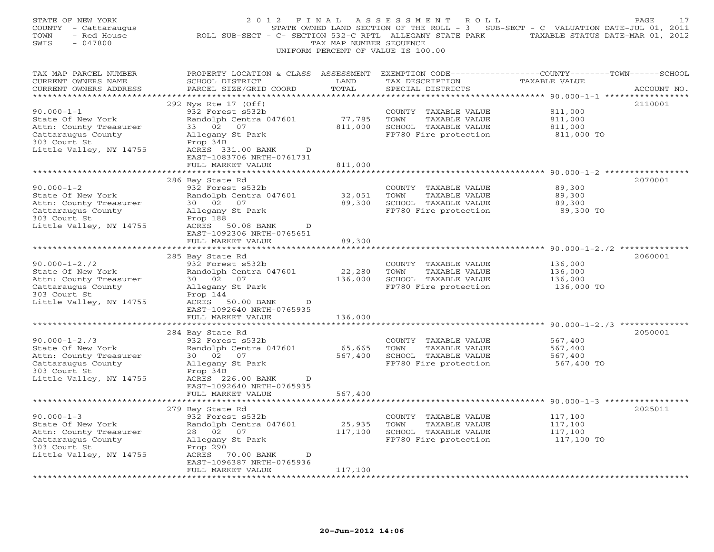| STATE OF NEW YORK<br>COUNTY - Cattaraugus<br>- Red House<br>TOWN<br>SWIS<br>$-047800$                                               | 2012 FINAL<br>ROLL SUB-SECT - C- SECTION 532-C RPTL ALLEGANY STATE PARK TAXABLE STATUS DATE-MAR 01, 2012                                                                                   | TAX MAP NUMBER SEQUENCE      | A S S E S S M E N T<br>R O L L<br>UNIFORM PERCENT OF VALUE IS 100.00                           | STATE OWNED LAND SECTION OF THE ROLL - 3 SUB-SECT - C VALUATION DATE-JUL 01, 2011    | PAGE<br>17  |
|-------------------------------------------------------------------------------------------------------------------------------------|--------------------------------------------------------------------------------------------------------------------------------------------------------------------------------------------|------------------------------|------------------------------------------------------------------------------------------------|--------------------------------------------------------------------------------------|-------------|
| TAX MAP PARCEL NUMBER<br>CURRENT OWNERS NAME<br>CURRENT OWNERS ADDRESS<br>***********************                                   | PROPERTY LOCATION & CLASS ASSESSMENT<br>SCHOOL DISTRICT<br>PARCEL SIZE/GRID COORD<br>******************************                                                                        | LAND<br>TOTAL                | TAX DESCRIPTION<br>SPECIAL DISTRICTS                                                           | EXEMPTION CODE-----------------COUNTY-------TOWN------SCHOOL<br>TAXABLE VALUE        | ACCOUNT NO. |
| $90.000 - 1 - 1$<br>State Of New York<br>Attn: County Treasurer<br>Cattaraugus County<br>303 Court St<br>Little Valley, NY 14755    | 292 Nys Rte 17 (Off)<br>932 Forest s532b<br>Randolph Centra 047601<br>33 02 07<br>Allegany St Park<br>Prop 34B<br>ACRES 331.00 BANK<br>D<br>EAST-1083706 NRTH-0761731<br>FULL MARKET VALUE | 77,785<br>811,000<br>811,000 | COUNTY TAXABLE VALUE<br>TOWN<br>TAXABLE VALUE<br>SCHOOL TAXABLE VALUE<br>FP780 Fire protection | 811,000<br>811,000<br>811,000<br>811,000 TO                                          | 2110001     |
| $90.000 - 1 - 2$<br>State Of New York<br>Attn: County Treasurer<br>Cattaraugus County<br>303 Court St<br>Little Valley, NY 14755    | 286 Bay State Rd<br>932 Forest s532b<br>Randolph Centra 047601<br>30 02 07<br>Allegany St Park<br>Prop 188<br>ACRES 50.08 BANK<br>D                                                        | 32,051<br>89,300             | COUNTY TAXABLE VALUE<br>TOWN<br>TAXABLE VALUE<br>SCHOOL TAXABLE VALUE<br>FP780 Fire protection | ******* 90.000-1-2 *************<br>89,300<br>89,300<br>89,300<br>89,300 TO          | 2070001     |
| $90.000 - 1 - 2.72$<br>State Of New York                                                                                            | EAST-1092306 NRTH-0765651<br>FULL MARKET VALUE<br>285 Bay State Rd<br>932 Forest s532b<br>Randolph Centra 047601                                                                           | 89,300<br>22,280             | COUNTY TAXABLE VALUE<br>TOWN<br>TAXABLE VALUE                                                  | ********************************* 90.000-1-2./2 **************<br>136,000<br>136,000 | 2060001     |
| Attn: County Treasurer<br>Cattaraugus County<br>303 Court St<br>Little Valley, NY 14755                                             | 30 02 07<br>Allegany St Park<br>Prop 144<br>ACRES 50.00 BANK<br>D<br>EAST-1092640 NRTH-0765935                                                                                             | 136,000                      | SCHOOL TAXABLE VALUE<br>FP780 Fire protection                                                  | 136,000<br>136,000 TO                                                                |             |
|                                                                                                                                     | FULL MARKET VALUE<br>* * * * * * * * * * * * * *                                                                                                                                           | 136,000<br>************      |                                                                                                |                                                                                      |             |
| $90.000 - 1 - 2.73$<br>State Of New York<br>Attn: County Treasurer<br>Cattaraugus County<br>303 Court St<br>Little Valley, NY 14755 | 284 Bay State Rd<br>932 Forest s532b<br>Randolph Centra 047601<br>30 02<br>07<br>Allegany St Park<br>Prop 34B<br>ACRES 226.00 BANK<br>D<br>EAST-1092640 NRTH-0765935                       | 65,665<br>567,400            | COUNTY TAXABLE VALUE<br>TOWN<br>TAXABLE VALUE<br>SCHOOL TAXABLE VALUE<br>FP780 Fire protection | 567,400<br>567,400<br>567,400<br>567,400 TO                                          | 2050001     |
|                                                                                                                                     | FULL MARKET VALUE                                                                                                                                                                          | 567,400                      |                                                                                                |                                                                                      |             |
| $90.000 - 1 - 3$<br>State Of New York<br>Attn: County Treasurer<br>Cattaraugus County<br>303 Court St<br>Little Valley, NY 14755    | 279 Bay State Rd<br>932 Forest s532b<br>Randolph Centra 047601<br>28 02 07<br>Allegany St Park<br>Prop 290<br>ACRES 70.00 BANK<br>D<br>EAST-1096387 NRTH-0765936                           | 25,935<br>117,100            | COUNTY TAXABLE VALUE<br>TAXABLE VALUE<br>TOWN<br>SCHOOL TAXABLE VALUE<br>FP780 Fire protection | 117,100<br>117,100<br>117,100<br>117,100 TO                                          | 2025011     |
|                                                                                                                                     | FULL MARKET VALUE                                                                                                                                                                          | 117,100                      |                                                                                                |                                                                                      |             |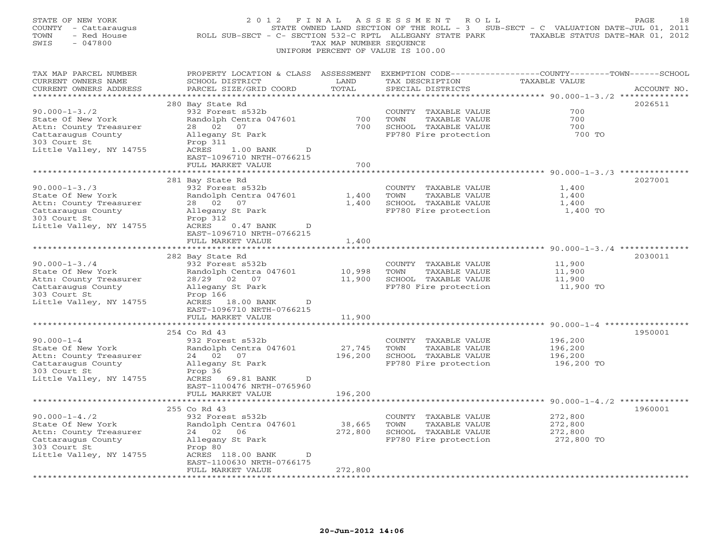| STATE OF NEW YORK<br>COUNTY - Cattaraugus<br>- Red House<br>TOWN<br>$-047800$<br>SWIS                                               | 2 0 1 2<br>ROLL SUB-SECT - C- SECTION 532-C RPTL ALLEGANY STATE PARK                                                                                                     | FINAL<br>TAX MAP NUMBER SEQUENCE | ASSESSMENT<br>ROLL<br>UNIFORM PERCENT OF VALUE IS 100.00                                       | STATE OWNED LAND SECTION OF THE ROLL - 3 SUB-SECT - C VALUATION DATE-JUL 01, 2011<br>TAXABLE STATUS DATE-MAR 01, 2012 | 18<br>PAGE  |
|-------------------------------------------------------------------------------------------------------------------------------------|--------------------------------------------------------------------------------------------------------------------------------------------------------------------------|----------------------------------|------------------------------------------------------------------------------------------------|-----------------------------------------------------------------------------------------------------------------------|-------------|
| TAX MAP PARCEL NUMBER<br>CURRENT OWNERS NAME<br>CURRENT OWNERS ADDRESS<br>**********************                                    | PROPERTY LOCATION & CLASS ASSESSMENT EXEMPTION CODE---------------COUNTY-------TOWN------SCHOOL<br>SCHOOL DISTRICT<br>PARCEL SIZE/GRID COORD<br>************************ | LAND<br>TOTAL                    | TAX DESCRIPTION<br>SPECIAL DISTRICTS                                                           | TAXABLE VALUE                                                                                                         | ACCOUNT NO. |
| $90.000 - 1 - 3.72$<br>State Of New York<br>Attn: County Treasurer<br>Cattaraugus County<br>303 Court St<br>Little Valley, NY 14755 | 280 Bay State Rd<br>932 Forest s532b<br>Randolph Centra 047601<br>28 02<br>07<br>Allegany St Park<br>Prop 311<br>ACRES<br>1.00 BANK<br>D<br>EAST-1096710 NRTH-0766215    | 700<br>700                       | COUNTY TAXABLE VALUE<br>TOWN<br>TAXABLE VALUE<br>SCHOOL TAXABLE VALUE<br>FP780 Fire protection | 700<br>700<br>700<br>700 TO                                                                                           | 2026511     |
|                                                                                                                                     | FULL MARKET VALUE                                                                                                                                                        | 700                              |                                                                                                |                                                                                                                       |             |
| $90.000 - 1 - 3.73$<br>State Of New York<br>Attn: County Treasurer<br>Cattaraugus County<br>303 Court St<br>Little Valley, NY 14755 | 281 Bay State Rd<br>932 Forest s532b<br>Randolph Centra 047601<br>28 02<br>07<br>Allegany St Park<br>Prop 312<br>ACRES<br>$0.47$ BANK<br>$\mathbb{D}$                    | 1,400<br>1,400                   | COUNTY TAXABLE VALUE<br>TOWN<br>TAXABLE VALUE<br>SCHOOL TAXABLE VALUE<br>FP780 Fire protection | 1,400<br>1,400<br>1,400<br>1,400 TO                                                                                   | 2027001     |
|                                                                                                                                     | EAST-1096710 NRTH-0766215<br>FULL MARKET VALUE<br>*******************                                                                                                    | 1,400<br>***********             |                                                                                                | ******************************** 90.000-1-3./4 **************                                                         |             |
| $90.000 - 1 - 3.74$<br>State Of New York<br>Attn: County Treasurer<br>Cattaraugus County<br>303 Court St<br>Little Valley, NY 14755 | 282 Bay State Rd<br>932 Forest s532b<br>Randolph Centra 047601<br>28/29 02 07<br>Allegany St Park<br>Prop 166<br>ACRES 18.00 BANK<br>D                                   | 10,998<br>11,900                 | COUNTY TAXABLE VALUE<br>TOWN<br>TAXABLE VALUE<br>SCHOOL TAXABLE VALUE<br>FP780 Fire protection | 11,900<br>11,900<br>11,900<br>11,900 TO                                                                               | 2030011     |
|                                                                                                                                     | EAST-1096710 NRTH-0766215<br>FULL MARKET VALUE                                                                                                                           | 11,900                           |                                                                                                | ********* 90.000-1-4 ****                                                                                             |             |
|                                                                                                                                     | 254 Co Rd 43                                                                                                                                                             |                                  |                                                                                                |                                                                                                                       | 1950001     |
| $90.000 - 1 - 4$<br>State Of New York<br>Attn: County Treasurer<br>Cattaraugus County<br>303 Court St<br>Little Valley, NY 14755    | 932 Forest s532b<br>Randolph Centra 047601<br>24 02<br>07<br>Allegany St Park<br>Prop 36<br>ACRES 69.81 BANK<br>D<br>EAST-1100476 NRTH-0765960                           | 27,745<br>196,200                | COUNTY TAXABLE VALUE<br>TOWN<br>TAXABLE VALUE<br>SCHOOL TAXABLE VALUE<br>FP780 Fire protection | 196,200<br>196,200<br>196,200<br>196,200 TO                                                                           |             |
|                                                                                                                                     | FULL MARKET VALUE                                                                                                                                                        | 196,200                          |                                                                                                |                                                                                                                       |             |
|                                                                                                                                     | 255 Co Rd 43                                                                                                                                                             |                                  |                                                                                                |                                                                                                                       | 1960001     |
| $90.000 - 1 - 4.72$<br>State Of New York<br>Attn: County Treasurer<br>Cattaraugus County<br>303 Court St<br>Little Valley, NY 14755 | 932 Forest s532b<br>Randolph Centra 047601<br>24 02<br>06<br>Allegany St Park<br>Prop 80<br>ACRES 118.00 BANK<br>D                                                       | 38,665<br>272,800                | COUNTY TAXABLE VALUE<br>TOWN<br>TAXABLE VALUE<br>SCHOOL TAXABLE VALUE<br>FP780 Fire protection | 272,800<br>272,800<br>272,800<br>272,800 TO                                                                           |             |
|                                                                                                                                     | EAST-1100630 NRTH-0766175<br>FULL MARKET VALUE<br>.                                                                                                                      | 272,800                          |                                                                                                |                                                                                                                       |             |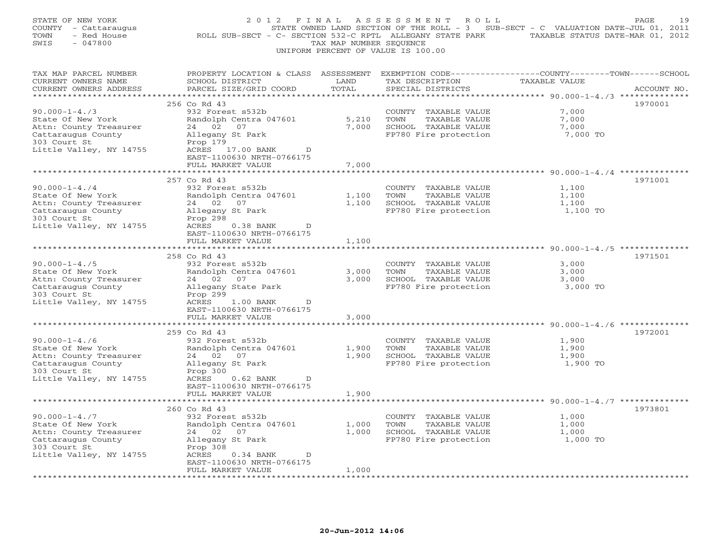| STATE OF NEW YORK<br>COUNTY - Cattaraugus<br>- Red House<br>TOWN<br>SWIS<br>$-047800$ | 2012 FINAL<br>ROLL SUB-SECT - C- SECTION 532-C RPTL ALLEGANY STATE PARK TAXABLE STATUS DATE-MAR 01, 2012 | TAX MAP NUMBER SEQUENCE | ASSESSMENT<br>ROLL<br>STATE OWNED LAND SECTION OF THE ROLL - 3 SUB-SECT - C VALUATION DATE-JUL 01, 2011<br>UNIFORM PERCENT OF VALUE IS 100.00 |                                                               | PAGE<br>19  |
|---------------------------------------------------------------------------------------|----------------------------------------------------------------------------------------------------------|-------------------------|-----------------------------------------------------------------------------------------------------------------------------------------------|---------------------------------------------------------------|-------------|
| TAX MAP PARCEL NUMBER<br>CURRENT OWNERS NAME<br>CURRENT OWNERS ADDRESS                | PROPERTY LOCATION & CLASS ASSESSMENT<br>SCHOOL DISTRICT<br>PARCEL SIZE/GRID COORD                        | LAND<br>TOTAL           | EXEMPTION CODE-----------------COUNTY-------TOWN------SCHOOL<br>TAX DESCRIPTION<br>SPECIAL DISTRICTS                                          | TAXABLE VALUE                                                 | ACCOUNT NO. |
| ***********************                                                               | ******************************                                                                           |                         |                                                                                                                                               |                                                               |             |
| $90.000 - 1 - 4.73$                                                                   | 256 Co Rd 43<br>932 Forest s532b                                                                         |                         |                                                                                                                                               | 7,000                                                         | 1970001     |
| State Of New York                                                                     | Randolph Centra 047601                                                                                   | 5,210                   | COUNTY TAXABLE VALUE<br>TOWN<br>TAXABLE VALUE                                                                                                 | 7,000                                                         |             |
| Attn: County Treasurer                                                                | 24 02 07                                                                                                 | 7,000                   | SCHOOL TAXABLE VALUE                                                                                                                          | 7,000                                                         |             |
| Cattaraugus County                                                                    | Allegany St Park                                                                                         |                         | FP780 Fire protection                                                                                                                         | 7,000 TO                                                      |             |
| 303 Court St                                                                          | Prop 179                                                                                                 |                         |                                                                                                                                               |                                                               |             |
| Little Valley, NY 14755                                                               | ACRES 17.00 BANK<br>D                                                                                    |                         |                                                                                                                                               |                                                               |             |
|                                                                                       | EAST-1100630 NRTH-0766175                                                                                |                         |                                                                                                                                               |                                                               |             |
|                                                                                       | FULL MARKET VALUE                                                                                        | 7,000                   |                                                                                                                                               |                                                               |             |
|                                                                                       |                                                                                                          |                         |                                                                                                                                               | ********* 90.000-1-4./4 ***********                           |             |
|                                                                                       | 257 Co Rd 43                                                                                             |                         |                                                                                                                                               |                                                               | 1971001     |
| $90.000 - 1 - 4.74$                                                                   | 932 Forest s532b                                                                                         |                         | COUNTY TAXABLE VALUE                                                                                                                          | 1,100                                                         |             |
| State Of New York                                                                     | Randolph Centra 047601                                                                                   | 1,100                   | TOWN<br>TAXABLE VALUE                                                                                                                         | 1,100                                                         |             |
| Attn: County Treasurer<br>Cattaraugus County                                          | 24 02 07<br>Allegany St Park                                                                             | 1,100                   | SCHOOL TAXABLE VALUE<br>FP780 Fire protection                                                                                                 | 1,100<br>1,100 TO                                             |             |
| 303 Court St                                                                          | Prop 298                                                                                                 |                         |                                                                                                                                               |                                                               |             |
| Little Valley, NY 14755                                                               | ACRES<br>$0.38$ BANK<br>D                                                                                |                         |                                                                                                                                               |                                                               |             |
|                                                                                       | EAST-1100630 NRTH-0766175                                                                                |                         |                                                                                                                                               |                                                               |             |
|                                                                                       | FULL MARKET VALUE                                                                                        | 1,100                   |                                                                                                                                               |                                                               |             |
|                                                                                       | **************************                                                                               |                         |                                                                                                                                               |                                                               |             |
|                                                                                       | 258 Co Rd 43                                                                                             |                         |                                                                                                                                               |                                                               | 1971501     |
| $90.000 - 1 - 4.75$                                                                   | 932 Forest s532b                                                                                         |                         | COUNTY TAXABLE VALUE                                                                                                                          | 3,000                                                         |             |
| State Of New York                                                                     | Randolph Centra 047601                                                                                   | 3,000                   | TOWN<br>TAXABLE VALUE                                                                                                                         | 3,000                                                         |             |
| Attn: County Treasurer                                                                | 24 02 07                                                                                                 | 3,000                   | SCHOOL TAXABLE VALUE                                                                                                                          | 3,000                                                         |             |
| Cattaraugus County<br>303 Court St                                                    | Allegany State Park<br>Prop 299                                                                          |                         | FP780 Fire protection                                                                                                                         | 3,000 TO                                                      |             |
| Little Valley, NY 14755                                                               | ACRES<br>$1.00$ BANK<br>$\mathbb{D}$                                                                     |                         |                                                                                                                                               |                                                               |             |
|                                                                                       | EAST-1100630 NRTH-0766175                                                                                |                         |                                                                                                                                               |                                                               |             |
|                                                                                       | FULL MARKET VALUE                                                                                        | 3,000                   |                                                                                                                                               |                                                               |             |
|                                                                                       | * * * * * * * * * * *                                                                                    | *******                 |                                                                                                                                               | ******************************** 90.000-1-4./6 ************** |             |
|                                                                                       | 259 Co Rd 43                                                                                             |                         |                                                                                                                                               |                                                               | 1972001     |
| $90.000 - 1 - 4.76$                                                                   | 932 Forest s532b                                                                                         |                         | COUNTY TAXABLE VALUE                                                                                                                          | 1,900                                                         |             |
| State Of New York                                                                     | Randolph Centra 047601                                                                                   | 1,900                   | TOWN<br>TAXABLE VALUE                                                                                                                         | 1,900                                                         |             |
| Attn: County Treasurer                                                                | 24 02<br>07                                                                                              | 1,900                   | SCHOOL TAXABLE VALUE                                                                                                                          | 1,900                                                         |             |
| Cattaraugus County                                                                    | Allegany St Park                                                                                         |                         | FP780 Fire protection                                                                                                                         | 1,900 TO                                                      |             |
| 303 Court St                                                                          | Prop 300                                                                                                 |                         |                                                                                                                                               |                                                               |             |
| Little Valley, NY 14755                                                               | ACRES<br>0.62 BANK<br>D<br>EAST-1100630 NRTH-0766175                                                     |                         |                                                                                                                                               |                                                               |             |
|                                                                                       | FULL MARKET VALUE                                                                                        | 1,900                   |                                                                                                                                               |                                                               |             |
|                                                                                       |                                                                                                          |                         |                                                                                                                                               |                                                               |             |
|                                                                                       | 260 Co Rd 43                                                                                             |                         |                                                                                                                                               |                                                               | 1973801     |
| $90.000 - 1 - 4.77$                                                                   | 932 Forest s532b                                                                                         |                         | COUNTY TAXABLE VALUE                                                                                                                          | 1,000                                                         |             |
| State Of New York                                                                     | Randolph Centra 047601                                                                                   | 1,000                   | TAXABLE VALUE<br>TOWN                                                                                                                         | 1,000                                                         |             |
| Attn: County Treasurer                                                                | 24 02<br>07                                                                                              | 1,000                   | SCHOOL TAXABLE VALUE                                                                                                                          | 1,000                                                         |             |
| Cattaraugus County                                                                    | Allegany St Park                                                                                         |                         | FP780 Fire protection                                                                                                                         | 1,000 TO                                                      |             |
| 303 Court St                                                                          | Prop 308                                                                                                 |                         |                                                                                                                                               |                                                               |             |
| Little Valley, NY 14755                                                               | ACRES<br>$0.34$ BANK<br>$\Box$                                                                           |                         |                                                                                                                                               |                                                               |             |
|                                                                                       | EAST-1100630 NRTH-0766175<br>FULL MARKET VALUE                                                           | 1,000                   |                                                                                                                                               |                                                               |             |
|                                                                                       |                                                                                                          |                         |                                                                                                                                               |                                                               |             |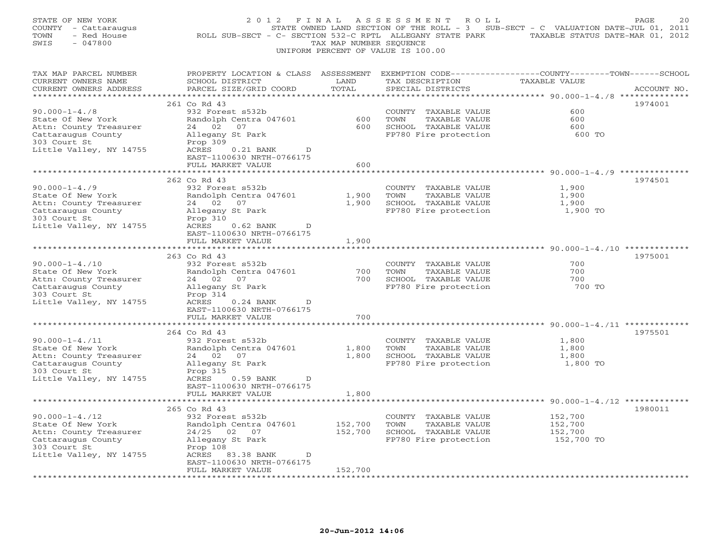| STATE OF NEW YORK<br>COUNTY - Cattaraugus<br>TOWN<br>- Red House<br>SWIS<br>$-047800$             | 2012 FINAL<br>ROLL SUB-SECT - C- SECTION 532-C RPTL ALLEGANY STATE PARK                                       | TAX MAP NUMBER SEOUENCE       | ASSESSMENT<br>ROLL<br>UNIFORM PERCENT OF VALUE IS 100.00 | STATE OWNED LAND SECTION OF THE ROLL - 3 SUB-SECT - C VALUATION DATE-JUL 01, 2011<br>TAXABLE STATUS DATE-MAR 01, 2012                             | PAGE<br>20  |
|---------------------------------------------------------------------------------------------------|---------------------------------------------------------------------------------------------------------------|-------------------------------|----------------------------------------------------------|---------------------------------------------------------------------------------------------------------------------------------------------------|-------------|
| TAX MAP PARCEL NUMBER<br>CURRENT OWNERS NAME<br>CURRENT OWNERS ADDRESS<br>*********************** | PROPERTY LOCATION & CLASS ASSESSMENT<br>SCHOOL DISTRICT<br>PARCEL SIZE/GRID COORD<br>************************ | LAND<br>TOTAL<br>************ | TAX DESCRIPTION<br>SPECIAL DISTRICTS                     | EXEMPTION CODE-----------------COUNTY-------TOWN------SCHOOL<br>TAXABLE VALUE<br>·********************************** 90.000-1-4./8 ************** | ACCOUNT NO. |
|                                                                                                   | 261 Co Rd 43                                                                                                  |                               |                                                          |                                                                                                                                                   | 1974001     |
| $90.000 - 1 - 4.78$                                                                               | 932 Forest s532b                                                                                              |                               | COUNTY TAXABLE VALUE                                     | 600                                                                                                                                               |             |
| State Of New York                                                                                 | Randolph Centra 047601                                                                                        | 600                           | TOWN<br>TAXABLE VALUE                                    | 600                                                                                                                                               |             |
| Attn: County Treasurer                                                                            | 24 02<br>07                                                                                                   | 600                           | SCHOOL TAXABLE VALUE                                     | 600                                                                                                                                               |             |
| Cattaraugus County                                                                                | Allegany St Park                                                                                              |                               | FP780 Fire protection                                    | 600 TO                                                                                                                                            |             |
| 303 Court St                                                                                      | Prop 309                                                                                                      |                               |                                                          |                                                                                                                                                   |             |
| Little Valley, NY 14755                                                                           | ACRES<br>$0.21$ BANK<br>D                                                                                     |                               |                                                          |                                                                                                                                                   |             |
|                                                                                                   | EAST-1100630 NRTH-0766175                                                                                     |                               |                                                          |                                                                                                                                                   |             |
|                                                                                                   | FULL MARKET VALUE                                                                                             | 600                           |                                                          |                                                                                                                                                   |             |
|                                                                                                   |                                                                                                               |                               |                                                          | ******** 90.000-1-4./9 **********                                                                                                                 |             |
|                                                                                                   | 262 Co Rd 43                                                                                                  |                               |                                                          |                                                                                                                                                   | 1974501     |
| $90.000 - 1 - 4.79$                                                                               | 932 Forest s532b                                                                                              |                               | COUNTY TAXABLE VALUE                                     | 1,900                                                                                                                                             |             |
| State Of New York                                                                                 | Randolph Centra 047601                                                                                        | 1,900                         | TOWN<br>TAXABLE VALUE                                    | 1,900                                                                                                                                             |             |
| Attn: County Treasurer                                                                            | 24 02<br>07                                                                                                   | 1,900                         | SCHOOL TAXABLE VALUE                                     | 1,900                                                                                                                                             |             |
| Cattaraugus County<br>303 Court St                                                                | Allegany St Park                                                                                              |                               | FP780 Fire protection                                    | 1,900 TO                                                                                                                                          |             |
| Little Valley, NY 14755                                                                           | Prop 310<br>ACRES<br>$0.62$ BANK<br>D                                                                         |                               |                                                          |                                                                                                                                                   |             |
|                                                                                                   | EAST-1100630 NRTH-0766175                                                                                     |                               |                                                          |                                                                                                                                                   |             |
|                                                                                                   | FULL MARKET VALUE                                                                                             | 1,900                         |                                                          |                                                                                                                                                   |             |
|                                                                                                   | *******************                                                                                           | **********                    |                                                          | ******************************* 90.000-1-4./10 *************                                                                                      |             |
|                                                                                                   | 263 Co Rd 43                                                                                                  |                               |                                                          |                                                                                                                                                   | 1975001     |
| $90.000 - 1 - 4.710$                                                                              | 932 Forest s532b                                                                                              |                               | COUNTY TAXABLE VALUE                                     | 700                                                                                                                                               |             |
| State Of New York                                                                                 | Randolph Centra 047601                                                                                        | 700                           | TOWN<br>TAXABLE VALUE                                    | 700                                                                                                                                               |             |
| Attn: County Treasurer                                                                            | 24 02<br>07                                                                                                   | 700                           | SCHOOL TAXABLE VALUE                                     | 700                                                                                                                                               |             |
| Cattaraugus County                                                                                | Allegany St Park                                                                                              |                               | FP780 Fire protection                                    | 700 TO                                                                                                                                            |             |
| 303 Court St                                                                                      | Prop 314                                                                                                      |                               |                                                          |                                                                                                                                                   |             |
| Little Valley, NY 14755                                                                           | ACRES<br>$0.24$ BANK<br>D                                                                                     |                               |                                                          |                                                                                                                                                   |             |
|                                                                                                   | EAST-1100630 NRTH-0766175                                                                                     |                               |                                                          |                                                                                                                                                   |             |
|                                                                                                   | FULL MARKET VALUE                                                                                             | 700                           |                                                          |                                                                                                                                                   |             |
|                                                                                                   | *********                                                                                                     | * * * * * * *                 |                                                          |                                                                                                                                                   |             |
|                                                                                                   | 264 Co Rd 43                                                                                                  |                               |                                                          |                                                                                                                                                   | 1975501     |
| $90.000 - 1 - 4.711$                                                                              | 932 Forest s532b                                                                                              |                               | COUNTY TAXABLE VALUE                                     | 1,800                                                                                                                                             |             |
| State Of New York                                                                                 | Randolph Centra 047601                                                                                        | 1,800                         | TOWN<br>TAXABLE VALUE                                    | 1,800                                                                                                                                             |             |
| Attn: County Treasurer                                                                            | 24 02<br>07                                                                                                   | 1,800                         | SCHOOL TAXABLE VALUE                                     | 1,800                                                                                                                                             |             |
| Cattaraugus County                                                                                | Allegany St Park                                                                                              |                               | FP780 Fire protection                                    | 1,800 TO                                                                                                                                          |             |
| 303 Court St                                                                                      | Prop 315                                                                                                      |                               |                                                          |                                                                                                                                                   |             |
| Little Valley, NY 14755                                                                           | ACRES<br>$0.59$ BANK<br>D                                                                                     |                               |                                                          |                                                                                                                                                   |             |
|                                                                                                   | EAST-1100630 NRTH-0766175<br>FULL MARKET VALUE                                                                |                               |                                                          |                                                                                                                                                   |             |
|                                                                                                   |                                                                                                               | 1,800                         |                                                          |                                                                                                                                                   |             |
|                                                                                                   | 265 Co Rd 43                                                                                                  |                               |                                                          |                                                                                                                                                   | 1980011     |
| $90.000 - 1 - 4.712$                                                                              | 932 Forest s532b                                                                                              |                               | COUNTY TAXABLE VALUE                                     | 152,700                                                                                                                                           |             |
| State Of New York                                                                                 | Randolph Centra 047601                                                                                        | 152,700                       | TAXABLE VALUE<br>TOWN                                    | 152,700                                                                                                                                           |             |
| Attn: County Treasurer                                                                            | 24/25 02 07                                                                                                   | 152,700                       | SCHOOL TAXABLE VALUE                                     | 152,700                                                                                                                                           |             |
| Cattaraugus County                                                                                | Allegany St Park                                                                                              |                               | FP780 Fire protection                                    | 152,700 TO                                                                                                                                        |             |
| 303 Court St                                                                                      | Prop 108                                                                                                      |                               |                                                          |                                                                                                                                                   |             |
| Little Valley, NY 14755                                                                           | ACRES<br>83.38 BANK<br>D                                                                                      |                               |                                                          |                                                                                                                                                   |             |
|                                                                                                   | EAST-1100630 NRTH-0766175                                                                                     |                               |                                                          |                                                                                                                                                   |             |
|                                                                                                   | FULL MARKET VALUE                                                                                             | 152,700                       |                                                          |                                                                                                                                                   |             |
|                                                                                                   | .                                                                                                             |                               |                                                          |                                                                                                                                                   |             |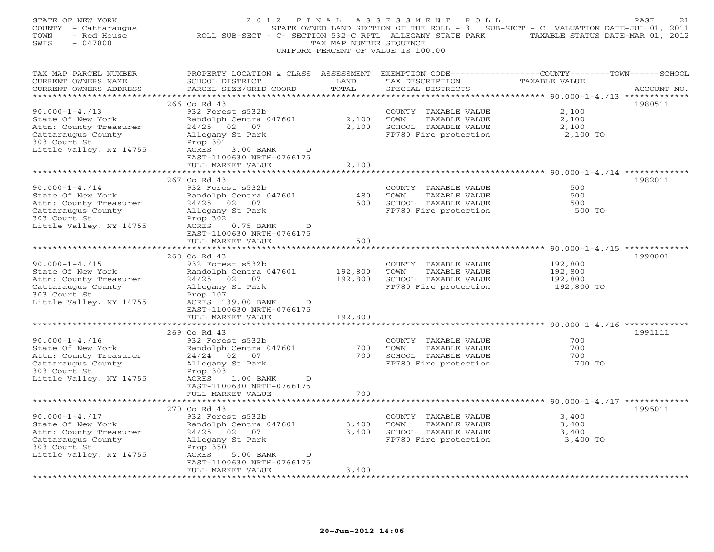| STATE OF NEW YORK<br>COUNTY - Cattaraugus<br>TOWN<br>- Red House<br>SWIS<br>$-047800$ | 2012 FINAL                                                                        | TAX MAP NUMBER SEQUENCE | A S S E S S M E N T<br>R O L L<br>UNIFORM PERCENT OF VALUE IS 100.00 | STATE OWNED LAND SECTION OF THE ROLL - 3 SUB-SECT - C VALUATION DATE-JUL 01, 2011<br>ROLL SUB-SECT - C- SECTION 532-C RPTL ALLEGANY STATE PARK TAXABLE STATUS DATE-MAR 01, 2012 | PAGE<br>21  |
|---------------------------------------------------------------------------------------|-----------------------------------------------------------------------------------|-------------------------|----------------------------------------------------------------------|---------------------------------------------------------------------------------------------------------------------------------------------------------------------------------|-------------|
| TAX MAP PARCEL NUMBER<br>CURRENT OWNERS NAME<br>CURRENT OWNERS ADDRESS                | PROPERTY LOCATION & CLASS ASSESSMENT<br>SCHOOL DISTRICT<br>PARCEL SIZE/GRID COORD | LAND<br>TOTAL           | TAX DESCRIPTION<br>SPECIAL DISTRICTS                                 | EXEMPTION CODE-----------------COUNTY-------TOWN------SCHOOL<br><b>TAXABLE VALUE</b>                                                                                            | ACCOUNT NO. |
| ***********************                                                               | 266 Co Rd 43                                                                      |                         |                                                                      |                                                                                                                                                                                 |             |
| $90.000 - 1 - 4.713$                                                                  | 932 Forest s532b                                                                  |                         | COUNTY TAXABLE VALUE                                                 | 2,100                                                                                                                                                                           | 1980511     |
| State Of New York                                                                     | Randolph Centra 047601                                                            | 2,100                   | TOWN<br>TAXABLE VALUE                                                | 2,100                                                                                                                                                                           |             |
| Attn: County Treasurer                                                                | 24/25 02 07                                                                       | 2,100                   | SCHOOL TAXABLE VALUE                                                 | 2,100                                                                                                                                                                           |             |
| Cattaraugus County                                                                    | Allegany St Park                                                                  |                         | FP780 Fire protection                                                | 2,100 TO                                                                                                                                                                        |             |
| 303 Court St                                                                          | Prop 301                                                                          |                         |                                                                      |                                                                                                                                                                                 |             |
| Little Valley, NY 14755                                                               | ACRES<br>3.00 BANK<br>D                                                           |                         |                                                                      |                                                                                                                                                                                 |             |
|                                                                                       | EAST-1100630 NRTH-0766175                                                         |                         |                                                                      |                                                                                                                                                                                 |             |
|                                                                                       | FULL MARKET VALUE                                                                 | 2,100                   |                                                                      |                                                                                                                                                                                 |             |
|                                                                                       |                                                                                   |                         |                                                                      | ***************** 90.000-1-4./14 **********                                                                                                                                     |             |
|                                                                                       | 267 Co Rd 43                                                                      |                         |                                                                      |                                                                                                                                                                                 | 1982011     |
| $90.000 - 1 - 4.714$                                                                  | 932 Forest s532b                                                                  |                         | COUNTY TAXABLE VALUE                                                 | 500                                                                                                                                                                             |             |
| State Of New York                                                                     | Randolph Centra 047601                                                            | 480                     | TOWN<br>TAXABLE VALUE                                                | 500                                                                                                                                                                             |             |
| Attn: County Treasurer<br>Cattaraugus County                                          | $24/25$ 02 07<br>Allegany St Park                                                 | 500                     | SCHOOL TAXABLE VALUE<br>FP780 Fire protection                        | 500<br>500 TO                                                                                                                                                                   |             |
| 303 Court St                                                                          | Prop 302                                                                          |                         |                                                                      |                                                                                                                                                                                 |             |
| Little Valley, NY 14755                                                               | $0.75$ BANK<br>ACRES<br>D                                                         |                         |                                                                      |                                                                                                                                                                                 |             |
|                                                                                       | EAST-1100630 NRTH-0766175                                                         |                         |                                                                      |                                                                                                                                                                                 |             |
|                                                                                       | FULL MARKET VALUE                                                                 | 500                     |                                                                      |                                                                                                                                                                                 |             |
|                                                                                       |                                                                                   |                         |                                                                      | ******************************* 90.000-1-4./15 *************                                                                                                                    |             |
|                                                                                       | 268 Co Rd 43                                                                      |                         |                                                                      |                                                                                                                                                                                 | 1990001     |
| $90.000 - 1 - 4.715$                                                                  | 932 Forest s532b                                                                  |                         | COUNTY TAXABLE VALUE                                                 | 192,800                                                                                                                                                                         |             |
| State Of New York                                                                     | Randolph Centra 047601                                                            | 192,800                 | TOWN<br>TAXABLE VALUE                                                | 192,800                                                                                                                                                                         |             |
| Attn: County Treasurer<br>Cattaraugus County                                          | 24/25 02 07<br>Allegany St Park                                                   | 192,800                 | SCHOOL TAXABLE VALUE<br>FP780 Fire protection                        | 192,800<br>192,800 TO                                                                                                                                                           |             |
| 303 Court St                                                                          | Prop 107                                                                          |                         |                                                                      |                                                                                                                                                                                 |             |
| Little Valley, NY 14755                                                               | ACRES 139.00 BANK<br>D                                                            |                         |                                                                      |                                                                                                                                                                                 |             |
|                                                                                       | EAST-1100630 NRTH-0766175                                                         |                         |                                                                      |                                                                                                                                                                                 |             |
|                                                                                       | FULL MARKET VALUE                                                                 | 192,800                 |                                                                      |                                                                                                                                                                                 |             |
|                                                                                       | *****************                                                                 | ************            |                                                                      |                                                                                                                                                                                 |             |
|                                                                                       | 269 Co Rd 43                                                                      |                         |                                                                      |                                                                                                                                                                                 | 1991111     |
| $90.000 - 1 - 4.716$                                                                  | 932 Forest s532b                                                                  |                         | COUNTY TAXABLE VALUE                                                 | 700                                                                                                                                                                             |             |
| State Of New York                                                                     | Randolph Centra 047601                                                            | 700                     | TOWN<br>TAXABLE VALUE                                                | 700                                                                                                                                                                             |             |
| Attn: County Treasurer                                                                | 24/24 02 07                                                                       | 700                     | SCHOOL TAXABLE VALUE                                                 | 700                                                                                                                                                                             |             |
| Cattaraugus County                                                                    | Allegany St Park                                                                  |                         | FP780 Fire protection                                                | 700 TO                                                                                                                                                                          |             |
| 303 Court St                                                                          | Prop 303<br>ACRES<br>1.00 BANK<br>D                                               |                         |                                                                      |                                                                                                                                                                                 |             |
| Little Valley, NY 14755                                                               | EAST-1100630 NRTH-0766175                                                         |                         |                                                                      |                                                                                                                                                                                 |             |
|                                                                                       | FULL MARKET VALUE                                                                 | 700                     |                                                                      |                                                                                                                                                                                 |             |
|                                                                                       |                                                                                   |                         |                                                                      |                                                                                                                                                                                 |             |
|                                                                                       | 270 Co Rd 43                                                                      |                         |                                                                      |                                                                                                                                                                                 | 1995011     |
| $90.000 - 1 - 4.717$                                                                  | 932 Forest s532b                                                                  |                         | COUNTY TAXABLE VALUE                                                 | 3,400                                                                                                                                                                           |             |
| State Of New York                                                                     | Randolph Centra 047601                                                            | 3,400                   | TOWN<br>TAXABLE VALUE                                                | 3,400                                                                                                                                                                           |             |
| Attn: County Treasurer                                                                | 24/25 02 07                                                                       | 3,400                   | SCHOOL TAXABLE VALUE                                                 | 3,400                                                                                                                                                                           |             |
| Cattaraugus County                                                                    | Allegany St Park                                                                  |                         | FP780 Fire protection                                                | 3,400 TO                                                                                                                                                                        |             |
| 303 Court St                                                                          | Prop 350                                                                          |                         |                                                                      |                                                                                                                                                                                 |             |
| Little Valley, NY 14755                                                               | ACRES<br>5.00 BANK<br>D<br>EAST-1100630 NRTH-0766175                              |                         |                                                                      |                                                                                                                                                                                 |             |
|                                                                                       | FULL MARKET VALUE                                                                 | 3,400                   |                                                                      |                                                                                                                                                                                 |             |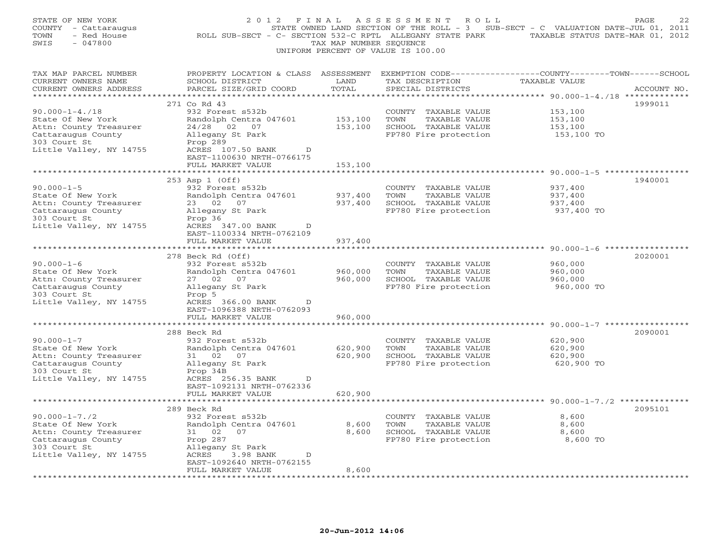| STATE OF NEW YORK<br>COUNTY - Cattaraugus<br>- Red House<br>TOWN<br>$-047800$<br>SWIS                                                | 2 0 1 2<br>F I N A L<br>ROLL SUB-SECT - C- SECTION 532-C RPTL ALLEGANY STATE PARK TAXABLE STATUS DATE-MAR 01, 2012                                               | TAX MAP NUMBER SEQUENCE      | ASSESSMENT<br>R O L L<br>UNIFORM PERCENT OF VALUE IS 100.00                                    | STATE OWNED LAND SECTION OF THE ROLL - 3 SUB-SECT - C VALUATION DATE-JUL 01, 2011 | PAGE<br>22  |
|--------------------------------------------------------------------------------------------------------------------------------------|------------------------------------------------------------------------------------------------------------------------------------------------------------------|------------------------------|------------------------------------------------------------------------------------------------|-----------------------------------------------------------------------------------|-------------|
| TAX MAP PARCEL NUMBER<br>CURRENT OWNERS NAME<br>CURRENT OWNERS ADDRESS                                                               | PROPERTY LOCATION & CLASS ASSESSMENT EXEMPTION CODE----------------COUNTY-------TOWN------SCHOOL<br>SCHOOL DISTRICT<br>PARCEL SIZE/GRID COORD                    | LAND<br>TOTAL                | TAX DESCRIPTION<br>SPECIAL DISTRICTS                                                           | <b>TAXABLE VALUE</b>                                                              | ACCOUNT NO. |
|                                                                                                                                      |                                                                                                                                                                  |                              |                                                                                                |                                                                                   | 1999011     |
| $90.000 - 1 - 4.718$<br>State Of New York<br>Attn: County Treasurer<br>Cattaraugus County<br>303 Court St<br>Little Valley, NY 14755 | 271 Co Rd 43<br>932 Forest s532b<br>Randolph Centra 047601<br>24/28 02 07<br>Allegany St Park<br>Prop 289<br>ACRES 107.50 BANK<br>D<br>EAST-1100630 NRTH-0766175 | 153,100<br>153,100           | COUNTY TAXABLE VALUE<br>TOWN<br>TAXABLE VALUE<br>SCHOOL TAXABLE VALUE<br>FP780 Fire protection | 153,100<br>153,100<br>153,100<br>153,100 TO                                       |             |
|                                                                                                                                      | FULL MARKET VALUE                                                                                                                                                | 153,100                      |                                                                                                |                                                                                   |             |
| $90.000 - 1 - 5$<br>State Of New York                                                                                                | 253 Asp 1 (Off)<br>932 Forest s532b<br>Randolph Centra 047601                                                                                                    | 937,400                      | COUNTY<br>TAXABLE VALUE<br>TOWN<br>TAXABLE VALUE                                               | ********* 90.000-1-5 **************<br>937,400<br>937,400                         | 1940001     |
| Attn: County Treasurer<br>Cattaraugus County<br>303 Court St<br>Little Valley, NY 14755                                              | 23 02 07<br>Allegany St Park<br>Prop 36<br>ACRES 347.00 BANK<br>D<br>EAST-1100334 NRTH-0762109                                                                   | 937,400                      | SCHOOL TAXABLE VALUE<br>FP780 Fire protection                                                  | 937,400<br>937,400 TO                                                             |             |
|                                                                                                                                      | FULL MARKET VALUE                                                                                                                                                | 937,400                      |                                                                                                |                                                                                   |             |
| *********************                                                                                                                |                                                                                                                                                                  |                              |                                                                                                |                                                                                   |             |
| $90.000 - 1 - 6$<br>State Of New York<br>Attn: County Treasurer<br>Cattaraugus County<br>303 Court St<br>Little Valley, NY 14755     | 278 Beck Rd (Off)<br>932 Forest s532b<br>Randolph Centra 047601<br>27 02 07<br>Allegany St Park<br>Prop 5<br>ACRES 366.00 BANK<br>D                              | 960,000<br>960,000           | COUNTY TAXABLE VALUE<br>TOWN<br>TAXABLE VALUE<br>SCHOOL TAXABLE VALUE<br>FP780 Fire protection | 960,000<br>960,000<br>960,000<br>960,000 TO                                       | 2020001     |
|                                                                                                                                      | EAST-1096388 NRTH-0762093<br>FULL MARKET VALUE<br>*******************                                                                                            | 960,000<br>$***************$ |                                                                                                |                                                                                   |             |
|                                                                                                                                      | 288 Beck Rd                                                                                                                                                      |                              |                                                                                                |                                                                                   | 2090001     |
| $90.000 - 1 - 7$<br>State Of New York<br>Attn: County Treasurer<br>Cattaraugus County<br>303 Court St<br>Little Valley, NY 14755     | 932 Forest s532b<br>Randolph Centra 047601<br>31 02<br>07<br>Allegany St Park<br>Prop 34B<br>ACRES 256.35 BANK<br>D                                              | 620,900<br>620,900           | COUNTY TAXABLE VALUE<br>TOWN<br>TAXABLE VALUE<br>SCHOOL TAXABLE VALUE<br>FP780 Fire protection | 620,900<br>620,900<br>620,900<br>620,900 TO                                       |             |
|                                                                                                                                      | EAST-1092131 NRTH-0762336<br>FULL MARKET VALUE<br>****************************                                                                                   | 620,900                      |                                                                                                |                                                                                   |             |
|                                                                                                                                      | 289 Beck Rd                                                                                                                                                      |                              |                                                                                                |                                                                                   | 2095101     |
| $90.000 - 1 - 7.72$<br>State Of New York<br>Attn: County Treasurer<br>Cattaraugus County<br>303 Court St<br>Little Valley, NY 14755  | 932 Forest s532b<br>Randolph Centra 047601<br>31 02<br>07<br>Prop 287<br>Allegany St Park<br>ACRES<br>3.98 BANK<br>D                                             | 8,600<br>8,600               | COUNTY TAXABLE VALUE<br>TOWN<br>TAXABLE VALUE<br>SCHOOL TAXABLE VALUE<br>FP780 Fire protection | 8,600<br>8,600<br>8,600<br>8,600 TO                                               |             |
|                                                                                                                                      | EAST-1092640 NRTH-0762155<br>FULL MARKET VALUE                                                                                                                   | 8,600                        |                                                                                                |                                                                                   |             |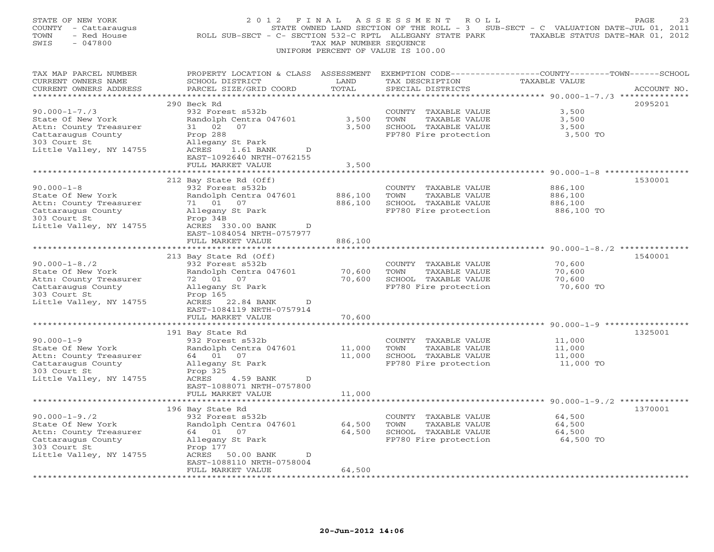| STATE OF NEW YORK<br>COUNTY - Cattaraugus<br>TOWN<br>- Red House<br>SWIS<br>$-047800$            | 2012 FINAL<br>ROLL SUB-SECT - C- SECTION 532-C RPTL ALLEGANY STATE PARK                                      | TAX MAP NUMBER SEOUENCE       | ASSESSMENT<br>R O L L<br>UNIFORM PERCENT OF VALUE IS 100.00 | STATE OWNED LAND SECTION OF THE ROLL - 3 SUB-SECT - C VALUATION DATE-JUL 01, 2011<br>TAXABLE STATUS DATE-MAR 01, 2012                            | 23<br>PAGE  |
|--------------------------------------------------------------------------------------------------|--------------------------------------------------------------------------------------------------------------|-------------------------------|-------------------------------------------------------------|--------------------------------------------------------------------------------------------------------------------------------------------------|-------------|
| TAX MAP PARCEL NUMBER<br>CURRENT OWNERS NAME<br>CURRENT OWNERS ADDRESS<br>********************** | PROPERTY LOCATION & CLASS ASSESSMENT<br>SCHOOL DISTRICT<br>PARCEL SIZE/GRID COORD<br>*********************** | LAND<br>TOTAL<br>************ | TAX DESCRIPTION<br>SPECIAL DISTRICTS                        | EXEMPTION CODE-----------------COUNTY-------TOWN------SCHOOL<br>TAXABLE VALUE<br>********************************** 90.000-1-7./3 ************** | ACCOUNT NO. |
|                                                                                                  | 290 Beck Rd                                                                                                  |                               |                                                             |                                                                                                                                                  | 2095201     |
| $90.000 - 1 - 7.73$                                                                              | 932 Forest s532b                                                                                             |                               | COUNTY TAXABLE VALUE                                        | 3,500                                                                                                                                            |             |
| State Of New York                                                                                | Randolph Centra 047601                                                                                       | 3,500                         | TOWN<br>TAXABLE VALUE                                       | 3,500                                                                                                                                            |             |
| Attn: County Treasurer                                                                           | 31 02<br>07                                                                                                  | 3,500                         | SCHOOL TAXABLE VALUE                                        | 3,500                                                                                                                                            |             |
| Cattaraugus County                                                                               | Prop 288                                                                                                     |                               | FP780 Fire protection                                       | 3,500 TO                                                                                                                                         |             |
| 303 Court St                                                                                     | Allegany St Park                                                                                             |                               |                                                             |                                                                                                                                                  |             |
| Little Valley, NY 14755                                                                          | ACRES<br>1.61 BANK<br>D<br>EAST-1092640 NRTH-0762155                                                         |                               |                                                             |                                                                                                                                                  |             |
|                                                                                                  | FULL MARKET VALUE                                                                                            | 3,500                         |                                                             |                                                                                                                                                  |             |
|                                                                                                  |                                                                                                              |                               |                                                             | ***** 90.000-1-8 ****                                                                                                                            |             |
|                                                                                                  | 212 Bay State Rd (Off)                                                                                       |                               |                                                             |                                                                                                                                                  | 1530001     |
| $90.000 - 1 - 8$                                                                                 | 932 Forest s532b                                                                                             |                               | COUNTY TAXABLE VALUE                                        | 886,100                                                                                                                                          |             |
| State Of New York                                                                                | Randolph Centra 047601                                                                                       | 886,100                       | TOWN<br>TAXABLE VALUE                                       | 886,100                                                                                                                                          |             |
| Attn: County Treasurer                                                                           | 71 01 07                                                                                                     | 886,100                       | SCHOOL TAXABLE VALUE                                        | 886,100                                                                                                                                          |             |
| Cattaraugus County                                                                               | Allegany St Park                                                                                             |                               | FP780 Fire protection                                       | 886,100 TO                                                                                                                                       |             |
| 303 Court St                                                                                     | Prop 34B                                                                                                     |                               |                                                             |                                                                                                                                                  |             |
| Little Valley, NY 14755                                                                          | ACRES 330.00 BANK<br>D<br>EAST-1084054 NRTH-0757977                                                          |                               |                                                             |                                                                                                                                                  |             |
|                                                                                                  | FULL MARKET VALUE                                                                                            | 886,100                       |                                                             |                                                                                                                                                  |             |
|                                                                                                  | *******************                                                                                          | *********                     |                                                             | ******************************** 90.000-1-8./2 **************                                                                                    |             |
|                                                                                                  | 213 Bay State Rd (Off)                                                                                       |                               |                                                             |                                                                                                                                                  | 1540001     |
| $90.000 - 1 - 8.72$                                                                              | 932 Forest s532b                                                                                             |                               | COUNTY TAXABLE VALUE                                        | 70,600                                                                                                                                           |             |
| State Of New York                                                                                | Randolph Centra 047601                                                                                       | 70,600                        | TOWN<br>TAXABLE VALUE                                       | 70,600                                                                                                                                           |             |
| Attn: County Treasurer                                                                           | 72 01 07                                                                                                     | 70,600                        | SCHOOL TAXABLE VALUE                                        | 70,600                                                                                                                                           |             |
| Cattaraugus County                                                                               | Allegany St Park                                                                                             |                               | FP780 Fire protection                                       | 70,600 TO                                                                                                                                        |             |
| 303 Court St                                                                                     | Prop 165                                                                                                     |                               |                                                             |                                                                                                                                                  |             |
| Little Valley, NY 14755                                                                          | ACRES 22.84 BANK<br>D<br>EAST-1084119 NRTH-0757914                                                           |                               |                                                             |                                                                                                                                                  |             |
|                                                                                                  | FULL MARKET VALUE                                                                                            | 70,600                        |                                                             |                                                                                                                                                  |             |
|                                                                                                  | ************                                                                                                 | *******                       |                                                             | *********** 90.000-1-9 ******                                                                                                                    |             |
|                                                                                                  | 191 Bay State Rd                                                                                             |                               |                                                             |                                                                                                                                                  | 1325001     |
| $90.000 - 1 - 9$                                                                                 | 932 Forest s532b                                                                                             |                               | COUNTY TAXABLE VALUE                                        | 11,000                                                                                                                                           |             |
| State Of New York                                                                                | Randolph Centra 047601                                                                                       | 11,000                        | TOWN<br>TAXABLE VALUE                                       | 11,000                                                                                                                                           |             |
| Attn: County Treasurer                                                                           | 64 01<br>07                                                                                                  | 11,000                        | SCHOOL TAXABLE VALUE                                        | 11,000                                                                                                                                           |             |
| Cattaraugus County                                                                               | Allegany St Park                                                                                             |                               | FP780 Fire protection                                       | 11,000 TO                                                                                                                                        |             |
| 303 Court St                                                                                     | Prop 325                                                                                                     |                               |                                                             |                                                                                                                                                  |             |
| Little Valley, NY 14755                                                                          | ACRES<br>4.59 BANK<br>D                                                                                      |                               |                                                             |                                                                                                                                                  |             |
|                                                                                                  | EAST-1088071 NRTH-0757800<br>FULL MARKET VALUE                                                               | 11,000                        |                                                             |                                                                                                                                                  |             |
|                                                                                                  |                                                                                                              |                               |                                                             |                                                                                                                                                  |             |
|                                                                                                  | 196 Bay State Rd                                                                                             |                               |                                                             |                                                                                                                                                  | 1370001     |
| $90.000 - 1 - 9.72$                                                                              | 932 Forest s532b                                                                                             |                               | COUNTY TAXABLE VALUE                                        | 64,500                                                                                                                                           |             |
| State Of New York                                                                                | Randolph Centra 047601                                                                                       | 64,500                        | TAXABLE VALUE<br>TOWN                                       | 64,500                                                                                                                                           |             |
| Attn: County Treasurer                                                                           | 64 01 07                                                                                                     | 64,500                        | SCHOOL TAXABLE VALUE                                        | 64,500                                                                                                                                           |             |
| Cattaraugus County                                                                               | Allegany St Park                                                                                             |                               | FP780 Fire protection                                       | 64,500 TO                                                                                                                                        |             |
| 303 Court St                                                                                     | Prop 177                                                                                                     |                               |                                                             |                                                                                                                                                  |             |
| Little Valley, NY 14755                                                                          | ACRES<br>50.00 BANK<br>D<br>EAST-1088110 NRTH-0758004                                                        |                               |                                                             |                                                                                                                                                  |             |
|                                                                                                  | FULL MARKET VALUE<br>.                                                                                       | 64,500                        |                                                             |                                                                                                                                                  |             |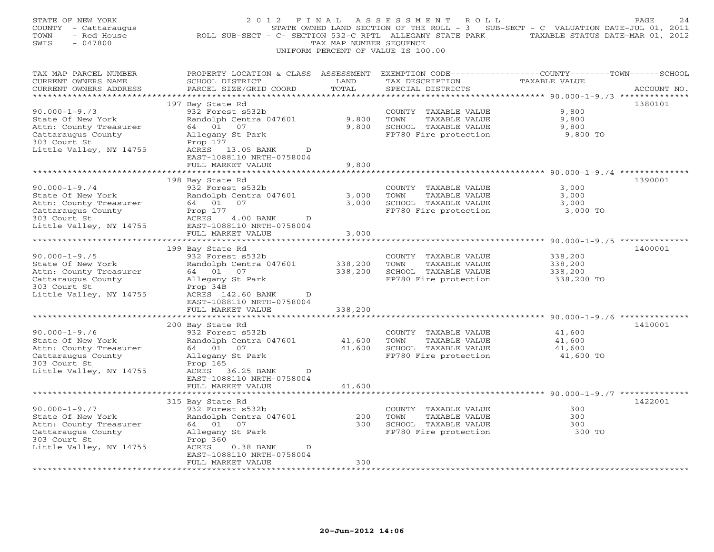| STATE OF NEW YORK<br>COUNTY - Cattaraugus<br>TOWN<br>- Red House<br>SWIS<br>$-047800$                                                                          | 2012 FINAL<br>ROLL SUB-SECT - C- SECTION 532-C RPTL ALLEGANY STATE PARK                                                                                                                  | TAX MAP NUMBER SEQUENCE    | A S S E S S M E N T<br>ROLL<br>UNIFORM PERCENT OF VALUE IS 100.00                              | STATE OWNED LAND SECTION OF THE ROLL - 3 SUB-SECT - C VALUATION DATE-JUL 01, 2011<br>TAXABLE STATUS DATE-MAR 01, 2012 | PAGE<br>24  |
|----------------------------------------------------------------------------------------------------------------------------------------------------------------|------------------------------------------------------------------------------------------------------------------------------------------------------------------------------------------|----------------------------|------------------------------------------------------------------------------------------------|-----------------------------------------------------------------------------------------------------------------------|-------------|
| TAX MAP PARCEL NUMBER<br>CURRENT OWNERS NAME<br>CURRENT OWNERS ADDRESS                                                                                         | PROPERTY LOCATION & CLASS ASSESSMENT<br>SCHOOL DISTRICT<br>PARCEL SIZE/GRID COORD                                                                                                        | LAND<br>TOTAL              | TAX DESCRIPTION<br>SPECIAL DISTRICTS                                                           | EXEMPTION CODE-----------------COUNTY-------TOWN------SCHOOL<br>TAXABLE VALUE                                         | ACCOUNT NO. |
| ***********************<br>$90.000 - 1 - 9.73$<br>State Of New York<br>Attn: County Treasurer<br>Cattaraugus County<br>303 Court St<br>Little Valley, NY 14755 | 197 Bay State Rd<br>932 Forest s532b<br>Randolph Centra 047601<br>64 01<br>07<br>Allegany St Park<br>Prop 177<br>ACRES 13.05 BANK<br>D<br>EAST-1088110 NRTH-0758004<br>FULL MARKET VALUE | 9,800<br>9,800<br>9,800    | COUNTY TAXABLE VALUE<br>TOWN<br>TAXABLE VALUE<br>SCHOOL TAXABLE VALUE<br>FP780 Fire protection | 9,800<br>9,800<br>9,800<br>9,800 TO                                                                                   | 1380101     |
| **********************                                                                                                                                         |                                                                                                                                                                                          |                            |                                                                                                |                                                                                                                       |             |
| $90.000 - 1 - 9.74$<br>State Of New York<br>Attn: County Treasurer<br>Cattaraugus County<br>303 Court St<br>Little Valley, NY 14755                            | 198 Bay State Rd<br>932 Forest s532b<br>Randolph Centra 047601<br>64 01<br>07<br>Prop 177<br>ACRES<br>$4.00$ BANK<br>D<br>EAST-1088110 NRTH-0758004                                      | 3,000<br>3,000             | COUNTY TAXABLE VALUE<br>TOWN<br>TAXABLE VALUE<br>SCHOOL TAXABLE VALUE<br>FP780 Fire protection | 3,000<br>3,000<br>3,000<br>3,000 TO                                                                                   | 1390001     |
|                                                                                                                                                                | FULL MARKET VALUE                                                                                                                                                                        | 3,000<br>*********         |                                                                                                | ********************** 90.000-1-9./5 **************                                                                   |             |
| $90.000 - 1 - 9.75$<br>State Of New York<br>Attn: County Treasurer<br>Cattaraugus County<br>303 Court St<br>Little Valley, NY 14755                            | 199 Bay State Rd<br>932 Forest s532b<br>Randolph Centra 047601<br>64 01 07<br>Allegany St Park<br>Prop 34B<br>ACRES 142.60 BANK<br>$\mathbb{D}$<br>EAST-1088110 NRTH-0758004             | 338,200<br>338,200         | COUNTY TAXABLE VALUE<br>TOWN<br>TAXABLE VALUE<br>SCHOOL TAXABLE VALUE<br>FP780 Fire protection | 338,200<br>338,200<br>338,200<br>338,200 TO                                                                           | 1400001     |
|                                                                                                                                                                | FULL MARKET VALUE                                                                                                                                                                        | 338,200                    |                                                                                                |                                                                                                                       |             |
| $90.000 - 1 - 9.76$<br>State Of New York<br>Attn: County Treasurer<br>Cattaraugus County<br>303 Court St<br>Little Valley, NY 14755                            | 200 Bay State Rd<br>932 Forest s532b<br>Randolph Centra 047601<br>64 01 07<br>Allegany St Park<br>Prop 165<br>ACRES 36.25 BANK<br>D<br>EAST-1088110 NRTH-0758004<br>FULL MARKET VALUE    | 41,600<br>41,600<br>41,600 | COUNTY TAXABLE VALUE<br>TOWN<br>TAXABLE VALUE<br>SCHOOL TAXABLE VALUE<br>FP780 Fire protection | 41,600<br>41,600<br>41,600<br>41,600 TO                                                                               | 1410001     |
|                                                                                                                                                                | *******************                                                                                                                                                                      | ************               |                                                                                                |                                                                                                                       |             |
| $90.000 - 1 - 9.77$<br>State Of New York<br>Attn: County Treasurer<br>Cattaraugus County<br>303 Court St<br>Little Valley, NY 14755                            | 315 Bay State Rd<br>932 Forest s532b<br>Randolph Centra 047601<br>64 01<br>07<br>Allegany St Park<br>Prop 360<br>ACRES<br>$0.38$ BANK<br>$\mathbb D$                                     | 200<br>300                 | COUNTY TAXABLE VALUE<br>TOWN<br>TAXABLE VALUE<br>SCHOOL TAXABLE VALUE<br>FP780 Fire protection | 300<br>300<br>300<br>300 TO                                                                                           | 1422001     |
|                                                                                                                                                                | EAST-1088110 NRTH-0758004<br>FULL MARKET VALUE<br>* * * * * * * * * * * * * * * * * * *                                                                                                  | 300                        |                                                                                                |                                                                                                                       |             |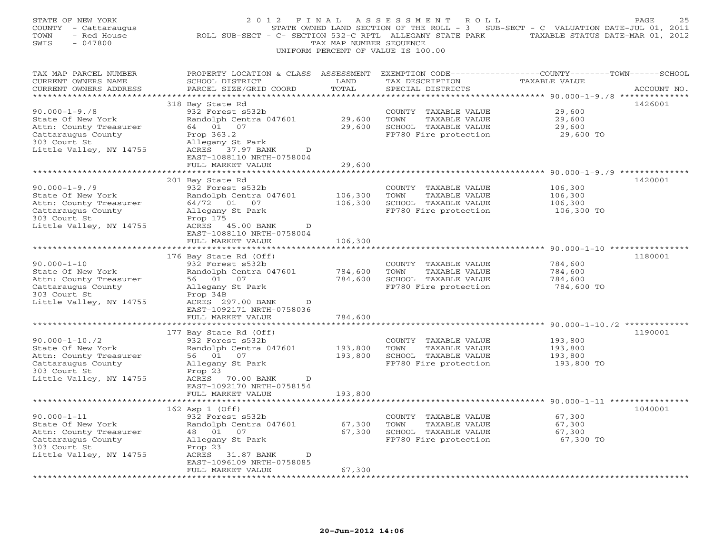| 2 0 1 2                                                                                                                                                  |                                                                                                                                                                                                                           |                                                                                                |                                                                                                                        | PAGE                                                                                                                                                                                                                                                                                                                                                                            |
|----------------------------------------------------------------------------------------------------------------------------------------------------------|---------------------------------------------------------------------------------------------------------------------------------------------------------------------------------------------------------------------------|------------------------------------------------------------------------------------------------|------------------------------------------------------------------------------------------------------------------------|---------------------------------------------------------------------------------------------------------------------------------------------------------------------------------------------------------------------------------------------------------------------------------------------------------------------------------------------------------------------------------|
| SCHOOL DISTRICT<br>PARCEL SIZE/GRID COORD                                                                                                                | LAND<br>TOTAL                                                                                                                                                                                                             | TAX DESCRIPTION<br>SPECIAL DISTRICTS                                                           | <b>TAXABLE VALUE</b>                                                                                                   | ACCOUNT NO.                                                                                                                                                                                                                                                                                                                                                                     |
| 932 Forest s532b<br>Randolph Centra 047601<br>64 01 07<br>Prop 363.2<br>Allegany St Park<br>ACRES 37.97 BANK<br>D<br>EAST-1088110 NRTH-0758004           | 29,600<br>29,600                                                                                                                                                                                                          | COUNTY TAXABLE VALUE<br>TOWN<br>TAXABLE VALUE<br>SCHOOL TAXABLE VALUE<br>FP780 Fire protection | 29,600<br>29,600<br>29,600<br>29,600 TO                                                                                | 1426001                                                                                                                                                                                                                                                                                                                                                                         |
| ****************                                                                                                                                         |                                                                                                                                                                                                                           |                                                                                                |                                                                                                                        |                                                                                                                                                                                                                                                                                                                                                                                 |
| 932 Forest s532b<br>Randolph Centra 047601<br>64/72 01 07<br>Allegany St Park<br>Prop 175<br>ACRES 45.00 BANK<br>D                                       | 106,300<br>106,300                                                                                                                                                                                                        | COUNTY TAXABLE VALUE<br>TOWN<br>TAXABLE VALUE<br>SCHOOL TAXABLE VALUE<br>FP780 Fire protection | 106,300<br>106,300<br>106,300<br>106,300 TO                                                                            | 1420001                                                                                                                                                                                                                                                                                                                                                                         |
| EAST-1088110 NRTH-0758004                                                                                                                                |                                                                                                                                                                                                                           |                                                                                                |                                                                                                                        |                                                                                                                                                                                                                                                                                                                                                                                 |
| 932 Forest s532b<br>Randolph Centra 047601<br>56 01<br>07<br>Allegany St Park<br>Prop 34B                                                                | 784,600<br>784,600                                                                                                                                                                                                        | COUNTY TAXABLE VALUE<br>TOWN<br>TAXABLE VALUE<br>SCHOOL TAXABLE VALUE<br>FP780 Fire protection | 784,600<br>784,600<br>784,600<br>784,600 TO                                                                            | 1180001                                                                                                                                                                                                                                                                                                                                                                         |
| EAST-1092171 NRTH-0758036<br>FULL MARKET VALUE                                                                                                           | 784,600                                                                                                                                                                                                                   |                                                                                                |                                                                                                                        |                                                                                                                                                                                                                                                                                                                                                                                 |
| 932 Forest s532b<br>Randolph Centra 047601<br>07<br>56 01<br>Allegany St Park<br>Prop 23<br>ACRES 70.00 BANK<br>D<br>EAST-1092170 NRTH-0758154           | 193,800<br>193,800                                                                                                                                                                                                        | COUNTY TAXABLE VALUE<br>TOWN<br>TAXABLE VALUE<br>SCHOOL TAXABLE VALUE<br>FP780 Fire protection | 193,800<br>193,800<br>193,800<br>193,800 TO                                                                            | 1190001                                                                                                                                                                                                                                                                                                                                                                         |
|                                                                                                                                                          |                                                                                                                                                                                                                           |                                                                                                |                                                                                                                        |                                                                                                                                                                                                                                                                                                                                                                                 |
| 932 Forest s532b<br>Randolph Centra 047601<br>48  01  07<br>Allegany St Park<br>Prop 23<br>ACRES 31.87 BANK<br>$\mathbb{D}$<br>EAST-1096109 NRTH-0758085 | 67,300<br>67,300                                                                                                                                                                                                          | COUNTY TAXABLE VALUE<br>TOWN<br>TAXABLE VALUE<br>SCHOOL TAXABLE VALUE<br>FP780 Fire protection | 67,300<br>67,300<br>67,300<br>67,300 TO                                                                                | 1040001                                                                                                                                                                                                                                                                                                                                                                         |
|                                                                                                                                                          | 318 Bay State Rd<br>FULL MARKET VALUE<br>201 Bay State Rd<br>FULL MARKET VALUE<br>176 Bay State Rd (Off)<br>ACRES 297.00 BANK<br>D<br>177 Bay State Rd (Off)<br>FULL MARKET VALUE<br>162 Asp 1 (Off)<br>FULL MARKET VALUE | F I N A L<br>29,600<br>106,300<br>193,800<br>67,300                                            | TAX MAP NUMBER SEQUENCE<br>UNIFORM PERCENT OF VALUE IS 100.00<br>PROPERTY LOCATION & CLASS ASSESSMENT<br>************* | ASSESSMENT ROLL<br>STATE OWNED LAND SECTION OF THE ROLL - 3 SUB-SECT - C VALUATION DATE-JUL 01, 2011<br>ROLL SUB-SECT - C- SECTION 532-C RPTL ALLEGANY STATE PARK TAXABLE STATUS DATE-MAR 01, 2012<br>EXEMPTION CODE-----------------COUNTY-------TOWN------SCHOOL<br>********** 90.000-1-9./9 **************<br>********************************* 90.000-1-10./2 ************* |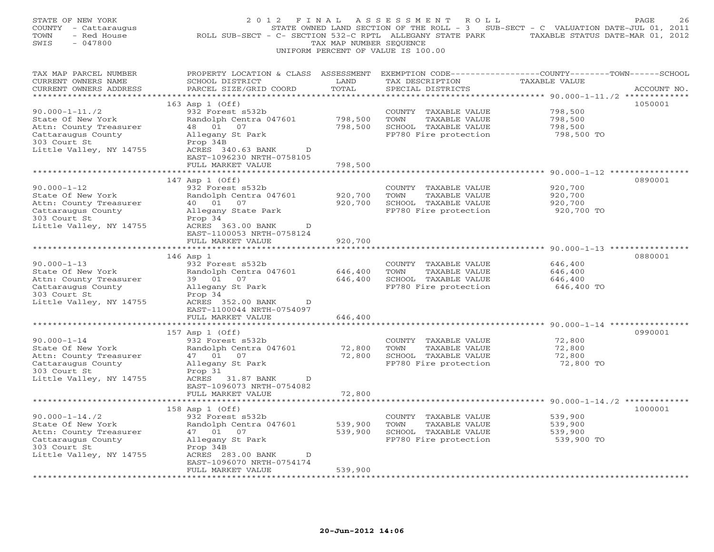| STATE OF NEW YORK<br>COUNTY - Cattaraugus<br>TOWN<br>- Red House<br>SWIS<br>$-047800$                                                | 2 0 1 2<br>F I N A L<br>ROLL SUB-SECT - C- SECTION 532-C RPTL ALLEGANY STATE PARK TAXABLE STATUS DATE-MAR 01, 2012                                 | TAX MAP NUMBER SEQUENCE | A S S E S S M E N T<br>R O L L<br>STATE OWNED LAND SECTION OF THE ROLL - 3 SUB-SECT - C VALUATION DATE-JUL 01, 2011<br>UNIFORM PERCENT OF VALUE IS 100.00 |                                                                                     | PAGE<br>26  |
|--------------------------------------------------------------------------------------------------------------------------------------|----------------------------------------------------------------------------------------------------------------------------------------------------|-------------------------|-----------------------------------------------------------------------------------------------------------------------------------------------------------|-------------------------------------------------------------------------------------|-------------|
| TAX MAP PARCEL NUMBER<br>CURRENT OWNERS NAME<br>CURRENT OWNERS ADDRESS                                                               | PROPERTY LOCATION & CLASS ASSESSMENT EXEMPTION CODE---------------COUNTY-------TOWN-----SCHOOL<br>SCHOOL DISTRICT<br>PARCEL SIZE/GRID COORD        | LAND<br>TOTAL           | TAX DESCRIPTION<br>SPECIAL DISTRICTS                                                                                                                      | TAXABLE VALUE                                                                       | ACCOUNT NO. |
|                                                                                                                                      | 163 Asp 1 (Off)                                                                                                                                    |                         |                                                                                                                                                           |                                                                                     | 1050001     |
| $90.000 - 1 - 11.72$<br>State Of New York<br>Attn: County Treasurer<br>Cattaraugus County<br>303 Court St<br>Little Valley, NY 14755 | 932 Forest s532b<br>Randolph Centra 047601<br>48  01  07<br>Allegany St Park<br>Prop 34B<br>ACRES 340.63 BANK<br>D<br>EAST-1096230 NRTH-0758105    | 798,500<br>798,500      | COUNTY TAXABLE VALUE<br>TOWN<br>TAXABLE VALUE<br>SCHOOL TAXABLE VALUE<br>FP780 Fire protection                                                            | 798,500<br>798,500<br>798,500<br>798,500 TO                                         |             |
|                                                                                                                                      | FULL MARKET VALUE                                                                                                                                  | 798,500                 |                                                                                                                                                           |                                                                                     |             |
| $90.000 - 1 - 12$<br>State Of New York<br>Attn: County Treasurer<br>Cattaraugus County<br>303 Court St<br>Little Valley, NY 14755    | 147 Asp 1 (Off)<br>932 Forest s532b<br>Randolph Centra 047601<br>40  01  07<br>Allegany State Park<br>Prop 34<br>ACRES 363.00 BANK<br>$\mathbb{D}$ | 920,700<br>920,700      | COUNTY TAXABLE VALUE<br>TOWN<br>TAXABLE VALUE<br>SCHOOL TAXABLE VALUE<br>FP780 Fire protection                                                            | ********** 90.000-1-12 *************<br>920,700<br>920,700<br>920,700<br>920,700 TO | 0890001     |
|                                                                                                                                      | EAST-1100053 NRTH-0758124<br>FULL MARKET VALUE                                                                                                     | 920,700                 |                                                                                                                                                           |                                                                                     |             |
|                                                                                                                                      |                                                                                                                                                    |                         |                                                                                                                                                           |                                                                                     |             |
|                                                                                                                                      | $146$ Asp $1$                                                                                                                                      |                         |                                                                                                                                                           |                                                                                     | 0880001     |
| $90.000 - 1 - 13$<br>State Of New York<br>Attn: County Treasurer<br>Cattaraugus County<br>303 Court St<br>Little Valley, NY 14755    | 932 Forest s532b<br>Randolph Centra 047601<br>39 01 07<br>Allegany St Park<br>Prop 34<br>ACRES 352.00 BANK<br>D<br>EAST-1100044 NRTH-0754097       | 646,400<br>646,400      | COUNTY TAXABLE VALUE<br>TOWN<br>TAXABLE VALUE<br>SCHOOL TAXABLE VALUE<br>FP780 Fire protection                                                            | 646,400<br>646,400<br>646,400<br>646,400 TO                                         |             |
|                                                                                                                                      | FULL MARKET VALUE                                                                                                                                  | 646,400                 |                                                                                                                                                           |                                                                                     |             |
|                                                                                                                                      | * * * * * * * * * * * * * * * * * * *                                                                                                              | * * * * * * * * * * *   |                                                                                                                                                           | ******************************* 90.000-1-14 ***********                             |             |
| $90.000 - 1 - 14$<br>State Of New York<br>Attn: County Treasurer<br>Cattaraugus County<br>303 Court St<br>Little Valley, NY 14755    | 157 Asp 1 (Off)<br>932 Forest s532b<br>Randolph Centra 047601<br>47 01 07<br>Allegany St Park<br>Prop 31<br>ACRES 31.87 BANK<br>D                  | 72,800<br>72,800        | COUNTY TAXABLE VALUE<br>TOWN<br>TAXABLE VALUE<br>SCHOOL TAXABLE VALUE<br>FP780 Fire protection                                                            | 72,800<br>72,800<br>72,800<br>72,800 TO                                             | 0990001     |
|                                                                                                                                      | EAST-1096073 NRTH-0754082<br>FULL MARKET VALUE                                                                                                     | 72,800                  |                                                                                                                                                           |                                                                                     |             |
|                                                                                                                                      | ******************************                                                                                                                     |                         |                                                                                                                                                           |                                                                                     |             |
| $90.000 - 1 - 14.72$<br>State Of New York<br>Attn: County Treasurer<br>Cattaraugus County<br>303 Court St<br>Little Valley, NY 14755 | 158 Asp 1 (Off)<br>932 Forest s532b<br>Randolph Centra 047601<br>47 01 07<br>Allegany St Park<br>Prop 34B<br>ACRES 283.00 BANK<br>D                | 539,900<br>539,900      | COUNTY TAXABLE VALUE<br>TOWN<br>TAXABLE VALUE<br>SCHOOL TAXABLE VALUE<br>FP780 Fire protection                                                            | 539,900<br>539,900<br>539,900<br>539,900 TO                                         | 1000001     |
|                                                                                                                                      | EAST-1096070 NRTH-0754174<br>FULL MARKET VALUE                                                                                                     | 539,900                 |                                                                                                                                                           |                                                                                     |             |
|                                                                                                                                      |                                                                                                                                                    |                         |                                                                                                                                                           |                                                                                     |             |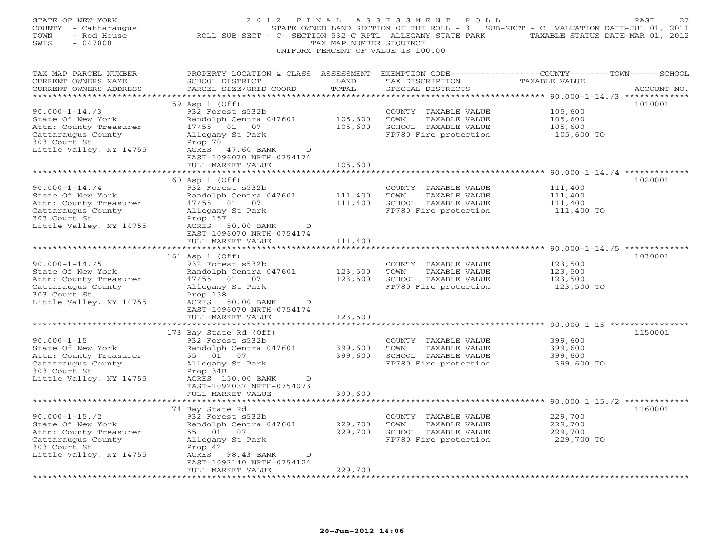| STATE OF NEW YORK<br>COUNTY - Cattaraugus<br>- Red House<br>TOWN<br>SWIS<br>$-047800$                                                | 2012 FINAL<br>ROLL SUB-SECT - C- SECTION 532-C RPTL ALLEGANY STATE PARK                                                                                                                   | TAX MAP NUMBER SEQUENCE                | ASSESSMENT<br>R O L L<br>UNIFORM PERCENT OF VALUE IS 100.00                                    | STATE OWNED LAND SECTION OF THE ROLL - 3 SUB-SECT - C VALUATION DATE-JUL 01, 2011<br>TAXABLE STATUS DATE-MAR 01, 2012 | PAGE<br>27  |
|--------------------------------------------------------------------------------------------------------------------------------------|-------------------------------------------------------------------------------------------------------------------------------------------------------------------------------------------|----------------------------------------|------------------------------------------------------------------------------------------------|-----------------------------------------------------------------------------------------------------------------------|-------------|
| TAX MAP PARCEL NUMBER<br>CURRENT OWNERS NAME<br>CURRENT OWNERS ADDRESS<br>**********************                                     | PROPERTY LOCATION & CLASS ASSESSMENT<br>SCHOOL DISTRICT<br>PARCEL SIZE/GRID COORD                                                                                                         | LAND<br>TOTAL<br>* * * * * * * * * * * | TAX DESCRIPTION<br>SPECIAL DISTRICTS                                                           | EXEMPTION CODE-----------------COUNTY-------TOWN------SCHOOL<br>TAXABLE VALUE                                         | ACCOUNT NO. |
| $90.000 - 1 - 14.73$<br>State Of New York<br>Attn: County Treasurer<br>Cattaraugus County<br>303 Court St<br>Little Valley, NY 14755 | 159 Asp 1 (Off)<br>932 Forest s532b<br>Randolph Centra 047601<br>47/55 01 07<br>Allegany St Park<br>Prop 70<br>ACRES<br>47.60 BANK<br>D<br>EAST-1096070 NRTH-0754174<br>FULL MARKET VALUE | 105,600<br>105,600<br>105,600          | COUNTY TAXABLE VALUE<br>TOWN<br>TAXABLE VALUE<br>SCHOOL TAXABLE VALUE<br>FP780 Fire protection | ********************************* 90.000-1-14./3 *************<br>105,600<br>105,600<br>105,600<br>105,600 TO         | 1010001     |
| $90.000 - 1 - 14.74$<br>State Of New York<br>Attn: County Treasurer<br>Cattaraugus County<br>303 Court St<br>Little Valley, NY 14755 | 160 Asp 1 (Off)<br>932 Forest s532b<br>Randolph Centra 047601<br>47/55 01 07<br>Allegany St Park<br>Prop 157<br>ACRES 50.00 BANK<br>D                                                     | 111,400<br>111,400                     | COUNTY TAXABLE VALUE<br>TOWN<br>TAXABLE VALUE<br>SCHOOL TAXABLE VALUE<br>FP780 Fire protection | **** 90.000-1-14./4 ***********<br>111,400<br>111,400<br>111,400<br>111,400 TO                                        | 1020001     |
| ********************<br>$90.000 - 1 - 14.75$<br>State Of New York<br>Attn: County Treasurer<br>Cattaraugus County<br>303 Court St    | EAST-1096070 NRTH-0754174<br>FULL MARKET VALUE<br>161 Asp 1 (Off)<br>932 Forest s532b<br>Randolph Centra 047601<br>47/55 01 07<br>Allegany St Park<br>Prop 158                            | 111,400<br>123,500<br>123,500          | COUNTY TAXABLE VALUE<br>TOWN<br>TAXABLE VALUE<br>SCHOOL TAXABLE VALUE<br>FP780 Fire protection | 123,500<br>123,500<br>123,500<br>123,500 TO                                                                           | 1030001     |
| Little Valley, NY 14755<br>$90.000 - 1 - 15$<br>State Of New York                                                                    | ACRES<br>50.00 BANK<br>D<br>EAST-1096070 NRTH-0754174<br>FULL MARKET VALUE<br>*******************<br>173 Bay State Rd (Off)<br>932 Forest s532b<br>Randolph Centra 047601                 | 123,500<br>************<br>399,600     | COUNTY TAXABLE VALUE<br>TOWN<br>TAXABLE VALUE                                                  | 399,600<br>399,600                                                                                                    | 1150001     |
| Attn: County Treasurer<br>Cattaraugus County<br>303 Court St<br>Little Valley, NY 14755                                              | 55 01 07<br>Allegany St Park<br>Prop 34B<br>ACRES 150.00 BANK<br>D<br>EAST-1092087 NRTH-0754073<br>FULL MARKET VALUE<br>**************************                                        | 399,600<br>399,600                     | SCHOOL TAXABLE VALUE<br>FP780 Fire protection                                                  | 399,600<br>399,600 TO                                                                                                 |             |
| $90.000 - 1 - 15.72$<br>State Of New York<br>Attn: County Treasurer<br>Cattaraugus County<br>303 Court St<br>Little Valley, NY 14755 | 174 Bay State Rd<br>932 Forest s532b<br>Randolph Centra 047601<br>55 01 07<br>Allegany St Park<br>Prop 42<br>ACRES<br>98.43 BANK<br>D<br>EAST-1092140 NRTH-0754124<br>FULL MARKET VALUE   | 229,700<br>229,700<br>229,700          | COUNTY TAXABLE VALUE<br>TOWN<br>TAXABLE VALUE<br>SCHOOL TAXABLE VALUE<br>FP780 Fire protection | 229,700<br>229,700<br>229,700<br>229,700 TO                                                                           | 1160001     |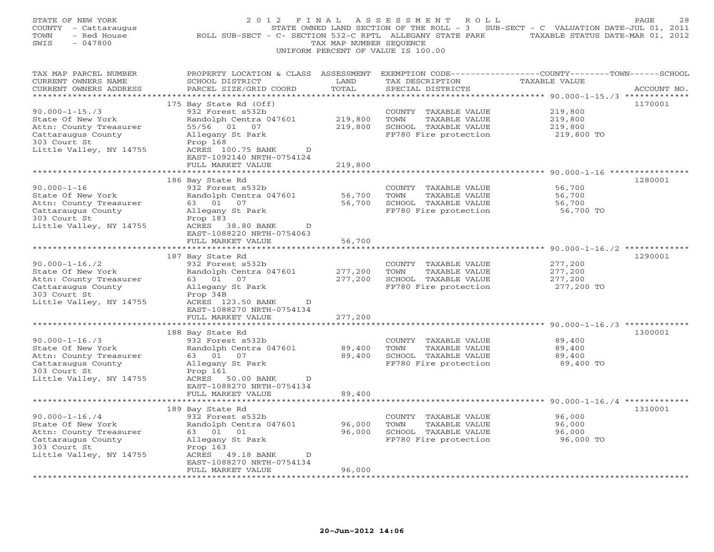| STATE OF NEW YORK<br>COUNTY - Cattaraugus<br>- Red House<br>TOWN<br>$-047800$<br>SWIS                                                | 2012 FINAL<br>ROLL SUB-SECT - C- SECTION 532-C RPTL ALLEGANY STATE PARK                                                                                                                            | TAX MAP NUMBER SEQUENCE       | ASSESSMENT<br>R O L L<br>UNIFORM PERCENT OF VALUE IS 100.00                                    | STATE OWNED LAND SECTION OF THE ROLL - 3 SUB-SECT - C VALUATION DATE-JUL 01, 2011<br>TAXABLE STATUS DATE-MAR 01, 2012 | PAGE<br>28  |
|--------------------------------------------------------------------------------------------------------------------------------------|----------------------------------------------------------------------------------------------------------------------------------------------------------------------------------------------------|-------------------------------|------------------------------------------------------------------------------------------------|-----------------------------------------------------------------------------------------------------------------------|-------------|
| TAX MAP PARCEL NUMBER<br>CURRENT OWNERS NAME<br>CURRENT OWNERS ADDRESS<br>**********************                                     | PROPERTY LOCATION & CLASS ASSESSMENT<br>SCHOOL DISTRICT<br>PARCEL SIZE/GRID COORD<br>***********************                                                                                       | LAND<br>TOTAL                 | TAX DESCRIPTION<br>SPECIAL DISTRICTS                                                           | EXEMPTION CODE----------------COUNTY-------TOWN------SCHOOL<br>TAXABLE VALUE                                          | ACCOUNT NO. |
| $90.000 - 1 - 15.73$<br>State Of New York<br>Attn: County Treasurer<br>Cattaraugus County<br>303 Court St<br>Little Valley, NY 14755 | 175 Bay State Rd (Off)<br>932 Forest s532b<br>Randolph Centra 047601<br>55/56<br>01 07<br>Allegany St Park<br>Prop 168<br>ACRES 100.75 BANK<br>D<br>EAST-1092140 NRTH-0754124<br>FULL MARKET VALUE | 219,800<br>219,800<br>219,800 | COUNTY TAXABLE VALUE<br>TOWN<br>TAXABLE VALUE<br>SCHOOL TAXABLE VALUE<br>FP780 Fire protection | 219,800<br>219,800<br>219,800<br>219,800 TO                                                                           | 1170001     |
|                                                                                                                                      | ************************                                                                                                                                                                           |                               |                                                                                                |                                                                                                                       |             |
| $90.000 - 1 - 16$<br>State Of New York<br>Attn: County Treasurer<br>Cattaraugus County<br>303 Court St<br>Little Valley, NY 14755    | 186 Bay State Rd<br>932 Forest s532b<br>Randolph Centra 047601<br>63 01 07<br>Allegany St Park<br>Prop 183<br>ACRES 38.80 BANK<br>D                                                                | 56,700<br>56,700              | COUNTY TAXABLE VALUE<br>TOWN<br>TAXABLE VALUE<br>SCHOOL TAXABLE VALUE<br>FP780 Fire protection | 56,700<br>56,700<br>56,700<br>56,700 TO                                                                               | 1280001     |
|                                                                                                                                      | EAST-1088220 NRTH-0754063                                                                                                                                                                          |                               |                                                                                                |                                                                                                                       |             |
|                                                                                                                                      | FULL MARKET VALUE<br>* * * * * * * * * * * * * * * * * * *                                                                                                                                         | 56,700<br>**********          |                                                                                                | **************** 90.000-1-16./2 *************                                                                         |             |
|                                                                                                                                      | 187 Bay State Rd                                                                                                                                                                                   |                               |                                                                                                |                                                                                                                       | 1290001     |
| $90.000 - 1 - 16.72$                                                                                                                 | 932 Forest s532b                                                                                                                                                                                   |                               | COUNTY TAXABLE VALUE                                                                           | 277,200                                                                                                               |             |
| State Of New York                                                                                                                    | Randolph Centra 047601                                                                                                                                                                             | 277,200                       | TOWN<br>TAXABLE VALUE                                                                          | 277,200                                                                                                               |             |
| Attn: County Treasurer                                                                                                               | 63 01 07                                                                                                                                                                                           | 277,200                       | SCHOOL TAXABLE VALUE                                                                           | 277,200                                                                                                               |             |
| Cattaraugus County<br>303 Court St<br>Little Valley, NY 14755                                                                        | Allegany St Park<br>Prop 34B<br>ACRES 123.50 BANK<br>$\mathbb D$<br>EAST-1088270 NRTH-0754134                                                                                                      |                               | FP780 Fire protection                                                                          | 277,200 TO                                                                                                            |             |
|                                                                                                                                      | FULL MARKET VALUE                                                                                                                                                                                  | 277,200                       |                                                                                                |                                                                                                                       |             |
|                                                                                                                                      |                                                                                                                                                                                                    | * * * * * * * *               |                                                                                                | ************* 90.000-1-16./3 *********                                                                                |             |
| $90.000 - 1 - 16.73$                                                                                                                 | 188 Bay State Rd<br>932 Forest s532b                                                                                                                                                               |                               | COUNTY TAXABLE VALUE                                                                           | 89,400                                                                                                                | 1300001     |
| State Of New York                                                                                                                    | Randolph Centra 047601                                                                                                                                                                             | 89,400                        | TOWN<br>TAXABLE VALUE                                                                          | 89,400                                                                                                                |             |
| Attn: County Treasurer                                                                                                               | 63 01 07                                                                                                                                                                                           | 89,400                        | SCHOOL TAXABLE VALUE                                                                           | 89,400                                                                                                                |             |
| Cattaraugus County                                                                                                                   | Allegany St Park                                                                                                                                                                                   |                               | FP780 Fire protection                                                                          | 89,400 TO                                                                                                             |             |
| 303 Court St                                                                                                                         | Prop 161                                                                                                                                                                                           |                               |                                                                                                |                                                                                                                       |             |
| Little Valley, NY 14755                                                                                                              | ACRES 50.00 BANK<br>D<br>EAST-1088270 NRTH-0754134<br>FULL MARKET VALUE                                                                                                                            | 89,400                        |                                                                                                |                                                                                                                       |             |
|                                                                                                                                      |                                                                                                                                                                                                    |                               |                                                                                                |                                                                                                                       |             |
|                                                                                                                                      | 189 Bay State Rd                                                                                                                                                                                   |                               |                                                                                                |                                                                                                                       | 1310001     |
| $90.000 - 1 - 16.74$                                                                                                                 | 932 Forest s532b                                                                                                                                                                                   |                               | COUNTY TAXABLE VALUE                                                                           | 96,000                                                                                                                |             |
| State Of New York                                                                                                                    | Randolph Centra 047601                                                                                                                                                                             | 96,000                        | TAXABLE VALUE<br>TOWN                                                                          | 96,000                                                                                                                |             |
| Attn: County Treasurer<br>Cattaraugus County                                                                                         | 63 01 01<br>Allegany St Park                                                                                                                                                                       | 96,000                        | SCHOOL TAXABLE VALUE<br>FP780 Fire protection                                                  | 96,000<br>96,000 TO                                                                                                   |             |
| 303 Court St                                                                                                                         | Prop 163                                                                                                                                                                                           |                               |                                                                                                |                                                                                                                       |             |
| Little Valley, NY 14755                                                                                                              | ACRES<br>49.18 BANK<br>D<br>EAST-1088270 NRTH-0754134                                                                                                                                              |                               |                                                                                                |                                                                                                                       |             |
|                                                                                                                                      | FULL MARKET VALUE<br>.                                                                                                                                                                             | 96,000                        |                                                                                                |                                                                                                                       |             |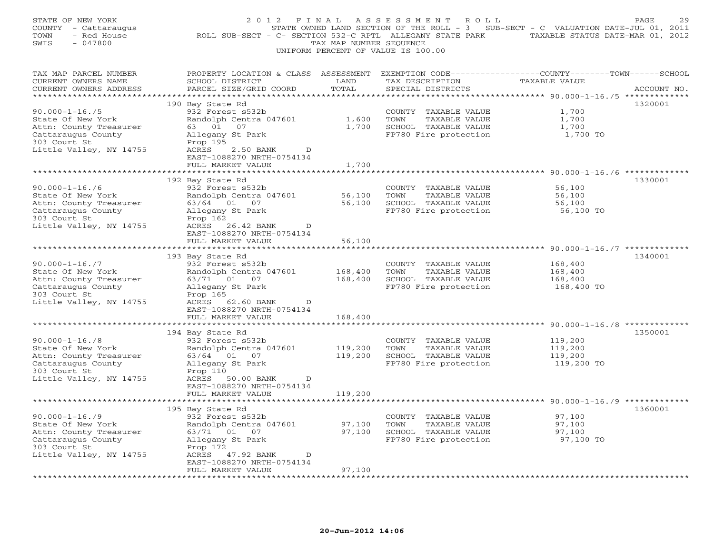| STATE OF NEW YORK<br>COUNTY - Cattaraugus<br>- Red House<br>TOWN<br>SWIS<br>$-047800$                                                | 2012 FINAL<br>ROLL SUB-SECT - C- SECTION 532-C RPTL ALLEGANY STATE PARK TAXABLE STATUS DATE-MAR 01, 2012                                                                                | TAX MAP NUMBER SEQUENCE      | ASSESSMENT<br>ROLL<br>UNIFORM PERCENT OF VALUE IS 100.00                                       | STATE OWNED LAND SECTION OF THE ROLL - 3 SUB-SECT - C VALUATION DATE-JUL 01, 2011    | PAGE<br>29  |
|--------------------------------------------------------------------------------------------------------------------------------------|-----------------------------------------------------------------------------------------------------------------------------------------------------------------------------------------|------------------------------|------------------------------------------------------------------------------------------------|--------------------------------------------------------------------------------------|-------------|
| TAX MAP PARCEL NUMBER<br>CURRENT OWNERS NAME<br>CURRENT OWNERS ADDRESS<br>***********************                                    | PROPERTY LOCATION & CLASS ASSESSMENT<br>SCHOOL DISTRICT<br>PARCEL SIZE/GRID COORD                                                                                                       | LAND<br>TOTAL                | TAX DESCRIPTION<br>SPECIAL DISTRICTS                                                           | EXEMPTION CODE-----------------COUNTY-------TOWN------SCHOOL<br><b>TAXABLE VALUE</b> | ACCOUNT NO. |
| $90.000 - 1 - 16.75$<br>State Of New York<br>Attn: County Treasurer<br>Cattaraugus County<br>303 Court St<br>Little Valley, NY 14755 | 190 Bay State Rd<br>932 Forest s532b<br>Randolph Centra 047601<br>63 01 07<br>Allegany St Park<br>Prop 195<br>ACRES<br>2.50 BANK<br>D<br>EAST-1088270 NRTH-0754134<br>FULL MARKET VALUE | 1,600<br>1,700<br>1,700      | COUNTY TAXABLE VALUE<br>TOWN<br>TAXABLE VALUE<br>SCHOOL TAXABLE VALUE<br>FP780 Fire protection | 1,700<br>1,700<br>1,700<br>1,700 TO                                                  | 1320001     |
| $90.000 - 1 - 16.76$<br>State Of New York<br>Attn: County Treasurer<br>Cattaraugus County<br>303 Court St<br>Little Valley, NY 14755 | 192 Bay State Rd<br>932 Forest s532b<br>Randolph Centra 047601<br>63/64 01 07<br>Allegany St Park<br>Prop 162<br>ACRES 26.42 BANK<br>D                                                  | 56,100<br>56,100             | COUNTY TAXABLE VALUE<br>TOWN<br>TAXABLE VALUE<br>SCHOOL TAXABLE VALUE<br>FP780 Fire protection | ******* 90.000-1-16./6 ***********<br>56,100<br>56,100<br>56,100<br>56,100 TO        | 1330001     |
| $90.000 - 1 - 16.77$                                                                                                                 | EAST-1088270 NRTH-0754134<br>FULL MARKET VALUE<br>193 Bay State Rd<br>932 Forest s532b                                                                                                  | 56,100<br>****************** | COUNTY TAXABLE VALUE                                                                           | ******************************** 90.000-1-16./7 *************<br>168,400             | 1340001     |
| State Of New York<br>Attn: County Treasurer<br>Cattaraugus County<br>303 Court St<br>Little Valley, NY 14755                         | Randolph Centra 047601<br>63/71 01 07<br>Allegany St Park<br>Prop 165<br>ACRES 62.60 BANK<br>D<br>EAST-1088270 NRTH-0754134                                                             | 168,400<br>168,400           | TOWN<br>TAXABLE VALUE<br>SCHOOL TAXABLE VALUE<br>FP780 Fire protection                         | 168,400<br>168,400<br>168,400 TO                                                     |             |
|                                                                                                                                      | FULL MARKET VALUE<br>*****************                                                                                                                                                  | 168,400<br>************      |                                                                                                |                                                                                      |             |
| $90.000 - 1 - 16.78$<br>State Of New York<br>Attn: County Treasurer<br>Cattaraugus County<br>303 Court St<br>Little Valley, NY 14755 | 194 Bay State Rd<br>932 Forest s532b<br>Randolph Centra 047601<br>63/64 01 07<br>Allegany St Park<br>Prop 110<br>ACRES 50.00 BANK<br>D<br>EAST-1088270 NRTH-0754134                     | 119,200<br>119,200           | COUNTY TAXABLE VALUE<br>TOWN<br>TAXABLE VALUE<br>SCHOOL TAXABLE VALUE<br>FP780 Fire protection | 119,200<br>119,200<br>119,200<br>119,200 TO                                          | 1350001     |
|                                                                                                                                      | FULL MARKET VALUE                                                                                                                                                                       | 119,200                      |                                                                                                |                                                                                      |             |
| $90.000 - 1 - 16.79$<br>State Of New York<br>Attn: County Treasurer<br>Cattaraugus County<br>303 Court St<br>Little Valley, NY 14755 | 195 Bay State Rd<br>932 Forest s532b<br>Randolph Centra 047601<br>63/71 01 07<br>Allegany St Park<br>Prop 172<br>ACRES 47.92 BANK<br>$\mathbb{D}$<br>EAST-1088270 NRTH-0754134          | 97,100<br>97,100             | COUNTY TAXABLE VALUE<br>TOWN<br>TAXABLE VALUE<br>SCHOOL TAXABLE VALUE<br>FP780 Fire protection | 97,100<br>97,100<br>97,100<br>97,100 TO                                              | 1360001     |
|                                                                                                                                      | FULL MARKET VALUE                                                                                                                                                                       | 97,100                       |                                                                                                |                                                                                      |             |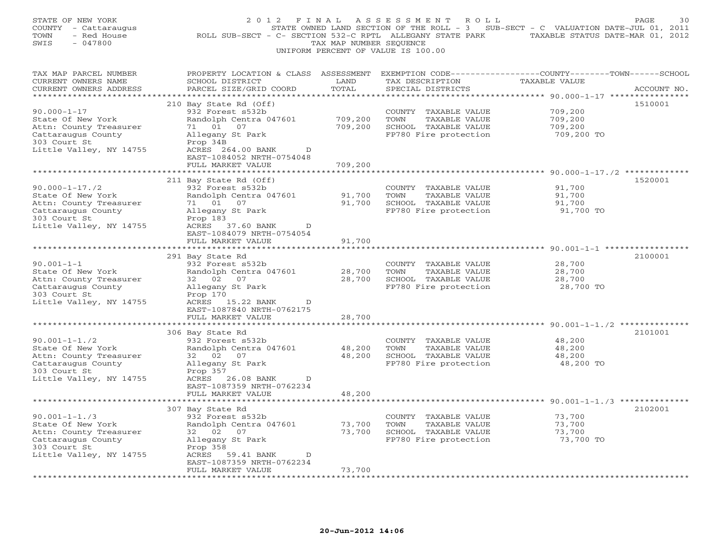| STATE OF NEW YORK<br>COUNTY - Cattaraugus<br>TOWN<br>- Red House<br>SWIS<br>$-047800$                                                | 2 0 1 2<br>ROLL SUB-SECT - C- SECTION 532-C RPTL ALLEGANY STATE PARK                                                                                                       | FINAL<br>TAX MAP NUMBER SEQUENCE   | ASSESSMENT<br>ROLL<br>UNIFORM PERCENT OF VALUE IS 100.00                                          | STATE OWNED LAND SECTION OF THE ROLL - 3 SUB-SECT - C VALUATION DATE-JUL 01, 2011<br>TAXABLE STATUS DATE-MAR 01, 2012 | PAGE<br>30  |
|--------------------------------------------------------------------------------------------------------------------------------------|----------------------------------------------------------------------------------------------------------------------------------------------------------------------------|------------------------------------|---------------------------------------------------------------------------------------------------|-----------------------------------------------------------------------------------------------------------------------|-------------|
| TAX MAP PARCEL NUMBER<br>CURRENT OWNERS NAME<br>CURRENT OWNERS ADDRESS                                                               | PROPERTY LOCATION & CLASS ASSESSMENT<br>SCHOOL DISTRICT<br>PARCEL SIZE/GRID COORD                                                                                          | LAND<br>TOTAL<br>* * * * * * * * * | TAX DESCRIPTION<br>SPECIAL DISTRICTS                                                              | EXEMPTION CODE-----------------COUNTY-------TOWN-----SCHOOL<br><b>TAXABLE VALUE</b><br>*********** 90.000-1-17 ****   | ACCOUNT NO. |
| $90.000 - 1 - 17$<br>State Of New York<br>Attn: County Treasurer<br>Cattaraugus County<br>303 Court St<br>Little Valley, NY 14755    | 210 Bay State Rd (Off)<br>932 Forest s532b<br>Randolph Centra 047601<br>07<br>71 01<br>Allegany St Park<br>Prop 34B<br>ACRES 264.00 BANK<br>D<br>EAST-1084052 NRTH-0754048 | 709,200<br>709,200                 | COUNTY<br>TAXABLE VALUE<br>TOWN<br>TAXABLE VALUE<br>SCHOOL TAXABLE VALUE<br>FP780 Fire protection | 709,200<br>709,200<br>709,200<br>709,200 TO                                                                           | 1510001     |
|                                                                                                                                      | FULL MARKET VALUE                                                                                                                                                          | 709,200                            |                                                                                                   |                                                                                                                       |             |
| $90.000 - 1 - 17.72$<br>State Of New York<br>Attn: County Treasurer<br>Cattaraugus County<br>303 Court St<br>Little Valley, NY 14755 | 211 Bay State Rd (Off)<br>932 Forest s532b<br>Randolph Centra 047601<br>71 01<br>07<br>Allegany St Park<br>Prop 183<br>ACRES 37.60 BANK<br>D                               | 91,700<br>91,700                   | COUNTY TAXABLE VALUE<br>TOWN<br>TAXABLE VALUE<br>SCHOOL TAXABLE VALUE<br>FP780 Fire protection    | 91,700<br>91,700<br>91,700<br>91,700 TO                                                                               | 1520001     |
|                                                                                                                                      | EAST-1084079 NRTH-0754054                                                                                                                                                  |                                    |                                                                                                   |                                                                                                                       |             |
|                                                                                                                                      | FULL MARKET VALUE<br>********************                                                                                                                                  | 91,700<br>*************            |                                                                                                   | ********************************* 90.001-1-1 *****                                                                    |             |
| $90.001 - 1 - 1$<br>State Of New York<br>Attn: County Treasurer<br>Cattaraugus County<br>303 Court St<br>Little Valley, NY 14755     | 291 Bay State Rd<br>932 Forest s532b<br>Randolph Centra 047601<br>32 02<br>07<br>Allegany St Park<br>Prop 170<br>ACRES 15.22 BANK<br>D                                     | 28,700<br>28,700                   | COUNTY TAXABLE VALUE<br>TOWN<br>TAXABLE VALUE<br>SCHOOL TAXABLE VALUE<br>FP780 Fire protection    | 28,700<br>28,700<br>28,700<br>28,700 TO                                                                               | 2100001     |
|                                                                                                                                      | EAST-1087840 NRTH-0762175<br>FULL MARKET VALUE                                                                                                                             | 28,700                             |                                                                                                   |                                                                                                                       |             |
|                                                                                                                                      | 306 Bay State Rd                                                                                                                                                           |                                    |                                                                                                   | $90.001 - 1 - 1.72$ **                                                                                                | 2101001     |
| $90.001 - 1 - 1.72$<br>State Of New York<br>Attn: County Treasurer<br>Cattaraugus County<br>303 Court St<br>Little Valley, NY 14755  | 932 Forest s532b<br>Randolph Centra 047601<br>32 02<br>07<br>Allegany St Park<br>Prop 357<br>ACRES 26.08 BANK<br>D<br>EAST-1087359 NRTH-0762234                            | 48,200<br>48,200                   | COUNTY TAXABLE VALUE<br>TOWN<br>TAXABLE VALUE<br>SCHOOL TAXABLE VALUE<br>FP780 Fire protection    | 48,200<br>48,200<br>48,200<br>48,200 TO                                                                               |             |
|                                                                                                                                      | FULL MARKET VALUE                                                                                                                                                          | 48,200                             |                                                                                                   |                                                                                                                       |             |
|                                                                                                                                      | *********************<br>307 Bay State Rd                                                                                                                                  |                                    |                                                                                                   | ******************************** 90.001-1-1./3 **************                                                         | 2102001     |
| $90.001 - 1 - 1.73$<br>State Of New York<br>Attn: County Treasurer<br>Cattaraugus County<br>303 Court St<br>Little Valley, NY 14755  | 932 Forest s532b<br>Randolph Centra 047601<br>32 02<br>07<br>Allegany St Park<br>Prop 358<br>ACRES<br>59.41 BANK<br>D                                                      | 73,700<br>73,700                   | COUNTY TAXABLE VALUE<br>TOWN<br>TAXABLE VALUE<br>SCHOOL TAXABLE VALUE<br>FP780 Fire protection    | 73,700<br>73,700<br>73,700<br>73,700 TO                                                                               |             |
|                                                                                                                                      | EAST-1087359 NRTH-0762234<br>FULL MARKET VALUE<br>.                                                                                                                        | 73,700                             |                                                                                                   |                                                                                                                       |             |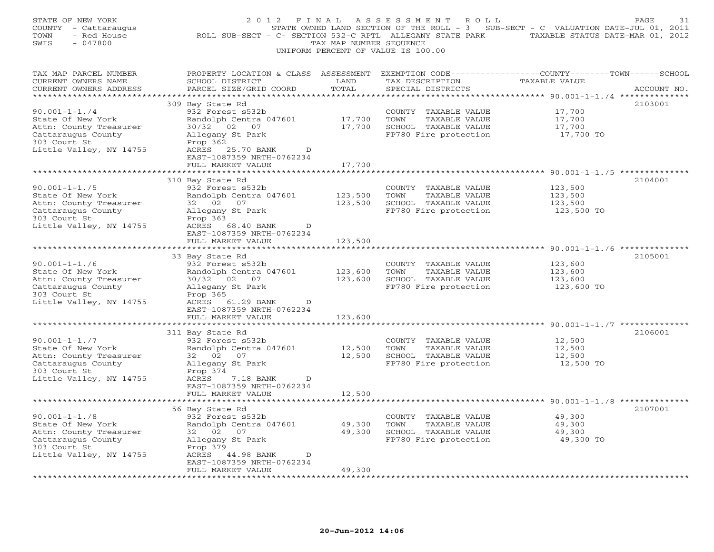| STATE OF NEW YORK<br>COUNTY - Cattaraugus<br>- Red House<br>TOWN<br>SWIS<br>$-047800$                                               | 2012 FINAL<br>ROLL SUB-SECT - C- SECTION 532-C RPTL ALLEGANY STATE PARK TAXABLE STATUS DATE-MAR 01, 2012                                                                                 | TAX MAP NUMBER SEQUENCE          | ASSESSMENT ROLL<br>UNIFORM PERCENT OF VALUE IS 100.00                                          | STATE OWNED LAND SECTION OF THE ROLL - 3 SUB-SECT - C VALUATION DATE-JUL 01, 2011    | PAGE<br>31  |
|-------------------------------------------------------------------------------------------------------------------------------------|------------------------------------------------------------------------------------------------------------------------------------------------------------------------------------------|----------------------------------|------------------------------------------------------------------------------------------------|--------------------------------------------------------------------------------------|-------------|
| TAX MAP PARCEL NUMBER<br>CURRENT OWNERS NAME<br>CURRENT OWNERS ADDRESS<br>***********************                                   | PROPERTY LOCATION & CLASS ASSESSMENT<br>SCHOOL DISTRICT<br>PARCEL SIZE/GRID COORD                                                                                                        | LAND<br>TOTAL                    | TAX DESCRIPTION<br>SPECIAL DISTRICTS                                                           | EXEMPTION CODE-----------------COUNTY-------TOWN------SCHOOL<br><b>TAXABLE VALUE</b> | ACCOUNT NO. |
| $90.001 - 1 - 1.74$<br>State Of New York<br>Attn: County Treasurer<br>Cattaraugus County<br>303 Court St<br>Little Valley, NY 14755 | 309 Bay State Rd<br>932 Forest s532b<br>Randolph Centra 047601<br>30/32 02 07<br>Allegany St Park<br>Prop 362<br>ACRES 25.70 BANK<br>D<br>EAST-1087359 NRTH-0762234<br>FULL MARKET VALUE | 17,700<br>17,700<br>17,700       | COUNTY TAXABLE VALUE<br>TOWN<br>TAXABLE VALUE<br>SCHOOL TAXABLE VALUE<br>FP780 Fire protection | 17,700<br>17,700<br>17,700<br>17,700 TO                                              | 2103001     |
|                                                                                                                                     |                                                                                                                                                                                          |                                  |                                                                                                | ****** 90.001-1-1./5 ************                                                    |             |
| $90.001 - 1 - 1.75$<br>State Of New York<br>Attn: County Treasurer<br>Cattaraugus County<br>303 Court St<br>Little Valley, NY 14755 | 310 Bay State Rd<br>932 Forest s532b<br>Randolph Centra 047601<br>32 02 07<br>Allegany St Park<br>Prop 363<br>ACRES<br>68.40 BANK<br>D                                                   | 123,500<br>123,500               | COUNTY TAXABLE VALUE<br>TOWN<br>TAXABLE VALUE<br>SCHOOL TAXABLE VALUE<br>FP780 Fire protection | 123,500<br>123,500<br>123,500<br>123,500 TO                                          | 2104001     |
|                                                                                                                                     | EAST-1087359 NRTH-0762234<br>FULL MARKET VALUE                                                                                                                                           | 123,500                          |                                                                                                |                                                                                      |             |
|                                                                                                                                     | ********************<br>33 Bay State Rd                                                                                                                                                  | ******************               |                                                                                                | ******************************** 90.001-1-1./6 **************                        | 2105001     |
| $90.001 - 1 - 1.76$<br>State Of New York<br>Attn: County Treasurer<br>Cattaraugus County<br>303 Court St<br>Little Valley, NY 14755 | 932 Forest s532b<br>Randolph Centra 047601<br>30/32 02 07<br>Allegany St Park<br>Prop 365<br>ACRES 61.29 BANK<br>D<br>EAST-1087359 NRTH-0762234                                          | 123,600<br>123,600               | COUNTY TAXABLE VALUE<br>TOWN<br>TAXABLE VALUE<br>SCHOOL TAXABLE VALUE<br>FP780 Fire protection | 123,600<br>123,600<br>123,600<br>123,600 TO                                          |             |
|                                                                                                                                     | FULL MARKET VALUE                                                                                                                                                                        | 123,600                          |                                                                                                |                                                                                      |             |
| $90.001 - 1 - 1.7$<br>State Of New York<br>Attn: County Treasurer<br>Cattaraugus County<br>303 Court St                             | *************<br>311 Bay State Rd<br>932 Forest s532b<br>Randolph Centra 047601<br>32 02<br>07<br>Allegany St Park<br>Prop 374                                                           | ************<br>12,500<br>12,500 | COUNTY TAXABLE VALUE<br>TOWN<br>TAXABLE VALUE<br>SCHOOL TAXABLE VALUE<br>FP780 Fire protection | 12,500<br>12,500<br>12,500<br>12,500 TO                                              | 2106001     |
| Little Valley, NY 14755                                                                                                             | ACRES 7.18 BANK<br>D<br>EAST-1087359 NRTH-0762234<br>FULL MARKET VALUE                                                                                                                   | 12,500                           |                                                                                                |                                                                                      |             |
|                                                                                                                                     | 56 Bay State Rd                                                                                                                                                                          |                                  |                                                                                                |                                                                                      | 2107001     |
| $90.001 - 1 - 1.78$<br>State Of New York<br>Attn: County Treasurer<br>Cattaraugus County<br>303 Court St<br>Little Valley, NY 14755 | 932 Forest s532b<br>Randolph Centra 047601<br>32 02 07<br>Allegany St Park<br>Prop 379<br>ACRES<br>44.98 BANK<br>$\mathbb{D}$                                                            | 49,300<br>49,300                 | COUNTY TAXABLE VALUE<br>TAXABLE VALUE<br>TOWN<br>SCHOOL TAXABLE VALUE<br>FP780 Fire protection | 49,300<br>49,300<br>49,300<br>49,300 TO                                              |             |
|                                                                                                                                     | EAST-1087359 NRTH-0762234<br>FULL MARKET VALUE                                                                                                                                           | 49,300                           |                                                                                                |                                                                                      |             |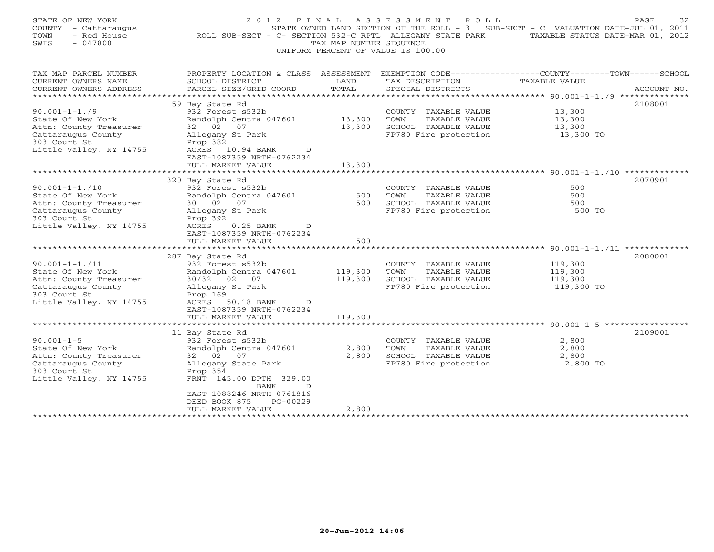| STATE OF NEW YORK<br>COUNTY - Cattaraugus<br>TOWN<br>- Red House<br>$-047800$<br>SWIS | 2 0 1 2<br>ROLL SUB-SECT - C- SECTION 532-C RPTL ALLEGANY STATE PARK | FINAL<br>TAX MAP NUMBER SEOUENCE | ASSESSMENT<br>R O L L<br>STATE OWNED LAND SECTION OF THE ROLL - 3 SUB-SECT - C VALUATION DATE-JUL 01, 2011<br>UNIFORM PERCENT OF VALUE IS 100.00 | TAXABLE STATUS DATE-MAR 01, 2012   | 32<br>PAGE  |
|---------------------------------------------------------------------------------------|----------------------------------------------------------------------|----------------------------------|--------------------------------------------------------------------------------------------------------------------------------------------------|------------------------------------|-------------|
| TAX MAP PARCEL NUMBER<br>CURRENT OWNERS NAME                                          | PROPERTY LOCATION & CLASS ASSESSMENT<br>SCHOOL DISTRICT              | LAND                             | EXEMPTION CODE-----------------COUNTY-------TOWN------SCHOOL<br>TAX DESCRIPTION                                                                  | TAXABLE VALUE                      |             |
| CURRENT OWNERS ADDRESS                                                                | PARCEL SIZE/GRID COORD                                               | TOTAL                            | SPECIAL DISTRICTS                                                                                                                                |                                    | ACCOUNT NO. |
| **********************                                                                |                                                                      |                                  |                                                                                                                                                  |                                    |             |
|                                                                                       | 59 Bay State Rd                                                      |                                  |                                                                                                                                                  |                                    | 2108001     |
| $90.001 - 1 - 1.79$                                                                   | 932 Forest s532b                                                     |                                  | COUNTY TAXABLE VALUE                                                                                                                             | 13,300                             |             |
| State Of New York                                                                     | Randolph Centra 047601                                               | 13,300                           | TOWN<br>TAXABLE VALUE                                                                                                                            | 13,300                             |             |
| Attn: County Treasurer                                                                | 32 02<br>07                                                          | 13,300                           | SCHOOL TAXABLE VALUE                                                                                                                             | 13,300                             |             |
| Cattaraugus County<br>303 Court St                                                    | Allegany St Park<br>Prop 382                                         |                                  | FP780 Fire protection                                                                                                                            | 13,300 TO                          |             |
| Little Valley, NY 14755                                                               | ACRES 10.94 BANK<br>D<br>EAST-1087359 NRTH-0762234                   |                                  |                                                                                                                                                  |                                    |             |
|                                                                                       | FULL MARKET VALUE                                                    | 13,300                           |                                                                                                                                                  |                                    |             |
|                                                                                       |                                                                      |                                  |                                                                                                                                                  |                                    |             |
| $90.001 - 1 - 1.710$                                                                  | 320 Bay State Rd<br>932 Forest s532b                                 |                                  | COUNTY TAXABLE VALUE                                                                                                                             | 500                                | 2070901     |
| State Of New York                                                                     | Randolph Centra 047601                                               | 500                              | TOWN<br>TAXABLE VALUE                                                                                                                            | 500                                |             |
| Attn: County Treasurer                                                                | 30 02<br>07                                                          | 500                              | SCHOOL TAXABLE VALUE                                                                                                                             | 500                                |             |
| Cattaraugus County                                                                    | Allegany St Park                                                     |                                  | FP780 Fire protection                                                                                                                            | 500 TO                             |             |
| 303 Court St                                                                          | Prop 392                                                             |                                  |                                                                                                                                                  |                                    |             |
| Little Valley, NY 14755                                                               | $0.25$ BANK<br>ACRES<br>$\mathbb{D}$                                 |                                  |                                                                                                                                                  |                                    |             |
|                                                                                       | EAST-1087359 NRTH-0762234                                            |                                  |                                                                                                                                                  |                                    |             |
|                                                                                       | FULL MARKET VALUE                                                    | 500                              |                                                                                                                                                  |                                    |             |
|                                                                                       |                                                                      |                                  | *******************                                                                                                                              | $90.001 - 1 - 1.711$ ************* |             |
|                                                                                       | 287 Bay State Rd                                                     |                                  |                                                                                                                                                  |                                    | 2080001     |
| $90.001 - 1 - 1.711$                                                                  | 932 Forest s532b                                                     |                                  | COUNTY TAXABLE VALUE                                                                                                                             | 119,300                            |             |
| State Of New York<br>Attn: County Treasurer                                           | Randolph Centra 047601<br>30/32 02 07                                | 119,300<br>119,300               | TOWN<br>TAXABLE VALUE<br>SCHOOL TAXABLE VALUE                                                                                                    | 119,300<br>119,300                 |             |
| Cattaraugus County                                                                    | Allegany St Park                                                     |                                  | FP780 Fire protection                                                                                                                            | 119,300 TO                         |             |
| 303 Court St                                                                          | Prop 169                                                             |                                  |                                                                                                                                                  |                                    |             |
| Little Valley, NY 14755                                                               | ACRES 50.18 BANK<br>$\mathbb{D}$                                     |                                  |                                                                                                                                                  |                                    |             |
|                                                                                       | EAST-1087359 NRTH-0762234                                            |                                  |                                                                                                                                                  |                                    |             |
|                                                                                       | FULL MARKET VALUE                                                    | 119,300                          |                                                                                                                                                  |                                    |             |
|                                                                                       |                                                                      |                                  |                                                                                                                                                  |                                    |             |
|                                                                                       | 11 Bay State Rd                                                      |                                  |                                                                                                                                                  |                                    | 2109001     |
| $90.001 - 1 - 5$                                                                      | 932 Forest s532b                                                     |                                  | COUNTY TAXABLE VALUE                                                                                                                             | 2,800                              |             |
| State Of New York                                                                     | Randolph Centra 047601                                               | 2,800                            | TOWN<br>TAXABLE VALUE                                                                                                                            | 2,800                              |             |
| Attn: County Treasurer                                                                | 32 02<br>07                                                          | 2,800                            | SCHOOL TAXABLE VALUE                                                                                                                             | 2,800                              |             |
| Cattaraugus County<br>303 Court St                                                    | Allegany State Park                                                  |                                  | FP780 Fire protection                                                                                                                            | 2,800 TO                           |             |
| Little Valley, NY 14755                                                               | Prop 354<br>FRNT 145.00 DPTH 329.00                                  |                                  |                                                                                                                                                  |                                    |             |
|                                                                                       | BANK<br>D                                                            |                                  |                                                                                                                                                  |                                    |             |
|                                                                                       | EAST-1088246 NRTH-0761816                                            |                                  |                                                                                                                                                  |                                    |             |
|                                                                                       | PG-00229<br>DEED BOOK 875                                            |                                  |                                                                                                                                                  |                                    |             |
|                                                                                       | FULL MARKET VALUE                                                    | 2,800                            |                                                                                                                                                  |                                    |             |
|                                                                                       | *************************                                            | *************                    |                                                                                                                                                  |                                    |             |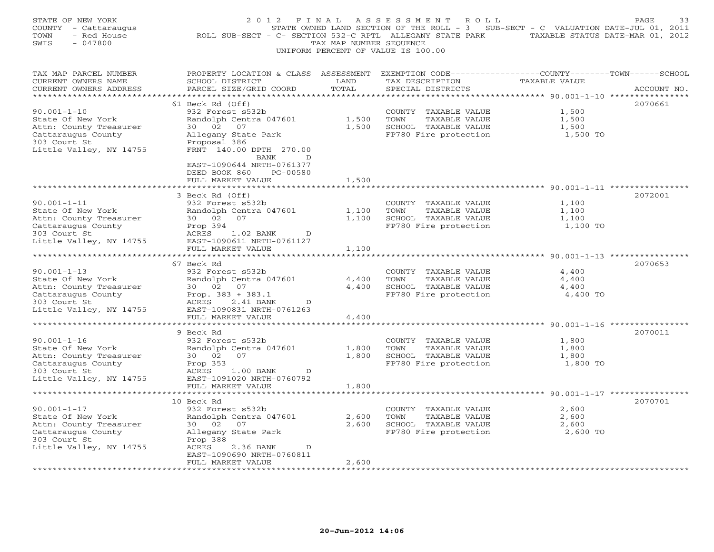| STATE OF NEW YORK<br>COUNTY - Cattaraugus<br>- Red House<br>TOWN<br>SWIS<br>$-047800$                                             | 2 0 1 2                                                                                                                                                                                   | FINAL<br>TAX MAP NUMBER SEQUENCE | ASSESSMENT<br>ROLL<br>UNIFORM PERCENT OF VALUE IS 100.00                                       | STATE OWNED LAND SECTION OF THE ROLL - 3 SUB-SECT - C VALUATION DATE-JUL 01, 2011<br>ROLL SUB-SECT - C- SECTION 532-C RPTL ALLEGANY STATE PARK TAXABLE STATUS DATE-MAR 01, 2012 | PAGE<br>33  |
|-----------------------------------------------------------------------------------------------------------------------------------|-------------------------------------------------------------------------------------------------------------------------------------------------------------------------------------------|----------------------------------|------------------------------------------------------------------------------------------------|---------------------------------------------------------------------------------------------------------------------------------------------------------------------------------|-------------|
| TAX MAP PARCEL NUMBER<br>CURRENT OWNERS NAME<br>CURRENT OWNERS ADDRESS<br>***********************                                 | PROPERTY LOCATION & CLASS ASSESSMENT EXEMPTION CODE----------------COUNTY-------TOWN------SCHOOL<br>SCHOOL DISTRICT<br>PARCEL SIZE/GRID COORD                                             | LAND<br>TOTAL                    | TAX DESCRIPTION<br>SPECIAL DISTRICTS                                                           | TAXABLE VALUE                                                                                                                                                                   | ACCOUNT NO. |
| $90.001 - 1 - 10$<br>State Of New York<br>Attn: County Treasurer<br>Cattaraugus County<br>303 Court St<br>Little Valley, NY 14755 | 61 Beck Rd (Off)<br>932 Forest s532b<br>Randolph Centra 047601<br>30 02<br>07<br>Allegany State Park<br>Proposal 386<br>FRNT 140.00 DPTH 270.00<br>BANK<br>D<br>EAST-1090644 NRTH-0761377 | 1,500<br>1,500                   | COUNTY TAXABLE VALUE<br>TOWN<br>TAXABLE VALUE<br>SCHOOL TAXABLE VALUE<br>FP780 Fire protection | 1,500<br>1,500<br>1,500<br>1,500 TO                                                                                                                                             | 2070661     |
|                                                                                                                                   | DEED BOOK 860<br>PG-00580<br>FULL MARKET VALUE                                                                                                                                            | 1,500                            |                                                                                                |                                                                                                                                                                                 |             |
| $90.001 - 1 - 11$<br>State Of New York<br>Attn: County Treasurer<br>Cattaraugus County<br>303 Court St<br>Little Valley, NY 14755 | 3 Beck Rd (Off)<br>932 Forest s532b<br>Randolph Centra 047601<br>30 02<br>07<br>Prop 394<br>ACRES<br>1.02 BANK<br>D<br>EAST-1090611 NRTH-0761127<br>FULL MARKET VALUE                     | 1,100<br>1,100<br>1,100          | COUNTY TAXABLE VALUE<br>TAXABLE VALUE<br>TOWN<br>SCHOOL TAXABLE VALUE<br>FP780 Fire protection | 1,100<br>1,100<br>1,100<br>1,100 TO                                                                                                                                             | 2072001     |
|                                                                                                                                   | ***********************                                                                                                                                                                   |                                  |                                                                                                | ********************************* 90.001-1-13 *************                                                                                                                     |             |
| $90.001 - 1 - 13$<br>State Of New York<br>Attn: County Treasurer<br>Cattaraugus County<br>303 Court St<br>Little Valley, NY 14755 | 67 Beck Rd<br>932 Forest s532b<br>Randolph Centra 047601<br>30 02 07<br>Prop. $383 + 383.1$<br>ACRES<br>2.41 BANK<br>D<br>EAST-1090831 NRTH-0761263                                       | 4,400<br>4,400                   | COUNTY TAXABLE VALUE<br>TOWN<br>TAXABLE VALUE<br>SCHOOL TAXABLE VALUE<br>FP780 Fire protection | 4,400<br>4,400<br>4,400<br>4,400 TO                                                                                                                                             | 2070653     |
|                                                                                                                                   | FULL MARKET VALUE                                                                                                                                                                         | 4,400                            |                                                                                                |                                                                                                                                                                                 |             |
| $90.001 - 1 - 16$<br>State Of New York<br>Attn: County Treasurer<br>Cattaraugus County<br>303 Court St<br>Little Valley, NY 14755 | 9 Beck Rd<br>932 Forest s532b<br>Randolph Centra 047601<br>30 02<br>07<br>Prop 353<br>ACRES<br>$1.00$ BANK<br>D<br>EAST-1091020 NRTH-0760792                                              | 1,800<br>1,800                   | COUNTY TAXABLE VALUE<br>TOWN<br>TAXABLE VALUE<br>SCHOOL TAXABLE VALUE<br>FP780 Fire protection | 1,800<br>1,800<br>1,800<br>1,800 TO                                                                                                                                             | 2070011     |
|                                                                                                                                   | FULL MARKET VALUE                                                                                                                                                                         | 1,800<br>********                |                                                                                                | ******************************** 90.001-1-17 *********                                                                                                                          |             |
| $90.001 - 1 - 17$<br>State Of New York<br>Attn: County Treasurer<br>Cattaraugus County<br>303 Court St<br>Little Valley, NY 14755 | 10 Beck Rd<br>932 Forest s532b<br>Randolph Centra 047601<br>30 02<br>07<br>Allegany State Park<br>Prop 388<br>ACRES<br>2.36 BANK<br>D<br>EAST-1090690 NRTH-0760811                        | 2,600<br>2,600                   | COUNTY TAXABLE VALUE<br>TOWN<br>TAXABLE VALUE<br>SCHOOL TAXABLE VALUE<br>FP780 Fire protection | 2,600<br>2,600<br>2,600<br>2,600 TO                                                                                                                                             | 2070701     |
| ********************                                                                                                              | FULL MARKET VALUE<br>* * * * * * * * * * * * * * * * * * *                                                                                                                                | 2,600                            |                                                                                                |                                                                                                                                                                                 |             |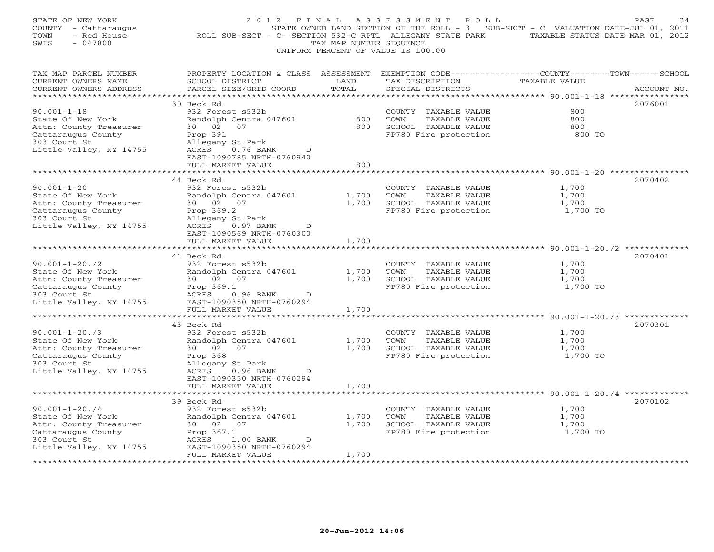| STATE OF NEW YORK<br>COUNTY - Cattaraugus<br>- Red House<br>TOWN<br>SWIS<br>$-047800$ | 2 0 1 2<br>FINAL<br>ROLL SUB-SECT - C- SECTION 532-C RPTL ALLEGANY STATE PARK                                                                | TAX MAP NUMBER SEQUENCE | ASSESSMENT<br>R O L L<br>STATE OWNED LAND SECTION OF THE ROLL - $3$ SUB-SECT - C VALUATION DATE-JUL 01, 2011<br>UNIFORM PERCENT OF VALUE IS 100.00 | TAXABLE STATUS DATE-MAR 01, 2012                             | PAGE<br>34  |
|---------------------------------------------------------------------------------------|----------------------------------------------------------------------------------------------------------------------------------------------|-------------------------|----------------------------------------------------------------------------------------------------------------------------------------------------|--------------------------------------------------------------|-------------|
| TAX MAP PARCEL NUMBER<br>CURRENT OWNERS NAME<br>CURRENT OWNERS ADDRESS                | PROPERTY LOCATION & CLASS ASSESSMENT EXEMPTION CODE---------------COUNTY-------TOWN------SCHOOL<br>SCHOOL DISTRICT<br>PARCEL SIZE/GRID COORD | LAND<br>TOTAL           | TAX DESCRIPTION<br>SPECIAL DISTRICTS                                                                                                               | <b>TAXABLE VALUE</b><br>********* 90.001-1-18 ************** | ACCOUNT NO. |
|                                                                                       | 30 Beck Rd                                                                                                                                   |                         |                                                                                                                                                    |                                                              | 2076001     |
| $90.001 - 1 - 18$                                                                     | 932 Forest s532b                                                                                                                             |                         | COUNTY TAXABLE VALUE                                                                                                                               | 800                                                          |             |
| State Of New York                                                                     | Randolph Centra 047601                                                                                                                       | 800                     | TOWN<br>TAXABLE VALUE                                                                                                                              | 800                                                          |             |
| Attn: County Treasurer<br>Cattaraugus County                                          | 30 02<br>07                                                                                                                                  | 800                     | SCHOOL TAXABLE VALUE                                                                                                                               | 800<br>800 TO                                                |             |
| 303 Court St                                                                          | Prop 391<br>Allegany St Park                                                                                                                 |                         | FP780 Fire protection                                                                                                                              |                                                              |             |
| Little Valley, NY 14755                                                               | ACRES<br>$0.76$ BANK<br>D<br>EAST-1090785 NRTH-0760940                                                                                       |                         |                                                                                                                                                    |                                                              |             |
|                                                                                       | FULL MARKET VALUE<br>* * * * * * * * * * * * *                                                                                               | 800<br>*******          |                                                                                                                                                    | ****************************** 90.001-1-20 **************    |             |
|                                                                                       | 44 Beck Rd                                                                                                                                   |                         |                                                                                                                                                    |                                                              | 2070402     |
| $90.001 - 1 - 20$                                                                     | 932 Forest s532b                                                                                                                             |                         | COUNTY TAXABLE VALUE                                                                                                                               | 1,700                                                        |             |
| State Of New York                                                                     | Randolph Centra 047601                                                                                                                       | 1,700                   | TOWN<br>TAXABLE VALUE                                                                                                                              | 1,700                                                        |             |
| Attn: County Treasurer                                                                | 30 02<br>07                                                                                                                                  | 1,700                   | SCHOOL TAXABLE VALUE                                                                                                                               | 1,700                                                        |             |
| Cattaraugus County<br>303 Court St                                                    | Prop 369.2<br>Allegany St Park                                                                                                               |                         | FP780 Fire protection                                                                                                                              | 1,700 TO                                                     |             |
| Little Valley, NY 14755                                                               | ACRES<br>$0.97$ BANK<br>D                                                                                                                    |                         |                                                                                                                                                    |                                                              |             |
|                                                                                       | EAST-1090569 NRTH-0760300                                                                                                                    |                         |                                                                                                                                                    |                                                              |             |
|                                                                                       | FULL MARKET VALUE<br>*****************                                                                                                       | 1,700<br>*******        |                                                                                                                                                    |                                                              |             |
|                                                                                       | 41 Beck Rd                                                                                                                                   |                         |                                                                                                                                                    | ************* 90.001-1-20./2 ***********                     | 2070401     |
| $90.001 - 1 - 20.72$                                                                  | 932 Forest s532b                                                                                                                             |                         | COUNTY TAXABLE VALUE                                                                                                                               | 1,700                                                        |             |
| State Of New York                                                                     | Randolph Centra 047601                                                                                                                       | 1,700                   | TOWN<br>TAXABLE VALUE                                                                                                                              | 1,700                                                        |             |
| Attn: County Treasurer                                                                | 30 02 07                                                                                                                                     | 1,700                   | SCHOOL TAXABLE VALUE                                                                                                                               | 1,700                                                        |             |
| Cattaraugus County                                                                    | Prop 369.1                                                                                                                                   |                         | FP780 Fire protection                                                                                                                              | 1,700 TO                                                     |             |
| 303 Court St<br>Little Valley, NY 14755                                               | ACRES<br>0.96 BANK<br>D<br>EAST-1090350 NRTH-0760294                                                                                         |                         |                                                                                                                                                    |                                                              |             |
|                                                                                       | FULL MARKET VALUE                                                                                                                            | 1,700                   |                                                                                                                                                    |                                                              |             |
|                                                                                       | *****************************                                                                                                                |                         |                                                                                                                                                    |                                                              |             |
|                                                                                       | 43 Beck Rd                                                                                                                                   |                         |                                                                                                                                                    |                                                              | 2070301     |
| $90.001 - 1 - 20.73$                                                                  | 932 Forest s532b                                                                                                                             |                         | COUNTY TAXABLE VALUE                                                                                                                               | 1,700                                                        |             |
| State Of New York<br>Attn: County Treasurer                                           | Randolph Centra 047601<br>30 02<br>07                                                                                                        | 1,700<br>1,700          | TOWN<br>TAXABLE VALUE<br>SCHOOL TAXABLE VALUE                                                                                                      | 1,700<br>1,700                                               |             |
| Cattaraugus County                                                                    | Prop 368                                                                                                                                     |                         | FP780 Fire protection                                                                                                                              | 1,700 TO                                                     |             |
| 303 Court St                                                                          | Allegany St Park                                                                                                                             |                         |                                                                                                                                                    |                                                              |             |
| Little Valley, NY 14755                                                               | ACRES<br>$0.96$ BANK<br>D                                                                                                                    |                         |                                                                                                                                                    |                                                              |             |
|                                                                                       | EAST-1090350 NRTH-0760294                                                                                                                    |                         |                                                                                                                                                    |                                                              |             |
|                                                                                       | FULL MARKET VALUE                                                                                                                            | 1,700<br>*******        |                                                                                                                                                    |                                                              |             |
|                                                                                       | 39 Beck Rd                                                                                                                                   |                         |                                                                                                                                                    |                                                              | 2070102     |
| $90.001 - 1 - 20.74$                                                                  | 932 Forest s532b                                                                                                                             |                         | COUNTY TAXABLE VALUE                                                                                                                               | 1,700                                                        |             |
| State Of New York                                                                     | Randolph Centra 047601                                                                                                                       | 1,700                   | TOWN<br>TAXABLE VALUE                                                                                                                              | 1,700                                                        |             |
| Attn: County Treasurer                                                                | 30 02 07                                                                                                                                     | 1,700                   | SCHOOL TAXABLE VALUE                                                                                                                               | 1,700                                                        |             |
| Cattaraugus County<br>303 Court St                                                    | Prop 367.1<br>ACRES<br>$1.00$ BANK<br>D                                                                                                      |                         | FP780 Fire protection                                                                                                                              | 1,700 TO                                                     |             |
| Little Valley, NY 14755                                                               | EAST-1090350 NRTH-0760294                                                                                                                    |                         |                                                                                                                                                    |                                                              |             |
|                                                                                       | FULL MARKET VALUE                                                                                                                            | 1,700                   |                                                                                                                                                    |                                                              |             |
|                                                                                       |                                                                                                                                              |                         |                                                                                                                                                    |                                                              |             |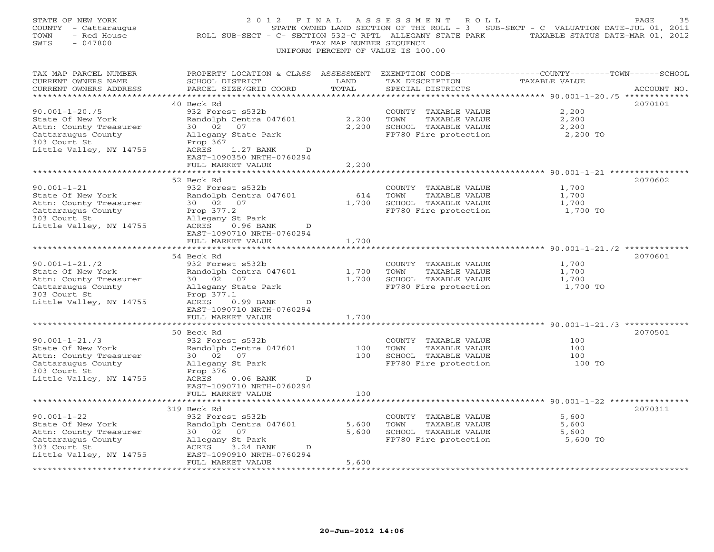| STATE OF NEW YORK<br>COUNTY - Cattaraugus<br>- Red House<br>TOWN<br>SWIS<br>$-047800$ | 2012 FINAL<br>ROLL SUB-SECT - C- SECTION 532-C RPTL ALLEGANY STATE PARK TAXABLE STATUS DATE-MAR 01, 2012                                     | TAX MAP NUMBER SEQUENCE | ASSESSMENT ROLL<br>UNIFORM PERCENT OF VALUE IS 100.00 | STATE OWNED LAND SECTION OF THE ROLL - 3 SUB-SECT - C VALUATION DATE-JUL 01, 2011 | PAGE<br>35  |
|---------------------------------------------------------------------------------------|----------------------------------------------------------------------------------------------------------------------------------------------|-------------------------|-------------------------------------------------------|-----------------------------------------------------------------------------------|-------------|
| TAX MAP PARCEL NUMBER<br>CURRENT OWNERS NAME<br>CURRENT OWNERS ADDRESS                | PROPERTY LOCATION & CLASS ASSESSMENT EXEMPTION CODE---------------COUNTY-------TOWN------SCHOOL<br>SCHOOL DISTRICT<br>PARCEL SIZE/GRID COORD | LAND<br>TOTAL           | TAX DESCRIPTION<br>SPECIAL DISTRICTS                  | TAXABLE VALUE                                                                     | ACCOUNT NO. |
|                                                                                       |                                                                                                                                              |                         |                                                       |                                                                                   |             |
| $90.001 - 1 - 20.75$                                                                  | 40 Beck Rd<br>932 Forest s532b                                                                                                               |                         | COUNTY TAXABLE VALUE                                  | 2,200                                                                             | 2070101     |
| State Of New York                                                                     | Randolph Centra 047601                                                                                                                       | 2,200                   | TOWN<br>TAXABLE VALUE                                 | 2,200                                                                             |             |
| Attn: County Treasurer                                                                | 30 02<br>07                                                                                                                                  | 2,200                   | SCHOOL TAXABLE VALUE                                  | 2,200                                                                             |             |
| Cattaraugus County                                                                    | Allegany State Park                                                                                                                          |                         | FP780 Fire protection                                 | 2,200 TO                                                                          |             |
| 303 Court St<br>Little Valley, NY 14755                                               | Prop 367<br>ACRES<br>1.27 BANK<br>D<br>EAST-1090350 NRTH-0760294                                                                             |                         |                                                       |                                                                                   |             |
|                                                                                       | FULL MARKET VALUE<br>*********************                                                                                                   | 2,200<br>* * * * * * *  |                                                       |                                                                                   |             |
|                                                                                       | 52 Beck Rd                                                                                                                                   |                         |                                                       |                                                                                   | 2070602     |
| $90.001 - 1 - 21$                                                                     | 932 Forest s532b                                                                                                                             |                         | COUNTY TAXABLE VALUE                                  | 1,700                                                                             |             |
| State Of New York                                                                     | Randolph Centra 047601                                                                                                                       | 614                     | TOWN<br>TAXABLE VALUE                                 | 1,700                                                                             |             |
| Attn: County Treasurer                                                                | 30 02 07                                                                                                                                     | 1,700                   | SCHOOL TAXABLE VALUE                                  | 1,700                                                                             |             |
| Cattaraugus County<br>303 Court St                                                    | Prop 377.2<br>Allegany St Park                                                                                                               |                         | FP780 Fire protection                                 | 1,700 TO                                                                          |             |
| Little Valley, NY 14755                                                               | ACRES<br>$0.96$ BANK<br>D                                                                                                                    |                         |                                                       |                                                                                   |             |
|                                                                                       | EAST-1090710 NRTH-0760294                                                                                                                    |                         |                                                       |                                                                                   |             |
|                                                                                       | FULL MARKET VALUE                                                                                                                            | 1,700                   |                                                       |                                                                                   |             |
|                                                                                       | **********************<br>54 Beck Rd                                                                                                         |                         |                                                       |                                                                                   | 2070601     |
| $90.001 - 1 - 21.72$                                                                  | 932 Forest s532b                                                                                                                             |                         | COUNTY TAXABLE VALUE                                  | 1,700                                                                             |             |
| State Of New York                                                                     | Randolph Centra 047601                                                                                                                       | 1,700                   | TOWN<br>TAXABLE VALUE                                 | 1,700                                                                             |             |
| Attn: County Treasurer                                                                | 30 02<br>07                                                                                                                                  | 1,700                   | SCHOOL TAXABLE VALUE                                  | 1,700                                                                             |             |
| Cattaraugus County<br>303 Court St                                                    | Allegany State Park                                                                                                                          |                         | FP780 Fire protection                                 | 1,700 TO                                                                          |             |
| Little Valley, NY 14755                                                               | Prop 377.1<br>ACRES<br>$0.99$ BANK<br>D                                                                                                      |                         |                                                       |                                                                                   |             |
|                                                                                       | EAST-1090710 NRTH-0760294                                                                                                                    |                         |                                                       |                                                                                   |             |
|                                                                                       | FULL MARKET VALUE                                                                                                                            | 1,700                   |                                                       |                                                                                   |             |
|                                                                                       | 50 Beck Rd                                                                                                                                   |                         |                                                       |                                                                                   | 2070501     |
| $90.001 - 1 - 21.73$                                                                  | 932 Forest s532b                                                                                                                             |                         | COUNTY TAXABLE VALUE                                  | 100                                                                               |             |
| State Of New York                                                                     | Randolph Centra 047601                                                                                                                       | 100                     | TOWN<br>TAXABLE VALUE                                 | 100                                                                               |             |
| Attn: County Treasurer                                                                | 30 02<br>07                                                                                                                                  | 100                     | SCHOOL TAXABLE VALUE                                  | 100                                                                               |             |
| Cattaraugus County                                                                    | Allegany St Park                                                                                                                             |                         | FP780 Fire protection                                 | 100 TO                                                                            |             |
| 303 Court St                                                                          | Prop 376<br>ACRES<br>D                                                                                                                       |                         |                                                       |                                                                                   |             |
| Little Valley, NY 14755                                                               | $0.06$ BANK<br>EAST-1090710 NRTH-0760294                                                                                                     |                         |                                                       |                                                                                   |             |
|                                                                                       | FULL MARKET VALUE                                                                                                                            | 100                     |                                                       |                                                                                   |             |
|                                                                                       |                                                                                                                                              |                         |                                                       |                                                                                   |             |
| $90.001 - 1 - 22$                                                                     | 319 Beck Rd<br>932 Forest s532b                                                                                                              |                         |                                                       | 5,600                                                                             | 2070311     |
| State Of New York                                                                     | Randolph Centra 047601                                                                                                                       | 5,600                   | COUNTY TAXABLE VALUE<br>TOWN<br>TAXABLE VALUE         | 5,600                                                                             |             |
| Attn: County Treasurer                                                                | 30 02<br>07                                                                                                                                  | 5,600                   | SCHOOL TAXABLE VALUE                                  | 5,600                                                                             |             |
| Cattaraugus County                                                                    | Allegany St Park                                                                                                                             |                         | FP780 Fire protection                                 | 5,600 TO                                                                          |             |
| 303 Court St                                                                          | ACRES<br>3.24 BANK<br>D                                                                                                                      |                         |                                                       |                                                                                   |             |
| Little Valley, NY 14755                                                               | EAST-1090910 NRTH-0760294<br>FULL MARKET VALUE                                                                                               | 5,600                   |                                                       |                                                                                   |             |
| **********                                                                            |                                                                                                                                              | ***********             |                                                       |                                                                                   |             |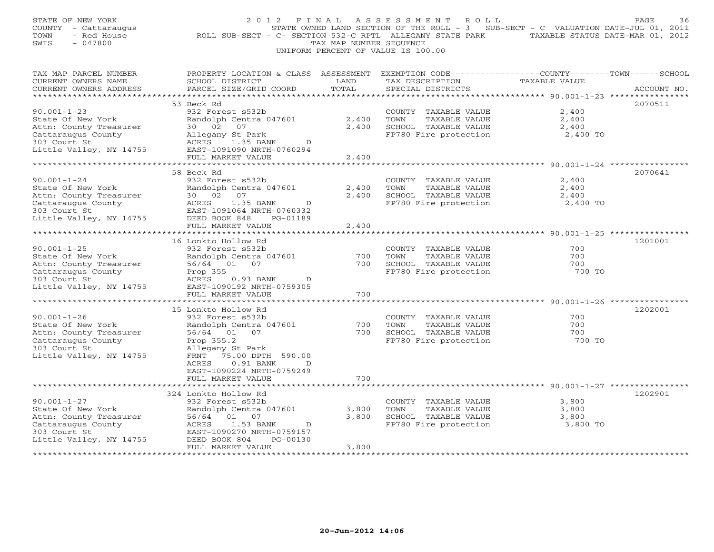| STATE OF NEW YORK<br>COUNTY - Cattaraugus<br>TOWN<br>- Red House<br>$-047800$<br>SWIS | 2012 FINAL<br>ROLL SUB-SECT - C- SECTION 532-C RPTL ALLEGANY STATE PARK TAXABLE STATUS DATE-MAR 01, 2012                                      | TAX MAP NUMBER SEQUENCE | ASSESSMENT<br>ROLL<br>STATE OWNED LAND SECTION OF THE ROLL - 3<br>UNIFORM PERCENT OF VALUE IS 100.00 | SUB-SECT - C VALUATION DATE-JUL 01, 2011            | PAGE<br>36  |
|---------------------------------------------------------------------------------------|-----------------------------------------------------------------------------------------------------------------------------------------------|-------------------------|------------------------------------------------------------------------------------------------------|-----------------------------------------------------|-------------|
| TAX MAP PARCEL NUMBER<br>CURRENT OWNERS NAME<br>CURRENT OWNERS ADDRESS                | PROPERTY LOCATION & CLASS ASSESSMENT EXEMPTION CODE----------------COUNTY-------TOWN------SCHOOL<br>SCHOOL DISTRICT<br>PARCEL SIZE/GRID COORD | LAND<br>TOTAL           | TAX DESCRIPTION<br>SPECIAL DISTRICTS                                                                 | TAXABLE VALUE                                       | ACCOUNT NO. |
|                                                                                       |                                                                                                                                               |                         |                                                                                                      |                                                     |             |
| $90.001 - 1 - 23$                                                                     | 53 Beck Rd<br>932 Forest s532b                                                                                                                |                         | COUNTY TAXABLE VALUE                                                                                 | 2,400                                               | 2070511     |
| State Of New York                                                                     | Randolph Centra 047601                                                                                                                        | 2,400                   | TOWN<br>TAXABLE VALUE                                                                                | 2,400                                               |             |
| Attn: County Treasurer                                                                | 30 02<br>07                                                                                                                                   | 2,400                   | SCHOOL TAXABLE VALUE                                                                                 | 2,400                                               |             |
| Cattaraugus County                                                                    | Allegany St Park                                                                                                                              |                         | FP780 Fire protection                                                                                | 2,400 TO                                            |             |
| 303 Court St                                                                          | ACRES<br>1.35 BANK<br>D                                                                                                                       |                         |                                                                                                      |                                                     |             |
| Little Valley, NY 14755                                                               | EAST-1091090 NRTH-0760294<br>FULL MARKET VALUE                                                                                                | 2,400                   |                                                                                                      |                                                     |             |
|                                                                                       |                                                                                                                                               | * * * * * * * * * *     |                                                                                                      | ********************* 90.001-1-24 ***************** |             |
|                                                                                       | 58 Beck Rd                                                                                                                                    |                         |                                                                                                      |                                                     | 2070641     |
| $90.001 - 1 - 24$                                                                     | 932 Forest s532b                                                                                                                              |                         | COUNTY TAXABLE VALUE                                                                                 | 2,400                                               |             |
| State Of New York                                                                     | Randolph Centra 047601                                                                                                                        | 2,400                   | TOWN<br>TAXABLE VALUE                                                                                | 2,400                                               |             |
| Attn: County Treasurer                                                                | 30 02<br>07<br>ACRES<br>1.35 BANK<br>D                                                                                                        | 2,400                   | SCHOOL TAXABLE VALUE                                                                                 | 2,400                                               |             |
| Cattaraugus County<br>303 Court St                                                    | EAST-1091064 NRTH-0760332                                                                                                                     |                         | FP780 Fire protection                                                                                | 2,400 TO                                            |             |
| Little Valley, NY 14755                                                               | DEED BOOK 848<br>PG-01189                                                                                                                     |                         |                                                                                                      |                                                     |             |
|                                                                                       | FULL MARKET VALUE                                                                                                                             | 2,400                   |                                                                                                      |                                                     |             |
|                                                                                       |                                                                                                                                               |                         |                                                                                                      |                                                     |             |
|                                                                                       | 16 Lonkto Hollow Rd                                                                                                                           |                         |                                                                                                      |                                                     | 1201001     |
| $90.001 - 1 - 25$                                                                     | 932 Forest s532b                                                                                                                              |                         | COUNTY TAXABLE VALUE                                                                                 | 700                                                 |             |
| State Of New York                                                                     | Randolph Centra 047601                                                                                                                        | 700                     | TAXABLE VALUE<br>TOWN                                                                                | 700                                                 |             |
| Attn: County Treasurer                                                                | 56/64<br>01 07                                                                                                                                | 700                     | SCHOOL TAXABLE VALUE                                                                                 | 700                                                 |             |
| Cattaraugus County<br>303 Court St                                                    | Prop 355<br>ACRES<br>0.93 BANK<br>D                                                                                                           |                         | FP780 Fire protection                                                                                | 700 TO                                              |             |
| Little Valley, NY 14755                                                               | EAST-1090192 NRTH-0759305                                                                                                                     |                         |                                                                                                      |                                                     |             |
|                                                                                       | FULL MARKET VALUE                                                                                                                             | 700                     |                                                                                                      |                                                     |             |
|                                                                                       | *******************                                                                                                                           |                         |                                                                                                      | ****************** 90.001-1-26 ***********          |             |
|                                                                                       | 15 Lonkto Hollow Rd                                                                                                                           |                         |                                                                                                      |                                                     | 1202001     |
| $90.001 - 1 - 26$                                                                     | 932 Forest s532b                                                                                                                              |                         | COUNTY TAXABLE VALUE                                                                                 | 700                                                 |             |
| State Of New York                                                                     | Randolph Centra 047601                                                                                                                        | 700                     | TOWN<br>TAXABLE VALUE                                                                                | 700                                                 |             |
| Attn: County Treasurer                                                                | 56/64 01 07                                                                                                                                   | 700                     | SCHOOL TAXABLE VALUE                                                                                 | 700                                                 |             |
| Cattaraugus County                                                                    | Prop 355.2                                                                                                                                    |                         | FP780 Fire protection                                                                                | 700 TO                                              |             |
| 303 Court St<br>Little Valley, NY 14755                                               | Allegany St Park<br>FRNT<br>75.00 DPTH 590.00                                                                                                 |                         |                                                                                                      |                                                     |             |
|                                                                                       | ACRES<br>0.91 BANK                                                                                                                            |                         |                                                                                                      |                                                     |             |
|                                                                                       | EAST-1090224 NRTH-0759249                                                                                                                     |                         |                                                                                                      |                                                     |             |
|                                                                                       | FULL MARKET VALUE                                                                                                                             | 700                     |                                                                                                      |                                                     |             |
|                                                                                       | ******************                                                                                                                            | ********                |                                                                                                      | ********************** 90.001-1-27 **************** |             |
|                                                                                       | 324 Lonkto Hollow Rd                                                                                                                          |                         |                                                                                                      |                                                     | 1202901     |
| $90.001 - 1 - 27$                                                                     | 932 Forest s532b                                                                                                                              |                         | COUNTY TAXABLE VALUE                                                                                 | 3,800                                               |             |
| State Of New York                                                                     | Randolph Centra 047601                                                                                                                        | 3,800                   | TOWN<br>TAXABLE VALUE                                                                                | 3,800                                               |             |
| Attn: County Treasurer                                                                | 56/64<br>01<br>07<br>1.53 BANK<br>ACRES<br>D                                                                                                  | 3,800                   | SCHOOL TAXABLE VALUE<br>FP780 Fire protection                                                        | 3,800<br>3,800 TO                                   |             |
| Cattaraugus County<br>303 Court St                                                    | EAST-1090270 NRTH-0759157                                                                                                                     |                         |                                                                                                      |                                                     |             |
| Little Valley, NY 14755                                                               | DEED BOOK 804<br>PG-00130                                                                                                                     |                         |                                                                                                      |                                                     |             |
|                                                                                       | FULL MARKET VALUE                                                                                                                             | 3,800                   |                                                                                                      |                                                     |             |
|                                                                                       |                                                                                                                                               |                         |                                                                                                      |                                                     |             |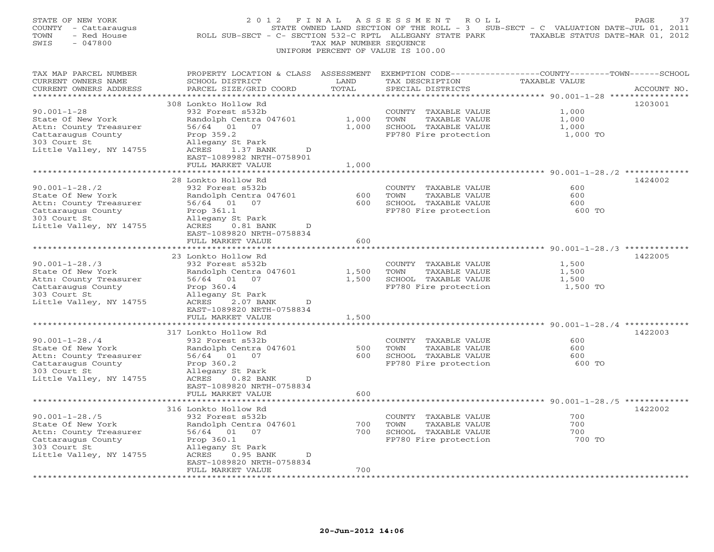| STATE OF NEW YORK<br>COUNTY - Cattaraugus<br>TOWN<br>- Red House<br>SWIS<br>$-047800$ | 2 0 1 2<br>ROLL SUB-SECT - C- SECTION 532-C RPTL ALLEGANY STATE PARK | FINAL<br>TAX MAP NUMBER SEQUENCE | ASSESSMENT<br>ROLL<br>STATE OWNED LAND SECTION OF THE ROLL - 3 | SUB-SECT - C VALUATION DATE-JUL 01, 2011<br>TAXABLE STATUS DATE-MAR 01, 2012 | PAGE<br>37  |
|---------------------------------------------------------------------------------------|----------------------------------------------------------------------|----------------------------------|----------------------------------------------------------------|------------------------------------------------------------------------------|-------------|
|                                                                                       |                                                                      |                                  | UNIFORM PERCENT OF VALUE IS 100.00                             |                                                                              |             |
| TAX MAP PARCEL NUMBER                                                                 | PROPERTY LOCATION & CLASS ASSESSMENT                                 |                                  | EXEMPTION CODE-----------------COUNTY-------TOWN------SCHOOL   |                                                                              |             |
| CURRENT OWNERS NAME<br>CURRENT OWNERS ADDRESS                                         | SCHOOL DISTRICT<br>PARCEL SIZE/GRID COORD                            | LAND<br>TOTAL                    | TAX DESCRIPTION<br>SPECIAL DISTRICTS                           | <b>TAXABLE VALUE</b>                                                         | ACCOUNT NO. |
|                                                                                       | 308 Lonkto Hollow Rd                                                 | *****                            |                                                                | ******* 90.001-1-28 **                                                       | 1203001     |
| $90.001 - 1 - 28$                                                                     | 932 Forest s532b                                                     |                                  | COUNTY<br>TAXABLE VALUE                                        | 1,000                                                                        |             |
| State Of New York                                                                     | Randolph Centra 047601                                               | 1,000                            | TOWN<br>TAXABLE VALUE                                          | 1,000                                                                        |             |
| Attn: County Treasurer                                                                | 56/64<br>01<br>07                                                    | 1,000                            | SCHOOL TAXABLE VALUE                                           | 1,000                                                                        |             |
| Cattaraugus County                                                                    | Prop 359.2                                                           |                                  | FP780 Fire protection                                          | 1,000 TO                                                                     |             |
| 303 Court St                                                                          | Allegany St Park                                                     |                                  |                                                                |                                                                              |             |
| Little Valley, NY 14755                                                               | ACRES<br>1.37 BANK<br>D                                              |                                  |                                                                |                                                                              |             |
|                                                                                       | EAST-1089982 NRTH-0758901<br>FULL MARKET VALUE                       | 1,000                            |                                                                |                                                                              |             |
|                                                                                       | ******************                                                   |                                  |                                                                | ********************** 90.001-1-28./2 ***********                            |             |
|                                                                                       | 28 Lonkto Hollow Rd                                                  |                                  |                                                                |                                                                              | 1424002     |
| $90.001 - 1 - 28.72$                                                                  | 932 Forest s532b                                                     |                                  | COUNTY<br>TAXABLE VALUE                                        | 600                                                                          |             |
| State Of New York                                                                     | Randolph Centra 047601                                               | 600                              | TOWN<br>TAXABLE VALUE                                          | 600                                                                          |             |
| Attn: County Treasurer                                                                | 56/64 01 07                                                          | 600                              | SCHOOL TAXABLE VALUE                                           | 600                                                                          |             |
| Cattaraugus County                                                                    | Prop 361.1                                                           |                                  | FP780 Fire protection                                          | 600 TO                                                                       |             |
| 303 Court St                                                                          | Allegany St Park                                                     |                                  |                                                                |                                                                              |             |
| Little Valley, NY 14755                                                               | ACRES<br>$0.81$ BANK<br>D                                            |                                  |                                                                |                                                                              |             |
|                                                                                       | EAST-1089820 NRTH-0758834<br>FULL MARKET VALUE                       | 600                              |                                                                |                                                                              |             |
|                                                                                       |                                                                      | * * * * * * * * *                |                                                                | **************** 90.001-1-28./3 **********                                   |             |
|                                                                                       | 23 Lonkto Hollow Rd                                                  |                                  |                                                                |                                                                              | 1422005     |
| $90.001 - 1 - 28.73$                                                                  | 932 Forest s532b                                                     |                                  | COUNTY<br>TAXABLE VALUE                                        | 1,500                                                                        |             |
| State Of New York                                                                     | Randolph Centra 047601                                               | 1,500                            | TOWN<br>TAXABLE VALUE                                          | 1,500                                                                        |             |
| Attn: County Treasurer                                                                | 56/64 01 07                                                          | 1,500                            | SCHOOL TAXABLE VALUE                                           | 1,500                                                                        |             |
| Cattaraugus County                                                                    | Prop 360.4                                                           |                                  | FP780 Fire protection                                          | 1,500 TO                                                                     |             |
| 303 Court St                                                                          | Allegany St Park<br>ACRES<br>2.07 BANK<br>D                          |                                  |                                                                |                                                                              |             |
| Little Valley, NY 14755                                                               | EAST-1089820 NRTH-0758834                                            |                                  |                                                                |                                                                              |             |
|                                                                                       | FULL MARKET VALUE                                                    | 1,500                            |                                                                |                                                                              |             |
|                                                                                       |                                                                      |                                  |                                                                | ************************************** 90.001-1-28./4 **************         |             |
|                                                                                       | 317 Lonkto Hollow Rd                                                 |                                  |                                                                |                                                                              | 1422003     |
| $90.001 - 1 - 28.74$                                                                  | 932 Forest s532b                                                     |                                  | <b>COUNTY</b><br>TAXABLE VALUE                                 | 600                                                                          |             |
| State Of New York                                                                     | Randolph Centra 047601                                               | 500                              | TOWN<br>TAXABLE VALUE                                          | 600                                                                          |             |
| Attn: County Treasurer                                                                | 56/64 01 07                                                          | 600                              | SCHOOL TAXABLE VALUE                                           | 600                                                                          |             |
| Cattaraugus County<br>303 Court St                                                    | Prop 360.2                                                           |                                  | FP780 Fire protection                                          | 600 TO                                                                       |             |
| Little Valley, NY 14755                                                               | Allegany St Park<br>ACRES<br>$0.82$ BANK<br>D                        |                                  |                                                                |                                                                              |             |
|                                                                                       | EAST-1089820 NRTH-0758834                                            |                                  |                                                                |                                                                              |             |
|                                                                                       | FULL MARKET VALUE                                                    | 600                              |                                                                |                                                                              |             |
|                                                                                       |                                                                      | *********                        |                                                                | ******************************** 90.001-1-28./5 *************                |             |
|                                                                                       | 316 Lonkto Hollow Rd                                                 |                                  |                                                                |                                                                              | 1422002     |
| $90.001 - 1 - 28.75$                                                                  | 932 Forest s532b                                                     |                                  | COUNTY<br>TAXABLE VALUE                                        | 700                                                                          |             |
| State Of New York                                                                     | Randolph Centra 047601                                               | 700                              | TOWN<br>TAXABLE VALUE                                          | 700                                                                          |             |
| Attn: County Treasurer                                                                | 56/64 01 07                                                          | 700                              | SCHOOL TAXABLE VALUE                                           | 700                                                                          |             |
| Cattaraugus County<br>303 Court St                                                    | Prop 360.1<br>Allegany St Park                                       |                                  | FP780 Fire protection                                          | 700 TO                                                                       |             |
| Little Valley, NY 14755                                                               | ACRES<br>0.95 BANK<br>D                                              |                                  |                                                                |                                                                              |             |
|                                                                                       | EAST-1089820 NRTH-0758834                                            |                                  |                                                                |                                                                              |             |
|                                                                                       | FULL MARKET VALUE                                                    | 700                              |                                                                |                                                                              |             |
|                                                                                       | * * * * * * * * * * * * * * * * * * *                                |                                  |                                                                |                                                                              |             |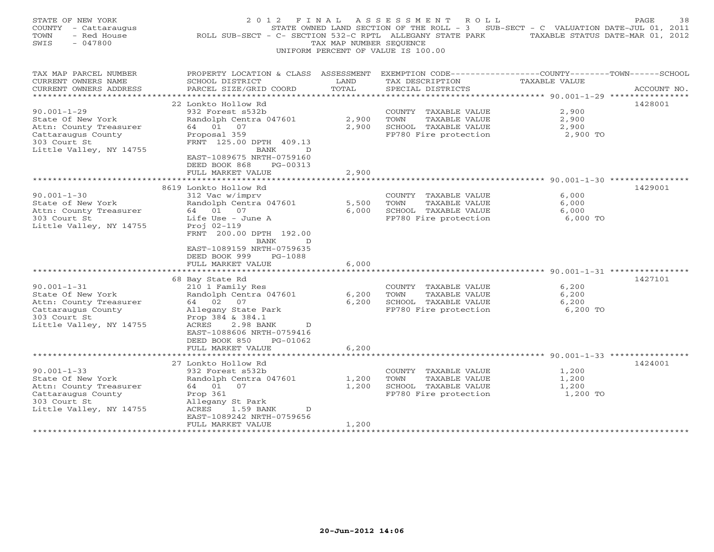| STATE OF NEW YORK<br>COUNTY - Cattaraugus<br>- Red House<br>TOWN<br>$-047800$<br>SWIS                                             | 2 0 1 2<br>F I N A L<br>ROLL SUB-SECT - C- SECTION 532-C RPTL ALLEGANY STATE PARK TAXABLE STATUS DATE-MAR 01, 2012                                                                              | TAX MAP NUMBER SEOUENCE            | ASSESSMENT ROLL<br>STATE OWNED LAND SECTION OF THE ROLL - 3 SUB-SECT - C VALUATION DATE-JUL 01, 2011<br>UNIFORM PERCENT OF VALUE IS 100.00 |                                                   | PAGE<br>38  |
|-----------------------------------------------------------------------------------------------------------------------------------|-------------------------------------------------------------------------------------------------------------------------------------------------------------------------------------------------|------------------------------------|--------------------------------------------------------------------------------------------------------------------------------------------|---------------------------------------------------|-------------|
| TAX MAP PARCEL NUMBER<br>CURRENT OWNERS NAME<br>CURRENT OWNERS ADDRESS<br>**********************                                  | PROPERTY LOCATION & CLASS ASSESSMENT EXEMPTION CODE---------------COUNTY-------TOWN-----SCHOOL<br>SCHOOL DISTRICT<br>PARCEL SIZE/GRID COORD                                                     | LAND<br>TOTAL                      | TAX DESCRIPTION<br>SPECIAL DISTRICTS                                                                                                       | TAXABLE VALUE                                     | ACCOUNT NO. |
| $90.001 - 1 - 29$<br>State Of New York<br>Attn: County Treasurer<br>Cattaraugus County<br>303 Court St<br>Little Valley, NY 14755 | 22 Lonkto Hollow Rd<br>932 Forest s532b<br>Randolph Centra 047601<br>64 01 07<br>Proposal 359<br>FRNT 125.00 DPTH 409.13<br>BANK<br>D<br>EAST-1089675 NRTH-0759160<br>DEED BOOK 868<br>PG-00313 | 2,900<br>2,900                     | COUNTY TAXABLE VALUE<br>TOWN<br>TAXABLE VALUE<br>SCHOOL TAXABLE VALUE<br>FP780 Fire protection                                             | 2,900<br>2,900<br>2,900<br>2,900 TO               | 1428001     |
|                                                                                                                                   | FULL MARKET VALUE<br>********************<br>8619 Lonkto Hollow Rd                                                                                                                              | 2,900                              | ********************************* 90.001-1-30 ****************                                                                             |                                                   | 1429001     |
| $90.001 - 1 - 30$<br>State of New York<br>Attn: County Treasurer<br>303 Court St<br>Little Valley, NY 14755                       | 312 Vac w/imprv<br>Randolph Centra 047601<br>64 01 07<br>Life Use - June A<br>Proj 02-119<br>FRNT 200.00 DPTH 192.00<br>BANK<br>D                                                               | 5,500<br>6,000                     | COUNTY TAXABLE VALUE<br>TOWN<br>TAXABLE VALUE<br>SCHOOL TAXABLE VALUE<br>FP780 Fire protection                                             | 6,000<br>6,000<br>6,000<br>6,000 TO               |             |
|                                                                                                                                   | EAST-1089159 NRTH-0759635<br>DEED BOOK 999<br>$PG-1088$<br>FULL MARKET VALUE                                                                                                                    | 6,000                              |                                                                                                                                            |                                                   |             |
|                                                                                                                                   | *****************                                                                                                                                                                               |                                    |                                                                                                                                            |                                                   |             |
| $90.001 - 1 - 31$<br>State Of New York<br>Attn: County Treasurer<br>Cattaraugus County<br>303 Court St<br>Little Valley, NY 14755 | 68 Bay State Rd<br>210 1 Family Res<br>Randolph Centra 047601<br>64 02 07<br>Allegany State Park<br>Prop 384 & 384.1<br>ACRES<br>2.98 BANK<br>D<br>EAST-1088606 NRTH-0759416                    | 6,200<br>6,200                     | COUNTY TAXABLE VALUE<br>TAXABLE VALUE<br>TOWN<br>SCHOOL TAXABLE VALUE<br>FP780 Fire protection                                             | 6,200<br>6,200<br>6,200<br>6,200 TO               | 1427101     |
|                                                                                                                                   | DEED BOOK 850<br>PG-01062<br>FULL MARKET VALUE                                                                                                                                                  | 6,200                              |                                                                                                                                            | ******************** 90.001-1-33 **************** |             |
|                                                                                                                                   | 27 Lonkto Hollow Rd                                                                                                                                                                             |                                    |                                                                                                                                            |                                                   | 1424001     |
| $90.001 - 1 - 33$<br>State Of New York<br>Attn: County Treasurer<br>Cattaraugus County<br>303 Court St<br>Little Valley, NY 14755 | 932 Forest s532b<br>Randolph Centra 047601<br>64 01<br>07<br>Prop 361<br>Allegany St Park<br>ACRES<br>1.59 BANK<br>D                                                                            | 1,200<br>1,200                     | COUNTY TAXABLE VALUE<br>TOWN<br>TAXABLE VALUE<br>SCHOOL TAXABLE VALUE<br>FP780 Fire protection                                             | 1,200<br>1,200<br>1,200<br>1,200 TO               |             |
| ********************                                                                                                              | EAST-1089242 NRTH-0759656<br>FULL MARKET VALUE<br>*********************                                                                                                                         | 1,200<br>· * * * * * * * * * * * * |                                                                                                                                            |                                                   |             |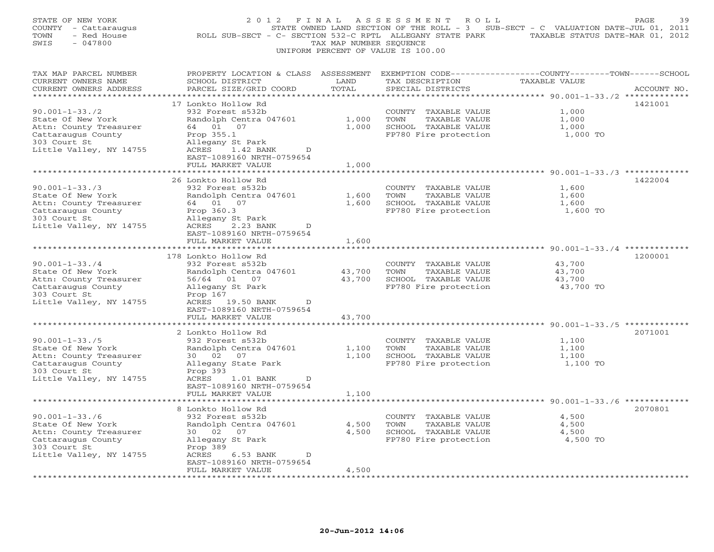| STATE OF NEW YORK<br>COUNTY - Cattaraugus<br>- Red House<br>TOWN<br>$-047800$<br>SWIS | 2 0 1 2<br>ROLL SUB-SECT - C- SECTION 532-C RPTL ALLEGANY STATE PARK              | FINAL<br>TAX MAP NUMBER SEQUENCE | ASSESSMENT<br>ROLL<br>STATE OWNED LAND SECTION OF THE ROLL - 3<br>UNIFORM PERCENT OF VALUE IS 100.00 | SUB-SECT - C VALUATION DATE-JUL 01, 2011<br>TAXABLE STATUS DATE-MAR 01, 2012 | PAGE<br>39  |
|---------------------------------------------------------------------------------------|-----------------------------------------------------------------------------------|----------------------------------|------------------------------------------------------------------------------------------------------|------------------------------------------------------------------------------|-------------|
| TAX MAP PARCEL NUMBER<br>CURRENT OWNERS NAME<br>CURRENT OWNERS ADDRESS                | PROPERTY LOCATION & CLASS ASSESSMENT<br>SCHOOL DISTRICT<br>PARCEL SIZE/GRID COORD | LAND<br>TOTAL                    | EXEMPTION CODE-----------------COUNTY-------TOWN------SCHOOL<br>TAX DESCRIPTION<br>SPECIAL DISTRICTS | TAXABLE VALUE                                                                | ACCOUNT NO. |
|                                                                                       |                                                                                   |                                  |                                                                                                      | ********** 90.001-1-33./2 *************                                      |             |
|                                                                                       | 17 Lonkto Hollow Rd                                                               |                                  |                                                                                                      |                                                                              | 1421001     |
| $90.001 - 1 - 33.72$                                                                  | 932 Forest s532b                                                                  |                                  | COUNTY<br>TAXABLE VALUE                                                                              | 1,000                                                                        |             |
| State Of New York                                                                     | Randolph Centra 047601                                                            | 1,000                            | TOWN<br>TAXABLE VALUE                                                                                | 1,000                                                                        |             |
| Attn: County Treasurer                                                                | 64 01 07                                                                          | 1,000                            | SCHOOL TAXABLE VALUE                                                                                 | 1,000<br>1,000 TO                                                            |             |
| Cattaraugus County<br>303 Court St                                                    | Prop 355.1<br>Allegany St Park                                                    |                                  | FP780 Fire protection                                                                                |                                                                              |             |
| Little Valley, NY 14755                                                               | ACRES<br>1.42 BANK<br>D                                                           |                                  |                                                                                                      |                                                                              |             |
|                                                                                       | EAST-1089160 NRTH-0759654                                                         |                                  |                                                                                                      |                                                                              |             |
|                                                                                       | FULL MARKET VALUE                                                                 | 1,000                            |                                                                                                      |                                                                              |             |
|                                                                                       | *************************                                                         |                                  |                                                                                                      | ******************************** 90.001-1-33./3 *************                |             |
|                                                                                       | 26 Lonkto Hollow Rd                                                               |                                  |                                                                                                      |                                                                              | 1422004     |
| $90.001 - 1 - 33.73$                                                                  | 932 Forest s532b                                                                  |                                  | COUNTY<br>TAXABLE VALUE                                                                              | 1,600                                                                        |             |
| State Of New York                                                                     | Randolph Centra 047601                                                            | 1,600                            | TOWN<br>TAXABLE VALUE                                                                                | 1,600                                                                        |             |
| Attn: County Treasurer                                                                | 64 01 07                                                                          | 1,600                            | SCHOOL TAXABLE VALUE                                                                                 | 1,600                                                                        |             |
| Cattaraugus County<br>303 Court St                                                    | Prop 360.3<br>Allegany St Park                                                    |                                  | FP780 Fire protection                                                                                | 1,600 TO                                                                     |             |
| Little Valley, NY 14755                                                               | 2.23 BANK<br>ACRES<br>D                                                           |                                  |                                                                                                      |                                                                              |             |
|                                                                                       | EAST-1089160 NRTH-0759654                                                         |                                  |                                                                                                      |                                                                              |             |
|                                                                                       | FULL MARKET VALUE                                                                 | 1,600                            |                                                                                                      |                                                                              |             |
| * * * * * * * * * * * * * * * * * *                                                   | * * * * * * * * * * * * * * * * * *                                               |                                  |                                                                                                      | ************************************ 90.001–1–33./4 *************            |             |
|                                                                                       | 178 Lonkto Hollow Rd                                                              |                                  |                                                                                                      |                                                                              | 1200001     |
| $90.001 - 1 - 33.74$                                                                  | 932 Forest s532b                                                                  |                                  | COUNTY TAXABLE VALUE                                                                                 | 43,700                                                                       |             |
| State Of New York                                                                     | Randolph Centra 047601                                                            | 43,700                           | TOWN<br>TAXABLE VALUE                                                                                | 43,700                                                                       |             |
| Attn: County Treasurer                                                                | 56/64 01 07                                                                       | 43,700                           | SCHOOL TAXABLE VALUE                                                                                 | 43,700                                                                       |             |
| Cattaraugus County<br>303 Court St                                                    | Allegany St Park<br>Prop 167                                                      |                                  | FP780 Fire protection                                                                                | 43,700 TO                                                                    |             |
| Little Valley, NY 14755                                                               | ACRES 19.50 BANK<br>D                                                             |                                  |                                                                                                      |                                                                              |             |
|                                                                                       | EAST-1089160 NRTH-0759654                                                         |                                  |                                                                                                      |                                                                              |             |
|                                                                                       | FULL MARKET VALUE                                                                 | 43,700                           |                                                                                                      |                                                                              |             |
|                                                                                       |                                                                                   |                                  |                                                                                                      | ** $90.001 - 1 - 33.75$ *                                                    |             |
|                                                                                       | 2 Lonkto Hollow Rd                                                                |                                  |                                                                                                      |                                                                              | 2071001     |
| $90.001 - 1 - 33.75$                                                                  | 932 Forest s532b                                                                  |                                  | COUNTY TAXABLE VALUE                                                                                 | 1,100                                                                        |             |
| State Of New York                                                                     | Randolph Centra 047601                                                            | 1,100                            | TOWN<br>TAXABLE VALUE                                                                                | 1,100                                                                        |             |
| Attn: County Treasurer                                                                | 02<br>07<br>30                                                                    | 1,100                            | SCHOOL TAXABLE VALUE                                                                                 | 1,100                                                                        |             |
| Cattaraugus County                                                                    | Allegany State Park                                                               |                                  | FP780 Fire protection                                                                                | 1,100 TO                                                                     |             |
| 303 Court St<br>Little Valley, NY 14755                                               | Prop 393<br>ACRES<br>1.01 BANK<br>D                                               |                                  |                                                                                                      |                                                                              |             |
|                                                                                       | EAST-1089160 NRTH-0759654                                                         |                                  |                                                                                                      |                                                                              |             |
|                                                                                       | FULL MARKET VALUE                                                                 | 1,100                            |                                                                                                      |                                                                              |             |
|                                                                                       |                                                                                   |                                  |                                                                                                      |                                                                              |             |
|                                                                                       | 8 Lonkto Hollow Rd                                                                |                                  |                                                                                                      |                                                                              | 2070801     |
| $90.001 - 1 - 33.76$                                                                  | 932 Forest s532b                                                                  |                                  | COUNTY TAXABLE VALUE                                                                                 | 4,500                                                                        |             |
| State Of New York                                                                     | Randolph Centra 047601                                                            | 4,500                            | TOWN<br>TAXABLE VALUE                                                                                | 4,500                                                                        |             |
| Attn: County Treasurer                                                                | 30 02<br>07                                                                       | 4,500                            | SCHOOL TAXABLE VALUE                                                                                 | 4,500                                                                        |             |
| Cattaraugus County                                                                    | Allegany St Park                                                                  |                                  | FP780 Fire protection                                                                                | 4,500 TO                                                                     |             |
| 303 Court St                                                                          | Prop 389<br>D                                                                     |                                  |                                                                                                      |                                                                              |             |
| Little Valley, NY 14755                                                               | ACRES<br>6.53 BANK<br>EAST-1089160 NRTH-0759654                                   |                                  |                                                                                                      |                                                                              |             |
|                                                                                       | FULL MARKET VALUE                                                                 | 4,500                            |                                                                                                      |                                                                              |             |
|                                                                                       |                                                                                   |                                  |                                                                                                      |                                                                              |             |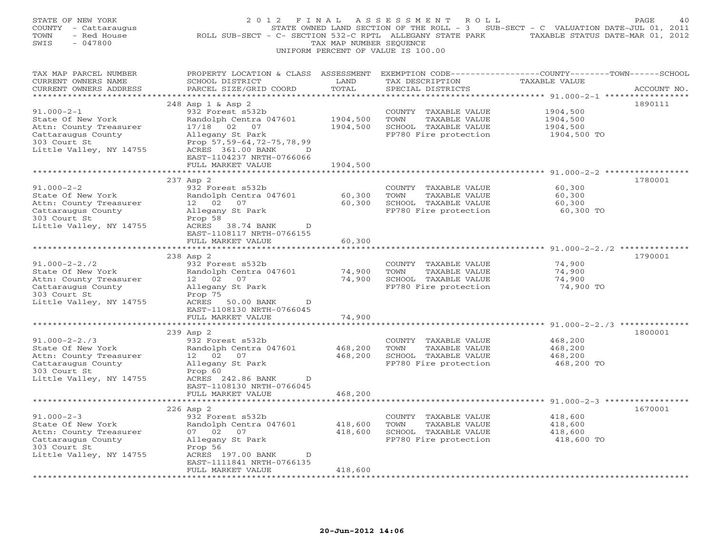| STATE OF NEW YORK<br>COUNTY - Cattaraugus<br>- Red House<br>TOWN<br>SWIS<br>$-047800$                                               | 2012 FINAL<br>ROLL SUB-SECT - C- SECTION 532-C RPTL ALLEGANY STATE PARK                                                                                                                                                               | TAX MAP NUMBER SEQUENCE          | ASSESSMENT<br>R O L L<br>STATE OWNED LAND SECTION OF THE ROLL - 3 SUB-SECT - C VALUATION DATE-JUL 01, 2011<br>UNIFORM PERCENT OF VALUE IS 100.00 | TAXABLE STATUS DATE-MAR 01, 2012                                                     | PAGE<br>40  |
|-------------------------------------------------------------------------------------------------------------------------------------|---------------------------------------------------------------------------------------------------------------------------------------------------------------------------------------------------------------------------------------|----------------------------------|--------------------------------------------------------------------------------------------------------------------------------------------------|--------------------------------------------------------------------------------------|-------------|
| TAX MAP PARCEL NUMBER<br>CURRENT OWNERS NAME<br>CURRENT OWNERS ADDRESS<br>**********************                                    | PROPERTY LOCATION & CLASS ASSESSMENT<br>SCHOOL DISTRICT<br>PARCEL SIZE/GRID COORD                                                                                                                                                     | LAND<br>TOTAL<br>***********     | TAX DESCRIPTION<br>SPECIAL DISTRICTS                                                                                                             | EXEMPTION CODE-----------------COUNTY-------TOWN------SCHOOL<br><b>TAXABLE VALUE</b> | ACCOUNT NO. |
| $91.000 - 2 - 1$<br>State Of New York<br>Attn: County Treasurer<br>Cattaraugus County<br>303 Court St<br>Little Valley, NY 14755    | ***************************<br>248 Asp 1 & Asp 2<br>932 Forest s532b<br>Randolph Centra 047601<br>17/18 02 07<br>Allegany St Park<br>Prop 57,59-64,72-75,78,99<br>ACRES 361.00 BANK<br>EAST-1104237 NRTH-0766066<br>FULL MARKET VALUE | 1904,500<br>1904,500<br>1904,500 | COUNTY TAXABLE VALUE<br>TOWN<br>TAXABLE VALUE<br>SCHOOL TAXABLE VALUE<br>FP780 Fire protection                                                   | 1904,500<br>1904,500<br>1904,500<br>1904,500 TO                                      | 1890111     |
|                                                                                                                                     |                                                                                                                                                                                                                                       |                                  |                                                                                                                                                  | ***** 91.000-2-2 *************                                                       |             |
| $91.000 - 2 - 2$<br>State Of New York<br>Attn: County Treasurer<br>Cattaraugus County<br>303 Court St<br>Little Valley, NY 14755    | 237 Asp 2<br>932 Forest s532b<br>Randolph Centra 047601<br>12 02<br>07<br>Allegany St Park<br>Prop 58<br>ACRES 38.74 BANK<br>D                                                                                                        | 60,300<br>60,300                 | COUNTY TAXABLE VALUE<br>TOWN<br>TAXABLE VALUE<br>SCHOOL TAXABLE VALUE<br>FP780 Fire protection                                                   | 60,300<br>60,300<br>60,300<br>60,300 TO                                              | 1780001     |
|                                                                                                                                     | EAST-1108117 NRTH-0766155<br>FULL MARKET VALUE                                                                                                                                                                                        | 60,300                           |                                                                                                                                                  |                                                                                      |             |
|                                                                                                                                     | ***********************                                                                                                                                                                                                               | ************                     |                                                                                                                                                  | ************************************ 91.000-2-2./2 ***************                   |             |
| $91.000 - 2 - 2.72$<br>State Of New York<br>Attn: County Treasurer<br>Cattaraugus County<br>303 Court St<br>Little Valley, NY 14755 | 238 Asp 2<br>932 Forest s532b<br>Randolph Centra 047601<br>12 02 07<br>Allegany St Park<br>Prop 75<br>ACRES<br>50.00 BANK<br>D<br>EAST-1108130 NRTH-0766045                                                                           | 74,900<br>74,900                 | COUNTY TAXABLE VALUE<br>TOWN<br>TAXABLE VALUE<br>SCHOOL TAXABLE VALUE<br>FP780 Fire protection                                                   | 74,900<br>74,900<br>74,900<br>74,900 TO                                              | 1790001     |
|                                                                                                                                     | FULL MARKET VALUE                                                                                                                                                                                                                     | 74,900                           |                                                                                                                                                  |                                                                                      |             |
| $91.000 - 2 - 2.73$                                                                                                                 | * * * * * *<br>239 Asp 2<br>932 Forest s532b                                                                                                                                                                                          | ********                         | COUNTY TAXABLE VALUE                                                                                                                             | 468,200                                                                              | 1800001     |
| State Of New York<br>Attn: County Treasurer<br>Cattaraugus County<br>303 Court St<br>Little Valley, NY 14755                        | Randolph Centra 047601<br>12 02<br>07<br>Allegany St Park<br>Prop 60<br>ACRES 242.86 BANK<br>D<br>EAST-1108130 NRTH-0766045                                                                                                           | 468,200<br>468,200               | TOWN<br>TAXABLE VALUE<br>SCHOOL TAXABLE VALUE<br>FP780 Fire protection                                                                           | 468,200<br>468,200<br>468,200 TO                                                     |             |
|                                                                                                                                     | FULL MARKET VALUE                                                                                                                                                                                                                     | 468,200                          |                                                                                                                                                  |                                                                                      |             |
|                                                                                                                                     |                                                                                                                                                                                                                                       |                                  |                                                                                                                                                  |                                                                                      |             |
| $91.000 - 2 - 3$<br>State Of New York<br>Attn: County Treasurer<br>Cattaraugus County<br>303 Court St<br>Little Valley, NY 14755    | 226 Asp 2<br>932 Forest s532b<br>Randolph Centra 047601<br>07 02<br>07<br>Allegany St Park<br>Prop 56<br>ACRES 197.00 BANK<br>D                                                                                                       | 418,600<br>418,600               | COUNTY TAXABLE VALUE<br>TOWN<br>TAXABLE VALUE<br>SCHOOL TAXABLE VALUE<br>FP780 Fire protection                                                   | 418,600<br>418,600<br>418,600<br>418,600 TO                                          | 1670001     |
|                                                                                                                                     | EAST-1111841 NRTH-0766135<br>FULL MARKET VALUE                                                                                                                                                                                        | 418,600                          |                                                                                                                                                  |                                                                                      |             |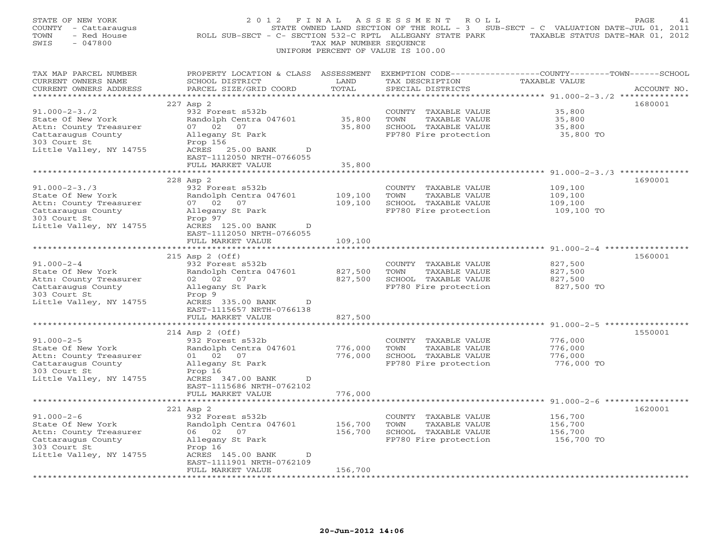| STATE OF NEW YORK<br>COUNTY - Cattaraugus<br>- Red House<br>TOWN<br>SWIS<br>$-047800$ | 2012 FINAL                                                                        | TAX MAP NUMBER SEQUENCE | A S S E S S M E N T<br>R O L L<br>STATE OWNED LAND SECTION OF THE ROLL - 3 SUB-SECT - C VALUATION DATE-JUL 01, 2011<br>ROLL SUB-SECT - C- SECTION 532-C RPTL ALLEGANY STATE PARK TAXABLE STATUS DATE-MAR 01, 2012<br>UNIFORM PERCENT OF VALUE IS 100.00 |                                                                               | PAGE<br>41  |
|---------------------------------------------------------------------------------------|-----------------------------------------------------------------------------------|-------------------------|---------------------------------------------------------------------------------------------------------------------------------------------------------------------------------------------------------------------------------------------------------|-------------------------------------------------------------------------------|-------------|
| TAX MAP PARCEL NUMBER<br>CURRENT OWNERS NAME<br>CURRENT OWNERS ADDRESS                | PROPERTY LOCATION & CLASS ASSESSMENT<br>SCHOOL DISTRICT<br>PARCEL SIZE/GRID COORD | LAND<br>TOTAL           | TAX DESCRIPTION<br>SPECIAL DISTRICTS                                                                                                                                                                                                                    | EXEMPTION CODE-----------------COUNTY-------TOWN------SCHOOL<br>TAXABLE VALUE | ACCOUNT NO. |
| **********************                                                                |                                                                                   |                         |                                                                                                                                                                                                                                                         |                                                                               |             |
|                                                                                       | 227 Asp 2                                                                         |                         |                                                                                                                                                                                                                                                         |                                                                               | 1680001     |
| $91.000 - 2 - 3.72$<br>State Of New York                                              | 932 Forest s532b<br>Randolph Centra 047601                                        | 35,800                  | COUNTY TAXABLE VALUE<br>TOWN<br>TAXABLE VALUE                                                                                                                                                                                                           | 35,800<br>35,800                                                              |             |
| Attn: County Treasurer                                                                | 07 02<br>07                                                                       | 35,800                  | SCHOOL TAXABLE VALUE                                                                                                                                                                                                                                    | 35,800                                                                        |             |
| Cattaraugus County                                                                    | Allegany St Park                                                                  |                         | FP780 Fire protection                                                                                                                                                                                                                                   | 35,800 TO                                                                     |             |
| 303 Court St                                                                          | Prop 156                                                                          |                         |                                                                                                                                                                                                                                                         |                                                                               |             |
| Little Valley, NY 14755                                                               | ACRES 25.00 BANK<br>D                                                             |                         |                                                                                                                                                                                                                                                         |                                                                               |             |
|                                                                                       | EAST-1112050 NRTH-0766055                                                         |                         |                                                                                                                                                                                                                                                         |                                                                               |             |
|                                                                                       | FULL MARKET VALUE                                                                 | 35,800                  |                                                                                                                                                                                                                                                         |                                                                               |             |
|                                                                                       |                                                                                   |                         |                                                                                                                                                                                                                                                         | *** $91.000-2-3.73$ ***********                                               |             |
|                                                                                       | 228 Asp 2                                                                         |                         |                                                                                                                                                                                                                                                         |                                                                               | 1690001     |
| $91.000 - 2 - 3.73$                                                                   | 932 Forest s532b                                                                  |                         | COUNTY TAXABLE VALUE                                                                                                                                                                                                                                    | 109,100                                                                       |             |
| State Of New York                                                                     | Randolph Centra 047601<br>07                                                      | 109,100                 | TOWN<br>TAXABLE VALUE                                                                                                                                                                                                                                   | 109,100                                                                       |             |
| Attn: County Treasurer<br>Cattaraugus County                                          | 07 02<br>Allegany St Park                                                         | 109,100                 | SCHOOL TAXABLE VALUE<br>FP780 Fire protection                                                                                                                                                                                                           | 109,100<br>109,100 TO                                                         |             |
| 303 Court St                                                                          | Prop 97                                                                           |                         |                                                                                                                                                                                                                                                         |                                                                               |             |
| Little Valley, NY 14755                                                               | ACRES 125.00 BANK<br>D                                                            |                         |                                                                                                                                                                                                                                                         |                                                                               |             |
|                                                                                       | EAST-1112050 NRTH-0766055                                                         |                         |                                                                                                                                                                                                                                                         |                                                                               |             |
|                                                                                       | FULL MARKET VALUE                                                                 | 109,100                 |                                                                                                                                                                                                                                                         |                                                                               |             |
|                                                                                       | *******************                                                               |                         |                                                                                                                                                                                                                                                         |                                                                               |             |
|                                                                                       | 215 Asp 2 (Off)                                                                   |                         |                                                                                                                                                                                                                                                         |                                                                               | 1560001     |
| $91.000 - 2 - 4$                                                                      | 932 Forest s532b                                                                  |                         | COUNTY TAXABLE VALUE                                                                                                                                                                                                                                    | 827,500                                                                       |             |
| State Of New York                                                                     | Randolph Centra 047601                                                            | 827,500                 | TOWN<br>TAXABLE VALUE                                                                                                                                                                                                                                   | 827,500                                                                       |             |
| Attn: County Treasurer<br>Cattaraugus County                                          | 02 02 07<br>Allegany St Park                                                      | 827,500                 | SCHOOL TAXABLE VALUE<br>FP780 Fire protection                                                                                                                                                                                                           | 827,500<br>827,500 TO                                                         |             |
| 303 Court St                                                                          | Prop 9                                                                            |                         |                                                                                                                                                                                                                                                         |                                                                               |             |
| Little Valley, NY 14755                                                               | ACRES 335.00 BANK<br>D                                                            |                         |                                                                                                                                                                                                                                                         |                                                                               |             |
|                                                                                       | EAST-1115657 NRTH-0766138                                                         |                         |                                                                                                                                                                                                                                                         |                                                                               |             |
|                                                                                       | FULL MARKET VALUE                                                                 | 827,500                 |                                                                                                                                                                                                                                                         |                                                                               |             |
|                                                                                       |                                                                                   | * * * * * * * *         |                                                                                                                                                                                                                                                         | ************** 91.000-2-5 ******                                              |             |
|                                                                                       | 214 Asp 2 (Off)                                                                   |                         |                                                                                                                                                                                                                                                         |                                                                               | 1550001     |
| $91.000 - 2 - 5$                                                                      | 932 Forest s532b                                                                  |                         | COUNTY TAXABLE VALUE                                                                                                                                                                                                                                    | 776,000                                                                       |             |
| State Of New York                                                                     | Randolph Centra 047601                                                            | 776,000                 | TOWN<br>TAXABLE VALUE                                                                                                                                                                                                                                   | 776,000                                                                       |             |
| Attn: County Treasurer<br>Cattaraugus County                                          | 01 02<br>07                                                                       | 776,000                 | SCHOOL TAXABLE VALUE<br>FP780 Fire protection                                                                                                                                                                                                           | 776,000<br>776,000 TO                                                         |             |
| 303 Court St                                                                          | Allegany St Park<br>Prop 16                                                       |                         |                                                                                                                                                                                                                                                         |                                                                               |             |
| Little Valley, NY 14755                                                               | ACRES 347.00 BANK<br>D                                                            |                         |                                                                                                                                                                                                                                                         |                                                                               |             |
|                                                                                       | EAST-1115686 NRTH-0762102                                                         |                         |                                                                                                                                                                                                                                                         |                                                                               |             |
|                                                                                       | FULL MARKET VALUE                                                                 | 776,000                 |                                                                                                                                                                                                                                                         |                                                                               |             |
|                                                                                       | ***********************                                                           |                         |                                                                                                                                                                                                                                                         |                                                                               |             |
|                                                                                       | 221 Asp 2                                                                         |                         |                                                                                                                                                                                                                                                         |                                                                               | 1620001     |
| $91.000 - 2 - 6$                                                                      | 932 Forest s532b                                                                  |                         | COUNTY TAXABLE VALUE                                                                                                                                                                                                                                    | 156,700                                                                       |             |
| State Of New York                                                                     | Randolph Centra 047601                                                            | 156,700                 | TOWN<br>TAXABLE VALUE                                                                                                                                                                                                                                   | 156,700                                                                       |             |
| Attn: County Treasurer                                                                | 06 02 07                                                                          | 156,700                 | SCHOOL TAXABLE VALUE                                                                                                                                                                                                                                    | 156,700                                                                       |             |
| Cattaraugus County<br>303 Court St                                                    | Allegany St Park<br>Prop 16                                                       |                         | FP780 Fire protection                                                                                                                                                                                                                                   | 156,700 TO                                                                    |             |
| Little Valley, NY 14755                                                               | ACRES 145.00 BANK<br>D                                                            |                         |                                                                                                                                                                                                                                                         |                                                                               |             |
|                                                                                       | EAST-1111901 NRTH-0762109                                                         |                         |                                                                                                                                                                                                                                                         |                                                                               |             |
|                                                                                       | FULL MARKET VALUE                                                                 | 156,700                 |                                                                                                                                                                                                                                                         |                                                                               |             |
| * * * * * * * * * * * * * * * * * * * *                                               | * * * * * * * * * * * * * * * * * * *                                             | ************            |                                                                                                                                                                                                                                                         |                                                                               |             |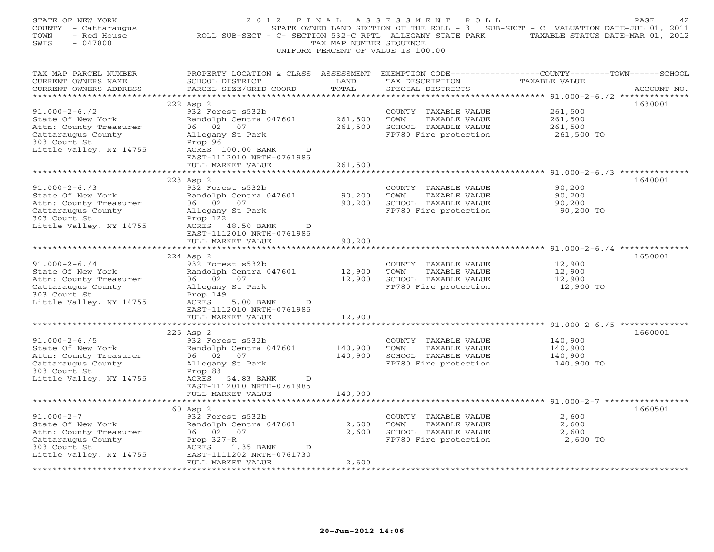| STATE OF NEW YORK<br>COUNTY - Cattaraugus<br>TOWN<br>- Red House<br>SWIS<br>$-047800$ | 2 0 1 2<br>F I N A L                                                              | TAX MAP NUMBER SEQUENCE | A S S E S S M E N T<br>ROLL<br>UNIFORM PERCENT OF VALUE IS 100.00 | STATE OWNED LAND SECTION OF THE ROLL - 3 SUB-SECT - C VALUATION DATE-JUL 01, 2011<br>ROLL SUB-SECT - C- SECTION 532-C RPTL ALLEGANY STATE PARK TAXABLE STATUS DATE-MAR 01, 2012 | PAGE<br>42  |
|---------------------------------------------------------------------------------------|-----------------------------------------------------------------------------------|-------------------------|-------------------------------------------------------------------|---------------------------------------------------------------------------------------------------------------------------------------------------------------------------------|-------------|
| TAX MAP PARCEL NUMBER<br>CURRENT OWNERS NAME<br>CURRENT OWNERS ADDRESS                | PROPERTY LOCATION & CLASS ASSESSMENT<br>SCHOOL DISTRICT<br>PARCEL SIZE/GRID COORD | LAND<br>TOTAL           | TAX DESCRIPTION<br>SPECIAL DISTRICTS                              | EXEMPTION CODE-----------------COUNTY-------TOWN------SCHOOL<br>TAXABLE VALUE                                                                                                   | ACCOUNT NO. |
| **********************                                                                | ******************************                                                    |                         |                                                                   |                                                                                                                                                                                 |             |
| $91.000 - 2 - 6.72$                                                                   | 222 Asp 2<br>932 Forest s532b                                                     |                         | COUNTY TAXABLE VALUE                                              | 261,500                                                                                                                                                                         | 1630001     |
| State Of New York                                                                     | Randolph Centra 047601                                                            | 261,500                 | TOWN<br>TAXABLE VALUE                                             | 261,500                                                                                                                                                                         |             |
| Attn: County Treasurer                                                                | 06 02 07                                                                          | 261,500                 | SCHOOL TAXABLE VALUE                                              | 261,500                                                                                                                                                                         |             |
| Cattaraugus County                                                                    | Allegany St Park                                                                  |                         | FP780 Fire protection                                             | 261,500 TO                                                                                                                                                                      |             |
| 303 Court St<br>Little Valley, NY 14755                                               | Prop 96<br>ACRES 100.00 BANK<br>D                                                 |                         |                                                                   |                                                                                                                                                                                 |             |
|                                                                                       | EAST-1112010 NRTH-0761985                                                         |                         |                                                                   |                                                                                                                                                                                 |             |
|                                                                                       | FULL MARKET VALUE                                                                 | 261,500                 |                                                                   |                                                                                                                                                                                 |             |
|                                                                                       |                                                                                   |                         |                                                                   | ** $91.000 - 2 - 6.73$ **                                                                                                                                                       |             |
| $91.000 - 2 - 6.73$                                                                   | 223 Asp 2<br>932 Forest s532b                                                     |                         | COUNTY TAXABLE VALUE                                              | 90,200                                                                                                                                                                          | 1640001     |
| State Of New York                                                                     | Randolph Centra 047601                                                            | 90,200                  | TOWN<br>TAXABLE VALUE                                             | 90,200                                                                                                                                                                          |             |
| Attn: County Treasurer                                                                | 06 02<br>07                                                                       | 90,200                  | SCHOOL TAXABLE VALUE                                              | 90,200                                                                                                                                                                          |             |
| Cattaraugus County                                                                    | Allegany St Park                                                                  |                         | FP780 Fire protection                                             | 90,200 TO                                                                                                                                                                       |             |
| 303 Court St                                                                          | Prop 122                                                                          |                         |                                                                   |                                                                                                                                                                                 |             |
| Little Valley, NY 14755                                                               | ACRES 48.50 BANK<br>D<br>EAST-1112010 NRTH-0761985                                |                         |                                                                   |                                                                                                                                                                                 |             |
|                                                                                       | FULL MARKET VALUE                                                                 | 90,200                  |                                                                   |                                                                                                                                                                                 |             |
|                                                                                       | **********************                                                            |                         |                                                                   |                                                                                                                                                                                 |             |
|                                                                                       | 224 Asp 2                                                                         |                         |                                                                   |                                                                                                                                                                                 | 1650001     |
| $91.000 - 2 - 6.74$<br>State Of New York                                              | 932 Forest s532b<br>Randolph Centra 047601                                        | 12,900                  | COUNTY TAXABLE VALUE<br>TOWN<br>TAXABLE VALUE                     | 12,900<br>12,900                                                                                                                                                                |             |
| Attn: County Treasurer                                                                | 06 02<br>07                                                                       | 12,900                  | SCHOOL TAXABLE VALUE                                              | 12,900                                                                                                                                                                          |             |
| Cattaraugus County                                                                    | Allegany St Park                                                                  |                         | FP780 Fire protection                                             | 12,900 TO                                                                                                                                                                       |             |
| 303 Court St                                                                          | Prop 149                                                                          |                         |                                                                   |                                                                                                                                                                                 |             |
| Little Valley, NY 14755                                                               | ACRES<br>5.00 BANK<br>$\mathbb{D}$                                                |                         |                                                                   |                                                                                                                                                                                 |             |
|                                                                                       | EAST-1112010 NRTH-0761985<br>FULL MARKET VALUE                                    | 12,900                  |                                                                   |                                                                                                                                                                                 |             |
|                                                                                       |                                                                                   |                         |                                                                   |                                                                                                                                                                                 |             |
|                                                                                       | 225 Asp 2                                                                         |                         |                                                                   |                                                                                                                                                                                 | 1660001     |
| $91.000 - 2 - 6.75$                                                                   | 932 Forest s532b                                                                  |                         | COUNTY TAXABLE VALUE                                              | 140,900                                                                                                                                                                         |             |
| State Of New York<br>Attn: County Treasurer                                           | Randolph Centra 047601<br>06 02<br>07                                             | 140,900<br>140,900      | TOWN<br>TAXABLE VALUE<br>SCHOOL TAXABLE VALUE                     | 140,900<br>140,900                                                                                                                                                              |             |
| Cattaraugus County                                                                    | Allegany St Park                                                                  |                         | FP780 Fire protection                                             | 140,900 TO                                                                                                                                                                      |             |
| 303 Court St                                                                          | Prop 83                                                                           |                         |                                                                   |                                                                                                                                                                                 |             |
| Little Valley, NY 14755                                                               | ACRES 54.83 BANK<br>$\mathbb{D}$                                                  |                         |                                                                   |                                                                                                                                                                                 |             |
|                                                                                       | EAST-1112010 NRTH-0761985                                                         | 140,900                 |                                                                   |                                                                                                                                                                                 |             |
|                                                                                       | FULL MARKET VALUE                                                                 |                         |                                                                   | ******************* 91.000-2-7 ****************                                                                                                                                 |             |
|                                                                                       | 60 Asp 2                                                                          |                         |                                                                   |                                                                                                                                                                                 | 1660501     |
| $91.000 - 2 - 7$                                                                      | 932 Forest s532b                                                                  |                         | COUNTY TAXABLE VALUE                                              | 2,600                                                                                                                                                                           |             |
| State Of New York                                                                     | Randolph Centra 047601                                                            | 2,600                   | TAXABLE VALUE<br>TOWN                                             | 2,600                                                                                                                                                                           |             |
| Attn: County Treasurer<br>Cattaraugus County                                          | 06 02 07<br>Prop $327-R$                                                          | 2,600                   | SCHOOL TAXABLE VALUE<br>FP780 Fire protection                     | 2,600<br>2,600 TO                                                                                                                                                               |             |
| 303 Court St                                                                          | ACRES<br>1.35 BANK<br>D                                                           |                         |                                                                   |                                                                                                                                                                                 |             |
| Little Valley, NY 14755                                                               | EAST-1111202 NRTH-0761730                                                         |                         |                                                                   |                                                                                                                                                                                 |             |
|                                                                                       | FULL MARKET VALUE<br>************************                                     | 2,600<br>************** |                                                                   |                                                                                                                                                                                 |             |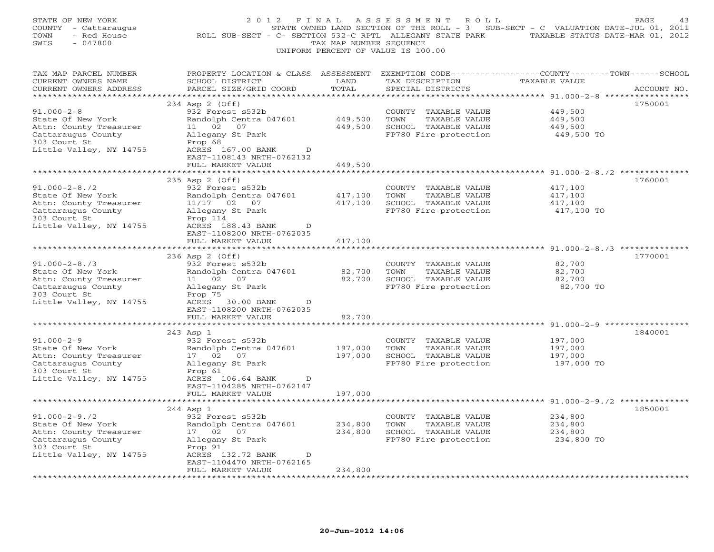| STATE OF NEW YORK<br>COUNTY - Cattaraugus<br>- Red House<br>TOWN<br>SWIS<br>$-047800$                                               | 2012 FINAL                                                                                                                                                                                                            | TAX MAP NUMBER SEQUENCE                 | ASSESSMENT<br>ROLL<br>UNIFORM PERCENT OF VALUE IS 100.00                                       | STATE OWNED LAND SECTION OF THE ROLL - 3 SUB-SECT - C VALUATION DATE-JUL 01, 2011<br>ROLL SUB-SECT - C- SECTION 532-C RPTL ALLEGANY STATE PARK TAXABLE STATUS DATE-MAR 01, 2012 | PAGE<br>43  |
|-------------------------------------------------------------------------------------------------------------------------------------|-----------------------------------------------------------------------------------------------------------------------------------------------------------------------------------------------------------------------|-----------------------------------------|------------------------------------------------------------------------------------------------|---------------------------------------------------------------------------------------------------------------------------------------------------------------------------------|-------------|
| TAX MAP PARCEL NUMBER<br>CURRENT OWNERS NAME<br>CURRENT OWNERS ADDRESS<br>***********************                                   | PROPERTY LOCATION & CLASS ASSESSMENT<br>SCHOOL DISTRICT<br>PARCEL SIZE/GRID COORD                                                                                                                                     | LAND<br>TOTAL                           | TAX DESCRIPTION<br>SPECIAL DISTRICTS                                                           | EXEMPTION CODE-----------------COUNTY-------TOWN------SCHOOL<br>TAXABLE VALUE                                                                                                   | ACCOUNT NO. |
| $91.000 - 2 - 8$<br>State Of New York<br>Attn: County Treasurer<br>Cattaraugus County<br>303 Court St<br>Little Valley, NY 14755    | *****************************<br>234 Asp 2 (Off)<br>932 Forest s532b<br>Randolph Centra 047601<br>11 02 07<br>Allegany St Park<br>Prop 68<br>ACRES 167.00 BANK<br>D<br>EAST-1108143 NRTH-0762132<br>FULL MARKET VALUE | 449,500<br>449,500<br>449,500           | COUNTY TAXABLE VALUE<br>TOWN<br>TAXABLE VALUE<br>SCHOOL TAXABLE VALUE<br>FP780 Fire protection | 449,500<br>449,500<br>449,500<br>449,500 TO                                                                                                                                     | 1750001     |
|                                                                                                                                     |                                                                                                                                                                                                                       |                                         |                                                                                                | ***** $91.000-2-8.72$ ***********                                                                                                                                               |             |
| $91.000 - 2 - 8.72$<br>State Of New York<br>Attn: County Treasurer<br>Cattaraugus County<br>303 Court St<br>Little Valley, NY 14755 | 235 Asp 2 (Off)<br>932 Forest s532b<br>Randolph Centra 047601<br>11/17 02 07<br>Allegany St Park<br>Prop 114<br>ACRES 188.43 BANK<br>D                                                                                | 417,100<br>417,100                      | COUNTY TAXABLE VALUE<br>TOWN<br>TAXABLE VALUE<br>SCHOOL TAXABLE VALUE<br>FP780 Fire protection | 417,100<br>417,100<br>417,100<br>417,100 TO                                                                                                                                     | 1760001     |
|                                                                                                                                     | EAST-1108200 NRTH-0762035<br>FULL MARKET VALUE                                                                                                                                                                        | 417,100                                 |                                                                                                |                                                                                                                                                                                 |             |
|                                                                                                                                     | **************************                                                                                                                                                                                            | ******************                      |                                                                                                | ********************************* 91.000-2-8./3 **************                                                                                                                  |             |
| $91.000 - 2 - 8.73$<br>State Of New York<br>Attn: County Treasurer<br>Cattaraugus County<br>303 Court St<br>Little Valley, NY 14755 | 236 Asp 2 (Off)<br>932 Forest s532b<br>Randolph Centra 047601<br>11 02 07<br>Allegany St Park<br>Prop 75<br>ACRES 30.00 BANK<br>D<br>EAST-1108200 NRTH-0762035                                                        | 82,700<br>82,700                        | COUNTY TAXABLE VALUE<br>TOWN<br>TAXABLE VALUE<br>SCHOOL TAXABLE VALUE<br>FP780 Fire protection | 82,700<br>82,700<br>82,700<br>82,700 TO                                                                                                                                         | 1770001     |
|                                                                                                                                     | FULL MARKET VALUE                                                                                                                                                                                                     | 82,700                                  |                                                                                                |                                                                                                                                                                                 |             |
| $91.000 - 2 - 9$<br>State Of New York<br>Attn: County Treasurer<br>Cattaraugus County<br>303 Court St<br>Little Valley, NY 14755    | * * * * * * * * * * * * *<br>243 Asp 1<br>932 Forest s532b<br>Randolph Centra 047601<br>17 02<br>07<br>Allegany St Park<br>Prop 61<br>ACRES 106.64 BANK<br>D                                                          | * * * * * * * * *<br>197,000<br>197,000 | COUNTY TAXABLE VALUE<br>TOWN<br>TAXABLE VALUE<br>SCHOOL TAXABLE VALUE<br>FP780 Fire protection | **************************************91.000-2-9 *****************<br>197,000<br>197,000<br>197,000<br>197,000 TO                                                               | 1840001     |
|                                                                                                                                     | EAST-1104285 NRTH-0762147<br>FULL MARKET VALUE                                                                                                                                                                        | 197,000                                 |                                                                                                |                                                                                                                                                                                 |             |
|                                                                                                                                     |                                                                                                                                                                                                                       |                                         |                                                                                                |                                                                                                                                                                                 |             |
| $91.000 - 2 - 9.72$<br>State Of New York<br>Attn: County Treasurer<br>Cattaraugus County<br>303 Court St<br>Little Valley, NY 14755 | 244 Asp 1<br>932 Forest s532b<br>Randolph Centra 047601<br>17 02 07<br>Allegany St Park<br>Prop 91<br>ACRES 132.72 BANK<br>$\Box$<br>EAST-1104470 NRTH-0762165<br>FULL MARKET VALUE                                   | 234,800<br>234,800<br>234,800           | COUNTY TAXABLE VALUE<br>TAXABLE VALUE<br>TOWN<br>SCHOOL TAXABLE VALUE<br>FP780 Fire protection | 234,800<br>234,800<br>234,800<br>234,800 TO                                                                                                                                     | 1850001     |
|                                                                                                                                     |                                                                                                                                                                                                                       |                                         |                                                                                                |                                                                                                                                                                                 |             |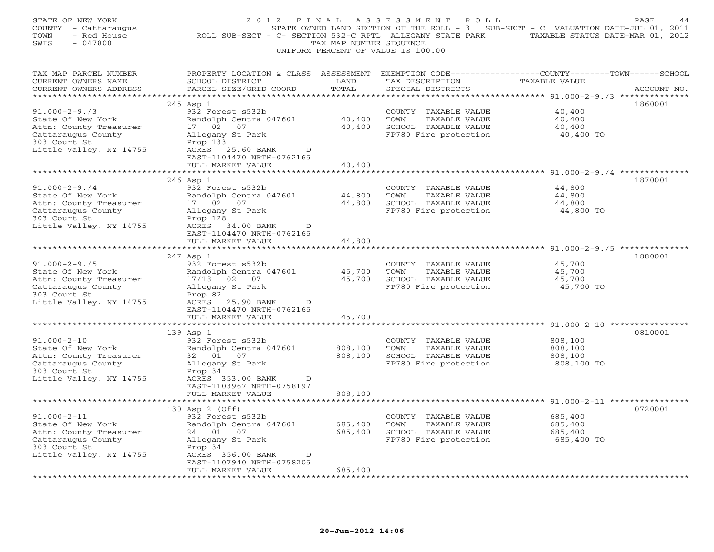| STATE OF NEW YORK<br>COUNTY - Cattaraugus<br>TOWN<br>- Red House<br>SWIS<br>$-047800$                                               | 2 0 1 2<br>F I N A L<br>ROLL SUB-SECT - C- SECTION 532-C RPTL ALLEGANY STATE PARK TAXABLE STATUS DATE-MAR 01, 2012                              | TAX MAP NUMBER SEQUENCE | ASSESSMENT<br>R O L L<br>STATE OWNED LAND SECTION OF THE ROLL - 3 SUB-SECT - C VALUATION DATE-JUL 01, 2011<br>UNIFORM PERCENT OF VALUE IS 100.00 |                                                               | PAGE<br>44  |
|-------------------------------------------------------------------------------------------------------------------------------------|-------------------------------------------------------------------------------------------------------------------------------------------------|-------------------------|--------------------------------------------------------------------------------------------------------------------------------------------------|---------------------------------------------------------------|-------------|
| TAX MAP PARCEL NUMBER<br>CURRENT OWNERS NAME<br>CURRENT OWNERS ADDRESS                                                              | PROPERTY LOCATION & CLASS ASSESSMENT<br>SCHOOL DISTRICT<br>PARCEL SIZE/GRID COORD                                                               | LAND<br>TOTAL           | EXEMPTION CODE-----------------COUNTY-------TOWN------SCHOOL<br>TAX DESCRIPTION<br>SPECIAL DISTRICTS                                             | <b>TAXABLE VALUE</b>                                          | ACCOUNT NO. |
|                                                                                                                                     | 245 Asp 1                                                                                                                                       |                         |                                                                                                                                                  |                                                               | 1860001     |
| $91.000 - 2 - 9.73$<br>State Of New York<br>Attn: County Treasurer<br>Cattaraugus County<br>303 Court St<br>Little Valley, NY 14755 | 932 Forest s532b<br>Randolph Centra 047601<br>17 02<br>07<br>Allegany St Park<br>Prop 133<br>ACRES<br>25.60 BANK<br>D                           | 40,400<br>40,400        | COUNTY TAXABLE VALUE<br>TOWN<br>TAXABLE VALUE<br>SCHOOL TAXABLE VALUE<br>FP780 Fire protection                                                   | 40,400<br>40,400<br>40,400<br>40,400 TO                       |             |
|                                                                                                                                     | EAST-1104470 NRTH-0762165<br>FULL MARKET VALUE                                                                                                  | 40,400                  |                                                                                                                                                  |                                                               |             |
|                                                                                                                                     |                                                                                                                                                 |                         |                                                                                                                                                  | ******* 91.000-2-9./4 ***********                             |             |
| $91.000 - 2 - 9.74$<br>State Of New York<br>Attn: County Treasurer<br>Cattaraugus County<br>303 Court St<br>Little Valley, NY 14755 | 246 Asp 1<br>932 Forest s532b<br>Randolph Centra 047601<br>17 02<br>07<br>Allegany St Park<br>Prop 128<br>ACRES 34.00 BANK<br>D                 | 44,800<br>44,800        | COUNTY TAXABLE VALUE<br>TOWN<br>TAXABLE VALUE<br>SCHOOL TAXABLE VALUE<br>FP780 Fire protection                                                   | 44,800<br>44,800<br>44,800<br>44,800 TO                       | 1870001     |
|                                                                                                                                     | EAST-1104470 NRTH-0762165                                                                                                                       |                         |                                                                                                                                                  |                                                               |             |
|                                                                                                                                     | FULL MARKET VALUE                                                                                                                               | 44,800                  |                                                                                                                                                  |                                                               |             |
| *********************                                                                                                               |                                                                                                                                                 |                         |                                                                                                                                                  | ******************************** 91.000-2-9./5 ************** |             |
| $91.000 - 2 - 9.75$<br>State Of New York<br>Attn: County Treasurer<br>Cattaraugus County<br>303 Court St<br>Little Valley, NY 14755 | 247 Asp 1<br>932 Forest s532b<br>Randolph Centra 047601<br>17/18 02 07<br>Allegany St Park<br>Prop 82<br>ACRES 25.90 BANK<br>D                  | 45,700<br>45,700        | COUNTY TAXABLE VALUE<br>TOWN<br>TAXABLE VALUE<br>SCHOOL TAXABLE VALUE<br>FP780 Fire protection                                                   | 45,700<br>45,700<br>45,700<br>45,700 TO                       | 1880001     |
|                                                                                                                                     | EAST-1104470 NRTH-0762165<br>FULL MARKET VALUE                                                                                                  | 45,700                  |                                                                                                                                                  |                                                               |             |
|                                                                                                                                     | * * * * * * * * * * * * * * * * * * *<br>139 Asp 1                                                                                              | *********               |                                                                                                                                                  | ****************************** 91.000-2-10 *****              | 0810001     |
| $91.000 - 2 - 10$<br>State Of New York<br>Attn: County Treasurer<br>Cattaraugus County<br>303 Court St<br>Little Valley, NY 14755   | 932 Forest s532b<br>Randolph Centra 047601<br>07<br>32 01<br>Allegany St Park<br>Prop 34<br>ACRES 353.00 BANK<br>D<br>EAST-1103967 NRTH-0758197 | 808,100<br>808,100      | COUNTY TAXABLE VALUE<br>TOWN<br>TAXABLE VALUE<br>SCHOOL TAXABLE VALUE<br>FP780 Fire protection                                                   | 808,100<br>808,100<br>808,100<br>808,100 TO                   |             |
|                                                                                                                                     | FULL MARKET VALUE                                                                                                                               | 808,100                 |                                                                                                                                                  |                                                               |             |
|                                                                                                                                     |                                                                                                                                                 |                         |                                                                                                                                                  |                                                               |             |
| $91.000 - 2 - 11$<br>State Of New York<br>Attn: County Treasurer<br>Cattaraugus County<br>303 Court St<br>Little Valley, NY 14755   | 130 Asp 2 (Off)<br>932 Forest s532b<br>Randolph Centra 047601<br>24 01 07<br>Allegany St Park<br>Prop 34<br>ACRES 356.00 BANK<br>D              | 685,400<br>685,400      | COUNTY TAXABLE VALUE<br>TOWN<br>TAXABLE VALUE<br>SCHOOL TAXABLE VALUE<br>FP780 Fire protection                                                   | 685,400<br>685,400<br>685,400<br>685,400 TO                   | 0720001     |
|                                                                                                                                     | EAST-1107940 NRTH-0758205                                                                                                                       |                         |                                                                                                                                                  |                                                               |             |
|                                                                                                                                     | FULL MARKET VALUE<br>.                                                                                                                          | 685,400                 |                                                                                                                                                  |                                                               |             |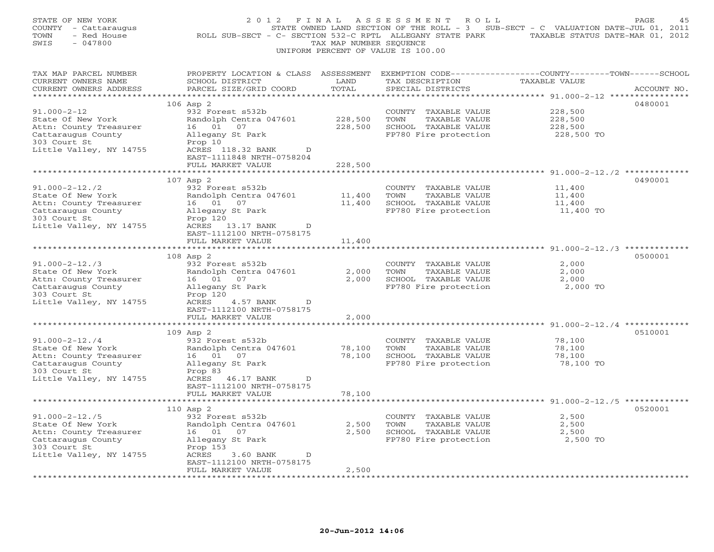| STATE OF NEW YORK<br>COUNTY<br>- Cattaraugus<br>- Red House<br>TOWN<br>$-047800$<br>SWIS | 2 0 1 2<br>F I N A L<br>ROLL SUB-SECT - C- SECTION 532-C RPTL ALLEGANY STATE PARK                                                           | TAX MAP NUMBER SEQUENCE | A S S E S S M E N T<br>R O L L<br>STATE OWNED LAND SECTION OF THE ROLL - 3 SUB-SECT - C VALUATION DATE-JUL 01, 2011<br>UNIFORM PERCENT OF VALUE IS 100.00 | TAXABLE STATUS DATE-MAR 01, 2012                                 | PAGE        |
|------------------------------------------------------------------------------------------|---------------------------------------------------------------------------------------------------------------------------------------------|-------------------------|-----------------------------------------------------------------------------------------------------------------------------------------------------------|------------------------------------------------------------------|-------------|
| TAX MAP PARCEL NUMBER<br>CURRENT OWNERS NAME<br>CURRENT OWNERS ADDRESS                   | PROPERTY LOCATION & CLASS ASSESSMENT EXEMPTION CODE---------------COUNTY-------TOWN-----SCHOOL<br>SCHOOL DISTRICT<br>PARCEL SIZE/GRID COORD | LAND<br>TOTAL           | TAX DESCRIPTION<br>SPECIAL DISTRICTS                                                                                                                      | TAXABLE VALUE                                                    | ACCOUNT NO. |
|                                                                                          |                                                                                                                                             |                         |                                                                                                                                                           |                                                                  |             |
| $91.000 - 2 - 12$                                                                        | $106$ Asp $2$<br>932 Forest s532b                                                                                                           |                         | COUNTY TAXABLE VALUE                                                                                                                                      | 228,500                                                          | 0480001     |
| State Of New York                                                                        | Randolph Centra 047601                                                                                                                      | 228,500                 | TOWN<br>TAXABLE VALUE                                                                                                                                     | 228,500                                                          |             |
| Attn: County Treasurer                                                                   | 16 01 07                                                                                                                                    | 228,500                 | SCHOOL TAXABLE VALUE                                                                                                                                      | 228,500                                                          |             |
| Cattaraugus County                                                                       | Allegany St Park                                                                                                                            |                         | FP780 Fire protection                                                                                                                                     | 228,500 TO                                                       |             |
| 303 Court St                                                                             | Prop 10                                                                                                                                     |                         |                                                                                                                                                           |                                                                  |             |
| Little Valley, NY 14755                                                                  | ACRES 118.32 BANK<br>$\mathbb{D}$                                                                                                           |                         |                                                                                                                                                           |                                                                  |             |
|                                                                                          | EAST-1111848 NRTH-0758204<br>FULL MARKET VALUE                                                                                              | 228,500                 |                                                                                                                                                           |                                                                  |             |
|                                                                                          | ************************                                                                                                                    |                         |                                                                                                                                                           | *********************************** 91.000-2-12./2 ************* |             |
|                                                                                          | 107 Asp 2                                                                                                                                   |                         |                                                                                                                                                           |                                                                  | 0490001     |
| $91.000 - 2 - 12.72$                                                                     | 932 Forest s532b                                                                                                                            |                         | COUNTY TAXABLE VALUE                                                                                                                                      | 11,400                                                           |             |
| State Of New York                                                                        | Randolph Centra 047601                                                                                                                      | 11,400                  | TOWN<br>TAXABLE VALUE                                                                                                                                     | 11,400                                                           |             |
| Attn: County Treasurer                                                                   | 16 01 07                                                                                                                                    | 11,400                  | SCHOOL TAXABLE VALUE                                                                                                                                      | 11,400                                                           |             |
| Cattaraugus County                                                                       | Allegany St Park                                                                                                                            |                         | FP780 Fire protection                                                                                                                                     | 11,400 TO                                                        |             |
| 303 Court St<br>Little Valley, NY 14755                                                  | Prop 120<br>ACRES 13.17 BANK<br>D                                                                                                           |                         |                                                                                                                                                           |                                                                  |             |
|                                                                                          | EAST-1112100 NRTH-0758175                                                                                                                   |                         |                                                                                                                                                           |                                                                  |             |
|                                                                                          | FULL MARKET VALUE                                                                                                                           | 11,400                  |                                                                                                                                                           |                                                                  |             |
|                                                                                          |                                                                                                                                             |                         |                                                                                                                                                           |                                                                  |             |
|                                                                                          | $108$ Asp $2$                                                                                                                               |                         |                                                                                                                                                           |                                                                  | 0500001     |
| $91.000 - 2 - 12.73$                                                                     | 932 Forest s532b                                                                                                                            |                         | COUNTY TAXABLE VALUE                                                                                                                                      | 2,000                                                            |             |
| State Of New York                                                                        | Randolph Centra 047601<br>16 01<br>07                                                                                                       | 2,000<br>2,000          | TOWN<br>TAXABLE VALUE<br>SCHOOL TAXABLE VALUE                                                                                                             | 2,000<br>2,000                                                   |             |
| Attn: County Treasurer<br>Cattaraugus County                                             | Allegany St Park                                                                                                                            |                         | FP780 Fire protection                                                                                                                                     | 2,000 TO                                                         |             |
| 303 Court St                                                                             | Prop 120                                                                                                                                    |                         |                                                                                                                                                           |                                                                  |             |
| Little Valley, NY 14755                                                                  | ACRES<br>4.57 BANK<br>D                                                                                                                     |                         |                                                                                                                                                           |                                                                  |             |
|                                                                                          | EAST-1112100 NRTH-0758175                                                                                                                   |                         |                                                                                                                                                           |                                                                  |             |
|                                                                                          | FULL MARKET VALUE                                                                                                                           | 2,000                   |                                                                                                                                                           |                                                                  |             |
|                                                                                          | ******************                                                                                                                          | *********               |                                                                                                                                                           | *********************************** 91.000-2-12./4 ************* | 0510001     |
| $91.000 - 2 - 12.74$                                                                     | 109 Asp 2<br>932 Forest s532b                                                                                                               |                         | COUNTY TAXABLE VALUE                                                                                                                                      | 78,100                                                           |             |
| State Of New York                                                                        | Randolph Centra 047601                                                                                                                      | 78,100                  | TOWN<br>TAXABLE VALUE                                                                                                                                     | 78,100                                                           |             |
| Attn: County Treasurer                                                                   | 16 01<br>07                                                                                                                                 | 78,100                  | SCHOOL TAXABLE VALUE                                                                                                                                      | 78,100                                                           |             |
| Cattaraugus County                                                                       | Allegany St Park                                                                                                                            |                         | FP780 Fire protection                                                                                                                                     | 78,100 TO                                                        |             |
| 303 Court St                                                                             | Prop 83                                                                                                                                     |                         |                                                                                                                                                           |                                                                  |             |
| Little Valley, NY 14755                                                                  | ACRES 46.17 BANK<br>D                                                                                                                       |                         |                                                                                                                                                           |                                                                  |             |
|                                                                                          | EAST-1112100 NRTH-0758175                                                                                                                   |                         |                                                                                                                                                           |                                                                  |             |
|                                                                                          | FULL MARKET VALUE<br>**************************                                                                                             | 78,100                  |                                                                                                                                                           |                                                                  |             |
|                                                                                          | 110 Asp 2                                                                                                                                   |                         |                                                                                                                                                           |                                                                  | 0520001     |
| $91.000 - 2 - 12.75$                                                                     | 932 Forest s532b                                                                                                                            |                         | COUNTY TAXABLE VALUE                                                                                                                                      | 2,500                                                            |             |
| State Of New York                                                                        | Randolph Centra 047601                                                                                                                      | 2,500                   | TAXABLE VALUE<br>TOWN                                                                                                                                     | 2,500                                                            |             |
| Attn: County Treasurer                                                                   | 16 01<br>07                                                                                                                                 | 2,500                   | SCHOOL TAXABLE VALUE                                                                                                                                      | 2,500                                                            |             |
| Cattaraugus County                                                                       | Allegany St Park                                                                                                                            |                         | FP780 Fire protection                                                                                                                                     | 2,500 TO                                                         |             |
| 303 Court St                                                                             | Prop 153                                                                                                                                    |                         |                                                                                                                                                           |                                                                  |             |
| Little Valley, NY 14755                                                                  | ACRES<br>3.60 BANK<br>D<br>EAST-1112100 NRTH-0758175                                                                                        |                         |                                                                                                                                                           |                                                                  |             |
|                                                                                          | FULL MARKET VALUE                                                                                                                           | 2,500                   |                                                                                                                                                           |                                                                  |             |
|                                                                                          | .                                                                                                                                           |                         |                                                                                                                                                           |                                                                  |             |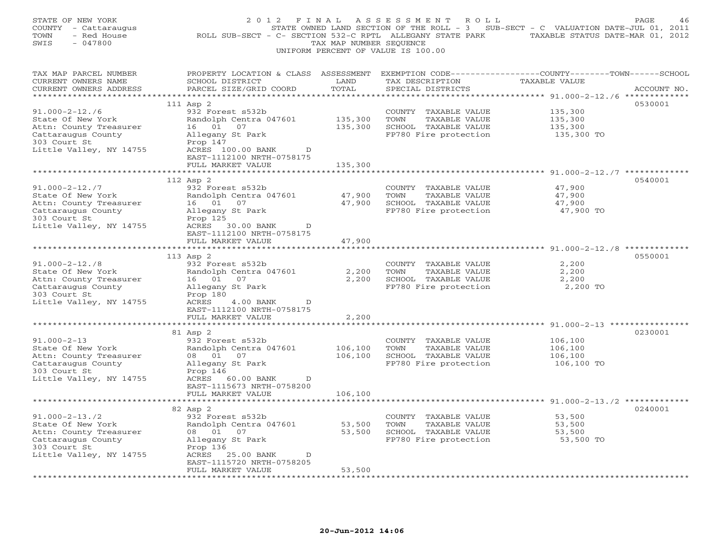| STATE OF NEW YORK<br>COUNTY - Cattaraugus<br>TOWN<br>- Red House<br>$-047800$<br>SWIS | 2 0 1 2                                                                                                                                      | F I N A L<br>TAX MAP NUMBER SEQUENCE | A S S E S S M E N T<br>R O L L<br>STATE OWNED LAND SECTION OF THE ROLL - 3 SUB-SECT - C VALUATION DATE-JUL 01, 2011<br>ROLL SUB-SECT - C- SECTION 532-C RPTL ALLEGANY STATE PARK TAXABLE STATUS DATE-MAR 01, 2012<br>UNIFORM PERCENT OF VALUE IS 100.00 |                                                                   | PAGE<br>46  |
|---------------------------------------------------------------------------------------|----------------------------------------------------------------------------------------------------------------------------------------------|--------------------------------------|---------------------------------------------------------------------------------------------------------------------------------------------------------------------------------------------------------------------------------------------------------|-------------------------------------------------------------------|-------------|
| TAX MAP PARCEL NUMBER<br>CURRENT OWNERS NAME<br>CURRENT OWNERS ADDRESS                | PROPERTY LOCATION & CLASS ASSESSMENT EXEMPTION CODE---------------COUNTY-------TOWN------SCHOOL<br>SCHOOL DISTRICT<br>PARCEL SIZE/GRID COORD | LAND<br>TOTAL                        | TAX DESCRIPTION<br>SPECIAL DISTRICTS                                                                                                                                                                                                                    | TAXABLE VALUE                                                     | ACCOUNT NO. |
|                                                                                       |                                                                                                                                              |                                      |                                                                                                                                                                                                                                                         |                                                                   |             |
| $91.000 - 2 - 12.76$                                                                  | 111 Asp 2<br>932 Forest s532b                                                                                                                |                                      | COUNTY TAXABLE VALUE                                                                                                                                                                                                                                    | 135,300                                                           | 0530001     |
| State Of New York                                                                     | Randolph Centra 047601                                                                                                                       | 135,300                              | TOWN<br>TAXABLE VALUE                                                                                                                                                                                                                                   | 135,300                                                           |             |
| Attn: County Treasurer                                                                | 16 01 07                                                                                                                                     | 135,300                              | SCHOOL TAXABLE VALUE                                                                                                                                                                                                                                    | 135,300                                                           |             |
| Cattaraugus County                                                                    | Allegany St Park                                                                                                                             |                                      | FP780 Fire protection                                                                                                                                                                                                                                   | 135,300 TO                                                        |             |
| 303 Court St                                                                          | Prop 147                                                                                                                                     |                                      |                                                                                                                                                                                                                                                         |                                                                   |             |
| Little Valley, NY 14755                                                               | ACRES 100.00 BANK<br>D.                                                                                                                      |                                      |                                                                                                                                                                                                                                                         |                                                                   |             |
|                                                                                       | EAST-1112100 NRTH-0758175                                                                                                                    |                                      |                                                                                                                                                                                                                                                         |                                                                   |             |
|                                                                                       | FULL MARKET VALUE                                                                                                                            | 135,300                              |                                                                                                                                                                                                                                                         |                                                                   |             |
|                                                                                       | ************************                                                                                                                     |                                      |                                                                                                                                                                                                                                                         |                                                                   |             |
|                                                                                       | 112 Asp 2                                                                                                                                    |                                      |                                                                                                                                                                                                                                                         |                                                                   | 0540001     |
| $91.000 - 2 - 12.77$<br>State Of New York                                             | 932 Forest s532b                                                                                                                             | 47,900                               | COUNTY TAXABLE VALUE<br>TOWN<br>TAXABLE VALUE                                                                                                                                                                                                           | 47,900<br>47,900                                                  |             |
| Attn: County Treasurer                                                                | Randolph Centra 047601<br>16 01 07                                                                                                           | 47,900                               | SCHOOL TAXABLE VALUE                                                                                                                                                                                                                                    | 47,900                                                            |             |
| Cattaraugus County                                                                    | Allegany St Park                                                                                                                             |                                      | FP780 Fire protection                                                                                                                                                                                                                                   | 47,900 TO                                                         |             |
| 303 Court St                                                                          | Prop 125                                                                                                                                     |                                      |                                                                                                                                                                                                                                                         |                                                                   |             |
| Little Valley, NY 14755                                                               | ACRES 30.00 BANK<br>$\mathbb{D}$                                                                                                             |                                      |                                                                                                                                                                                                                                                         |                                                                   |             |
|                                                                                       | EAST-1112100 NRTH-0758175                                                                                                                    |                                      |                                                                                                                                                                                                                                                         |                                                                   |             |
|                                                                                       | FULL MARKET VALUE                                                                                                                            | 47,900                               |                                                                                                                                                                                                                                                         |                                                                   |             |
|                                                                                       |                                                                                                                                              |                                      |                                                                                                                                                                                                                                                         |                                                                   |             |
|                                                                                       | 113 Asp 2                                                                                                                                    |                                      |                                                                                                                                                                                                                                                         |                                                                   | 0550001     |
| $91.000 - 2 - 12.78$                                                                  | 932 Forest s532b                                                                                                                             |                                      | COUNTY TAXABLE VALUE                                                                                                                                                                                                                                    | 2,200                                                             |             |
| State Of New York<br>Attn: County Treasurer                                           | Randolph Centra 047601<br>16 01 07                                                                                                           | 2,200<br>2,200                       | TOWN<br>TAXABLE VALUE<br>SCHOOL TAXABLE VALUE                                                                                                                                                                                                           | 2,200<br>2,200                                                    |             |
| Cattaraugus County                                                                    | Allegany St Park                                                                                                                             |                                      | FP780 Fire protection                                                                                                                                                                                                                                   | 2,200 TO                                                          |             |
| 303 Court St                                                                          | Prop 180                                                                                                                                     |                                      |                                                                                                                                                                                                                                                         |                                                                   |             |
| Little Valley, NY 14755                                                               | ACRES<br>4.00 BANK<br>D                                                                                                                      |                                      |                                                                                                                                                                                                                                                         |                                                                   |             |
|                                                                                       | EAST-1112100 NRTH-0758175                                                                                                                    |                                      |                                                                                                                                                                                                                                                         |                                                                   |             |
|                                                                                       | FULL MARKET VALUE                                                                                                                            | 2,200                                |                                                                                                                                                                                                                                                         |                                                                   |             |
|                                                                                       | * * * * * * * * * * * * * * * * * * *                                                                                                        | ********                             |                                                                                                                                                                                                                                                         | ************************************91.000-2-13 ***************** |             |
|                                                                                       | 81 Asp 2                                                                                                                                     |                                      |                                                                                                                                                                                                                                                         |                                                                   | 0230001     |
| $91.000 - 2 - 13$                                                                     | 932 Forest s532b                                                                                                                             |                                      | COUNTY TAXABLE VALUE                                                                                                                                                                                                                                    | 106,100                                                           |             |
| State Of New York                                                                     | Randolph Centra 047601<br>07                                                                                                                 | 106,100<br>106,100                   | TOWN<br>TAXABLE VALUE<br>SCHOOL TAXABLE VALUE                                                                                                                                                                                                           | 106,100<br>106,100                                                |             |
| Attn: County Treasurer<br>Cattaraugus County                                          | 08 01<br>Allegany St Park                                                                                                                    |                                      | FP780 Fire protection                                                                                                                                                                                                                                   | 106,100 TO                                                        |             |
| 303 Court St                                                                          | Prop 146                                                                                                                                     |                                      |                                                                                                                                                                                                                                                         |                                                                   |             |
| Little Valley, NY 14755                                                               | ACRES 60.00 BANK<br>$\mathbb{D}$                                                                                                             |                                      |                                                                                                                                                                                                                                                         |                                                                   |             |
|                                                                                       | EAST-1115673 NRTH-0758200                                                                                                                    |                                      |                                                                                                                                                                                                                                                         |                                                                   |             |
|                                                                                       | FULL MARKET VALUE                                                                                                                            | 106,100                              |                                                                                                                                                                                                                                                         |                                                                   |             |
|                                                                                       |                                                                                                                                              |                                      |                                                                                                                                                                                                                                                         |                                                                   |             |
|                                                                                       | 82 Asp 2                                                                                                                                     |                                      |                                                                                                                                                                                                                                                         |                                                                   | 0240001     |
| $91.000 - 2 - 13.72$                                                                  | 932 Forest s532b                                                                                                                             |                                      | COUNTY TAXABLE VALUE                                                                                                                                                                                                                                    | 53,500                                                            |             |
| State Of New York                                                                     | Randolph Centra 047601                                                                                                                       | 53,500                               | TOWN<br>TAXABLE VALUE                                                                                                                                                                                                                                   | 53,500                                                            |             |
| Attn: County Treasurer<br>Cattaraugus County                                          | 08  01  07<br>Allegany St Park                                                                                                               | 53,500                               | SCHOOL TAXABLE VALUE<br>FP780 Fire protection                                                                                                                                                                                                           | 53,500<br>53,500 TO                                               |             |
| 303 Court St                                                                          | Prop 136                                                                                                                                     |                                      |                                                                                                                                                                                                                                                         |                                                                   |             |
| Little Valley, NY 14755                                                               | ACRES 25.00 BANK<br>$\mathbb{D}$                                                                                                             |                                      |                                                                                                                                                                                                                                                         |                                                                   |             |
|                                                                                       | EAST-1115720 NRTH-0758205                                                                                                                    |                                      |                                                                                                                                                                                                                                                         |                                                                   |             |
|                                                                                       | FULL MARKET VALUE                                                                                                                            | 53,500                               |                                                                                                                                                                                                                                                         |                                                                   |             |
| **********************                                                                | * * * * * * * * * * * * * * * * * * *                                                                                                        | * * * * * * * * * * * *              |                                                                                                                                                                                                                                                         |                                                                   |             |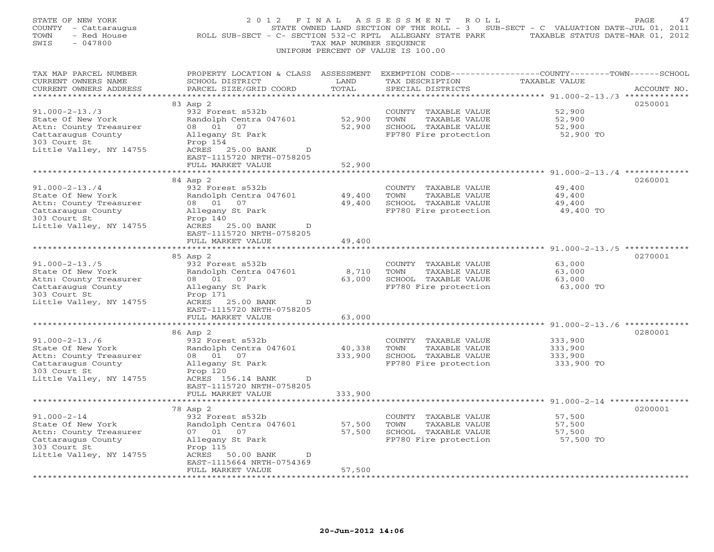| STATE OF NEW YORK<br>COUNTY - Cattaraugus<br>TOWN<br>- Red House<br>$-047800$<br>SWIS                                                | 2 0 1 2<br>F I N A L                                                                                                                                        | TAX MAP NUMBER SEQUENCE | ASSESSMENT<br>R O L L<br>UNIFORM PERCENT OF VALUE IS 100.00                                    | STATE OWNED LAND SECTION OF THE ROLL - 3 SUB-SECT - C VALUATION DATE-JUL 01, 2011<br>ROLL SUB-SECT - C- SECTION 532-C RPTL ALLEGANY STATE PARK TAXABLE STATUS DATE-MAR 01, 2012 | PAGE<br>47  |
|--------------------------------------------------------------------------------------------------------------------------------------|-------------------------------------------------------------------------------------------------------------------------------------------------------------|-------------------------|------------------------------------------------------------------------------------------------|---------------------------------------------------------------------------------------------------------------------------------------------------------------------------------|-------------|
| TAX MAP PARCEL NUMBER<br>CURRENT OWNERS NAME<br>CURRENT OWNERS ADDRESS                                                               | PROPERTY LOCATION & CLASS ASSESSMENT EXEMPTION CODE----------------COUNTY-------TOWN------SCHOOL<br>SCHOOL DISTRICT<br>PARCEL SIZE/GRID COORD               | LAND<br>TOTAL           | TAX DESCRIPTION<br>SPECIAL DISTRICTS                                                           | <b>TAXABLE VALUE</b>                                                                                                                                                            | ACCOUNT NO. |
|                                                                                                                                      | 83 Asp 2                                                                                                                                                    |                         |                                                                                                |                                                                                                                                                                                 | 0250001     |
| $91.000 - 2 - 13.73$<br>State Of New York<br>Attn: County Treasurer<br>Cattaraugus County<br>303 Court St<br>Little Valley, NY 14755 | 932 Forest s532b<br>Randolph Centra 047601<br>08 01 07<br>Allegany St Park<br>Prop 154<br>ACRES<br>25.00 BANK<br>$\mathbb{D}$                               | 52,900<br>52,900        | COUNTY TAXABLE VALUE<br>TOWN<br>TAXABLE VALUE<br>SCHOOL TAXABLE VALUE<br>FP780 Fire protection | 52,900<br>52,900<br>52,900<br>52,900 TO                                                                                                                                         |             |
|                                                                                                                                      | EAST-1115720 NRTH-0758205                                                                                                                                   |                         |                                                                                                |                                                                                                                                                                                 |             |
|                                                                                                                                      | FULL MARKET VALUE                                                                                                                                           | 52,900                  |                                                                                                | ***** $91.000 - 2 - 13.4$ ***********                                                                                                                                           |             |
| $91.000 - 2 - 13.74$<br>State Of New York<br>Attn: County Treasurer<br>Cattaraugus County<br>303 Court St                            | 84 Asp 2<br>932 Forest s532b<br>Randolph Centra 047601<br>08  01  07<br>Allegany St Park<br>Prop 140                                                        | 49,400<br>49,400        | COUNTY TAXABLE VALUE<br>TOWN<br>TAXABLE VALUE<br>SCHOOL TAXABLE VALUE<br>FP780 Fire protection | 49,400<br>49,400<br>49,400<br>49,400 TO                                                                                                                                         | 0260001     |
| Little Valley, NY 14755                                                                                                              | ACRES 25.00 BANK<br>$\mathbb{D}$<br>EAST-1115720 NRTH-0758205<br>FULL MARKET VALUE                                                                          | 49,400                  |                                                                                                |                                                                                                                                                                                 |             |
|                                                                                                                                      | 85 Asp 2                                                                                                                                                    |                         |                                                                                                |                                                                                                                                                                                 | 0270001     |
| $91.000 - 2 - 13.75$<br>State Of New York<br>Attn: County Treasurer<br>Cattaraugus County<br>303 Court St<br>Little Valley, NY 14755 | 932 Forest s532b<br>Randolph Centra 047601<br>08  01  07<br>Allegany St Park<br>Prop 171<br>ACRES 25.00 BANK<br>D<br>EAST-1115720 NRTH-0758205              | 8,710<br>63,000         | COUNTY TAXABLE VALUE<br>TOWN<br>TAXABLE VALUE<br>SCHOOL TAXABLE VALUE<br>FP780 Fire protection | 63,000<br>63,000<br>63,000<br>63,000 TO                                                                                                                                         |             |
|                                                                                                                                      | FULL MARKET VALUE                                                                                                                                           | 63,000                  |                                                                                                |                                                                                                                                                                                 |             |
|                                                                                                                                      | * * * * * * * * * * * * * * * * * * *<br>86 Asp 2                                                                                                           | ***********             |                                                                                                | ************************************ 91.000-2-13./6 **************                                                                                                              | 0280001     |
| $91.000 - 2 - 13.76$<br>State Of New York<br>Attn: County Treasurer<br>Cattaraugus County<br>303 Court St<br>Little Valley, NY 14755 | 932 Forest s532b<br>Randolph Centra 047601<br>08 01<br>07<br>Allegany St Park<br>Prop 120<br>ACRES 156.14 BANK<br>$\mathbb{D}$<br>EAST-1115720 NRTH-0758205 | 40,338<br>333,900       | COUNTY TAXABLE VALUE<br>TOWN<br>TAXABLE VALUE<br>SCHOOL TAXABLE VALUE<br>FP780 Fire protection | 333,900<br>333,900<br>333,900<br>333,900 TO                                                                                                                                     |             |
|                                                                                                                                      | FULL MARKET VALUE<br>*************************                                                                                                              | 333,900                 |                                                                                                |                                                                                                                                                                                 |             |
|                                                                                                                                      | 78 Asp 2                                                                                                                                                    |                         |                                                                                                |                                                                                                                                                                                 | 0200001     |
| $91.000 - 2 - 14$<br>State Of New York<br>Attn: County Treasurer<br>Cattaraugus County<br>303 Court St<br>Little Valley, NY 14755    | 932 Forest s532b<br>Randolph Centra 047601<br>07 01 07<br>Allegany St Park<br>Prop 115<br>ACRES<br>50.00 BANK<br>D                                          | 57,500<br>57,500        | COUNTY TAXABLE VALUE<br>TOWN<br>TAXABLE VALUE<br>SCHOOL TAXABLE VALUE<br>FP780 Fire protection | 57,500<br>57,500<br>57,500<br>57,500 TO                                                                                                                                         |             |
|                                                                                                                                      | EAST-1115664 NRTH-0754369<br>FULL MARKET VALUE<br>.                                                                                                         | 57,500                  |                                                                                                |                                                                                                                                                                                 |             |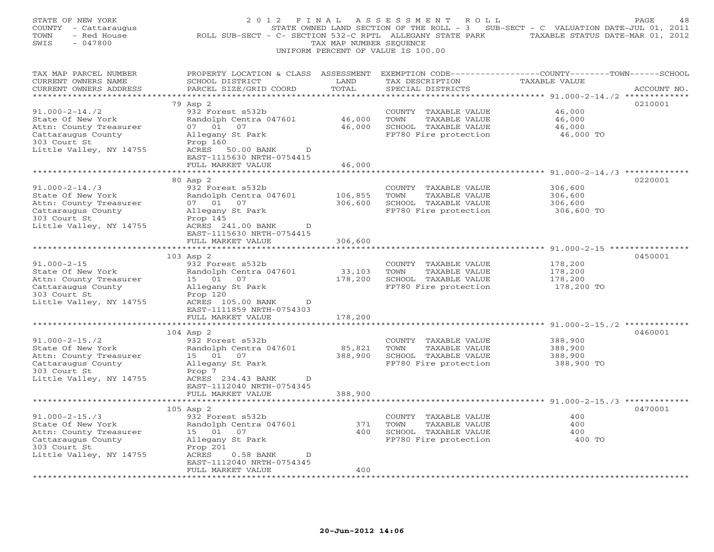| STATE OF NEW YORK<br>COUNTY<br>- Cattaraugus<br>- Red House<br>TOWN<br>$-047800$<br>SWIS | 2 0 1 2<br>F I N A L<br>ROLL SUB-SECT - C- SECTION 532-C RPTL ALLEGANY STATE PARK                                                            | TAX MAP NUMBER SEQUENCE         | A S S E S S M E N T<br>R O L L<br>STATE OWNED LAND SECTION OF THE ROLL - 3 SUB-SECT - C VALUATION DATE-JUL 01, 2011<br>UNIFORM PERCENT OF VALUE IS 100.00 | TAXABLE STATUS DATE-MAR 01, 2012                                  | PAGE<br>48  |
|------------------------------------------------------------------------------------------|----------------------------------------------------------------------------------------------------------------------------------------------|---------------------------------|-----------------------------------------------------------------------------------------------------------------------------------------------------------|-------------------------------------------------------------------|-------------|
| TAX MAP PARCEL NUMBER<br>CURRENT OWNERS NAME<br>CURRENT OWNERS ADDRESS                   | PROPERTY LOCATION & CLASS ASSESSMENT EXEMPTION CODE---------------COUNTY-------TOWN------SCHOOL<br>SCHOOL DISTRICT<br>PARCEL SIZE/GRID COORD | LAND<br>TOTAL                   | TAX DESCRIPTION<br>SPECIAL DISTRICTS                                                                                                                      | TAXABLE VALUE                                                     | ACCOUNT NO. |
|                                                                                          |                                                                                                                                              |                                 |                                                                                                                                                           |                                                                   |             |
| $91.000 - 2 - 14.72$                                                                     | 79 Asp 2<br>932 Forest s532b                                                                                                                 |                                 |                                                                                                                                                           | 46,000                                                            | 0210001     |
| State Of New York                                                                        | Randolph Centra 047601                                                                                                                       | 46,000                          | COUNTY TAXABLE VALUE<br>TOWN<br>TAXABLE VALUE                                                                                                             | 46,000                                                            |             |
| Attn: County Treasurer                                                                   | 07 01 07                                                                                                                                     | 46,000                          | SCHOOL TAXABLE VALUE                                                                                                                                      | 46,000                                                            |             |
| Cattaraugus County                                                                       | Allegany St Park                                                                                                                             |                                 | FP780 Fire protection                                                                                                                                     | 46,000 TO                                                         |             |
| 303 Court St                                                                             | Prop 160                                                                                                                                     |                                 |                                                                                                                                                           |                                                                   |             |
| Little Valley, NY 14755                                                                  | ACRES<br>50.00 BANK<br>$\mathbb{D}$                                                                                                          |                                 |                                                                                                                                                           |                                                                   |             |
|                                                                                          | EAST-1115630 NRTH-0754415                                                                                                                    |                                 |                                                                                                                                                           |                                                                   |             |
|                                                                                          | FULL MARKET VALUE                                                                                                                            | 46,000                          |                                                                                                                                                           |                                                                   |             |
|                                                                                          |                                                                                                                                              |                                 |                                                                                                                                                           | ********************* 91.000-2-14./3 **************               |             |
|                                                                                          | 80 Asp 2                                                                                                                                     |                                 |                                                                                                                                                           |                                                                   | 0220001     |
| $91.000 - 2 - 14.73$                                                                     | 932 Forest s532b                                                                                                                             |                                 | COUNTY TAXABLE VALUE                                                                                                                                      | 306,600                                                           |             |
| State Of New York                                                                        | Randolph Centra 047601                                                                                                                       | 106,855                         | TOWN<br>TAXABLE VALUE                                                                                                                                     | 306,600                                                           |             |
| Attn: County Treasurer<br>Cattaraugus County                                             | 07 01 07<br>Allegany St Park                                                                                                                 | 306,600                         | SCHOOL TAXABLE VALUE<br>FP780 Fire protection                                                                                                             | 306,600<br>306,600 TO                                             |             |
| 303 Court St                                                                             | Prop 145                                                                                                                                     |                                 |                                                                                                                                                           |                                                                   |             |
| Little Valley, NY 14755                                                                  | ACRES 241.00 BANK<br>D                                                                                                                       |                                 |                                                                                                                                                           |                                                                   |             |
|                                                                                          | EAST-1115630 NRTH-0754415                                                                                                                    |                                 |                                                                                                                                                           |                                                                   |             |
|                                                                                          | FULL MARKET VALUE                                                                                                                            | 306,600                         |                                                                                                                                                           |                                                                   |             |
| **********************                                                                   |                                                                                                                                              |                                 |                                                                                                                                                           |                                                                   |             |
|                                                                                          | 103 Asp 2                                                                                                                                    |                                 |                                                                                                                                                           |                                                                   | 0450001     |
| $91.000 - 2 - 15$                                                                        | 932 Forest s532b                                                                                                                             |                                 | COUNTY TAXABLE VALUE                                                                                                                                      | 178,200                                                           |             |
| State Of New York                                                                        | Randolph Centra 047601                                                                                                                       | 33,103                          | TOWN<br>TAXABLE VALUE                                                                                                                                     | 178,200                                                           |             |
| Attn: County Treasurer                                                                   | 15 01 07                                                                                                                                     | 178,200                         | SCHOOL TAXABLE VALUE                                                                                                                                      | 178,200                                                           |             |
| Cattaraugus County                                                                       | Allegany St Park                                                                                                                             |                                 | FP780 Fire protection                                                                                                                                     | 178,200 TO                                                        |             |
| 303 Court St<br>Little Valley, NY 14755                                                  | Prop 120<br>D                                                                                                                                |                                 |                                                                                                                                                           |                                                                   |             |
|                                                                                          | ACRES 105.00 BANK<br>EAST-1111859 NRTH-0754303                                                                                               |                                 |                                                                                                                                                           |                                                                   |             |
|                                                                                          | FULL MARKET VALUE                                                                                                                            | 178,200                         |                                                                                                                                                           |                                                                   |             |
|                                                                                          | ******************                                                                                                                           | * * * * * * * * * * * * * * * * |                                                                                                                                                           | ************************************ 91.000-2-15./2 ************* |             |
|                                                                                          | 104 Asp 2                                                                                                                                    |                                 |                                                                                                                                                           |                                                                   | 0460001     |
| $91.000 - 2 - 15.72$                                                                     | 932 Forest s532b                                                                                                                             |                                 | COUNTY TAXABLE VALUE                                                                                                                                      | 388,900                                                           |             |
| State Of New York                                                                        | Randolph Centra 047601                                                                                                                       | 85,821                          | TOWN<br>TAXABLE VALUE                                                                                                                                     | 388,900                                                           |             |
| Attn: County Treasurer                                                                   | 15 01 07                                                                                                                                     | 388,900                         | SCHOOL TAXABLE VALUE                                                                                                                                      | 388,900                                                           |             |
| Cattaraugus County                                                                       | Allegany St Park                                                                                                                             |                                 | FP780 Fire protection                                                                                                                                     | 388,900 TO                                                        |             |
| 303 Court St                                                                             | Prop 7                                                                                                                                       |                                 |                                                                                                                                                           |                                                                   |             |
| Little Valley, NY 14755                                                                  | ACRES 234.43 BANK<br>D                                                                                                                       |                                 |                                                                                                                                                           |                                                                   |             |
|                                                                                          | EAST-1112040 NRTH-0754345<br>FULL MARKET VALUE                                                                                               | 388,900                         |                                                                                                                                                           |                                                                   |             |
|                                                                                          | **************************                                                                                                                   |                                 |                                                                                                                                                           |                                                                   |             |
|                                                                                          | $105$ Asp $2$                                                                                                                                |                                 |                                                                                                                                                           |                                                                   | 0470001     |
| $91.000 - 2 - 15.73$                                                                     | 932 Forest s532b                                                                                                                             |                                 | COUNTY TAXABLE VALUE                                                                                                                                      | 400                                                               |             |
| State Of New York                                                                        | Randolph Centra 047601                                                                                                                       | 371                             | TOWN<br>TAXABLE VALUE                                                                                                                                     | 400                                                               |             |
| Attn: County Treasurer                                                                   | 15 01<br>07                                                                                                                                  | 400                             | SCHOOL TAXABLE VALUE                                                                                                                                      | 400                                                               |             |
| Cattaraugus County                                                                       | Allegany St Park                                                                                                                             |                                 | FP780 Fire protection                                                                                                                                     | 400 TO                                                            |             |
| 303 Court St                                                                             | Prop 201                                                                                                                                     |                                 |                                                                                                                                                           |                                                                   |             |
| Little Valley, NY 14755                                                                  | ACRES<br>$0.58$ BANK<br>D                                                                                                                    |                                 |                                                                                                                                                           |                                                                   |             |
|                                                                                          | EAST-1112040 NRTH-0754345                                                                                                                    |                                 |                                                                                                                                                           |                                                                   |             |
|                                                                                          | FULL MARKET VALUE<br>.                                                                                                                       | 400                             |                                                                                                                                                           |                                                                   |             |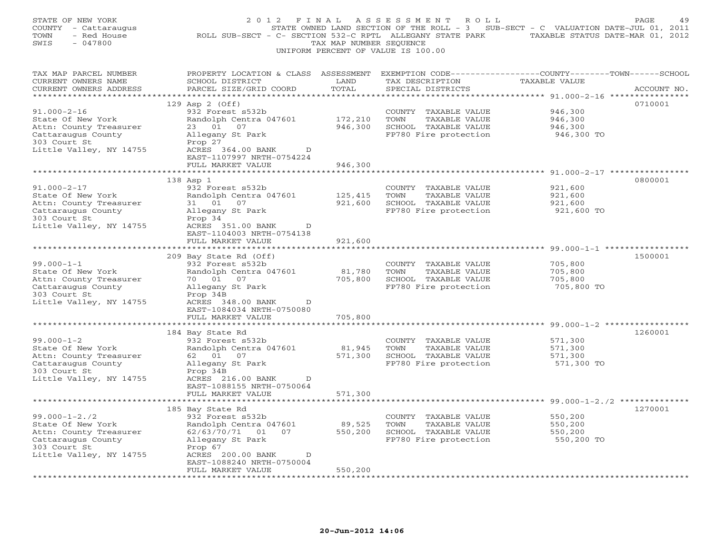| STATE OF NEW YORK<br>COUNTY - Cattaraugus<br>- Red House<br>TOWN<br>SWIS<br>$-047800$                                               | 2012 FINAL<br>ROLL SUB-SECT - C- SECTION 532-C RPTL ALLEGANY STATE PARK                                                                                                              | TAX MAP NUMBER SEQUENCE        | ASSESSMENT<br>R O L L<br>STATE OWNED LAND SECTION OF THE ROLL - 3 SUB-SECT - C VALUATION DATE-JUL 01, 2011<br>UNIFORM PERCENT OF VALUE IS 100.00 | TAXABLE STATUS DATE-MAR 01, 2012                                                                             | PAGE<br>49  |
|-------------------------------------------------------------------------------------------------------------------------------------|--------------------------------------------------------------------------------------------------------------------------------------------------------------------------------------|--------------------------------|--------------------------------------------------------------------------------------------------------------------------------------------------|--------------------------------------------------------------------------------------------------------------|-------------|
| TAX MAP PARCEL NUMBER<br>CURRENT OWNERS NAME<br>CURRENT OWNERS ADDRESS<br>**********************                                    | PROPERTY LOCATION & CLASS ASSESSMENT<br>SCHOOL DISTRICT<br>PARCEL SIZE/GRID COORD<br>****************************                                                                    | LAND<br>TOTAL                  | EXEMPTION CODE-----------------COUNTY-------TOWN------SCHOOL<br>TAX DESCRIPTION<br>SPECIAL DISTRICTS                                             | <b>TAXABLE VALUE</b>                                                                                         | ACCOUNT NO. |
| $91.000 - 2 - 16$<br>State Of New York<br>Attn: County Treasurer<br>Cattaraugus County<br>303 Court St<br>Little Valley, NY 14755   | 129 Asp 2 (Off)<br>932 Forest s532b<br>Randolph Centra 047601<br>23 01 07<br>Allegany St Park<br>Prop 27<br>ACRES 364.00 BANK<br>D<br>EAST-1107997 NRTH-0754224<br>FULL MARKET VALUE | 172,210<br>946,300<br>946,300  | COUNTY TAXABLE VALUE<br>TOWN<br>TAXABLE VALUE<br>SCHOOL TAXABLE VALUE<br>FP780 Fire protection                                                   | 946,300<br>946,300<br>946,300<br>946,300 TO                                                                  | 0710001     |
|                                                                                                                                     |                                                                                                                                                                                      |                                |                                                                                                                                                  | ** $91.000 - 2 - 17$ ************                                                                            |             |
| $91.000 - 2 - 17$<br>State Of New York<br>Attn: County Treasurer<br>Cattaraugus County<br>303 Court St<br>Little Valley, NY 14755   | 138 Asp 1<br>932 Forest s532b<br>Randolph Centra 047601<br>31 01 07<br>Allegany St Park<br>Prop 34<br>ACRES 351.00 BANK<br>D                                                         | 125,415<br>921,600             | COUNTY TAXABLE VALUE<br>TOWN<br>TAXABLE VALUE<br>SCHOOL TAXABLE VALUE<br>FP780 Fire protection                                                   | 921,600<br>921,600<br>921,600<br>921,600 TO                                                                  | 0800001     |
|                                                                                                                                     | EAST-1104003 NRTH-0754138<br>FULL MARKET VALUE                                                                                                                                       | 921,600                        |                                                                                                                                                  |                                                                                                              |             |
|                                                                                                                                     | * * * * * * * * * * * * * * * * * * *                                                                                                                                                | ******************             |                                                                                                                                                  |                                                                                                              |             |
| $99.000 - 1 - 1$<br>State Of New York<br>Attn: County Treasurer<br>Cattaraugus County<br>303 Court St<br>Little Valley, NY 14755    | 209 Bay State Rd (Off)<br>932 Forest s532b<br>Randolph Centra 047601<br>70 01 07<br>Allegany St Park<br>Prop 34B<br>ACRES 348.00 BANK<br>D<br>EAST-1084034 NRTH-0750080              | 81,780<br>705,800              | COUNTY TAXABLE VALUE<br>TOWN<br>TAXABLE VALUE<br>SCHOOL TAXABLE VALUE<br>FP780 Fire protection                                                   | 705,800<br>705,800<br>705,800<br>705,800 TO                                                                  | 1500001     |
|                                                                                                                                     | FULL MARKET VALUE                                                                                                                                                                    | 705,800                        |                                                                                                                                                  |                                                                                                              |             |
| $99.000 - 1 - 2$<br>State Of New York<br>Attn: County Treasurer<br>Cattaraugus County<br>303 Court St<br>Little Valley, NY 14755    | ******************<br>184 Bay State Rd<br>932 Forest s532b<br>Randolph Centra 047601<br>62  01  07<br>Allegany St Park<br>Prop 34B<br>ACRES 216.00 BANK<br>D                         | *********<br>81,945<br>571,300 | COUNTY TAXABLE VALUE<br>TOWN<br>TAXABLE VALUE<br>SCHOOL TAXABLE VALUE<br>FP780 Fire protection                                                   | ******************************** 99.000-1-2 *****************<br>571,300<br>571,300<br>571,300<br>571,300 TO | 1260001     |
|                                                                                                                                     | EAST-1088155 NRTH-0750064<br>FULL MARKET VALUE                                                                                                                                       | 571,300                        |                                                                                                                                                  |                                                                                                              |             |
|                                                                                                                                     |                                                                                                                                                                                      |                                |                                                                                                                                                  |                                                                                                              |             |
| $99.000 - 1 - 2.72$<br>State Of New York<br>Attn: County Treasurer<br>Cattaraugus County<br>303 Court St<br>Little Valley, NY 14755 | 185 Bay State Rd<br>932 Forest s532b<br>Randolph Centra 047601<br>62/63/70/71 01 07<br>Allegany St Park<br>Prop 67<br>ACRES 200.00 BANK<br>D<br>EAST-1088240 NRTH-0750004            | 89,525<br>550,200              | COUNTY TAXABLE VALUE<br>TOWN<br>TAXABLE VALUE<br>SCHOOL TAXABLE VALUE<br>FP780 Fire protection                                                   | 550,200<br>550,200<br>550,200<br>550,200 TO                                                                  | 1270001     |
|                                                                                                                                     | FULL MARKET VALUE<br>.                                                                                                                                                               | 550,200                        |                                                                                                                                                  |                                                                                                              |             |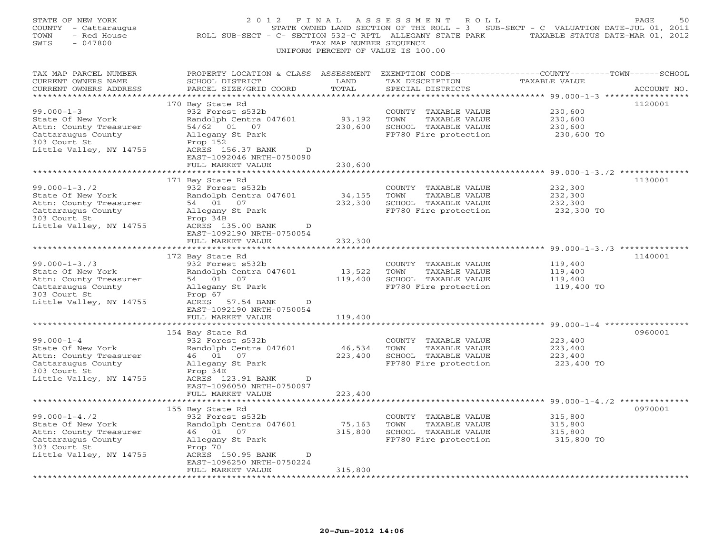| STATE OF NEW YORK<br>COUNTY - Cattaraugus<br>- Red House<br>TOWN<br>SWIS<br>$-047800$                                               | 2012 FINAL<br>ROLL SUB-SECT - C- SECTION 532-C RPTL ALLEGANY STATE PARK TAXABLE STATUS DATE-MAR 01, 2012                                                                                  | TAX MAP NUMBER SEQUENCE      | ASSESSMENT ROLL<br>UNIFORM PERCENT OF VALUE IS 100.00                                                  | STATE OWNED LAND SECTION OF THE ROLL - 3 SUB-SECT - C VALUATION DATE-JUL 01, 2011 | PAGE<br>50  |
|-------------------------------------------------------------------------------------------------------------------------------------|-------------------------------------------------------------------------------------------------------------------------------------------------------------------------------------------|------------------------------|--------------------------------------------------------------------------------------------------------|-----------------------------------------------------------------------------------|-------------|
| TAX MAP PARCEL NUMBER<br>CURRENT OWNERS NAME<br>CURRENT OWNERS ADDRESS<br>***********************                                   | PROPERTY LOCATION & CLASS ASSESSMENT<br>SCHOOL DISTRICT<br>PARCEL SIZE/GRID COORD                                                                                                         | LAND<br>TOTAL                | TAX DESCRIPTION<br>SPECIAL DISTRICTS                                                                   | EXEMPTION CODE-----------------COUNTY-------TOWN------SCHOOL<br>TAXABLE VALUE     | ACCOUNT NO. |
| $99.000 - 1 - 3$<br>State Of New York<br>Attn: County Treasurer<br>Cattaraugus County<br>303 Court St<br>Little Valley, NY 14755    | 170 Bay State Rd<br>932 Forest s532b<br>Randolph Centra 047601<br>54/62 01 07<br>Allegany St Park<br>Prop 152<br>ACRES 156.37 BANK<br>D<br>EAST-1092046 NRTH-0750090<br>FULL MARKET VALUE | 93,192<br>230,600<br>230,600 | COUNTY TAXABLE VALUE<br>TOWN<br>TAXABLE VALUE<br>SCHOOL TAXABLE VALUE<br>FP780 Fire protection         | 230,600<br>230,600<br>230,600<br>230,600 TO                                       | 1120001     |
|                                                                                                                                     |                                                                                                                                                                                           |                              |                                                                                                        | ********* 99.000-1-3./2 ************                                              |             |
| $99.000 - 1 - 3.72$<br>State Of New York<br>Attn: County Treasurer<br>Cattaraugus County<br>303 Court St<br>Little Valley, NY 14755 | 171 Bay State Rd<br>932 Forest s532b<br>Randolph Centra 047601<br>54 01 07<br>Allegany St Park<br>Prop 34B<br>ACRES 135.00 BANK<br>$\Box$                                                 | 34,155<br>232,300            | COUNTY TAXABLE VALUE<br>TOWN<br>TAXABLE VALUE<br>SCHOOL TAXABLE VALUE<br>FP780 Fire protection         | 232,300<br>232,300<br>232,300<br>232,300 TO                                       | 1130001     |
|                                                                                                                                     | EAST-1092190 NRTH-0750054<br>FULL MARKET VALUE                                                                                                                                            | 232,300                      |                                                                                                        |                                                                                   |             |
|                                                                                                                                     | *********************<br>172 Bay State Rd                                                                                                                                                 | ******************           |                                                                                                        | ************************************* 99.000-1-3./3 **************                | 1140001     |
| $99.000 - 1 - 3.73$<br>State Of New York<br>Attn: County Treasurer<br>Cattaraugus County<br>303 Court St<br>Little Valley, NY 14755 | 932 Forest s532b<br>Randolph Centra 047601<br>54 01 07<br>Allegany St Park<br>Prop 67<br>ACRES 57.54 BANK<br>D<br>EAST-1092190 NRTH-0750054                                               | 13,522<br>119,400            | COUNTY TAXABLE VALUE<br>TOWN<br>TAXABLE VALUE<br>SCHOOL TAXABLE VALUE<br>FP780 Fire protection         | 119,400<br>119,400<br>119,400<br>119,400 TO                                       |             |
|                                                                                                                                     | FULL MARKET VALUE                                                                                                                                                                         | 119,400                      |                                                                                                        |                                                                                   |             |
|                                                                                                                                     | * * * * * * * * * * * * * *<br>154 Bay State Rd                                                                                                                                           | ************                 |                                                                                                        | ******************************** 99.000-1-4 ****************                      | 0960001     |
| $99.000 - 1 - 4$<br>State Of New York<br>Attn: County Treasurer<br>Cattaraugus County<br>303 Court St<br>Little Valley, NY 14755    | 932 Forest s532b<br>Randolph Centra 047601<br>46 01 07<br>Allegany St Park<br>Prop 34E<br>ACRES 123.91 BANK<br>D<br>EAST-1096050 NRTH-0750097                                             | 46,534                       | COUNTY TAXABLE VALUE<br>TOWN<br>TAXABLE VALUE<br>223,400 SCHOOL TAXABLE VALUE<br>FP780 Fire protection | 223,400<br>223,400<br>223,400<br>223,400 TO                                       |             |
|                                                                                                                                     | FULL MARKET VALUE                                                                                                                                                                         | 223,400                      |                                                                                                        |                                                                                   |             |
| $99.000 - 1 - 4.72$<br>State Of New York<br>Attn: County Treasurer<br>Cattaraugus County<br>303 Court St<br>Little Valley, NY 14755 | 155 Bay State Rd<br>932 Forest s532b<br>Randolph Centra 047601<br>46 01 07<br>Allegany St Park<br>Prop 70<br>ACRES 150.95 BANK<br>$\mathbb{D}$                                            | 75,163<br>315,800            | COUNTY TAXABLE VALUE<br>TAXABLE VALUE<br>TOWN<br>SCHOOL TAXABLE VALUE<br>FP780 Fire protection         | 315,800<br>315,800<br>315,800<br>315,800 TO                                       | 0970001     |
|                                                                                                                                     | EAST-1096250 NRTH-0750224<br>FULL MARKET VALUE                                                                                                                                            | 315,800                      |                                                                                                        |                                                                                   |             |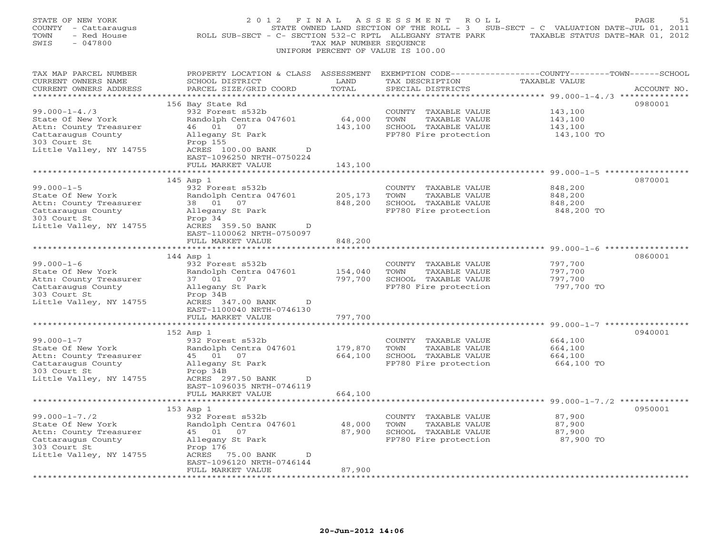| STATE OF NEW YORK<br>COUNTY - Cattaraugus<br>TOWN<br>- Red House<br>SWIS<br>$-047800$                                               | 2 0 1 2<br>F I N A L                                                                                                                                     | TAX MAP NUMBER SEQUENCE | A S S E S S M E N T<br>R O L L<br>UNIFORM PERCENT OF VALUE IS 100.00                           | STATE OWNED LAND SECTION OF THE ROLL - 3 SUB-SECT - C VALUATION DATE-JUL 01, 2011<br>ROLL SUB-SECT - C- SECTION 532-C RPTL ALLEGANY STATE PARK TAXABLE STATUS DATE-MAR 01, 2012 | PAGE<br>51  |
|-------------------------------------------------------------------------------------------------------------------------------------|----------------------------------------------------------------------------------------------------------------------------------------------------------|-------------------------|------------------------------------------------------------------------------------------------|---------------------------------------------------------------------------------------------------------------------------------------------------------------------------------|-------------|
| TAX MAP PARCEL NUMBER<br>CURRENT OWNERS NAME<br>CURRENT OWNERS ADDRESS                                                              | PROPERTY LOCATION & CLASS ASSESSMENT EXEMPTION CODE---------------COUNTY-------TOWN-----SCHOOL<br>SCHOOL DISTRICT<br>PARCEL SIZE/GRID COORD              | LAND<br>TOTAL           | TAX DESCRIPTION<br>SPECIAL DISTRICTS                                                           | <b>TAXABLE VALUE</b>                                                                                                                                                            | ACCOUNT NO. |
|                                                                                                                                     | 156 Bay State Rd                                                                                                                                         |                         |                                                                                                |                                                                                                                                                                                 | 0980001     |
| $99.000 - 1 - 4.73$<br>State Of New York<br>Attn: County Treasurer<br>Cattaraugus County<br>303 Court St<br>Little Valley, NY 14755 | 932 Forest s532b<br>Randolph Centra 047601<br>46 01 07<br>Allegany St Park<br>Prop 155<br>ACRES 100.00 BANK<br>$\mathbb{D}$<br>EAST-1096250 NRTH-0750224 | 64,000<br>143,100       | COUNTY TAXABLE VALUE<br>TOWN<br>TAXABLE VALUE<br>SCHOOL TAXABLE VALUE<br>FP780 Fire protection | 143,100<br>143,100<br>143,100<br>143,100 TO                                                                                                                                     |             |
|                                                                                                                                     | FULL MARKET VALUE                                                                                                                                        | 143,100                 |                                                                                                |                                                                                                                                                                                 |             |
| $99.000 - 1 - 5$<br>State Of New York<br>Attn: County Treasurer<br>Cattaraugus County<br>303 Court St                               | 145 Asp 1<br>932 Forest s532b<br>Randolph Centra 047601<br>38  01  07<br>Allegany St Park<br>Prop 34                                                     | 205,173<br>848,200      | COUNTY TAXABLE VALUE<br>TOWN<br>TAXABLE VALUE<br>SCHOOL TAXABLE VALUE<br>FP780 Fire protection | ********* 99.000-1-5 **************<br>848,200<br>848,200<br>848,200<br>848,200 TO                                                                                              | 0870001     |
| Little Valley, NY 14755<br>**********************                                                                                   | ACRES 359.50 BANK<br>D<br>EAST-1100062 NRTH-0750097<br>FULL MARKET VALUE                                                                                 | 848,200                 |                                                                                                |                                                                                                                                                                                 |             |
|                                                                                                                                     | 144 Asp 1                                                                                                                                                |                         |                                                                                                |                                                                                                                                                                                 | 0860001     |
| $99.000 - 1 - 6$<br>State Of New York<br>Attn: County Treasurer<br>Cattaraugus County<br>303 Court St<br>Little Valley, NY 14755    | 932 Forest s532b<br>Randolph Centra 047601<br>37 01 07<br>Allegany St Park<br>Prop 34B<br>ACRES 347.00 BANK<br>D<br>EAST-1100040 NRTH-0746130            | 154,040<br>797,700      | COUNTY TAXABLE VALUE<br>TOWN<br>TAXABLE VALUE<br>SCHOOL TAXABLE VALUE<br>FP780 Fire protection | 797,700<br>797,700<br>797,700<br>797,700 TO                                                                                                                                     |             |
|                                                                                                                                     | FULL MARKET VALUE                                                                                                                                        | 797,700                 |                                                                                                |                                                                                                                                                                                 |             |
| $99.000 - 1 - 7$                                                                                                                    | *******************<br>152 Asp 1<br>932 Forest s532b                                                                                                     | ****************        | COUNTY TAXABLE VALUE                                                                           | ************************************ 99.000-1-7 ******************<br>664,100                                                                                                   | 0940001     |
| State Of New York<br>Attn: County Treasurer<br>Cattaraugus County<br>303 Court St<br>Little Valley, NY 14755                        | Randolph Centra 047601<br>45 01 07<br>Allegany St Park<br>Prop 34B<br>ACRES 297.50 BANK<br>$\mathbb{D}$<br>EAST-1096035 NRTH-0746119                     | 179,870<br>664,100      | TOWN<br>TAXABLE VALUE<br>SCHOOL TAXABLE VALUE<br>FP780 Fire protection                         | 664,100<br>664,100<br>664,100 TO                                                                                                                                                |             |
|                                                                                                                                     | FULL MARKET VALUE<br>***************************                                                                                                         | 664,100                 |                                                                                                |                                                                                                                                                                                 |             |
|                                                                                                                                     | 153 Asp 1                                                                                                                                                |                         |                                                                                                |                                                                                                                                                                                 | 0950001     |
| $99.000 - 1 - 7.72$<br>State Of New York<br>Attn: County Treasurer<br>Cattaraugus County<br>303 Court St<br>Little Valley, NY 14755 | 932 Forest s532b<br>Randolph Centra 047601<br>45 01 07<br>Allegany St Park<br>Prop 176<br>ACRES 75.00 BANK<br>D                                          | 48,000<br>87,900        | COUNTY TAXABLE VALUE<br>TOWN<br>TAXABLE VALUE<br>SCHOOL TAXABLE VALUE<br>FP780 Fire protection | 87,900<br>87,900<br>87,900<br>87,900 TO                                                                                                                                         |             |
|                                                                                                                                     | EAST-1096120 NRTH-0746144<br>FULL MARKET VALUE<br>.                                                                                                      | 87,900                  |                                                                                                |                                                                                                                                                                                 |             |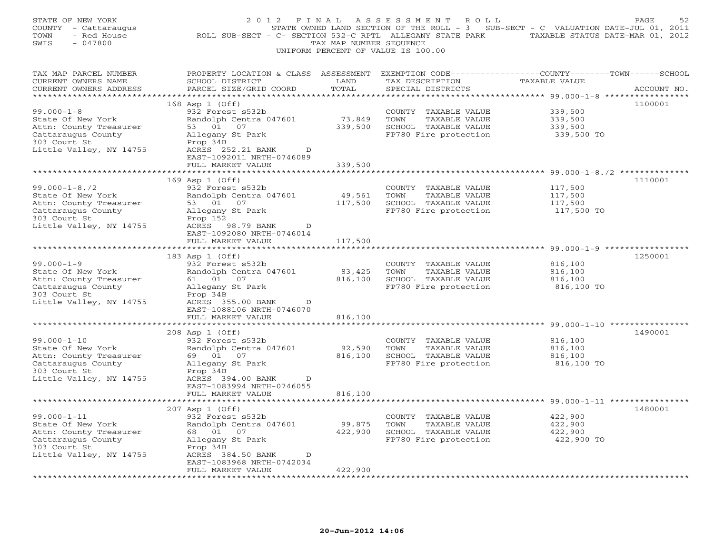| STATE OF NEW YORK<br>COUNTY - Cattaraugus<br>TOWN<br>- Red House<br>$-047800$<br>SWIS                                               | 2 0 1 2<br>F I N A L<br>ROLL SUB-SECT - C- SECTION 532-C RPTL ALLEGANY STATE PARK TAXABLE STATUS DATE-MAR 01, 2012                                       | TAX MAP NUMBER SEQUENCE | ASSESSMENT ROLL<br>STATE OWNED LAND SECTION OF THE ROLL - 3 SUB-SECT - C VALUATION DATE-JUL 01, 2011<br>UNIFORM PERCENT OF VALUE IS 100.00 |                                                                                                             | PAGE<br>52  |
|-------------------------------------------------------------------------------------------------------------------------------------|----------------------------------------------------------------------------------------------------------------------------------------------------------|-------------------------|--------------------------------------------------------------------------------------------------------------------------------------------|-------------------------------------------------------------------------------------------------------------|-------------|
| TAX MAP PARCEL NUMBER<br>CURRENT OWNERS NAME<br>CURRENT OWNERS ADDRESS                                                              | PROPERTY LOCATION & CLASS ASSESSMENT EXEMPTION CODE---------------COUNTY-------TOWN-----SCHOOL<br>SCHOOL DISTRICT<br>PARCEL SIZE/GRID COORD              | LAND<br>TOTAL           | TAX DESCRIPTION<br>SPECIAL DISTRICTS                                                                                                       | <b>TAXABLE VALUE</b>                                                                                        | ACCOUNT NO. |
|                                                                                                                                     | 168 Asp 1 (Off)                                                                                                                                          |                         |                                                                                                                                            |                                                                                                             | 1100001     |
| $99.000 - 1 - 8$<br>State Of New York<br>Attn: County Treasurer<br>Cattaraugus County<br>303 Court St<br>Little Valley, NY 14755    | 932 Forest s532b<br>Randolph Centra 047601<br>53 01 07<br>Allegany St Park<br>Prop 34B<br>ACRES 252.21 BANK<br>D<br>EAST-1092011 NRTH-0746089            | 73,849<br>339,500       | COUNTY TAXABLE VALUE<br>TOWN<br>TAXABLE VALUE<br>SCHOOL TAXABLE VALUE<br>FP780 Fire protection                                             | 339,500<br>339,500<br>339,500<br>339,500 TO                                                                 |             |
|                                                                                                                                     | FULL MARKET VALUE<br>************************                                                                                                            | 339,500                 |                                                                                                                                            |                                                                                                             |             |
| $99.000 - 1 - 8.72$<br>State Of New York<br>Attn: County Treasurer<br>Cattaraugus County<br>303 Court St<br>Little Valley, NY 14755 | 169 Asp 1 (Off)<br>932 Forest s532b<br>Randolph Centra 047601<br>53 01 07<br>Allegany St Park<br>Prop 152<br>ACRES 98.79 BANK<br>D                       | 49,561<br>117,500       | COUNTY TAXABLE VALUE<br>TOWN<br>TAXABLE VALUE<br>SCHOOL TAXABLE VALUE<br>FP780 Fire protection                                             | ******************************* 99.000-1-8./2 **************<br>117,500<br>117,500<br>117,500<br>117,500 TO | 1110001     |
|                                                                                                                                     | EAST-1092080 NRTH-0746014                                                                                                                                |                         |                                                                                                                                            |                                                                                                             |             |
|                                                                                                                                     | FULL MARKET VALUE                                                                                                                                        | 117,500                 |                                                                                                                                            |                                                                                                             |             |
|                                                                                                                                     | 183 Asp 1 (Off)                                                                                                                                          |                         |                                                                                                                                            |                                                                                                             | 1250001     |
| $99.000 - 1 - 9$<br>State Of New York<br>Attn: County Treasurer<br>Cattaraugus County<br>303 Court St<br>Little Valley, NY 14755    | 932 Forest s532b<br>Randolph Centra 047601<br>61 01 07<br>Allegany St Park<br>Prop 34B<br>ACRES 355.00 BANK<br>D<br>EAST-1088106 NRTH-0746070            | 83,425<br>816,100       | COUNTY TAXABLE VALUE<br>TOWN<br>TAXABLE VALUE<br>SCHOOL TAXABLE VALUE<br>FP780 Fire protection                                             | 816,100<br>816,100<br>816,100<br>816,100 TO                                                                 |             |
|                                                                                                                                     | FULL MARKET VALUE                                                                                                                                        | 816,100                 |                                                                                                                                            |                                                                                                             |             |
|                                                                                                                                     | **********************<br>208 Asp 1 (Off)                                                                                                                |                         |                                                                                                                                            |                                                                                                             | 1490001     |
| $99.000 - 1 - 10$<br>State Of New York<br>Attn: County Treasurer<br>Cattaraugus County<br>303 Court St<br>Little Valley, NY 14755   | 932 Forest s532b<br>Randolph Centra 047601<br>69 01 07<br>Allegany St Park<br>Prop 34B<br>ACRES 394.00 BANK<br>$\mathbb{D}$<br>EAST-1083994 NRTH-0746055 | 92,590<br>816,100       | COUNTY TAXABLE VALUE<br>TOWN<br>TAXABLE VALUE<br>SCHOOL TAXABLE VALUE<br>FP780 Fire protection                                             | 816,100<br>816,100<br>816,100<br>816,100 TO                                                                 |             |
|                                                                                                                                     | FULL MARKET VALUE                                                                                                                                        | 816,100                 |                                                                                                                                            |                                                                                                             |             |
|                                                                                                                                     |                                                                                                                                                          |                         |                                                                                                                                            |                                                                                                             |             |
| $99.000 - 1 - 11$<br>State Of New York<br>Attn: County Treasurer<br>Cattaraugus County<br>303 Court St<br>Little Valley, NY 14755   | 207 Asp 1 (Off)<br>932 Forest s532b<br>Randolph Centra 047601<br>68  01  07<br>Allegany St Park<br>Prop 34B<br>ACRES 384.50 BANK<br>$\mathbb{D}$         | 99,875<br>422,900       | COUNTY TAXABLE VALUE<br>TOWN<br>TAXABLE VALUE<br>SCHOOL TAXABLE VALUE<br>FP780 Fire protection                                             | 422,900<br>422,900<br>422,900<br>422,900 TO                                                                 | 1480001     |
|                                                                                                                                     | EAST-1083968 NRTH-0742034<br>FULL MARKET VALUE                                                                                                           | 422,900                 |                                                                                                                                            |                                                                                                             |             |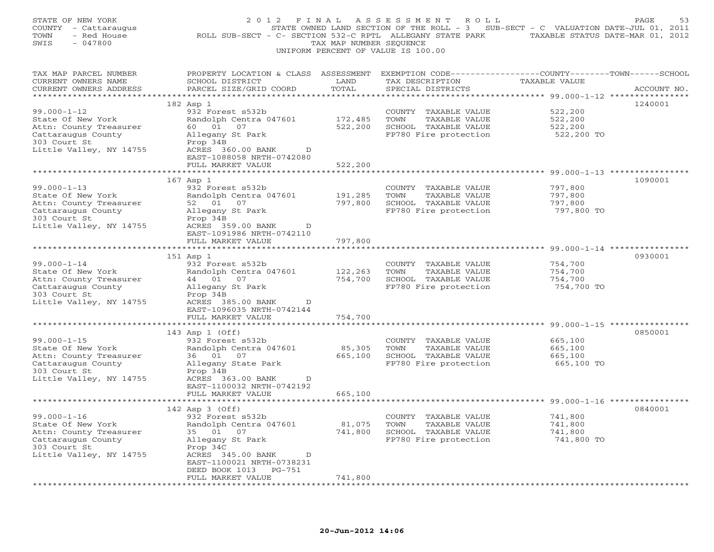| STATE OF NEW YORK<br>COUNTY - Cattaraugus<br>TOWN<br>- Red House<br>SWIS<br>$-047800$                                             | 2012 FINAL<br>ROLL SUB-SECT - C- SECTION 532-C RPTL ALLEGANY STATE PARK                                                                                                                      | TAX MAP NUMBER SEOUENCE       | ASSESSMENT ROLL<br>STATE OWNED LAND SECTION OF THE ROLL - 3 SUB-SECT - C VALUATION DATE-JUL 01, 2011<br>UNIFORM PERCENT OF VALUE IS 100.00 | TAXABLE STATUS DATE-MAR 01, 2012            | 53<br>PAGE  |
|-----------------------------------------------------------------------------------------------------------------------------------|----------------------------------------------------------------------------------------------------------------------------------------------------------------------------------------------|-------------------------------|--------------------------------------------------------------------------------------------------------------------------------------------|---------------------------------------------|-------------|
| TAX MAP PARCEL NUMBER<br>CURRENT OWNERS NAME<br>CURRENT OWNERS ADDRESS                                                            | PROPERTY LOCATION & CLASS ASSESSMENT EXEMPTION CODE----------------COUNTY-------TOWN------SCHOOL<br>SCHOOL DISTRICT<br>PARCEL SIZE/GRID COORD                                                | LAND<br>TOTAL                 | TAX DESCRIPTION<br>SPECIAL DISTRICTS                                                                                                       | TAXABLE VALUE                               | ACCOUNT NO. |
| $99.000 - 1 - 12$<br>State Of New York<br>Attn: County Treasurer<br>Cattaraugus County<br>303 Court St<br>Little Valley, NY 14755 | 182 Asp 1<br>932 Forest s532b<br>Randolph Centra 047601<br>60 01<br>07<br>Allegany St Park<br>Prop 34B<br>ACRES 360.00 BANK<br>D<br>EAST-1088058 NRTH-0742080                                | 172,485<br>522,200            | COUNTY TAXABLE VALUE<br>TOWN<br>TAXABLE VALUE<br>SCHOOL TAXABLE VALUE<br>FP780 Fire protection                                             | 522,200<br>522,200<br>522,200<br>522,200 TO | 1240001     |
|                                                                                                                                   | FULL MARKET VALUE                                                                                                                                                                            | 522,200                       |                                                                                                                                            |                                             |             |
| $99.000 - 1 - 13$<br>State Of New York<br>Attn: County Treasurer<br>Cattaraugus County<br>303 Court St<br>Little Valley, NY 14755 | 167 Asp 1<br>932 Forest s532b<br>Randolph Centra 047601<br>52 01 07<br>Allegany St Park<br>Prop 34B<br>ACRES 359.00 BANK<br>D                                                                | 191,285<br>797,800            | COUNTY TAXABLE VALUE<br>TOWN<br>TAXABLE VALUE<br>SCHOOL TAXABLE VALUE<br>FP780 Fire protection                                             | 797,800<br>797,800<br>797,800<br>797,800 TO | 1090001     |
|                                                                                                                                   | EAST-1091986 NRTH-0742110<br>FULL MARKET VALUE                                                                                                                                               | 797,800                       |                                                                                                                                            |                                             |             |
|                                                                                                                                   | ****************************                                                                                                                                                                 |                               |                                                                                                                                            |                                             |             |
| $99.000 - 1 - 14$<br>State Of New York<br>Attn: County Treasurer<br>Cattaraugus County<br>303 Court St<br>Little Valley, NY 14755 | 151 Asp 1<br>932 Forest s532b<br>Randolph Centra 047601<br>44 01 07<br>Allegany St Park<br>Prop 34B<br>ACRES 385.00 BANK<br>D<br>EAST-1096035 NRTH-0742144<br>FULL MARKET VALUE              | 122,263<br>754,700<br>754,700 | COUNTY TAXABLE VALUE<br>TOWN<br>TAXABLE VALUE<br>SCHOOL TAXABLE VALUE<br>FP780 Fire protection                                             | 754,700<br>754,700<br>754,700<br>754,700 TO | 0930001     |
| ************************                                                                                                          |                                                                                                                                                                                              |                               |                                                                                                                                            |                                             |             |
| $99.000 - 1 - 15$<br>State Of New York<br>Attn: County Treasurer<br>Cattaraugus County<br>303 Court St<br>Little Valley, NY 14755 | 143 Asp 1 (Off)<br>932 Forest s532b<br>Randolph Centra 047601<br>36 01<br>07<br>Allegany State Park<br>Prop 34B<br>ACRES 363.00 BANK<br>D<br>EAST-1100032 NRTH-0742192                       | 85,305<br>665,100             | COUNTY TAXABLE VALUE<br>TOWN<br>TAXABLE VALUE<br>SCHOOL TAXABLE VALUE<br>FP780 Fire protection                                             | 665,100<br>665,100<br>665,100<br>665,100 TO | 0850001     |
|                                                                                                                                   | FULL MARKET VALUE                                                                                                                                                                            | 665,100                       |                                                                                                                                            |                                             |             |
| $99.000 - 1 - 16$<br>State Of New York<br>Attn: County Treasurer<br>Cattaraugus County<br>303 Court St<br>Little Valley, NY 14755 | 142 Asp 3 (Off)<br>932 Forest s532b<br>Randolph Centra 047601<br>35 01<br>07<br>Allegany St Park<br>Prop 34C<br>ACRES 345.00 BANK<br>D<br>EAST-1100021 NRTH-0738231<br>DEED BOOK 1013 PG-751 | 81,075<br>741,800             | COUNTY TAXABLE VALUE<br>TOWN<br>TAXABLE VALUE<br>SCHOOL TAXABLE VALUE<br>FP780 Fire protection                                             | 741,800<br>741,800<br>741,800<br>741,800 TO | 0840001     |
|                                                                                                                                   | FULL MARKET VALUE                                                                                                                                                                            | 741,800                       |                                                                                                                                            |                                             |             |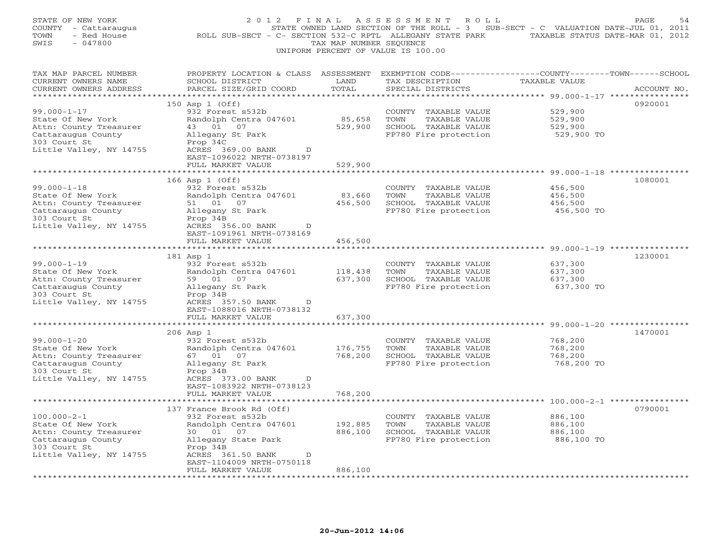| STATE OF NEW YORK<br>COUNTY - Cattaraugus<br>- Red House<br>TOWN<br>SWIS<br>$-047800$                                             | 2012 FINAL<br>ROLL SUB-SECT - C- SECTION 532-C RPTL ALLEGANY STATE PARK                                                                                                               | TAX MAP NUMBER SEQUENCE      | ASSESSMENT<br>R O L L<br>STATE OWNED LAND SECTION OF THE ROLL - 3 SUB-SECT - C VALUATION DATE-JUL 01, 2011<br>UNIFORM PERCENT OF VALUE IS 100.00                      | TAXABLE STATUS DATE-MAR 01, 2012                                                  | PAGE<br>54  |
|-----------------------------------------------------------------------------------------------------------------------------------|---------------------------------------------------------------------------------------------------------------------------------------------------------------------------------------|------------------------------|-----------------------------------------------------------------------------------------------------------------------------------------------------------------------|-----------------------------------------------------------------------------------|-------------|
| TAX MAP PARCEL NUMBER<br>CURRENT OWNERS NAME<br>CURRENT OWNERS ADDRESS<br>**********************                                  | PROPERTY LOCATION & CLASS ASSESSMENT<br>SCHOOL DISTRICT<br>PARCEL SIZE/GRID COORD                                                                                                     | LAND<br>TOTAL<br>*********** | EXEMPTION CODE-----------------COUNTY-------TOWN------SCHOOL<br>TAX DESCRIPTION<br>SPECIAL DISTRICTS                                                                  | TAXABLE VALUE                                                                     | ACCOUNT NO. |
| $99.000 - 1 - 17$<br>State Of New York<br>Attn: County Treasurer<br>Cattaraugus County<br>303 Court St<br>Little Valley, NY 14755 | 150 Asp 1 (Off)<br>932 Forest s532b<br>Randolph Centra 047601<br>43 01 07<br>Allegany St Park<br>Prop 34C<br>ACRES 369.00 BANK<br>D<br>EAST-1096022 NRTH-0738197<br>FULL MARKET VALUE | 85,658<br>529,900<br>529,900 | ************************************** 99.000-1-17 ****************<br>COUNTY TAXABLE VALUE<br>TOWN<br>TAXABLE VALUE<br>SCHOOL TAXABLE VALUE<br>FP780 Fire protection | 529,900<br>529,900<br>529,900<br>529,900 TO                                       | 0920001     |
|                                                                                                                                   | 166 Asp 1 (Off)                                                                                                                                                                       |                              |                                                                                                                                                                       | **** 99.000-1-18 ************                                                     | 1080001     |
| $99.000 - 1 - 18$<br>State Of New York<br>Attn: County Treasurer<br>Cattaraugus County<br>303 Court St<br>Little Valley, NY 14755 | 932 Forest s532b<br>Randolph Centra 047601<br>51 01 07<br>Allegany St Park<br>Prop 34B<br>ACRES 356.00 BANK<br>D                                                                      | 83,660<br>456,500            | COUNTY TAXABLE VALUE<br>TOWN<br>TAXABLE VALUE<br>SCHOOL TAXABLE VALUE<br>FP780 Fire protection                                                                        | 456,500<br>456,500<br>456,500<br>456,500 TO                                       |             |
|                                                                                                                                   | EAST-1091961 NRTH-0738169<br>FULL MARKET VALUE                                                                                                                                        | 456,500                      |                                                                                                                                                                       |                                                                                   |             |
| ********************                                                                                                              | 181 Asp 1                                                                                                                                                                             |                              |                                                                                                                                                                       |                                                                                   | 1230001     |
| $99.000 - 1 - 19$<br>State Of New York<br>Attn: County Treasurer<br>Cattaraugus County<br>303 Court St<br>Little Valley, NY 14755 | 932 Forest s532b<br>Randolph Centra 047601<br>59 01 07<br>Allegany St Park<br>Prop 34B<br>ACRES 357.50 BANK<br>D<br>EAST-1088016 NRTH-0738132                                         | 118,438<br>637,300           | COUNTY TAXABLE VALUE<br>TOWN<br>TAXABLE VALUE<br>SCHOOL TAXABLE VALUE<br>FP780 Fire protection                                                                        | 637,300<br>637,300<br>637,300<br>637,300 TO                                       |             |
|                                                                                                                                   | FULL MARKET VALUE<br>**************                                                                                                                                                   | 637,300<br>*************     |                                                                                                                                                                       | *********************************    99.000-1-20                   ************** |             |
| $99.000 - 1 - 20$<br>State Of New York<br>Attn: County Treasurer<br>Cattaraugus County<br>303 Court St<br>Little Valley, NY 14755 | $206$ Asp $1$<br>932 Forest s532b<br>Randolph Centra 047601<br>67 01<br>07<br>Allegany St Park<br>Prop 34B<br>ACRES 373.00 BANK<br>D                                                  | 176,755<br>768,200           | COUNTY TAXABLE VALUE<br>TOWN<br>TAXABLE VALUE<br>SCHOOL TAXABLE VALUE<br>FP780 Fire protection                                                                        | 768,200<br>768,200<br>768,200<br>768,200 TO                                       | 1470001     |
|                                                                                                                                   | EAST-1083922 NRTH-0738123<br>FULL MARKET VALUE                                                                                                                                        | 768,200                      |                                                                                                                                                                       |                                                                                   |             |
| $100.000 - 2 - 1$<br>State Of New York<br>Attn: County Treasurer<br>Cattaraugus County<br>303 Court St<br>Little Valley, NY 14755 | 137 France Brook Rd (Off)<br>932 Forest s532b<br>Randolph Centra 047601<br>30  01  07<br>Allegany State Park<br>Prop 34B<br>ACRES 361.50 BANK<br>D<br>EAST-1104009 NRTH-0750118       | 192,885<br>886,100           | COUNTY TAXABLE VALUE<br>TOWN<br>TAXABLE VALUE<br>SCHOOL TAXABLE VALUE<br>FP780 Fire protection                                                                        | 886,100<br>886,100<br>886,100<br>886,100 TO                                       | 0790001     |
|                                                                                                                                   | FULL MARKET VALUE                                                                                                                                                                     | 886,100                      |                                                                                                                                                                       |                                                                                   |             |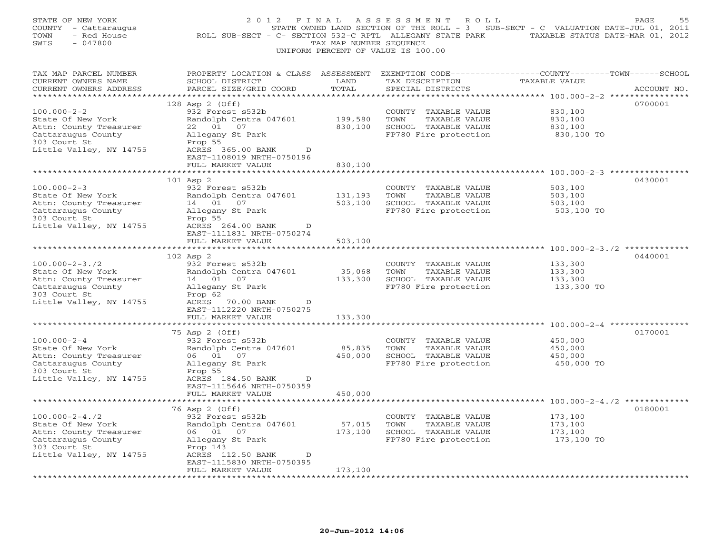| STATE OF NEW YORK<br>COUNTY - Cattaraugus<br>- Red House<br>TOWN<br>SWIS<br>$-047800$                                                                        | 2012 FINAL<br>ROLL SUB-SECT - C- SECTION 532-C RPTL ALLEGANY STATE PARK TAXABLE STATUS DATE-MAR 01, 2012                                                                                                                      | TAX MAP NUMBER SEQUENCE                                       | A S S E S S M E N T<br>R O L L<br>STATE OWNED LAND SECTION OF THE ROLL - 3 SUB-SECT - C VALUATION DATE-JUL 01, 2011<br>UNIFORM PERCENT OF VALUE IS 100.00 |                                                                                                        | PAGE<br>55  |
|--------------------------------------------------------------------------------------------------------------------------------------------------------------|-------------------------------------------------------------------------------------------------------------------------------------------------------------------------------------------------------------------------------|---------------------------------------------------------------|-----------------------------------------------------------------------------------------------------------------------------------------------------------|--------------------------------------------------------------------------------------------------------|-------------|
| TAX MAP PARCEL NUMBER<br>CURRENT OWNERS NAME<br>CURRENT OWNERS ADDRESS                                                                                       | PROPERTY LOCATION & CLASS ASSESSMENT<br>SCHOOL DISTRICT<br>PARCEL SIZE/GRID COORD                                                                                                                                             | LAND<br>TOTAL                                                 | EXEMPTION CODE-----------------COUNTY-------TOWN------SCHOOL<br>TAX DESCRIPTION<br>SPECIAL DISTRICTS                                                      | TAXABLE VALUE                                                                                          | ACCOUNT NO. |
| ***********************<br>$100.000 - 2 - 2$<br>State Of New York<br>Attn: County Treasurer<br>Cattaraugus County<br>303 Court St<br>Little Valley, NY 14755 | 128 Asp 2 (Off)<br>932 Forest s532b<br>Randolph Centra 047601<br>22 01 07<br>Allegany St Park<br>Prop 55<br>ACRES 365.00 BANK<br>D<br>EAST-1108019 NRTH-0750196<br>FULL MARKET VALUE                                          | 199,580<br>830,100<br>830,100                                 | COUNTY TAXABLE VALUE<br>TOWN<br>TAXABLE VALUE<br>SCHOOL TAXABLE VALUE<br>FP780 Fire protection                                                            | 830,100<br>830,100<br>830,100<br>830,100 TO                                                            | 0700001     |
| $100.000 - 2 - 3$<br>State Of New York<br>Attn: County Treasurer<br>Cattaraugus County<br>303 Court St<br>Little Valley, NY 14755                            | 101 Asp 2<br>932 Forest s532b<br>Randolph Centra 047601<br>14  01  07<br>Allegany St Park<br>Prop 55<br>ACRES 264.00 BANK<br>D                                                                                                | 131,193<br>503,100                                            | COUNTY TAXABLE VALUE<br>TOWN<br>TAXABLE VALUE<br>SCHOOL TAXABLE VALUE<br>FP780 Fire protection                                                            | **** 100.000-2-3 **************<br>503,100<br>503,100<br>503,100<br>503,100 TO                         | 0430001     |
| *******************<br>$100.000 - 2 - 3.72$<br>State Of New York                                                                                             | EAST-1111831 NRTH-0750274<br>FULL MARKET VALUE<br>***********************<br>102 Asp 2<br>932 Forest s532b<br>Randolph Centra 047601                                                                                          | 503,100<br>35,068                                             | COUNTY TAXABLE VALUE<br>TOWN<br>TAXABLE VALUE                                                                                                             | 133,300<br>133,300                                                                                     | 0440001     |
| Attn: County Treasurer<br>Cattaraugus County<br>303 Court St<br>Little Valley, NY 14755                                                                      | 14 01 07<br>Allegany St Park<br>Prop 62<br>ACRES 70.00 BANK<br>D<br>EAST-1112220 NRTH-0750275<br>FULL MARKET VALUE<br>*****************                                                                                       | 133,300<br>133,300<br>********                                | SCHOOL TAXABLE VALUE<br>FP780 Fire protection                                                                                                             | 133,300<br>133,300 TO                                                                                  |             |
| $100.000 - 2 - 4$<br>State Of New York<br>Attn: County Treasurer<br>Cattaraugus County<br>303 Court St<br>Little Valley, NY 14755                            | 75 Asp 2 (Off)<br>932 Forest s532b<br>Randolph Centra 047601<br>06 01 07<br>Allegany St Park<br>Prop 55<br>ACRES 184.50 BANK<br>D<br>EAST-1115646 NRTH-0750359                                                                | 85,835<br>450,000                                             | COUNTY TAXABLE VALUE<br>TOWN<br>TAXABLE VALUE<br>SCHOOL TAXABLE VALUE<br>FP780 Fire protection                                                            | ****************************** 100.000-2-4 ************<br>450,000<br>450,000<br>450,000<br>450,000 TO | 0170001     |
|                                                                                                                                                              | FULL MARKET VALUE<br>************************                                                                                                                                                                                 | 450,000                                                       |                                                                                                                                                           |                                                                                                        |             |
| $100.000 - 2 - 4.72$<br>State Of New York<br>Attn: County Treasurer<br>Cattaraugus County<br>303 Court St<br>Little Valley, NY 14755<br>*******************  | 76 Asp 2 (Off)<br>932 Forest s532b<br>Randolph Centra 047601<br>06 01 07<br>Allegany St Park<br>Prop 143<br>ACRES 112.50 BANK<br>D<br>EAST-1115830 NRTH-0750395<br>FULL MARKET VALUE<br>* * * * * * * * * * * * * * * * * * * | 57,015<br>173,100<br>173,100<br>* * * * * * * * * * * * * * * | COUNTY TAXABLE VALUE<br>TOWN<br>TAXABLE VALUE<br>SCHOOL TAXABLE VALUE<br>FP780 Fire protection                                                            | 173,100<br>173,100<br>173,100<br>173,100 TO                                                            | 0180001     |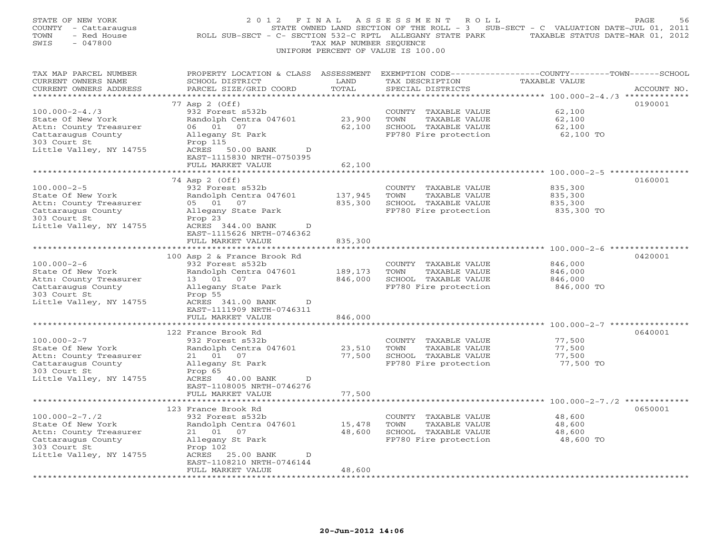| STATE OF NEW YORK<br>COUNTY - Cattaraugus<br>TOWN<br>- Red House<br>$-047800$<br>SWIS                                                | 2 0 1 2<br>F I N A L<br>ROLL SUB-SECT - C- SECTION 532-C RPTL ALLEGANY STATE PARK TAXABLE STATUS DATE-MAR 01, 2012                                         | TAX MAP NUMBER SEQUENCE             | A S S E S S M E N T<br>R O L L<br>STATE OWNED LAND SECTION OF THE ROLL - 3 SUB-SECT - C VALUATION DATE-JUL 01, 2011<br>UNIFORM PERCENT OF VALUE IS 100.00 |                                                                                     | PAGE<br>56  |
|--------------------------------------------------------------------------------------------------------------------------------------|------------------------------------------------------------------------------------------------------------------------------------------------------------|-------------------------------------|-----------------------------------------------------------------------------------------------------------------------------------------------------------|-------------------------------------------------------------------------------------|-------------|
| TAX MAP PARCEL NUMBER<br>CURRENT OWNERS NAME<br>CURRENT OWNERS ADDRESS                                                               | PROPERTY LOCATION & CLASS ASSESSMENT EXEMPTION CODE---------------COUNTY-------TOWN-----SCHOOL<br>SCHOOL DISTRICT<br>PARCEL SIZE/GRID COORD                | LAND<br>TOTAL                       | TAX DESCRIPTION<br>SPECIAL DISTRICTS                                                                                                                      | TAXABLE VALUE                                                                       | ACCOUNT NO. |
|                                                                                                                                      | 77 Asp 2 (Off)                                                                                                                                             |                                     |                                                                                                                                                           |                                                                                     | 0190001     |
| $100.000 - 2 - 4.73$<br>State Of New York<br>Attn: County Treasurer<br>Cattaraugus County<br>303 Court St<br>Little Valley, NY 14755 | 932 Forest s532b<br>Randolph Centra 047601<br>06 01 07<br>Allegany St Park<br>Prop 115<br>ACRES<br>50.00 BANK<br>$\mathbb{D}$<br>EAST-1115830 NRTH-0750395 | 23,900<br>62,100                    | COUNTY TAXABLE VALUE<br>TOWN<br>TAXABLE VALUE<br>SCHOOL TAXABLE VALUE<br>FP780 Fire protection                                                            | 62,100<br>62,100<br>62,100<br>62,100 TO                                             |             |
|                                                                                                                                      | FULL MARKET VALUE                                                                                                                                          | 62,100                              |                                                                                                                                                           |                                                                                     |             |
| $100.000 - 2 - 5$<br>State Of New York<br>Attn: County Treasurer<br>Cattaraugus County<br>303 Court St                               | **********************<br>74 Asp 2 (Off)<br>932 Forest s532b<br>Randolph Centra 047601<br>05 01 07<br>Allegany State Park<br>Prop 23                       | 137,945<br>835,300                  | COUNTY TAXABLE VALUE<br>TOWN<br>TAXABLE VALUE<br>SCHOOL TAXABLE VALUE<br>FP780 Fire protection                                                            | ********* 100.000-2-5 **************<br>835,300<br>835,300<br>835,300<br>835,300 TO | 0160001     |
| Little Valley, NY 14755                                                                                                              | ACRES 344.00 BANK<br>$\mathbb{D}$<br>EAST-1115626 NRTH-0746362<br>FULL MARKET VALUE                                                                        | 835,300                             |                                                                                                                                                           |                                                                                     |             |
| $100.000 - 2 - 6$<br>State Of New York<br>Attn: County Treasurer<br>Cattaraugus County<br>303 Court St<br>Little Valley, NY 14755    | 100 Asp 2 & France Brook Rd<br>932 Forest s532b<br>Randolph Centra 047601<br>13 01 07<br>Allegany State Park<br>Prop 55<br>ACRES 341.00 BANK<br>D          | 189,173<br>846,000                  | COUNTY TAXABLE VALUE<br>TOWN<br>TAXABLE VALUE<br>SCHOOL TAXABLE VALUE<br>FP780 Fire protection                                                            | 846,000<br>846,000<br>846,000<br>846,000 TO                                         | 0420001     |
|                                                                                                                                      | EAST-1111909 NRTH-0746311<br>FULL MARKET VALUE                                                                                                             | 846,000                             |                                                                                                                                                           |                                                                                     |             |
| $100.000 - 2 - 7$<br>State Of New York<br>Attn: County Treasurer                                                                     | * * * * * * * * * * * * * * * * * * *<br>122 France Brook Rd<br>932 Forest s532b<br>Randolph Centra 047601<br>21  01  07                                   | ***************<br>23,510<br>77,500 | COUNTY TAXABLE VALUE<br>TOWN<br>TAXABLE VALUE<br>SCHOOL TAXABLE VALUE                                                                                     | 77,500<br>77,500<br>77,500                                                          | 0640001     |
| Cattaraugus County<br>303 Court St<br>Little Valley, NY 14755                                                                        | Allegany St Park<br>Prop 65<br>ACRES 40.00 BANK<br>$\mathbb{D}$<br>EAST-1108005 NRTH-0746276<br>FULL MARKET VALUE                                          | 77,500                              | FP780 Fire protection                                                                                                                                     | 77,500 TO                                                                           |             |
|                                                                                                                                      | 123 France Brook Rd                                                                                                                                        |                                     |                                                                                                                                                           |                                                                                     | 0650001     |
| $100.000 - 2 - 7.72$<br>State Of New York<br>Attn: County Treasurer<br>Cattaraugus County<br>303 Court St<br>Little Valley, NY 14755 | 932 Forest s532b<br>Randolph Centra 047601<br>21  01  07<br>Allegany St Park<br>Prop 102<br>ACRES 25.00 BANK<br>D                                          | 15,478<br>48,600                    | COUNTY TAXABLE VALUE<br>TOWN<br>TAXABLE VALUE<br>SCHOOL TAXABLE VALUE<br>FP780 Fire protection                                                            | 48,600<br>48,600<br>48,600<br>48,600 TO                                             |             |
|                                                                                                                                      | EAST-1108210 NRTH-0746144<br>FULL MARKET VALUE<br>.                                                                                                        | 48,600                              |                                                                                                                                                           |                                                                                     |             |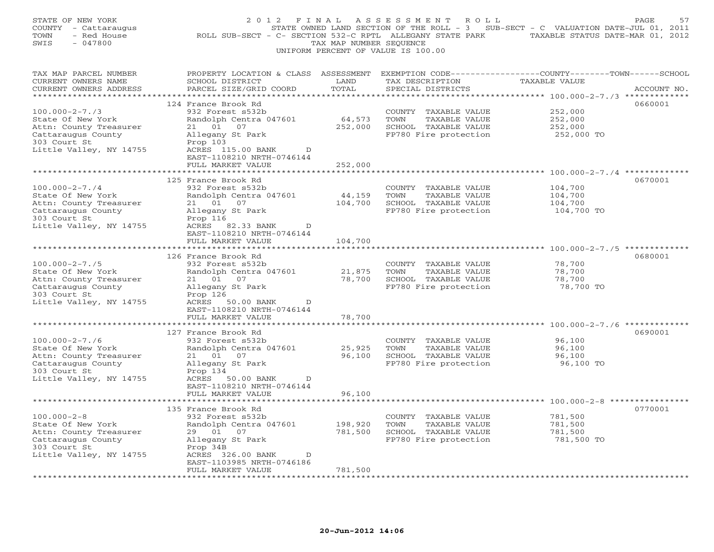| STATE OF NEW YORK<br>COUNTY - Cattaraugus<br>TOWN<br>- Red House<br>$-047800$<br>SWIS | 2 0 1 2<br>FINAL<br>ROLL SUB-SECT - C- SECTION 532-C RPTL ALLEGANY STATE PARK                                                                | TAX MAP NUMBER SEQUENCE | A S S E S S M E N T R O L L<br>STATE OWNED LAND SECTION OF THE ROLL - 3 SUB-SECT - C VALUATION DATE-JUL 01, 2011<br>UNIFORM PERCENT OF VALUE IS 100.00 | TAXABLE STATUS DATE-MAR 01, 2012 | PAGE<br>57  |
|---------------------------------------------------------------------------------------|----------------------------------------------------------------------------------------------------------------------------------------------|-------------------------|--------------------------------------------------------------------------------------------------------------------------------------------------------|----------------------------------|-------------|
| TAX MAP PARCEL NUMBER<br>CURRENT OWNERS NAME<br>CURRENT OWNERS ADDRESS                | PROPERTY LOCATION & CLASS ASSESSMENT EXEMPTION CODE---------------COUNTY-------TOWN------SCHOOL<br>SCHOOL DISTRICT<br>PARCEL SIZE/GRID COORD | LAND<br>TOTAL           | TAX DESCRIPTION<br>SPECIAL DISTRICTS                                                                                                                   | TAXABLE VALUE                    | ACCOUNT NO. |
|                                                                                       | 124 France Brook Rd                                                                                                                          |                         |                                                                                                                                                        |                                  | 0660001     |
| $100.000 - 2 - 7.73$                                                                  | 932 Forest s532b                                                                                                                             |                         | COUNTY TAXABLE VALUE                                                                                                                                   | 252,000                          |             |
| State Of New York                                                                     | Randolph Centra 047601                                                                                                                       | 64,573                  | TOWN<br>TAXABLE VALUE                                                                                                                                  | 252,000                          |             |
| Attn: County Treasurer                                                                | 21 01 07                                                                                                                                     | 252,000                 | SCHOOL TAXABLE VALUE                                                                                                                                   | 252,000                          |             |
| Cattaraugus County                                                                    | Allegany St Park                                                                                                                             |                         | FP780 Fire protection                                                                                                                                  | 252,000 TO                       |             |
| 303 Court St<br>Little Valley, NY 14755                                               | Prop 103<br>ACRES 115.00 BANK<br>$\overline{D}$                                                                                              |                         |                                                                                                                                                        |                                  |             |
|                                                                                       | EAST-1108210 NRTH-0746144                                                                                                                    |                         |                                                                                                                                                        |                                  |             |
|                                                                                       | FULL MARKET VALUE                                                                                                                            | 252,000                 |                                                                                                                                                        |                                  |             |
|                                                                                       | * * * * * * * * * * * * * * * * * *                                                                                                          |                         |                                                                                                                                                        |                                  |             |
| $100.000 - 2 - 7.74$                                                                  | 125 France Brook Rd<br>932 Forest s532b                                                                                                      |                         | COUNTY TAXABLE VALUE                                                                                                                                   | 104,700                          | 0670001     |
| State Of New York                                                                     | Randolph Centra 047601                                                                                                                       | 44,159                  | TOWN<br>TAXABLE VALUE                                                                                                                                  | 104,700                          |             |
| Attn: County Treasurer                                                                | 21 01 07                                                                                                                                     | 104,700                 | SCHOOL TAXABLE VALUE                                                                                                                                   | 104,700                          |             |
| Cattaraugus County                                                                    | Allegany St Park                                                                                                                             |                         | FP780 Fire protection                                                                                                                                  | 104,700 TO                       |             |
| 303 Court St<br>Little Valley, NY 14755                                               | Prop 116<br>ACRES 82.33 BANK<br>D                                                                                                            |                         |                                                                                                                                                        |                                  |             |
|                                                                                       | EAST-1108210 NRTH-0746144                                                                                                                    |                         |                                                                                                                                                        |                                  |             |
|                                                                                       | FULL MARKET VALUE                                                                                                                            | 104,700                 |                                                                                                                                                        |                                  |             |
|                                                                                       |                                                                                                                                              |                         |                                                                                                                                                        |                                  |             |
| $100.000 - 2 - 7.75$                                                                  | 126 France Brook Rd<br>932 Forest s532b                                                                                                      |                         | COUNTY TAXABLE VALUE                                                                                                                                   | 78,700                           | 0680001     |
| State Of New York                                                                     | Randolph Centra 047601                                                                                                                       | 21,875                  | TOWN<br>TAXABLE VALUE                                                                                                                                  | 78,700                           |             |
| Attn: County Treasurer                                                                | 21 01<br>07                                                                                                                                  | 78,700                  | SCHOOL TAXABLE VALUE                                                                                                                                   | 78,700                           |             |
| Cattaraugus County                                                                    | Allegany St Park                                                                                                                             |                         | FP780 Fire protection                                                                                                                                  | 78,700 TO                        |             |
| 303 Court St<br>Little Valley, NY 14755                                               | Prop 126<br>ACRES 50.00 BANK<br>D                                                                                                            |                         |                                                                                                                                                        |                                  |             |
|                                                                                       | EAST-1108210 NRTH-0746144                                                                                                                    |                         |                                                                                                                                                        |                                  |             |
|                                                                                       | FULL MARKET VALUE                                                                                                                            | 78,700                  |                                                                                                                                                        |                                  |             |
|                                                                                       |                                                                                                                                              | *********               |                                                                                                                                                        |                                  |             |
| $100.000 - 2 - 7.76$                                                                  | 127 France Brook Rd<br>932 Forest s532b                                                                                                      |                         | COUNTY TAXABLE VALUE                                                                                                                                   | 96,100                           | 0690001     |
| State Of New York                                                                     | Randolph Centra 047601                                                                                                                       | 25,925                  | TOWN<br>TAXABLE VALUE                                                                                                                                  | 96,100                           |             |
| Attn: County Treasurer                                                                | 21 01 07                                                                                                                                     | 96,100                  | SCHOOL TAXABLE VALUE                                                                                                                                   | 96,100                           |             |
| Cattaraugus County                                                                    | Allegany St Park                                                                                                                             |                         | FP780 Fire protection                                                                                                                                  | 96,100 TO                        |             |
| 303 Court St<br>Little Valley, NY 14755                                               | Prop 134<br>ACRES 50.00 BANK<br>D                                                                                                            |                         |                                                                                                                                                        |                                  |             |
|                                                                                       | EAST-1108210 NRTH-0746144                                                                                                                    |                         |                                                                                                                                                        |                                  |             |
|                                                                                       | FULL MARKET VALUE                                                                                                                            | 96,100                  |                                                                                                                                                        |                                  |             |
|                                                                                       |                                                                                                                                              |                         |                                                                                                                                                        |                                  |             |
| $100.000 - 2 - 8$                                                                     | 135 France Brook Rd<br>932 Forest s532b                                                                                                      |                         | COUNTY TAXABLE VALUE                                                                                                                                   | 781,500                          | 0770001     |
| State Of New York                                                                     | Randolph Centra 047601                                                                                                                       | 198,920                 | TOWN<br>TAXABLE VALUE                                                                                                                                  | 781,500                          |             |
| Attn: County Treasurer                                                                | 29  01  07                                                                                                                                   | 781,500                 | SCHOOL TAXABLE VALUE                                                                                                                                   | 781,500                          |             |
| Cattaraugus County                                                                    | Allegany St Park                                                                                                                             |                         | FP780 Fire protection                                                                                                                                  | 781,500 TO                       |             |
| 303 Court St                                                                          | Prop 34B<br>D                                                                                                                                |                         |                                                                                                                                                        |                                  |             |
| Little Valley, NY 14755                                                               | ACRES 326.00 BANK<br>EAST-1103985 NRTH-0746186                                                                                               |                         |                                                                                                                                                        |                                  |             |
|                                                                                       | FULL MARKET VALUE                                                                                                                            | 781,500                 |                                                                                                                                                        |                                  |             |
|                                                                                       |                                                                                                                                              |                         |                                                                                                                                                        |                                  |             |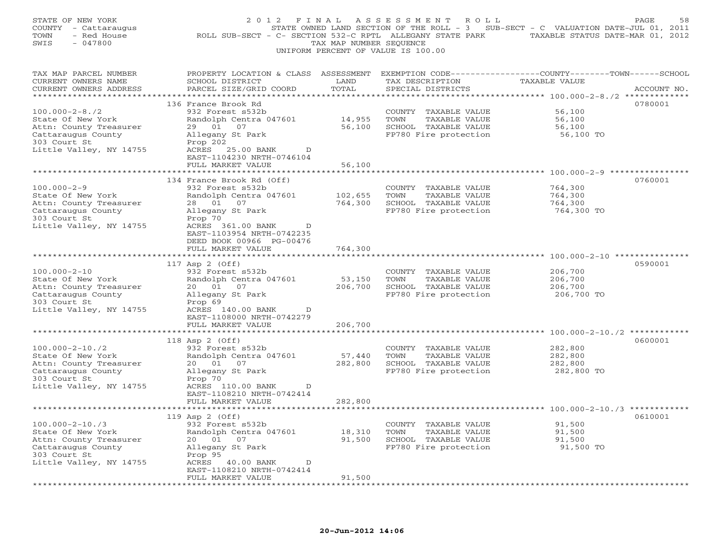| STATE OF NEW YORK<br>COUNTY - Cattaraugus<br>TOWN<br>- Red House<br>SWIS<br>$-047800$                                                                                            | 2 0 1 2<br>ROLL SUB-SECT - C- SECTION 532-C RPTL ALLEGANY STATE PARK                                                                                                                                                                                       | FINAL<br>TAX MAP NUMBER SEQUENCE        | ASSESSMENT<br>R O L L<br>UNIFORM PERCENT OF VALUE IS 100.00                                       | STATE OWNED LAND SECTION OF THE ROLL - 3 SUB-SECT - C VALUATION DATE-JUL 01, 2011<br>TAXABLE STATUS DATE-MAR 01, 2012 | PAGE                       |
|----------------------------------------------------------------------------------------------------------------------------------------------------------------------------------|------------------------------------------------------------------------------------------------------------------------------------------------------------------------------------------------------------------------------------------------------------|-----------------------------------------|---------------------------------------------------------------------------------------------------|-----------------------------------------------------------------------------------------------------------------------|----------------------------|
| TAX MAP PARCEL NUMBER<br>CURRENT OWNERS NAME<br>CURRENT OWNERS ADDRESS                                                                                                           | PROPERTY LOCATION & CLASS ASSESSMENT<br>SCHOOL DISTRICT<br>PARCEL SIZE/GRID COORD                                                                                                                                                                          | LAND<br>TOTAL<br>******                 | TAX DESCRIPTION<br>SPECIAL DISTRICTS                                                              | EXEMPTION CODE-----------------COUNTY-------TOWN------SCHOOL<br>TAXABLE VALUE<br>************* 100.000-2-8./2 *       | ACCOUNT NO.<br>*********** |
| $100.000 - 2 - 8.72$<br>State Of New York<br>Attn: County Treasurer<br>Cattaraugus County<br>303 Court St<br>Little Valley, NY 14755                                             | 136 France Brook Rd<br>932 Forest s532b<br>Randolph Centra 047601<br>29  01  07<br>Allegany St Park<br>Prop 202<br>ACRES 25.00 BANK<br>D<br>EAST-1104230 NRTH-0746104<br>FULL MARKET VALUE                                                                 | 14,955<br>56,100<br>56,100              | COUNTY<br>TAXABLE VALUE<br>TOWN<br>TAXABLE VALUE<br>SCHOOL TAXABLE VALUE<br>FP780 Fire protection | 56,100<br>56,100<br>56,100<br>56,100 TO                                                                               | 0780001                    |
| $100.000 - 2 - 9$<br>State Of New York<br>Attn: County Treasurer<br>Cattaraugus County<br>303 Court St<br>Little Valley, NY 14755                                                | 134 France Brook Rd (Off)<br>932 Forest s532b<br>Randolph Centra 047601<br>28 01<br>07<br>Allegany St Park<br>Prop 70<br>ACRES 361.00 BANK<br>D<br>EAST-1103954 NRTH-0742235<br>DEED BOOK 00966 PG-00476<br>FULL MARKET VALUE                              | 102,655<br>764,300<br>764,300           | COUNTY TAXABLE VALUE<br>TOWN<br>TAXABLE VALUE<br>SCHOOL TAXABLE VALUE<br>FP780 Fire protection    | ********** 100.000-2-9 ***********<br>764,300<br>764,300<br>764,300<br>764,300 TO                                     | 0760001                    |
| $100.000 - 2 - 10$<br>State Of New York<br>Attn: County Treasurer<br>Cattaraugus County<br>303 Court St<br>Little Valley, NY 14755                                               | 117 Asp 2 (Off)<br>932 Forest s532b<br>Randolph Centra 047601<br>20  01  07<br>Allegany St Park<br>Prop 69<br>ACRES 140.00 BANK<br>D<br>EAST-1108000 NRTH-0742279                                                                                          | 53,150<br>206,700                       | COUNTY TAXABLE VALUE<br>TOWN<br>TAXABLE VALUE<br>SCHOOL TAXABLE VALUE<br>FP780 Fire protection    | 206,700<br>206,700<br>206,700<br>206,700 TO                                                                           | 0590001                    |
| $100.000 - 2 - 10.72$<br>State Of New York<br>Attn: County Treasurer<br>Cattaraugus County<br>303 Court St<br>Little Valley, NY 14755                                            | FULL MARKET VALUE<br>**************************<br>118 Asp 2 (Off)<br>932 Forest s532b<br>Randolph Centra 047601<br>20  01  07<br>Allegany St Park<br>Prop 70<br>ACRES 110.00 BANK<br>D<br>EAST-1108210 NRTH-0742414<br>FULL MARKET VALUE                  | 206,700<br>57,440<br>282,800<br>282,800 | COUNTY TAXABLE VALUE<br>TAXABLE VALUE<br>TOWN<br>SCHOOL TAXABLE VALUE<br>FP780 Fire protection    | 282,800<br>282,800<br>282,800<br>282,800 TO                                                                           | 0600001                    |
| $100.000 - 2 - 10.73$<br>State Of New York<br>Attn: County Treasurer<br>Cattaraugus County<br>303 Court St<br>Little Valley, NY 14755<br>* * * * * * * * * * * * * * * * * * * * | *****************<br>119 Asp 2 (Off)<br>932 Forest s532b<br>Randolph Centra 047601<br>20<br>01<br>07<br>Allegany St Park<br>Prop 95<br>ACRES<br>40.00 BANK<br>D<br>EAST-1108210 NRTH-0742414<br>FULL MARKET VALUE<br>* * * * * * * * * * * * * * * * * * * | 18,310<br>91,500<br>91,500              | COUNTY TAXABLE VALUE<br>TOWN<br>TAXABLE VALUE<br>SCHOOL TAXABLE VALUE<br>FP780 Fire protection    | *************** 100.000-2-10./3 ************<br>91,500<br>91,500<br>91,500<br>91,500 TO                               | 0610001                    |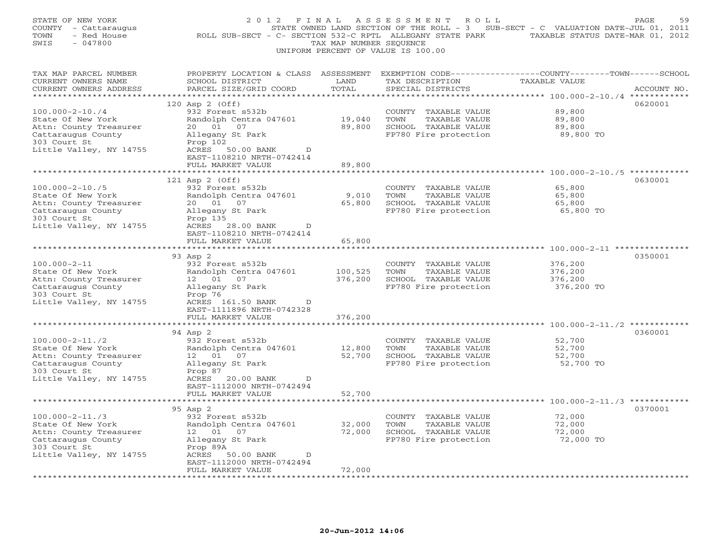| STATE OF NEW YORK<br>COUNTY - Cattaraugus<br>- Red House<br>TOWN<br>$-047800$<br>SWIS                                                 | 2 0 1 2<br>F I N A L<br>ROLL SUB-SECT - C- SECTION 532-C RPTL ALLEGANY STATE PARK                                                                                               | TAX MAP NUMBER SEQUENCE    | A S S E S S M E N T<br>R O L L<br>UNIFORM PERCENT OF VALUE IS 100.00                              | STATE OWNED LAND SECTION OF THE ROLL - 3 SUB-SECT - C VALUATION DATE-JUL 01, 2011<br>TAXABLE STATUS DATE-MAR 01, 2012 | PAGE<br>59  |
|---------------------------------------------------------------------------------------------------------------------------------------|---------------------------------------------------------------------------------------------------------------------------------------------------------------------------------|----------------------------|---------------------------------------------------------------------------------------------------|-----------------------------------------------------------------------------------------------------------------------|-------------|
| TAX MAP PARCEL NUMBER<br>CURRENT OWNERS NAME<br>CURRENT OWNERS ADDRESS<br>*************************                                   | PROPERTY LOCATION & CLASS ASSESSMENT<br>SCHOOL DISTRICT<br>PARCEL SIZE/GRID COORD                                                                                               | LAND<br>TOTAL              | TAX DESCRIPTION<br>SPECIAL DISTRICTS                                                              | EXEMPTION CODE-----------------COUNTY-------TOWN------SCHOOL<br><b>TAXABLE VALUE</b>                                  | ACCOUNT NO. |
| $100.000 - 2 - 10.74$<br>State Of New York<br>Attn: County Treasurer<br>Cattaraugus County<br>303 Court St<br>Little Valley, NY 14755 | 120 Asp 2 (Off)<br>932 Forest s532b<br>Randolph Centra 047601<br>20  01  07<br>Allegany St Park<br>Prop 102<br>ACRES<br>50.00 BANK<br>$\mathbb{D}$<br>EAST-1108210 NRTH-0742414 | 19,040<br>89,800           | COUNTY TAXABLE VALUE<br>TOWN<br>TAXABLE VALUE<br>SCHOOL TAXABLE VALUE<br>FP780 Fire protection    | 89,800<br>89,800<br>89,800<br>89,800 TO                                                                               | 0620001     |
|                                                                                                                                       | FULL MARKET VALUE                                                                                                                                                               | 89,800                     |                                                                                                   | ******** 100.000-2-10./5 **********                                                                                   |             |
| $100.000 - 2 - 10.75$<br>State Of New York<br>Attn: County Treasurer<br>Cattaraugus County<br>303 Court St<br>Little Valley, NY 14755 | 121 Asp 2 (Off)<br>932 Forest s532b<br>Randolph Centra 047601<br>20  01  07<br>Allegany St Park<br>Prop 135<br>ACRES 28.00 BANK<br>$\mathbb{D}$                                 | 9,010<br>65,800            | COUNTY<br>TAXABLE VALUE<br>TOWN<br>TAXABLE VALUE<br>SCHOOL TAXABLE VALUE<br>FP780 Fire protection | 65,800<br>65,800<br>65,800<br>65,800 TO                                                                               | 0630001     |
|                                                                                                                                       | EAST-1108210 NRTH-0742414<br>FULL MARKET VALUE                                                                                                                                  | 65,800                     |                                                                                                   |                                                                                                                       |             |
| $100.000 - 2 - 11$<br>State Of New York<br>Attn: County Treasurer<br>Cattaraugus County<br>303 Court St<br>Little Valley, NY 14755    | 93 Asp 2<br>932 Forest s532b<br>Randolph Centra 047601<br>12  01  07<br>Allegany St Park<br>Prop 76<br>ACRES 161.50 BANK<br>D                                                   | 100,525<br>376,200         | COUNTY TAXABLE VALUE<br>TOWN<br>TAXABLE VALUE<br>SCHOOL TAXABLE VALUE<br>FP780 Fire protection    | 376,200<br>376,200<br>376,200<br>376,200 TO                                                                           | 0350001     |
|                                                                                                                                       | EAST-1111896 NRTH-0742328<br>FULL MARKET VALUE<br>* * * * * * * * * * * * * * * * * * *                                                                                         | 376,200<br>************    |                                                                                                   | ******************************** 100.000-2-11./2 ************                                                         |             |
| $100.000 - 2 - 11.72$<br>State Of New York<br>Attn: County Treasurer<br>Cattaraugus County<br>303 Court St<br>Little Valley, NY 14755 | 94 Asp 2<br>932 Forest s532b<br>Randolph Centra 047601<br>12 01<br>07<br>Allegany St Park<br>Prop 87<br>ACRES 20.00 BANK<br>D<br>EAST-1112000 NRTH-0742494                      | 12,800<br>52,700           | COUNTY TAXABLE VALUE<br>TOWN<br>TAXABLE VALUE<br>SCHOOL TAXABLE VALUE<br>FP780 Fire protection    | 52,700<br>52,700<br>52,700<br>52,700 TO                                                                               | 0360001     |
|                                                                                                                                       | FULL MARKET VALUE<br>**************************                                                                                                                                 | 52,700                     |                                                                                                   |                                                                                                                       |             |
| $100.000 - 2 - 11.73$<br>State Of New York<br>Attn: County Treasurer<br>Cattaraugus County<br>303 Court St<br>Little Valley, NY 14755 | 95 Asp 2<br>932 Forest s532b<br>Randolph Centra 047601<br>01<br>07<br>12<br>Allegany St Park<br>Prop 89A<br>ACRES<br>50.00 BANK<br>D<br>EAST-1112000 NRTH-0742494               | 32,000<br>72,000<br>72,000 | COUNTY TAXABLE VALUE<br>TOWN<br>TAXABLE VALUE<br>SCHOOL TAXABLE VALUE<br>FP780 Fire protection    | 72,000<br>72,000<br>72,000<br>72,000 TO                                                                               | 0370001     |
|                                                                                                                                       | FULL MARKET VALUE                                                                                                                                                               |                            |                                                                                                   |                                                                                                                       |             |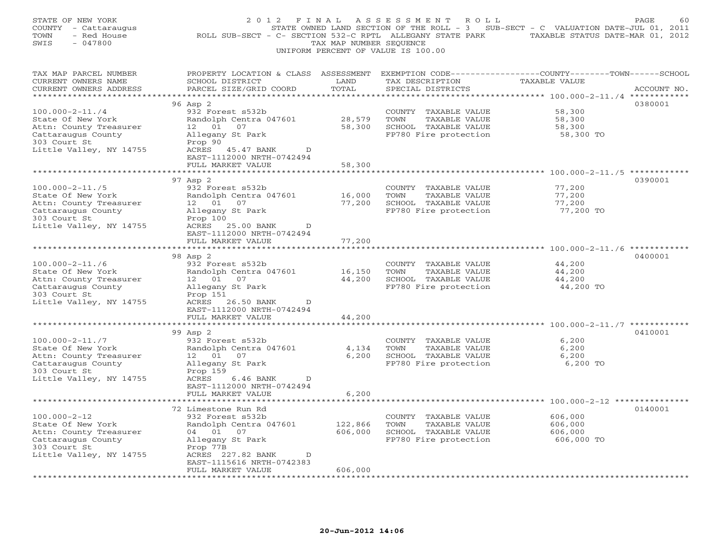| STATE OF NEW YORK<br>COUNTY - Cattaraugus<br>TOWN<br>- Red House<br>$-047800$<br>SWIS                                                 | 2 0 1 2<br>F I N A L<br>ROLL SUB-SECT - C- SECTION 532-C RPTL ALLEGANY STATE PARK                                                                                                  | TAX MAP NUMBER SEQUENCE    | ASSESSMENT<br>R O L L<br>UNIFORM PERCENT OF VALUE IS 100.00                                       | STATE OWNED LAND SECTION OF THE ROLL - 3 SUB-SECT - C VALUATION DATE-JUL 01, 2011<br>TAXABLE STATUS DATE-MAR 01, 2012 | PAGE<br>60  |
|---------------------------------------------------------------------------------------------------------------------------------------|------------------------------------------------------------------------------------------------------------------------------------------------------------------------------------|----------------------------|---------------------------------------------------------------------------------------------------|-----------------------------------------------------------------------------------------------------------------------|-------------|
| TAX MAP PARCEL NUMBER<br>CURRENT OWNERS NAME<br>CURRENT OWNERS ADDRESS<br>************************                                    | PROPERTY LOCATION & CLASS ASSESSMENT<br>SCHOOL DISTRICT<br>PARCEL SIZE/GRID COORD<br>*******************************                                                               | LAND<br>TOTAL              | TAX DESCRIPTION<br>SPECIAL DISTRICTS                                                              | EXEMPTION CODE-----------------COUNTY-------TOWN------SCHOOL<br>TAXABLE VALUE                                         | ACCOUNT NO. |
| $100.000 - 2 - 11.74$<br>State Of New York<br>Attn: County Treasurer<br>Cattaraugus County<br>303 Court St<br>Little Valley, NY 14755 | 96 Asp 2<br>932 Forest s532b<br>Randolph Centra 047601<br>12 01<br>07<br>Allegany St Park<br>Prop 90<br>ACRES<br>45.47 BANK<br>D<br>EAST-1112000 NRTH-0742494<br>FULL MARKET VALUE | 28,579<br>58,300<br>58,300 | COUNTY<br>TAXABLE VALUE<br>TOWN<br>TAXABLE VALUE<br>SCHOOL TAXABLE VALUE<br>FP780 Fire protection | 58,300<br>58,300<br>58,300<br>58,300 TO                                                                               | 0380001     |
| $100.000 - 2 - 11.75$<br>State Of New York<br>Attn: County Treasurer<br>Cattaraugus County<br>303 Court St<br>Little Valley, NY 14755 | * * * * * * * * * * * * * * * * * * *<br>97 Asp 2<br>932 Forest s532b<br>Randolph Centra 047601<br>12  01  07<br>Allegany St Park<br>Prop 100<br>ACRES 25.00 BANK<br>D             | 16,000<br>77,200           | COUNTY<br>TAXABLE VALUE<br>TOWN<br>TAXABLE VALUE<br>SCHOOL TAXABLE VALUE<br>FP780 Fire protection | 77,200<br>77,200<br>77,200<br>77,200 TO                                                                               | 0390001     |
|                                                                                                                                       | EAST-1112000 NRTH-0742494<br>FULL MARKET VALUE<br>* * * * * * * * * * * * * * * * * * *                                                                                            | 77,200<br>************     |                                                                                                   | ************************* 100.000-2-11./6 ************                                                                |             |
| $100.000 - 2 - 11.76$<br>State Of New York<br>Attn: County Treasurer<br>Cattaraugus County<br>303 Court St<br>Little Valley, NY 14755 | 98 Asp 2<br>932 Forest s532b<br>Randolph Centra 047601<br>12 01<br>07<br>Allegany St Park<br>Prop 151<br>ACRES 26.50 BANK<br>$\mathbb{D}$                                          | 16,150<br>44,200           | COUNTY<br>TAXABLE VALUE<br>TOWN<br>TAXABLE VALUE<br>SCHOOL TAXABLE VALUE<br>FP780 Fire protection | 44,200<br>44,200<br>44,200<br>44,200 TO                                                                               | 0400001     |
|                                                                                                                                       | EAST-1112000 NRTH-0742494<br>FULL MARKET VALUE<br>*******                                                                                                                          | 44,200                     |                                                                                                   | ******************************* 100.000-2-11./7 ************                                                          |             |
| $100.000 - 2 - 11.77$<br>State Of New York<br>Attn: County Treasurer<br>Cattaraugus County<br>303 Court St<br>Little Valley, NY 14755 | 99 Asp 2<br>932 Forest s532b<br>Randolph Centra 047601<br>12 01<br>07<br>Allegany St Park<br>Prop 159<br>ACRES<br>6.46 BANK<br>D<br>EAST-1112000 NRTH-0742494                      | 4,134<br>6,200             | COUNTY TAXABLE VALUE<br>TOWN<br>TAXABLE VALUE<br>SCHOOL TAXABLE VALUE<br>FP780 Fire protection    | 6,200<br>6,200<br>6,200<br>6,200 TO                                                                                   | 0410001     |
|                                                                                                                                       | FULL MARKET VALUE                                                                                                                                                                  | 6,200                      |                                                                                                   |                                                                                                                       |             |
| $100.000 - 2 - 12$<br>State Of New York<br>Attn: County Treasurer<br>Cattaraugus County<br>303 Court St<br>Little Valley, NY 14755    | 72 Limestone Run Rd<br>932 Forest s532b<br>Randolph Centra 047601<br>04 01 07<br>Allegany St Park<br>Prop 77B<br>ACRES 227.82 BANK<br>D<br>EAST-1115616 NRTH-0742383               | 122,866<br>606,000         | COUNTY TAXABLE VALUE<br>TAXABLE VALUE<br>TOWN<br>SCHOOL TAXABLE VALUE<br>FP780 Fire protection    | 606,000<br>606,000<br>606,000<br>606,000 TO                                                                           | 0140001     |
|                                                                                                                                       | FULL MARKET VALUE<br>.                                                                                                                                                             | 606,000                    |                                                                                                   |                                                                                                                       |             |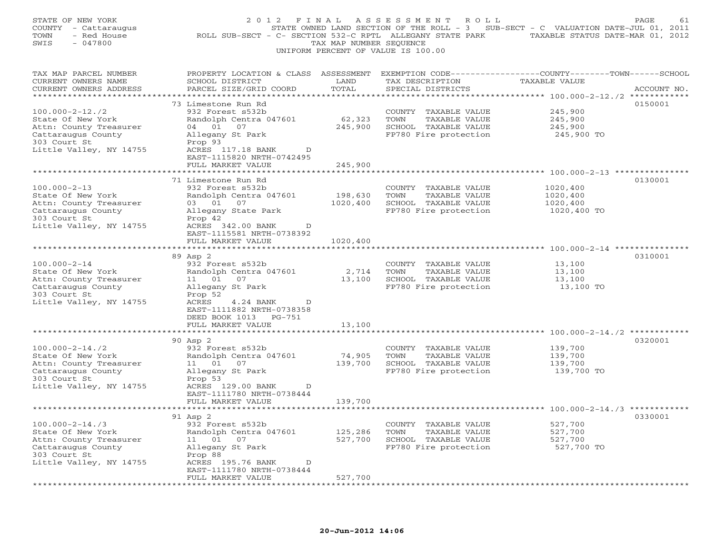| STATE OF NEW YORK<br>COUNTY - Cattaraugus<br>TOWN<br>- Red House<br>$-047800$<br>SWIS              | 2 0 1 2<br>ROLL SUB-SECT - C- SECTION 532-C RPTL ALLEGANY STATE PARK                                                                        | FINAL<br>TAX MAP NUMBER SEQUENCE | A S S E S S M E N T<br>R O L L<br>UNIFORM PERCENT OF VALUE IS 100.00 | STATE OWNED LAND SECTION OF THE ROLL - 3 SUB-SECT - C VALUATION DATE-JUL 01, 2011<br>TAXABLE STATUS DATE-MAR 01, 2012 | PAGE<br>61  |
|----------------------------------------------------------------------------------------------------|---------------------------------------------------------------------------------------------------------------------------------------------|----------------------------------|----------------------------------------------------------------------|-----------------------------------------------------------------------------------------------------------------------|-------------|
| TAX MAP PARCEL NUMBER<br>CURRENT OWNERS NAME<br>CURRENT OWNERS ADDRESS<br>************************ | PROPERTY LOCATION & CLASS ASSESSMENT EXEMPTION CODE---------------COUNTY-------TOWN-----SCHOOL<br>SCHOOL DISTRICT<br>PARCEL SIZE/GRID COORD | LAND<br>TOTAL                    | TAX DESCRIPTION<br>SPECIAL DISTRICTS                                 | TAXABLE VALUE                                                                                                         | ACCOUNT NO. |
|                                                                                                    | 73 Limestone Run Rd                                                                                                                         |                                  |                                                                      |                                                                                                                       | 0150001     |
| $100.000 - 2 - 12.72$                                                                              | 932 Forest s532b                                                                                                                            |                                  | COUNTY TAXABLE VALUE                                                 | 245,900                                                                                                               |             |
| State Of New York                                                                                  | Randolph Centra 047601                                                                                                                      | 62,323                           | TOWN<br>TAXABLE VALUE                                                | 245,900                                                                                                               |             |
| Attn: County Treasurer                                                                             | 04 01 07                                                                                                                                    | 245,900                          | SCHOOL TAXABLE VALUE                                                 | 245,900                                                                                                               |             |
| Cattaraugus County<br>303 Court St                                                                 | Allegany St Park<br>Prop 93                                                                                                                 |                                  | FP780 Fire protection                                                | 245,900 TO                                                                                                            |             |
| Little Valley, NY 14755                                                                            | ACRES 117.18 BANK<br>D<br>EAST-1115820 NRTH-0742495                                                                                         |                                  |                                                                      |                                                                                                                       |             |
|                                                                                                    | FULL MARKET VALUE<br>***********************                                                                                                | 245,900                          |                                                                      |                                                                                                                       |             |
|                                                                                                    | 71 Limestone Run Rd                                                                                                                         |                                  |                                                                      |                                                                                                                       | 0130001     |
| $100.000 - 2 - 13$                                                                                 | 932 Forest s532b                                                                                                                            |                                  | COUNTY TAXABLE VALUE                                                 | 1020,400                                                                                                              |             |
| State Of New York                                                                                  | Randolph Centra 047601                                                                                                                      | 198,630                          | TOWN<br>TAXABLE VALUE                                                | 1020,400                                                                                                              |             |
| Attn: County Treasurer                                                                             | 03 01 07                                                                                                                                    | 1020,400                         | SCHOOL TAXABLE VALUE                                                 | 1020,400                                                                                                              |             |
| Cattaraugus County                                                                                 | Allegany State Park                                                                                                                         |                                  | FP780 Fire protection                                                | 1020,400 TO                                                                                                           |             |
| 303 Court St                                                                                       | Prop 42                                                                                                                                     |                                  |                                                                      |                                                                                                                       |             |
| Little Valley, NY 14755                                                                            | ACRES 342.00 BANK<br>D                                                                                                                      |                                  |                                                                      |                                                                                                                       |             |
|                                                                                                    | EAST-1115581 NRTH-0738392                                                                                                                   |                                  |                                                                      |                                                                                                                       |             |
|                                                                                                    | FULL MARKET VALUE                                                                                                                           | 1020,400                         |                                                                      |                                                                                                                       |             |
|                                                                                                    | 89 Asp 2                                                                                                                                    |                                  |                                                                      |                                                                                                                       | 0310001     |
| $100.000 - 2 - 14$                                                                                 | 932 Forest s532b                                                                                                                            |                                  | COUNTY TAXABLE VALUE                                                 | 13,100                                                                                                                |             |
| State Of New York                                                                                  | Randolph Centra 047601                                                                                                                      | 2,714                            | TOWN<br>TAXABLE VALUE                                                | 13,100                                                                                                                |             |
| Attn: County Treasurer                                                                             | 11  01  07                                                                                                                                  | 13,100                           | SCHOOL TAXABLE VALUE                                                 | 13,100                                                                                                                |             |
| Cattaraugus County                                                                                 | Allegany St Park                                                                                                                            |                                  | FP780 Fire protection                                                | 13,100 TO                                                                                                             |             |
| 303 Court St                                                                                       | Prop 52                                                                                                                                     |                                  |                                                                      |                                                                                                                       |             |
| Little Valley, NY 14755                                                                            | ACRES<br>4.24 BANK<br>D<br>EAST-1111882 NRTH-0738358<br>DEED BOOK 1013 PG-751                                                               |                                  |                                                                      |                                                                                                                       |             |
|                                                                                                    | FULL MARKET VALUE                                                                                                                           | 13,100                           |                                                                      |                                                                                                                       |             |
|                                                                                                    |                                                                                                                                             |                                  |                                                                      |                                                                                                                       |             |
|                                                                                                    | 90 Asp 2                                                                                                                                    |                                  |                                                                      |                                                                                                                       | 0320001     |
| $100.000 - 2 - 14.72$                                                                              | 932 Forest s532b                                                                                                                            |                                  | COUNTY TAXABLE VALUE                                                 | 139,700                                                                                                               |             |
| State Of New York                                                                                  | Randolph Centra 047601                                                                                                                      | 74,905                           | TOWN<br>TAXABLE VALUE                                                | 139,700                                                                                                               |             |
| Attn: County Treasurer                                                                             | 11  01  07                                                                                                                                  | 139,700                          | SCHOOL TAXABLE VALUE                                                 | 139,700                                                                                                               |             |
| Cattaraugus County<br>303 Court St                                                                 | Allegany St Park                                                                                                                            |                                  | FP780 Fire protection                                                | 139,700 TO                                                                                                            |             |
| Little Valley, NY 14755                                                                            | Prop 53<br>ACRES 129.00 BANK<br>D                                                                                                           |                                  |                                                                      |                                                                                                                       |             |
|                                                                                                    | EAST-1111780 NRTH-0738444                                                                                                                   |                                  |                                                                      |                                                                                                                       |             |
|                                                                                                    | FULL MARKET VALUE                                                                                                                           | 139,700                          |                                                                      |                                                                                                                       |             |
|                                                                                                    |                                                                                                                                             |                                  |                                                                      |                                                                                                                       |             |
|                                                                                                    | 91 Asp 2                                                                                                                                    |                                  |                                                                      |                                                                                                                       | 0330001     |
| $100.000 - 2 - 14.73$                                                                              | 932 Forest s532b                                                                                                                            |                                  | TAXABLE VALUE<br>COUNTY                                              | 527,700                                                                                                               |             |
| State Of New York                                                                                  | Randolph Centra 047601                                                                                                                      | 125,286                          | TOWN<br>TAXABLE VALUE                                                | 527,700                                                                                                               |             |
| Attn: County Treasurer                                                                             | 01<br>11<br>07                                                                                                                              | 527,700                          | SCHOOL TAXABLE VALUE                                                 | 527,700                                                                                                               |             |
| Cattaraugus County                                                                                 | Allegany St Park                                                                                                                            |                                  | FP780 Fire protection                                                | 527,700 TO                                                                                                            |             |
| 303 Court St                                                                                       | Prop 88<br>ACRES 195.76 BANK                                                                                                                |                                  |                                                                      |                                                                                                                       |             |
| Little Valley, NY 14755                                                                            | D<br>EAST-1111780 NRTH-0738444                                                                                                              |                                  |                                                                      |                                                                                                                       |             |
|                                                                                                    | FULL MARKET VALUE                                                                                                                           | 527,700                          |                                                                      |                                                                                                                       |             |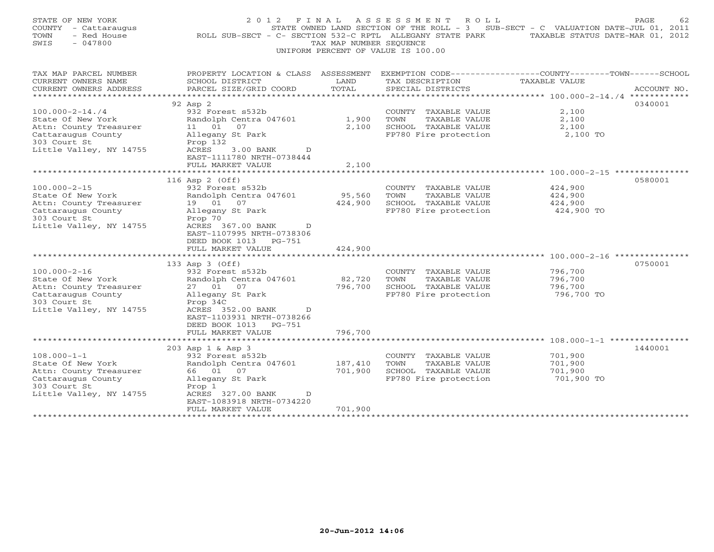| STATE OF NEW YORK<br>COUNTY - Cattaraugus<br>TOWN<br>- Red House<br>$-047800$<br>SWIS                                                                                                                                                                                    | 2 0 1 2<br>F I N A L<br>ROLL SUB-SECT - C- SECTION 532-C RPTL ALLEGANY STATE PARK                                                                                                                                                                                                                                                                                                                                        | TAX MAP NUMBER SEOUENCE                                          | A S S E S S M E N T<br>R O L L<br>UNIFORM PERCENT OF VALUE IS 100.00                                                                                                                             | 62<br>PAGE<br>STATE OWNED LAND SECTION OF THE ROLL - 3 SUB-SECT - C VALUATION DATE-JUL 01, 2011<br>TAXABLE STATUS DATE-MAR 01, 2012 |
|--------------------------------------------------------------------------------------------------------------------------------------------------------------------------------------------------------------------------------------------------------------------------|--------------------------------------------------------------------------------------------------------------------------------------------------------------------------------------------------------------------------------------------------------------------------------------------------------------------------------------------------------------------------------------------------------------------------|------------------------------------------------------------------|--------------------------------------------------------------------------------------------------------------------------------------------------------------------------------------------------|-------------------------------------------------------------------------------------------------------------------------------------|
| TAX MAP PARCEL NUMBER<br>CURRENT OWNERS NAME<br>CURRENT OWNERS ADDRESS<br>***********************                                                                                                                                                                        | PROPERTY LOCATION & CLASS ASSESSMENT<br>SCHOOL DISTRICT<br>PARCEL SIZE/GRID COORD                                                                                                                                                                                                                                                                                                                                        | LAND<br>TOTAL                                                    | TAX DESCRIPTION<br>SPECIAL DISTRICTS                                                                                                                                                             | EXEMPTION CODE-----------------COUNTY-------TOWN------SCHOOL<br><b>TAXABLE VALUE</b><br>ACCOUNT NO.                                 |
|                                                                                                                                                                                                                                                                          | 92 Asp 2                                                                                                                                                                                                                                                                                                                                                                                                                 |                                                                  |                                                                                                                                                                                                  | 0340001                                                                                                                             |
| $100.000 - 2 - 14.74$<br>State Of New York<br>Attn: County Treasurer<br>Cattaraugus County<br>303 Court St<br>Little Valley, NY 14755                                                                                                                                    | 932 Forest s532b<br>Randolph Centra 047601<br>11 01<br>07<br>Allegany St Park<br>Prop 132<br>ACRES<br>$3.00$ BANK<br>D<br>EAST-1111780 NRTH-0738444                                                                                                                                                                                                                                                                      | 1,900<br>2,100                                                   | COUNTY TAXABLE VALUE<br>TOWN<br>TAXABLE VALUE<br>SCHOOL TAXABLE VALUE<br>FP780 Fire protection                                                                                                   | 2,100<br>2,100<br>2,100<br>2,100 TO                                                                                                 |
| **********************                                                                                                                                                                                                                                                   | FULL MARKET VALUE<br>***************************                                                                                                                                                                                                                                                                                                                                                                         | 2,100                                                            |                                                                                                                                                                                                  |                                                                                                                                     |
| $100.000 - 2 - 15$<br>State Of New York<br>Attn: County Treasurer<br>Cattaraugus County<br>303 Court St<br>Little Valley, NY 14755<br>$100.000 - 2 - 16$<br>State Of New York<br>Attn: County Treasurer<br>Cattaraugus County<br>303 Court St<br>Little Valley, NY 14755 | 116 Asp 2 (Off)<br>932 Forest s532b<br>Randolph Centra 047601<br>19  01  07<br>Allegany St Park<br>Prop 70<br>ACRES 367.00 BANK<br>$\mathcal{D}$<br>EAST-1107995 NRTH-0738306<br>DEED BOOK 1013 PG-751<br>FULL MARKET VALUE<br>*********************<br>133 Asp 3 (Off)<br>932 Forest s532b<br>Randolph Centra 047601<br>27 01 07<br>Allegany St Park<br>Prop 34C<br>ACRES 352.00 BANK<br>D<br>EAST-1103931 NRTH-0738266 | 95,560<br>424,900<br>424,900<br>***********<br>82,720<br>796,700 | COUNTY TAXABLE VALUE<br>TOWN<br>TAXABLE VALUE<br>SCHOOL TAXABLE VALUE<br>FP780 Fire protection<br>COUNTY TAXABLE VALUE<br>TAXABLE VALUE<br>TOWN<br>SCHOOL TAXABLE VALUE<br>FP780 Fire protection | 0580001<br>424,900<br>424,900<br>424,900<br>424,900 TO<br>0750001<br>796,700<br>796,700<br>796,700<br>796,700 TO                    |
|                                                                                                                                                                                                                                                                          | DEED BOOK 1013 PG-751<br>FULL MARKET VALUE                                                                                                                                                                                                                                                                                                                                                                               | 796,700                                                          |                                                                                                                                                                                                  |                                                                                                                                     |
| $108.000 - 1 - 1$<br>State Of New York<br>Attn: County Treasurer<br>Cattaraugus County<br>303 Court St<br>Little Valley, NY 14755                                                                                                                                        | 203 Asp 1 & Asp 3<br>932 Forest s532b<br>Randolph Centra 047601<br>66 01 07<br>Allegany St Park<br>Prop 1<br>ACRES 327.00 BANK<br>D<br>EAST-1083918 NRTH-0734220<br>FULL MARKET VALUE                                                                                                                                                                                                                                    | 187,410<br>701,900<br>701,900                                    | COUNTY TAXABLE VALUE<br>TOWN<br>TAXABLE VALUE<br>SCHOOL TAXABLE VALUE<br>FP780 Fire protection                                                                                                   | 1440001<br>701,900<br>701,900<br>701,900<br>701,900 TO                                                                              |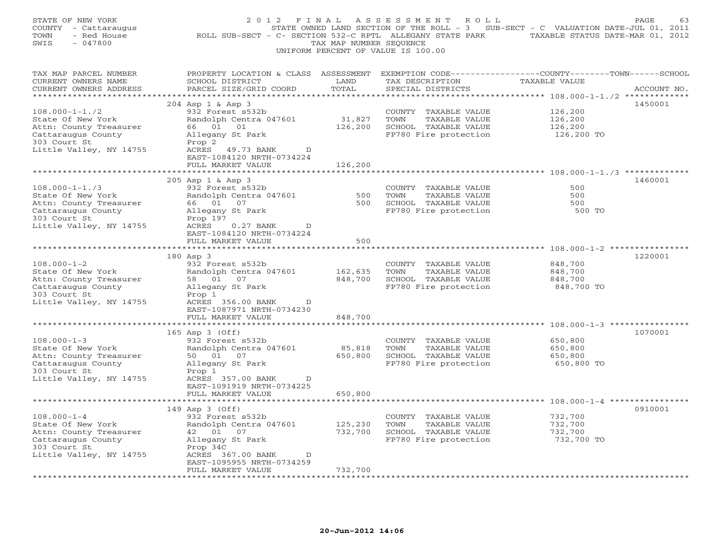| STATE OF NEW YORK<br>COUNTY - Cattaraugus<br>- Red House<br>TOWN<br>SWIS<br>$-047800$                                                | 2012 FINAL<br>ROLL SUB-SECT - C- SECTION 532-C RPTL ALLEGANY STATE PARK TAXABLE STATUS DATE-MAR 01, 2012                                                                                           | TAX MAP NUMBER SEQUENCE       | ASSESSMENT ROLL<br>STATE OWNED LAND SECTION OF THE ROLL - 3 SUB-SECT - C VALUATION DATE-JUL 01, 2011<br>UNIFORM PERCENT OF VALUE IS 100.00 |                                                                                | PAGE<br>63  |
|--------------------------------------------------------------------------------------------------------------------------------------|----------------------------------------------------------------------------------------------------------------------------------------------------------------------------------------------------|-------------------------------|--------------------------------------------------------------------------------------------------------------------------------------------|--------------------------------------------------------------------------------|-------------|
| TAX MAP PARCEL NUMBER<br>CURRENT OWNERS NAME<br>CURRENT OWNERS ADDRESS<br>***********************                                    | PROPERTY LOCATION & CLASS ASSESSMENT<br>SCHOOL DISTRICT<br>PARCEL SIZE/GRID COORD                                                                                                                  | LAND<br>TOTAL                 | EXEMPTION CODE-----------------COUNTY-------TOWN------SCHOOL<br>TAX DESCRIPTION<br>SPECIAL DISTRICTS                                       | TAXABLE VALUE                                                                  | ACCOUNT NO. |
| $108.000 - 1 - 1.72$<br>State Of New York<br>Attn: County Treasurer<br>Cattaraugus County<br>303 Court St<br>Little Valley, NY 14755 | 204 Asp 1 & Asp 3<br>932 Forest s532b<br>Randolph Centra 047601<br>66 01 01<br>Allegany St Park<br>Prop 2<br>ACRES 49.73 BANK<br>D<br>EAST-1084120 NRTH-0734224<br>FULL MARKET VALUE               | 31,827<br>126,200<br>126,200  | COUNTY TAXABLE VALUE<br>TOWN<br>TAXABLE VALUE<br>SCHOOL TAXABLE VALUE<br>FP780 Fire protection                                             | 126,200<br>126,200<br>126,200<br>126,200 TO                                    | 1450001     |
| $108.000 - 1 - 1.73$<br>State Of New York<br>Attn: County Treasurer<br>Cattaraugus County<br>303 Court St<br>Little Valley, NY 14755 | 205 Asp 1 & Asp 3<br>932 Forest s532b<br>Randolph Centra 047601<br>66 01 07<br>Allegany St Park<br>Prop 197<br>$0.27$ BANK<br>ACRES<br>D                                                           | 500<br>500                    | COUNTY TAXABLE VALUE<br>TOWN<br>TAXABLE VALUE<br>SCHOOL TAXABLE VALUE<br>FP780 Fire protection                                             | ********************* 108.000-1-1./3 **********<br>500<br>500<br>500<br>500 TO | 1460001     |
| $108.000 - 1 - 2$<br>State Of New York<br>Attn: County Treasurer<br>Cattaraugus County<br>303 Court St                               | EAST-1084120 NRTH-0734224<br>FULL MARKET VALUE<br>180 Asp 3<br>932 Forest s532b<br>Randolph Centra 047601<br>58 01 07<br>Allegany St Park<br>Prop 1                                                | 500<br>162,635<br>848,700     | COUNTY TAXABLE VALUE<br>TOWN<br>TAXABLE VALUE<br>SCHOOL TAXABLE VALUE<br>FP780 Fire protection                                             | 848,700<br>848,700<br>848,700<br>848,700 TO                                    | 1220001     |
| Little Valley, NY 14755                                                                                                              | ACRES 356.00 BANK<br>D<br>EAST-1087971 NRTH-0734230<br>FULL MARKET VALUE<br>******************<br>165 Asp 3 (Off)                                                                                  | 848,700<br>************       |                                                                                                                                            | ******************************** 108.000-1-3 ***************                   | 1070001     |
| $108.000 - 1 - 3$<br>State Of New York<br>Attn: County Treasurer<br>Cattaraugus County<br>303 Court St<br>Little Valley, NY 14755    | 932 Forest s532b<br>Randolph Centra 047601<br>50  01  07<br>Allegany St Park<br>Prop 1<br>ACRES 357.00 BANK<br>D<br>EAST-1091919 NRTH-0734225                                                      | 85,818<br>650,800             | COUNTY TAXABLE VALUE<br>TOWN<br>TAXABLE VALUE<br>SCHOOL TAXABLE VALUE<br>FP780 Fire protection                                             | 650,800<br>650,800<br>650,800<br>650,800 TO                                    |             |
|                                                                                                                                      | FULL MARKET VALUE                                                                                                                                                                                  | 650,800                       |                                                                                                                                            |                                                                                |             |
| $108.000 - 1 - 4$<br>State Of New York<br>Attn: County Treasurer<br>Cattaraugus County<br>303 Court St<br>Little Valley, NY 14755    | 149 Asp 3 (Off)<br>932 Forest s532b<br>Randolph Centra 047601<br>42  01  07<br>Allegany St Park<br>Prop 34C<br>ACRES 367.00 BANK<br>$\mathbb{D}$<br>EAST-1095955 NRTH-0734259<br>FULL MARKET VALUE | 125,230<br>732,700<br>732,700 | COUNTY TAXABLE VALUE<br>TAXABLE VALUE<br>TOWN<br>SCHOOL TAXABLE VALUE<br>FP780 Fire protection                                             | 732,700<br>732,700<br>732,700<br>732,700 TO                                    | 0910001     |
|                                                                                                                                      |                                                                                                                                                                                                    |                               |                                                                                                                                            |                                                                                |             |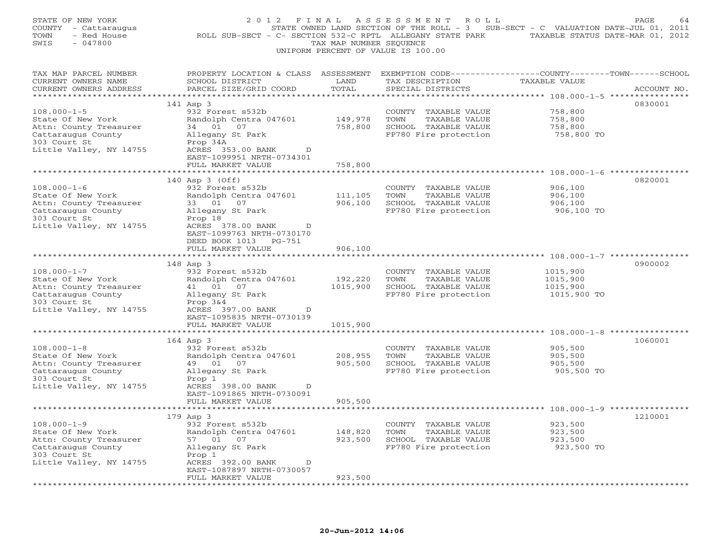| STATE OF NEW YORK<br>COUNTY - Cattaraugus<br>TOWN<br>- Red House<br>$-047800$<br>SWIS                                             | 2 0 1 2<br>F I N A L<br>ROLL SUB-SECT - C- SECTION 532-C RPTL ALLEGANY STATE PARK                                                                            | TAX MAP NUMBER SEQUENCE | A S S E S S M E N T<br>R O L L<br>STATE OWNED LAND SECTION OF THE ROLL - 3 SUB-SECT - C VALUATION DATE-JUL 01, 2011<br>UNIFORM PERCENT OF VALUE IS 100.00 | TAXABLE STATUS DATE-MAR 01, 2012                | PAGE<br>64  |
|-----------------------------------------------------------------------------------------------------------------------------------|--------------------------------------------------------------------------------------------------------------------------------------------------------------|-------------------------|-----------------------------------------------------------------------------------------------------------------------------------------------------------|-------------------------------------------------|-------------|
| TAX MAP PARCEL NUMBER<br>CURRENT OWNERS NAME<br>CURRENT OWNERS ADDRESS<br>*************************                               | PROPERTY LOCATION & CLASS ASSESSMENT<br>SCHOOL DISTRICT<br>PARCEL SIZE/GRID COORD                                                                            | LAND<br>TOTAL           | EXEMPTION CODE-----------------COUNTY-------TOWN------SCHOOL<br>TAX DESCRIPTION<br>SPECIAL DISTRICTS                                                      | TAXABLE VALUE                                   | ACCOUNT NO. |
|                                                                                                                                   | 141 Asp 3                                                                                                                                                    |                         |                                                                                                                                                           |                                                 | 0830001     |
| $108.000 - 1 - 5$<br>State Of New York<br>Attn: County Treasurer                                                                  | 932 Forest s532b<br>Randolph Centra 047601<br>34 01 07                                                                                                       | 149,978<br>758,800      | COUNTY TAXABLE VALUE<br>TOWN<br>TAXABLE VALUE<br>SCHOOL TAXABLE VALUE                                                                                     | 758,800<br>758,800<br>758,800                   |             |
| Cattaraugus County<br>303 Court St<br>Little Valley, NY 14755                                                                     | Allegany St Park<br>Prop 34A<br>ACRES 353.00 BANK<br>D<br>EAST-1099951 NRTH-0734301                                                                          |                         | FP780 Fire protection                                                                                                                                     | 758,800 TO                                      |             |
|                                                                                                                                   | FULL MARKET VALUE                                                                                                                                            | 758,800                 |                                                                                                                                                           |                                                 |             |
|                                                                                                                                   | 140 Asp 3 (Off)                                                                                                                                              |                         |                                                                                                                                                           |                                                 | 0820001     |
| $108.000 - 1 - 6$<br>State Of New York<br>Attn: County Treasurer<br>Cattaraugus County                                            | 932 Forest s532b<br>Randolph Centra 047601<br>33 01 07<br>Allegany St Park                                                                                   | 111,105<br>906,100      | COUNTY TAXABLE VALUE<br>TOWN<br>TAXABLE VALUE<br>SCHOOL TAXABLE VALUE<br>FP780 Fire protection                                                            | 906,100<br>906,100<br>906,100<br>906,100 TO     |             |
| 303 Court St<br>Little Valley, NY 14755                                                                                           | Prop 18<br>ACRES 378.00 BANK<br>D<br>EAST-1099763 NRTH-0730170<br>DEED BOOK 1013 PG-751<br>FULL MARKET VALUE                                                 | 906,100                 |                                                                                                                                                           |                                                 |             |
|                                                                                                                                   | ************************                                                                                                                                     |                         |                                                                                                                                                           |                                                 |             |
| $108.000 - 1 - 7$<br>State Of New York<br>Attn: County Treasurer<br>Cattaraugus County<br>303 Court St<br>Little Valley, NY 14755 | 148 Asp 3<br>932 Forest s532b<br>Randolph Centra 047601<br>41 01 07<br>Allegany St Park<br>Prop $3&4$<br>ACRES 397.00 BANK<br>D<br>EAST-1095835 NRTH-0730139 | 192,220<br>1015,900     | COUNTY TAXABLE VALUE<br>TOWN<br>TAXABLE VALUE<br>SCHOOL TAXABLE VALUE<br>FP780 Fire protection                                                            | 1015,900<br>1015,900<br>1015,900<br>1015,900 TO | 0900002     |
|                                                                                                                                   | FULL MARKET VALUE<br>*******************                                                                                                                     | 1015,900<br>*********** |                                                                                                                                                           |                                                 |             |
| $108.000 - 1 - 8$<br>State Of New York<br>Attn: County Treasurer<br>Cattaraugus County<br>303 Court St<br>Little Valley, NY 14755 | 164 Asp 3<br>932 Forest s532b<br>Randolph Centra 047601<br>49 01 07<br>Allegany St Park<br>Prop 1<br>ACRES 398.00 BANK<br>D                                  | 208,955<br>905,500      | COUNTY TAXABLE VALUE<br>TOWN<br>TAXABLE VALUE<br>SCHOOL TAXABLE VALUE<br>FP780 Fire protection                                                            | 905,500<br>905,500<br>905,500<br>905,500 TO     | 1060001     |
|                                                                                                                                   | EAST-1091865 NRTH-0730091<br>FULL MARKET VALUE                                                                                                               | 905,500                 |                                                                                                                                                           |                                                 |             |
|                                                                                                                                   | 179 Asp 3                                                                                                                                                    |                         |                                                                                                                                                           |                                                 | 1210001     |
| $108.000 - 1 - 9$<br>State Of New York<br>Attn: County Treasurer<br>Cattaraugus County<br>303 Court St                            | 932 Forest s532b<br>Randolph Centra 047601<br>01 07<br>57<br>Allegany St Park<br>Prop 1                                                                      | 148,820<br>923,500      | TAXABLE VALUE<br>COUNTY<br>TOWN<br>TAXABLE VALUE<br>SCHOOL TAXABLE VALUE<br>FP780 Fire protection                                                         | 923,500<br>923,500<br>923,500<br>923,500 TO     |             |
| Little Valley, NY 14755                                                                                                           | ACRES 392.00 BANK<br>D<br>EAST-1087897 NRTH-0730057<br>FULL MARKET VALUE                                                                                     | 923,500                 |                                                                                                                                                           |                                                 |             |
|                                                                                                                                   |                                                                                                                                                              |                         |                                                                                                                                                           |                                                 |             |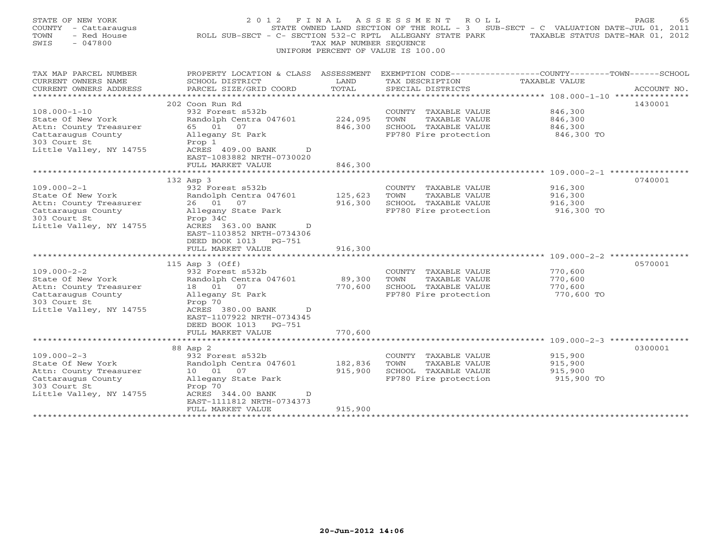| STATE OF NEW YORK<br>COUNTY - Cattaraugus<br>- Red House<br>TOWN<br>$-047800$<br>SWIS                                              | 2 0 1 2<br>ROLL SUB-SECT - C- SECTION 532-C RPTL ALLEGANY STATE PARK                                                                                           | FINAL<br>TAX MAP NUMBER SEOUENCE | A S S E S S M E N T<br>ROLL<br>STATE OWNED LAND SECTION OF THE ROLL - 3 SUB-SECT - C VALUATION DATE-JUL 01, 2011<br>UNIFORM PERCENT OF VALUE IS 100.00 | TAXABLE STATUS DATE-MAR 01, 2012            | 65<br>PAGE  |
|------------------------------------------------------------------------------------------------------------------------------------|----------------------------------------------------------------------------------------------------------------------------------------------------------------|----------------------------------|--------------------------------------------------------------------------------------------------------------------------------------------------------|---------------------------------------------|-------------|
| TAX MAP PARCEL NUMBER<br>CURRENT OWNERS NAME<br>CURRENT OWNERS ADDRESS<br>***********************                                  | PROPERTY LOCATION & CLASS ASSESSMENT<br>SCHOOL DISTRICT<br>PARCEL SIZE/GRID COORD                                                                              | LAND<br>TOTAL                    | EXEMPTION CODE-----------------COUNTY-------TOWN------SCHOOL<br>TAX DESCRIPTION<br>SPECIAL DISTRICTS                                                   | TAXABLE VALUE                               | ACCOUNT NO. |
|                                                                                                                                    | 202 Coon Run Rd                                                                                                                                                |                                  |                                                                                                                                                        |                                             | 1430001     |
| $108.000 - 1 - 10$<br>State Of New York<br>Attn: County Treasurer<br>Cattaraugus County<br>303 Court St<br>Little Valley, NY 14755 | 932 Forest s532b<br>Randolph Centra 047601<br>65 01<br>07<br>Allegany St Park<br>Prop 1<br>ACRES 409.00 BANK<br>D<br>EAST-1083882 NRTH-0730020                 | 224,095<br>846,300               | COUNTY TAXABLE VALUE<br>TOWN<br>TAXABLE VALUE<br>SCHOOL TAXABLE VALUE<br>FP780 Fire protection                                                         | 846,300<br>846,300<br>846,300<br>846,300 TO |             |
|                                                                                                                                    | FULL MARKET VALUE                                                                                                                                              | 846,300                          |                                                                                                                                                        |                                             |             |
| $109.000 - 2 - 1$<br>State Of New York                                                                                             | 132 Asp 3<br>932 Forest s532b<br>Randolph Centra 047601                                                                                                        | 125,623                          | COUNTY TAXABLE VALUE<br>TOWN<br>TAXABLE VALUE                                                                                                          | 916,300<br>916,300                          | 0740001     |
| Attn: County Treasurer<br>Cattaraugus County<br>303 Court St<br>Little Valley, NY 14755                                            | 26 01<br>07<br>Allegany State Park<br>Prop 34C<br>ACRES 363.00 BANK<br>$\mathbb{D}$<br>EAST-1103852 NRTH-0734306<br>DEED BOOK 1013 PG-751<br>FULL MARKET VALUE | 916,300<br>916,300               | SCHOOL TAXABLE VALUE<br>FP780 Fire protection                                                                                                          | 916,300<br>916,300 TO                       |             |
|                                                                                                                                    | *******************                                                                                                                                            | ************                     |                                                                                                                                                        |                                             |             |
| $109.000 - 2 - 2$<br>State Of New York<br>Attn: County Treasurer                                                                   | 115 Asp 3 (Off)<br>932 Forest s532b<br>Randolph Centra 047601<br>18  01  07                                                                                    | 89,300<br>770,600                | COUNTY TAXABLE VALUE<br>TAXABLE VALUE<br>TOWN<br>SCHOOL TAXABLE VALUE                                                                                  | 770,600<br>770,600<br>770,600               | 0570001     |
| Cattaraugus County<br>303 Court St<br>Little Valley, NY 14755                                                                      | Allegany St Park<br>Prop 70<br>ACRES 380.00 BANK<br>D<br>EAST-1107922 NRTH-0734345<br>DEED BOOK 1013 PG-751                                                    |                                  | FP780 Fire protection                                                                                                                                  | 770,600 TO                                  |             |
|                                                                                                                                    | FULL MARKET VALUE<br>**********************                                                                                                                    | 770,600                          |                                                                                                                                                        |                                             |             |
|                                                                                                                                    | 88 Asp 2                                                                                                                                                       |                                  |                                                                                                                                                        |                                             | 0300001     |
| $109.000 - 2 - 3$<br>State Of New York<br>Attn: County Treasurer<br>Cattaraugus County<br>303 Court St<br>Little Valley, NY 14755  | 932 Forest s532b<br>Randolph Centra 047601<br>07<br>10 01<br>Allegany State Park<br>Prop 70<br>ACRES 344.00 BANK<br>D                                          | 182,836<br>915,900               | COUNTY TAXABLE VALUE<br>TAXABLE VALUE<br>TOWN<br>SCHOOL TAXABLE VALUE<br>FP780 Fire protection                                                         | 915,900<br>915,900<br>915,900<br>915,900 TO |             |
| ******************                                                                                                                 | EAST-1111812 NRTH-0734373<br>FULL MARKET VALUE<br>*********************                                                                                        | 915,900<br>****************      |                                                                                                                                                        |                                             |             |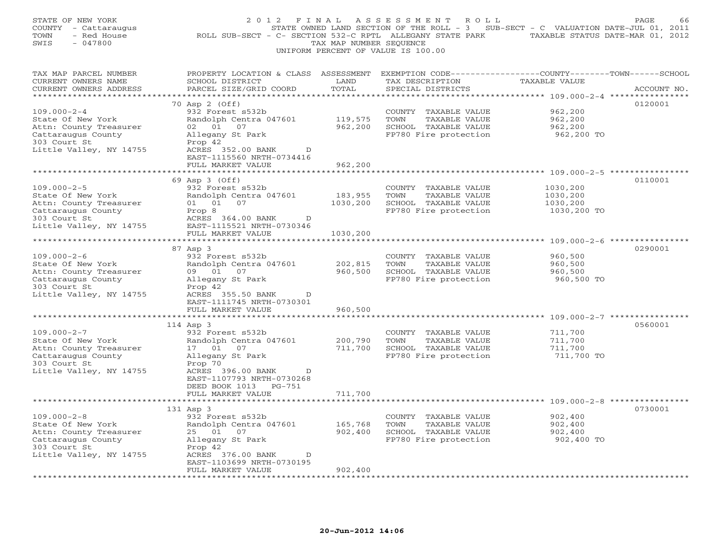| STATE OF NEW YORK<br>COUNTY - Cattaraugus<br>TOWN<br>- Red House<br>SWIS<br>$-047800$                                             | 2012 FINAL<br>ROLL SUB-SECT - C- SECTION 532-C RPTL ALLEGANY STATE PARK                                                                                                              | TAX MAP NUMBER SEOUENCE         | A S S E S S M E N T<br>ROLL<br>STATE OWNED LAND SECTION OF THE ROLL - 3 SUB-SECT - C VALUATION DATE-JUL 01, 2011<br>UNIFORM PERCENT OF VALUE IS 100.00 | TAXABLE STATUS DATE-MAR 01, 2012                | PAGE<br>66  |
|-----------------------------------------------------------------------------------------------------------------------------------|--------------------------------------------------------------------------------------------------------------------------------------------------------------------------------------|---------------------------------|--------------------------------------------------------------------------------------------------------------------------------------------------------|-------------------------------------------------|-------------|
| TAX MAP PARCEL NUMBER<br>CURRENT OWNERS NAME<br>CURRENT OWNERS ADDRESS<br>***********************                                 | PROPERTY LOCATION & CLASS ASSESSMENT<br>SCHOOL DISTRICT<br>PARCEL SIZE/GRID COORD<br>*************************                                                                       | LAND<br>TOTAL                   | EXEMPTION CODE-----------------COUNTY-------TOWN------SCHOOL<br>TAX DESCRIPTION<br>SPECIAL DISTRICTS                                                   | TAXABLE VALUE                                   | ACCOUNT NO. |
| $109.000 - 2 - 4$<br>State Of New York<br>Attn: County Treasurer<br>Cattaraugus County<br>303 Court St<br>Little Valley, NY 14755 | 70 Asp 2 (Off)<br>932 Forest s532b<br>Randolph Centra 047601<br>02 01 07<br>Allegany St Park<br>Prop 42<br>ACRES 352.00 BANK<br>D<br>EAST-1115560 NRTH-0734416                       | 119,575<br>962,200              | COUNTY TAXABLE VALUE<br>TOWN<br>TAXABLE VALUE<br>SCHOOL TAXABLE VALUE<br>FP780 Fire protection                                                         | 962,200<br>962,200<br>962,200<br>962,200 TO     | 0120001     |
|                                                                                                                                   | FULL MARKET VALUE                                                                                                                                                                    | 962,200                         |                                                                                                                                                        | **** 109.000-2-5 **************                 |             |
| $109.000 - 2 - 5$<br>State Of New York<br>Attn: County Treasurer<br>Cattaraugus County<br>303 Court St<br>Little Valley, NY 14755 | 69 Asp 3 (Off)<br>932 Forest s532b<br>Randolph Centra 047601<br>01 01 07<br>Prop 8<br>ACRES 364.00 BANK<br>D<br>EAST-1115521 NRTH-0730346<br>FULL MARKET VALUE                       | 183,955<br>1030,200<br>1030,200 | COUNTY TAXABLE VALUE<br>TOWN<br>TAXABLE VALUE<br>SCHOOL TAXABLE VALUE<br>FP780 Fire protection                                                         | 1030,200<br>1030,200<br>1030,200<br>1030,200 TO | 0110001     |
|                                                                                                                                   |                                                                                                                                                                                      |                                 |                                                                                                                                                        | ********** 109.000-2-6 ***********              |             |
| $109.000 - 2 - 6$<br>State Of New York<br>Attn: County Treasurer<br>Cattaraugus County<br>303 Court St<br>Little Valley, NY 14755 | 87 Asp 3<br>932 Forest s532b<br>Randolph Centra 047601<br>09 01<br>07<br>Allegany St Park<br>Prop 42<br>ACRES 355.50 BANK<br>D<br>EAST-1111745 NRTH-0730301                          | 202,815<br>960,500              | COUNTY<br>TAXABLE VALUE<br>TOWN<br>TAXABLE VALUE<br>SCHOOL TAXABLE VALUE<br>FP780 Fire protection                                                      | 960,500<br>960,500<br>960,500<br>960,500 TO     | 0290001     |
|                                                                                                                                   | FULL MARKET VALUE                                                                                                                                                                    | 960,500                         |                                                                                                                                                        |                                                 |             |
| $109.000 - 2 - 7$<br>State Of New York<br>Attn: County Treasurer<br>Cattaraugus County<br>303 Court St<br>Little Valley, NY 14755 | 114 Asp 3<br>932 Forest s532b<br>Randolph Centra 047601<br>17  01  07<br>Allegany St Park<br>Prop 70<br>ACRES 396.00 BANK<br>D<br>EAST-1107793 NRTH-0730268<br>DEED BOOK 1013 PG-751 | 200,790<br>711,700              | COUNTY TAXABLE VALUE<br>TOWN<br>TAXABLE VALUE<br>SCHOOL TAXABLE VALUE<br>FP780 Fire protection                                                         | 711,700<br>711,700<br>711,700<br>711,700 TO     | 0560001     |
|                                                                                                                                   | FULL MARKET VALUE                                                                                                                                                                    | 711,700                         |                                                                                                                                                        |                                                 |             |
| $109.000 - 2 - 8$<br>State Of New York<br>Attn: County Treasurer<br>Cattaraugus County<br>303 Court St<br>Little Valley, NY 14755 | 131 Asp 3<br>932 Forest s532b<br>Randolph Centra 047601<br>25 01 07<br>Allegany St Park<br>Prop 42<br>ACRES 376.00 BANK<br>D<br>EAST-1103699 NRTH-0730195                            | 165,768<br>902,400              | COUNTY TAXABLE VALUE<br>TOWN<br>TAXABLE VALUE<br>SCHOOL TAXABLE VALUE<br>FP780 Fire protection                                                         | 902,400<br>902,400<br>902,400<br>902,400 TO     | 0730001     |
|                                                                                                                                   | FULL MARKET VALUE<br>.                                                                                                                                                               | 902,400                         |                                                                                                                                                        |                                                 |             |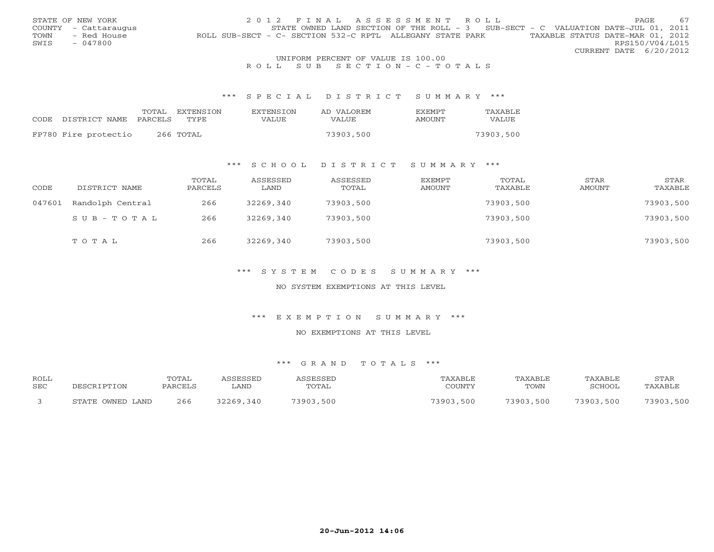|      | STATE OF NEW YORK    | 2012 FINAL ASSESSMENT ROLL                                                                    | PAGE.                  | 67 |
|------|----------------------|-----------------------------------------------------------------------------------------------|------------------------|----|
|      | COUNTY - Cattaraugus | STATE OWNED LAND SECTION OF THE ROLL - 3 SUB-SECT - C VALUATION DATE-JUL 01, 2011             |                        |    |
| TOWN | - Red House          | TAXABLE STATUS DATE-MAR 01, 2012<br>ROLL SUB-SECT - C- SECTION 532-C RPTL ALLEGANY STATE PARK |                        |    |
| SWIS | - 047800             |                                                                                               | RPS150/V04/L015        |    |
|      |                      |                                                                                               | CURRENT DATE 6/20/2012 |    |
|      |                      | INITEOPM DEPOEME OF VALUE TO 100 00                                                           |                        |    |

# UNIFORM PERCENT OF VALUE IS 100.00<br>R O L L S U B S E C T I O N – C – T O T A L S

#### \*\*\* S P E C I A L D I S T R I C T S U M M A R Y \*\*\*

|                                 | TOTAL | EXTENSTON | <b>EXTENSION</b> | AD VALOREM   | <b>FXFMPT</b> | TAXABLE   |
|---------------------------------|-------|-----------|------------------|--------------|---------------|-----------|
| CODE DISTRICT NAME PARCELS TYPE |       |           | VALUE            | <b>VALUE</b> | AMOUNT        | VALUE     |
|                                 |       |           |                  |              |               |           |
| FP780 Fire protectio            |       | 266 TOTAL |                  | 73903,500    |               | 73903,500 |

## \*\*\* S C H O O L D I S T R I C T S U M M A R Y \*\*\*

| CODE   | DISTRICT NAME    | TOTAL<br>PARCELS | ASSESSED<br>LAND | ASSESSED<br>TOTAL | EXEMPT<br>AMOUNT | TOTAL<br>TAXABLE | STAR<br>AMOUNT | STAR<br>TAXABLE |
|--------|------------------|------------------|------------------|-------------------|------------------|------------------|----------------|-----------------|
| 047601 | Randolph Central | 266              | 32269,340        | 73903,500         |                  | 73903,500        |                | 73903,500       |
|        | SUB-TOTAL        | 266              | 32269,340        | 73903,500         |                  | 73903,500        |                | 73903,500       |
|        | TOTAL            | 266              | 32269,340        | 73903,500         |                  | 73903,500        |                | 73903,500       |

## \*\*\* S Y S T E M C O D E S S U M M A R Y \*\*\*

#### NO SYSTEM EXEMPTIONS AT THIS LEVEL

#### \*\*\* E X E M P T I O N S U M M A R Y \*\*\*

#### NO EXEMPTIONS AT THIS LEVEL

#### \*\*\* G R A N D T O T A L S \*\*\*

| <b>ROLL</b> |                  | TOTAL   | ASSESSED  | ASSESSED  | TAXABLE   | TAXABLE   | TAXABLE   | STAR      |
|-------------|------------------|---------|-----------|-----------|-----------|-----------|-----------|-----------|
| <b>SEC</b>  | DESCRIPTION      | PARCELS | LAND      | TOTAL     | COUNTY    | TOWN      | SCHOOL    | TAXABLE   |
|             | STATE OWNED LAND | 266     | 32269,340 | 73903,500 | 73903,500 | 73903,500 | 73903,500 | 73903,500 |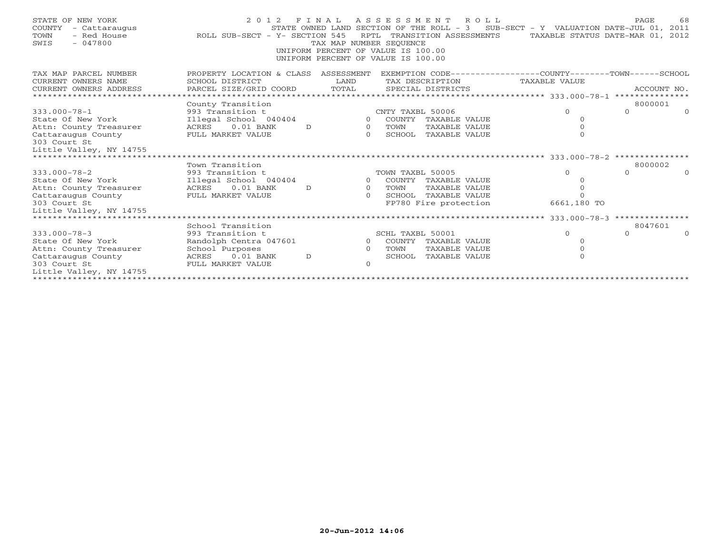| STATE OF NEW YORK<br>COUNTY<br>- Cattaraugus<br>- Red House<br>TOWN<br>$-047800$<br>SWIS                 | 2 0 1 2<br>ROLL SUB-SECT - Y- SECTION 545                                         | FINAL<br>TAX MAP NUMBER SEOUENCE | ASSESSMENT ROLL<br>STATE OWNED LAND SECTION OF THE ROLL - 3 SUB-SECT - Y VALUATION DATE-JUL 01, 2011<br>RPTL TRANSITION ASSESSMENTS<br>UNIFORM PERCENT OF VALUE IS 100.00<br>UNIFORM PERCENT OF VALUE IS 100.00 | TAXABLE STATUS DATE-MAR 01, 2012         | PAGE<br>68  |
|----------------------------------------------------------------------------------------------------------|-----------------------------------------------------------------------------------|----------------------------------|-----------------------------------------------------------------------------------------------------------------------------------------------------------------------------------------------------------------|------------------------------------------|-------------|
| TAX MAP PARCEL NUMBER<br>CURRENT OWNERS NAME<br>CURRENT OWNERS ADDRESS<br>****************************** | PROPERTY LOCATION & CLASS ASSESSMENT<br>SCHOOL DISTRICT<br>PARCEL SIZE/GRID COORD | LAND<br>TOTAL                    | EXEMPTION CODE-----------------COUNTY-------TOWN------SCHOOL<br>TAX DESCRIPTION<br>SPECIAL DISTRICTS                                                                                                            | TAXABLE VALUE                            | ACCOUNT NO. |
|                                                                                                          | County Transition                                                                 |                                  |                                                                                                                                                                                                                 |                                          | 8000001     |
| $333.000 - 78 - 1$                                                                                       | 993 Transition t                                                                  |                                  | CNTY TAXBL 50006                                                                                                                                                                                                | $\Omega$<br>$\cap$                       | $\cap$      |
| State Of New York                                                                                        | Illegal School 040404                                                             |                                  | $\Omega$<br>COUNTY TAXABLE VALUE                                                                                                                                                                                | $\Omega$                                 |             |
| Attn: County Treasurer                                                                                   | $0.01$ BANK<br>ACRES                                                              | $\overline{O}$<br>D              | TAXABLE VALUE<br>TOWN                                                                                                                                                                                           |                                          |             |
| Cattaraugus County<br>303 Court St<br>Little Valley, NY 14755                                            | FULL MARKET VALUE                                                                 | $\Omega$                         | SCHOOL<br>TAXABLE VALUE                                                                                                                                                                                         | $\Omega$                                 |             |
|                                                                                                          |                                                                                   |                                  |                                                                                                                                                                                                                 |                                          |             |
|                                                                                                          | Town Transition                                                                   |                                  |                                                                                                                                                                                                                 |                                          | 8000002     |
| $333.000 - 78 - 2$                                                                                       | 993 Transition t                                                                  |                                  | TOWN TAXBL 50005                                                                                                                                                                                                | $\Omega$<br>$\Omega$                     | $\cap$      |
| State Of New York                                                                                        | Illegal School 040404                                                             |                                  | COUNTY TAXABLE VALUE<br>$\Omega$                                                                                                                                                                                |                                          |             |
| Attn: County Treasurer                                                                                   | ACRES<br>$0.01$ BANK                                                              | D<br>$\Omega$                    | TOWN<br>TAXABLE VALUE                                                                                                                                                                                           |                                          |             |
| Cattaraugus County                                                                                       | FULL MARKET VALUE                                                                 | $\cap$                           | SCHOOL TAXABLE VALUE                                                                                                                                                                                            | $\Omega$                                 |             |
| 303 Court St<br>Little Valley, NY 14755                                                                  |                                                                                   |                                  | FP780 Fire protection                                                                                                                                                                                           | 6661,180 TO                              |             |
| ****************************                                                                             |                                                                                   |                                  |                                                                                                                                                                                                                 | *********** 333.000-78-3 *************** |             |
|                                                                                                          | School Transition                                                                 |                                  |                                                                                                                                                                                                                 |                                          | 8047601     |
| $333.000 - 78 - 3$                                                                                       | 993 Transition t                                                                  |                                  | SCHL TAXBL 50001                                                                                                                                                                                                | $\Omega$<br>$\Omega$                     |             |
| State Of New York                                                                                        | Randolph Centra 047601                                                            |                                  | $\overline{0}$<br>COUNTY TAXABLE VALUE                                                                                                                                                                          |                                          |             |
| Attn: County Treasurer                                                                                   | School Purposes                                                                   | $\Omega$                         | TOWN<br>TAXABLE VALUE                                                                                                                                                                                           | $\Omega$                                 |             |
| Cattaraugus County                                                                                       | $0.01$ BANK<br>ACRES                                                              | $\mathcal{D}$                    | <b>TAXABLE VALUE</b><br>SCHOOL                                                                                                                                                                                  | $\Omega$                                 |             |
| 303 Court St                                                                                             | FULL MARKET VALUE                                                                 | $\Omega$                         |                                                                                                                                                                                                                 |                                          |             |
| Little Valley, NY 14755                                                                                  |                                                                                   |                                  |                                                                                                                                                                                                                 |                                          |             |
|                                                                                                          |                                                                                   |                                  |                                                                                                                                                                                                                 |                                          |             |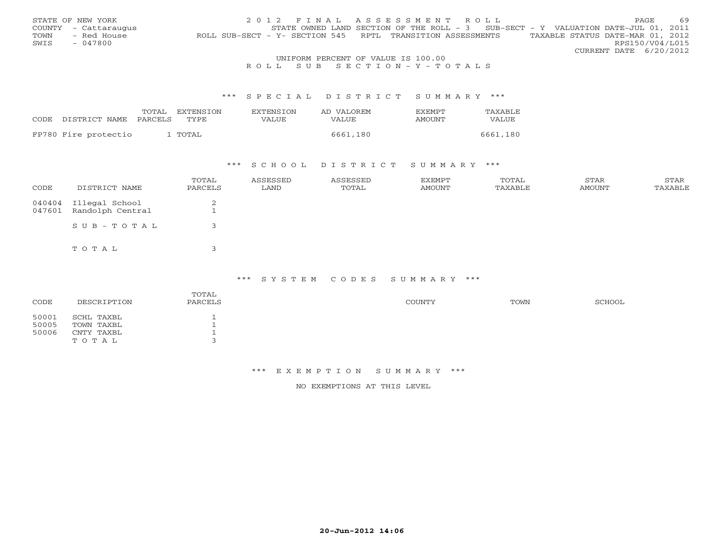|      | STATE OF NEW YORK    |                                                            | 2012 FINAL ASSESSMENT ROLL                                                        | 69<br>PAGE.                      |
|------|----------------------|------------------------------------------------------------|-----------------------------------------------------------------------------------|----------------------------------|
|      | COUNTY - Cattaraugus |                                                            | STATE OWNED LAND SECTION OF THE ROLL - 3 SUB-SECT - Y VALUATION DATE-JUL 01, 2011 |                                  |
| TOWN | - Red House          | ROLL SUB-SECT - Y- SECTION 545 RPTL TRANSITION ASSESSMENTS |                                                                                   | TAXABLE STATUS DATE-MAR 01, 2012 |
| SWIS | $-047800$            |                                                            |                                                                                   | RPS150/V04/L015                  |
|      |                      |                                                            |                                                                                   | CURRENT DATE 6/20/2012           |
|      |                      | LINIEODM DEOGENIE OF 1731 UP IO 100 00                     |                                                                                   |                                  |

# UNIFORM PERCENT OF VALUE IS 100.00<br>R O L L S U B S E C T I O N – Y – T O T A L S

#### \*\*\* S P E C I A L D I S T R I C T S U M M A R Y \*\*\*

|                                 | TOTAL | <b>FXTENSTON</b> | <b>EXTENSION</b> | AD VALOREM   | EXEMPT | TAXABLE  |
|---------------------------------|-------|------------------|------------------|--------------|--------|----------|
| CODE DISTRICT NAME PARCELS TYPE |       |                  | VALUE            | <b>VALUE</b> | AMOUNT | VALUE    |
|                                 |       |                  |                  |              |        |          |
| FP780 Fire protectio            |       | 1 TOTAL          |                  | 6661,180     |        | 6661,180 |

## \*\*\* S C H O O L D I S T R I C T S U M M A R Y \*\*\*

| CODE             | DISTRICT NAME                      | TOTAL<br>PARCELS | ASSESSED<br>LAND | ASSESSED<br>TOTAL | <b>EXEMPT</b><br>AMOUNT | TOTAL<br>TAXABLE | STAR<br>AMOUNT | STAR<br>TAXABLE |
|------------------|------------------------------------|------------------|------------------|-------------------|-------------------------|------------------|----------------|-----------------|
| 040404<br>047601 | Illegal School<br>Randolph Central | $\sim$           |                  |                   |                         |                  |                |                 |
|                  | SUB-TOTAL                          |                  |                  |                   |                         |                  |                |                 |
|                  | TOTAL                              |                  |                  |                   |                         |                  |                |                 |

#### \*\*\* S Y S T E M C O D E S S U M M A R Y \*\*\*

| CODE                    | DESCRIPTION                            | TOTAL<br>PARCELS | COUNTY | TOWN | SCHOOL |
|-------------------------|----------------------------------------|------------------|--------|------|--------|
| 50001<br>50005<br>50006 | SCHL TAXBL<br>TOWN TAXBL<br>CNTY TAXBL |                  |        |      |        |
|                         | TOTAL                                  |                  |        |      |        |

### \*\*\* E X E M P T I O N S U M M A R Y \*\*\*

NO EXEMPTIONS AT THIS LEVEL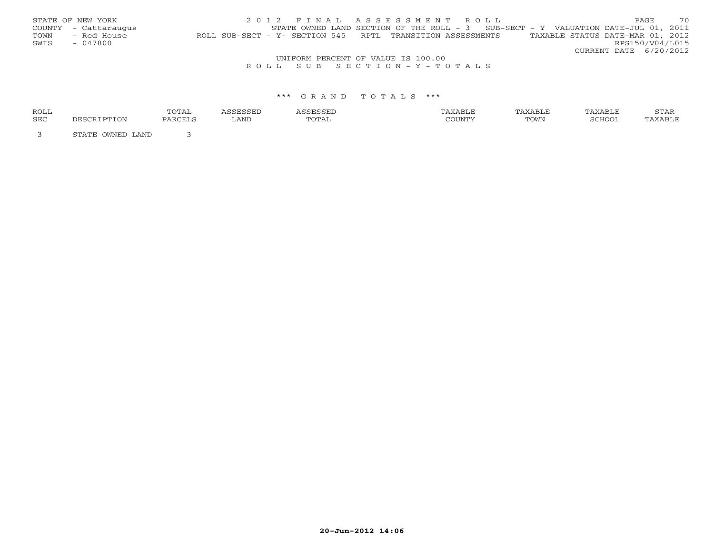|      | STATE OF NEW YORK                  | 2012 FINAL ASSESSMENT ROLL                                                                     | PAGE                   |  | 70 |  |  |  |
|------|------------------------------------|------------------------------------------------------------------------------------------------|------------------------|--|----|--|--|--|
|      | COUNTY - Cattaraugus               | STATE OWNED LAND SECTION OF THE ROLL - 3 SUB-SECT - Y VALUATION DATE-JUL 01, 2011              |                        |  |    |  |  |  |
| TOWN | - Red House                        | TAXABLE STATUS DATE-MAR 01, 2012<br>ROLL SUB-SECT - Y- SECTION 545 RPTL TRANSITION ASSESSMENTS |                        |  |    |  |  |  |
| SWIS | - 047800                           |                                                                                                | RPS150/V04/L015        |  |    |  |  |  |
|      |                                    |                                                                                                | CURRENT DATE 6/20/2012 |  |    |  |  |  |
|      | UNIFORM PERCENT OF VALUE IS 100.00 |                                                                                                |                        |  |    |  |  |  |
|      |                                    | ROLL SUB SECTION-Y-TOTALS                                                                      |                        |  |    |  |  |  |

#### \*\*\* G R A N D T O T A L S \*\*\*

| ROLL       |                        | TOTA)<br><b>+0+1+</b> |      |       | TAXABLE | TAXABLE | TAXABLE       | STAR               |
|------------|------------------------|-----------------------|------|-------|---------|---------|---------------|--------------------|
| <b>SEC</b> | PTON                   | PARCELS               | LAND | TOTAL |         | TOWN    | <b>SCHOOI</b> | Y∆RT.F<br>$\cdots$ |
|            | LAND<br>OMNED<br>ビエスエア |                       |      |       |         |         |               |                    |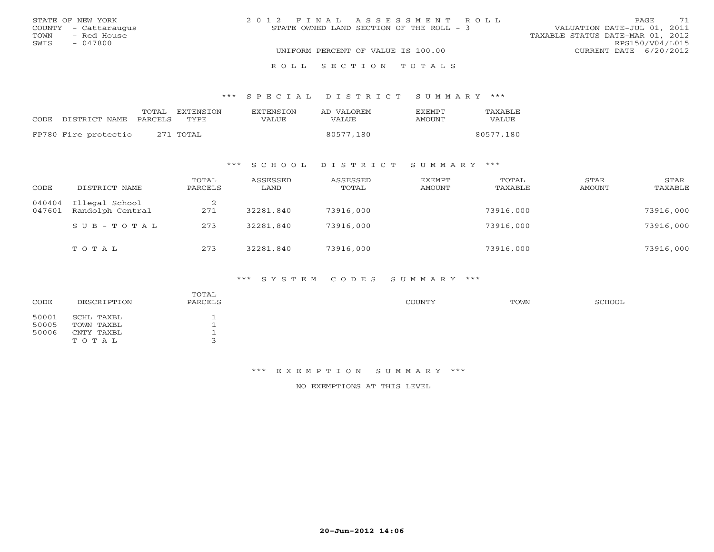| STATE OF NEW YORK |                      | 2012 FINAL ASSESSMENT ROLL |                                    |                                          |                                  | PAGE            | 71 |
|-------------------|----------------------|----------------------------|------------------------------------|------------------------------------------|----------------------------------|-----------------|----|
|                   | COUNTY - Cattaraugus |                            |                                    | STATE OWNED LAND SECTION OF THE ROLL - 3 | VALUATION DATE-JUL 01, 2011      |                 |    |
| TOWN              | - Red House          |                            |                                    |                                          | TAXABLE STATUS DATE-MAR 01, 2012 |                 |    |
| SWIS              | - 047800             |                            |                                    |                                          |                                  | RPS150/V04/L015 |    |
|                   |                      |                            | UNIFORM PERCENT OF VALUE IS 100.00 |                                          | CURRENT DATE $6/20/2012$         |                 |    |
|                   |                      |                            |                                    | ROLL SECTION TOTALS                      |                                  |                 |    |

\*\*\* S P E C I A L D I S T R I C T S U M M A R Y \*\*\*

|                                 | TOTAL EXTENSION | <b>EXTENSION</b> | AD VALOREM   | <b>EXEMPT</b> | TAXABLE      |
|---------------------------------|-----------------|------------------|--------------|---------------|--------------|
| CODE DISTRICT NAME PARCELS TYPE |                 | VALUE            | <b>VALUE</b> | AMOUNT        | <b>VALUE</b> |
| FP780 Fire protectio            | 271 TOTAL       |                  | 80577,180    |               | 80577,180    |
|                                 |                 |                  |              |               |              |

### \*\*\* S C H O O L D I S T R I C T S U M M A R Y \*\*\*

| CODE             | DISTRICT NAME                      | TOTAL<br>PARCELS | ASSESSED<br>LAND | ASSESSED<br>TOTAL | EXEMPT<br>AMOUNT | TOTAL<br>TAXABLE | STAR<br>AMOUNT | STAR<br>TAXABLE |
|------------------|------------------------------------|------------------|------------------|-------------------|------------------|------------------|----------------|-----------------|
| 040404<br>047601 | Illegal School<br>Randolph Central | 271              | 32281,840        | 73916,000         |                  | 73916,000        |                | 73916,000       |
|                  | SUB-TOTAL                          | 273              | 32281,840        | 73916,000         |                  | 73916,000        |                | 73916,000       |
|                  | TOTAL                              | 273              | 32281,840        | 73916,000         |                  | 73916,000        |                | 73916,000       |

#### \*\*\* S Y S T E M C O D E S S U M M A R Y \*\*\*

| CODE                    | DESCRIPTION                                     | TOTAL<br>PARCELS | COUNTY | TOWN | SCHOOL |
|-------------------------|-------------------------------------------------|------------------|--------|------|--------|
| 50001<br>50005<br>50006 | SCHL TAXBL<br>TOWN TAXBL<br>CNTY TAXBL<br>TOTAL |                  |        |      |        |

### \*\*\* E X E M P T I O N S U M M A R Y \*\*\*

NO EXEMPTIONS AT THIS LEVEL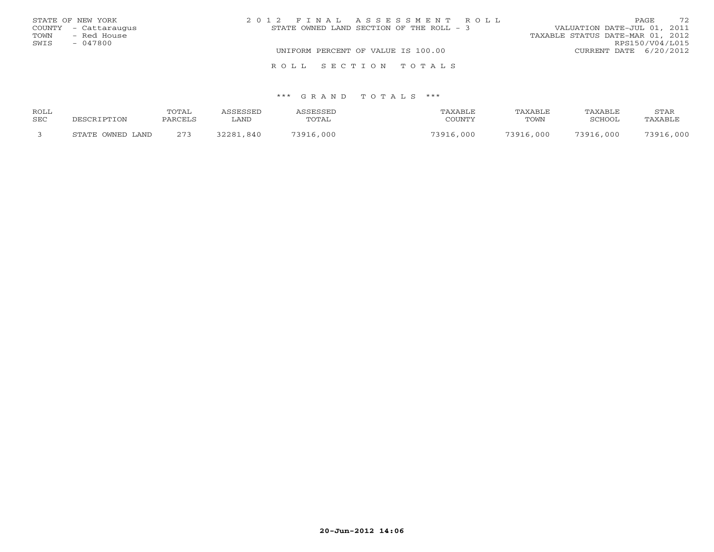|      | STATE OF NEW YORK    | 2012 FINAL ASSESSMENT ROLL               | 72<br>PAGE                       |
|------|----------------------|------------------------------------------|----------------------------------|
|      | COUNTY - Cattaraugus | STATE OWNED LAND SECTION OF THE ROLL - 3 | VALUATION DATE-JUL 01, 2011      |
| TOWN | - Red House          |                                          | TAXABLE STATUS DATE-MAR 01, 2012 |
| SWIS | - 047800             |                                          | RPS150/V04/L015                  |
|      |                      | UNIFORM PERCENT OF VALUE IS 100.00       | CURRENT DATE 6/20/2012           |
|      |                      | ROLL SECTION TOTALS                      |                                  |

#### \*\*\* G R A N D T O T A L S \*\*\*

| ROLL       |                  | TOTAL   | <i><b>\SSESSED</b></i> | <b>SSESSED</b> | TAXABLE   | TAXABLE   | TAXABLE   | STAR      |
|------------|------------------|---------|------------------------|----------------|-----------|-----------|-----------|-----------|
| <b>SEC</b> | DESCRIPTION      | PARCELS | LAND                   | TOTAL          | COUNTY    | TOWN      | SCHOOL    | TAXABLE   |
|            | STATE OWNED LAND | 273     | 32281,840              | 73916,000      | 73916,000 | 73916,000 | 73916,000 | 73916,000 |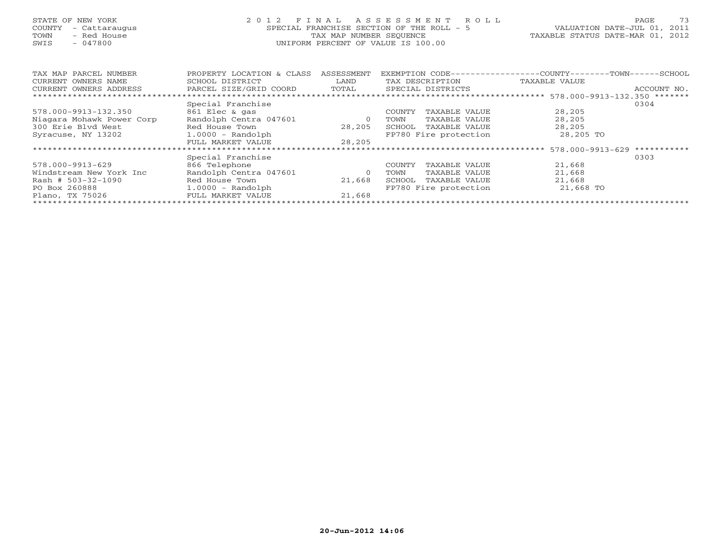# STATE OF NEW YORK 2 0 1 2 F I N A L A S S E S S M E N T R O L L PAGE 73 COUNTY - Cattaraugus SPECIAL FRANCHISE SECTION OF THE ROLL - 5 VALUATION DATE-JUL 01, 2011 TOWN - Red House TAX MAP NUMBER SEQUENCE TAXABLE STATUS DATE-MAR 01, 2012 SWIS - 047800 UNIFORM PERCENT OF VALUE IS 100.00

| TAX MAP PARCEL NUMBER     | PROPERTY LOCATION & CLASS | ASSESSMENT | EXEMPTION CODE-- |                                  | ----------COUNTY--   | $-$ TOWN $   -$<br>-SCHOOL |
|---------------------------|---------------------------|------------|------------------|----------------------------------|----------------------|----------------------------|
| CURRENT OWNERS NAME       | SCHOOL DISTRICT           | LAND       |                  | TAX DESCRIPTION                  | TAXABLE VALUE        |                            |
| CURRENT OWNERS ADDRESS    | PARCEL SIZE/GRID COORD    | TOTAL      |                  | SPECIAL DISTRICTS                |                      | ACCOUNT NO.                |
|                           |                           |            |                  | ******************************** | 578.000-9913-132.350 | *******                    |
|                           | Special Franchise         |            |                  |                                  |                      | 0304                       |
| 578.000-9913-132.350      | 861 Elec & gas            |            | <b>COUNTY</b>    | TAXABLE VALUE                    | 28,205               |                            |
| Niagara Mohawk Power Corp | Randolph Centra 047601    | 0          | TOWN             | TAXABLE VALUE                    | 28,205               |                            |
| 300 Erie Blyd West        | Red House Town            | 28,205     | SCHOOL           | TAXABLE VALUE                    | 28,205               |                            |
| Syracuse, NY 13202        | $1.0000 - Random$         |            |                  | FP780 Fire protection            | 28,205 TO            |                            |
|                           | FULL MARKET VALUE         | 28,205     |                  |                                  |                      |                            |
|                           |                           |            |                  |                                  | 578.000-9913-629     | ***********                |
|                           | Special Franchise         |            |                  |                                  |                      | 0303                       |
| 578.000-9913-629          | 866 Telephone             |            | <b>COUNTY</b>    | TAXABLE VALUE                    | 21,668               |                            |
| Windstream New York Inc   | Randolph Centra 047601    | $\Omega$   | TOWN             | TAXABLE VALUE                    | 21,668               |                            |
| Rash # $503-32-1090$      | Red House Town            | 21,668     | SCHOOL           | TAXABLE VALUE                    | 21,668               |                            |
| PO Box 260888             | $1.0000 - Random$         |            |                  | FP780 Fire protection            | 21,668 TO            |                            |
| Plano, TX 75026           | FULL MARKET VALUE         | 21,668     |                  |                                  |                      |                            |
|                           |                           |            |                  |                                  |                      |                            |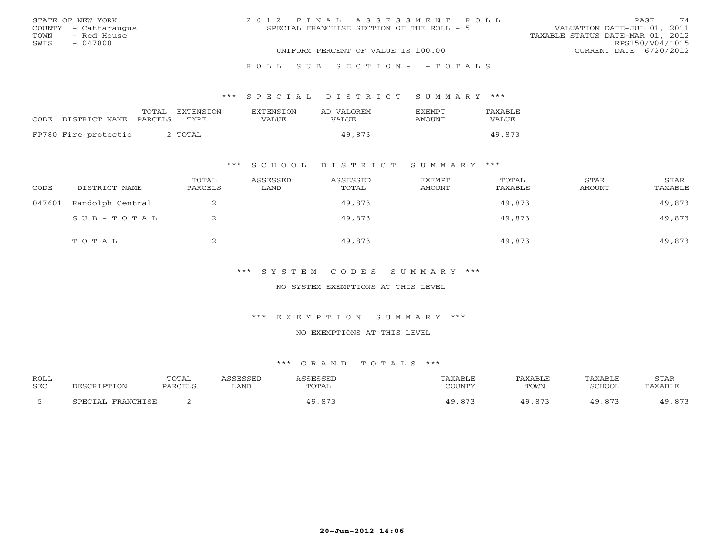|      | STATE OF NEW YORK    | 2012 FINAL ASSESSMENT ROLL                | <b>PAGE</b>                      | 74 |
|------|----------------------|-------------------------------------------|----------------------------------|----|
|      | COUNTY - Cattaraugus | SPECIAL FRANCHISE SECTION OF THE ROLL - 5 | VALUATION DATE-JUL 01, 2011      |    |
| TOWN | - Red House          |                                           | TAXABLE STATUS DATE-MAR 01, 2012 |    |
| SWIS | - 047800             |                                           | RPS150/V04/L015                  |    |
|      |                      | UNIFORM PERCENT OF VALUE IS 100.00        | CURRENT DATE 6/20/2012           |    |
|      |                      | ROLL SUB SECTION- - TOTALS                |                                  |    |

## \*\*\* S P E C I A L D I S T R I C T S U M M A R Y \*\*\*

| CODE | DISTRICT NAME PARCELS | TOTAL | <b>FXTENSTON</b><br><b>TYPE</b> | <b>EXTENSION</b><br>VALUE | AD VALOREM<br><b>VALUE</b> | <b>FXFMPT</b><br>AMOUNT | TAXABLE<br>VALUE |
|------|-----------------------|-------|---------------------------------|---------------------------|----------------------------|-------------------------|------------------|
|      | FP780 Fire protectio  |       | 2 TOTAL                         |                           | 49,873                     |                         | 49,873           |

## \*\*\* S C H O O L D I S T R I C T S U M M A R Y \*\*\*

| CODE   | DISTRICT NAME    | TOTAL<br>PARCELS | ASSESSED<br>LAND | ASSESSED<br>TOTAL | EXEMPT<br>AMOUNT | TOTAL<br>TAXABLE | STAR<br>AMOUNT | STAR<br>TAXABLE |
|--------|------------------|------------------|------------------|-------------------|------------------|------------------|----------------|-----------------|
| 047601 | Randolph Central |                  |                  | 49,873            |                  | 49,873           |                | 49,873          |
|        | SUB-TOTAL        |                  |                  | 49,873            |                  | 49,873           |                | 49,873          |
|        | TOTAL            | ▵                |                  | 49,873            |                  | 49,873           |                | 49,873          |

## \*\*\* S Y S T E M C O D E S S U M M A R Y \*\*\*

## NO SYSTEM EXEMPTIONS AT THIS LEVEL

### \*\*\* E X E M P T I O N S U M M A R Y \*\*\*

#### NO EXEMPTIONS AT THIS LEVEL

| <b>ROLL</b> |                      | <b>TOTAL</b> | <i><b>SSESSED</b></i> | 1 CCFCCFT               | TAXABLF    | TAXABLE                       | TAXABLE | STAR            |
|-------------|----------------------|--------------|-----------------------|-------------------------|------------|-------------------------------|---------|-----------------|
| <b>SEC</b>  | DESCRIPTION          | PARCELS      | LAND                  | TOTAL                   | COUNTY     | TOWN                          | SCHOOL  | TAXABLE         |
|             | FRANCHISE<br>SPECTAL |              |                       | $\circ$ 7<br>49<br>, 87 | 87.<br>າ ດ | $\wedge$ $\wedge$<br>$\Omega$ |         | 87.7<br>, 0 1 - |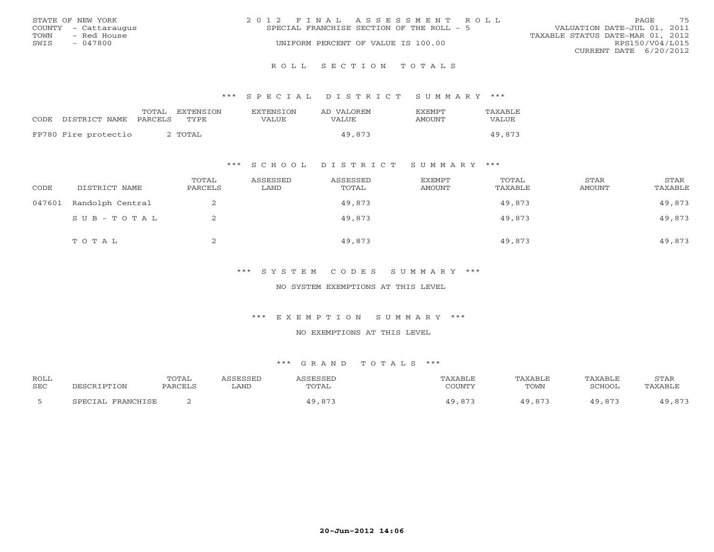|      | STATE OF NEW YORK    | 2012 FINAL ASSESSMENT ROLL                                               | PAGE.                  | 75 |
|------|----------------------|--------------------------------------------------------------------------|------------------------|----|
|      | COUNTY - Cattaraugus | VALUATION DATE-JUL 01, 2011<br>SPECIAL FRANCHISE SECTION OF THE ROLL - 5 |                        |    |
| TOWN | - Red House          | TAXABLE STATUS DATE-MAR 01, 2012                                         |                        |    |
| SWIS | $-047800$            | UNIFORM PERCENT OF VALUE IS 100.00                                       | RPS150/V04/L015        |    |
|      |                      |                                                                          | CURRENT DATE 6/20/2012 |    |
|      |                      |                                                                          |                        |    |

### R O L L S E C T I O N T O T A L S

### \*\*\* S P E C I A L D I S T R I C T S U M M A R Y \*\*\*

|                      | TOTAL   | EXTENSTON          | <b>EXTENSION</b> | AD VALOREM | <b>EXEMPT</b> | TAXABLE |
|----------------------|---------|--------------------|------------------|------------|---------------|---------|
| CODE DISTRICT NAME   | PARCELS | TYPE               | VALUE            | VALUE      | AMOUNT        | VALUE   |
| FP780 Fire protectio |         | TOTAL <sup>c</sup> |                  | 49,873     |               | 49,873  |
|                      |         |                    |                  |            |               |         |

## \*\*\* S C H O O L D I S T R I C T S U M M A R Y \*\*\*

| CODE   | DISTRICT NAME    | TOTAL<br>PARCELS | ASSESSED<br>LAND | ASSESSED<br>TOTAL | EXEMPT<br>AMOUNT | TOTAL<br>TAXABLE | STAR<br>AMOUNT | STAR<br>TAXABLE |
|--------|------------------|------------------|------------------|-------------------|------------------|------------------|----------------|-----------------|
| 047601 | Randolph Central | ∠                |                  | 49,873            |                  | 49,873           |                | 49,873          |
|        | SUB-TOTAL        | ▵                |                  | 49,873            |                  | 49,873           |                | 49,873          |
|        | TOTAL            | ▵                |                  | 49,873            |                  | 49,873           |                | 49,873          |

## \*\*\* S Y S T E M C O D E S S U M M A R Y \*\*\*

## NO SYSTEM EXEMPTIONS AT THIS LEVEL

### \*\*\* E X E M P T I O N S U M M A R Y \*\*\*

#### NO EXEMPTIONS AT THIS LEVEL

| <b>ROLL</b><br><b>SEC</b> | DESCRIPTION           | TOTAI<br>PARCELS | <b>ACCECCEL</b><br>∟AND | ASSESSEI<br>TOTAL | TAXABLE<br>COUNTY | TAXABLE<br>TOWN | TAXABLE<br>SCHOOL | STAR<br>TAXABLE                                 |
|---------------------------|-----------------------|------------------|-------------------------|-------------------|-------------------|-----------------|-------------------|-------------------------------------------------|
|                           | FRANCHISE<br>SPECTAL. |                  |                         | $\circ$ 7<br>, 87 | . 871             | $\circ$<br>.873 | 873               | $\Lambda$ $\Omega$ $\Omega$ $\Omega$<br>$\circ$ |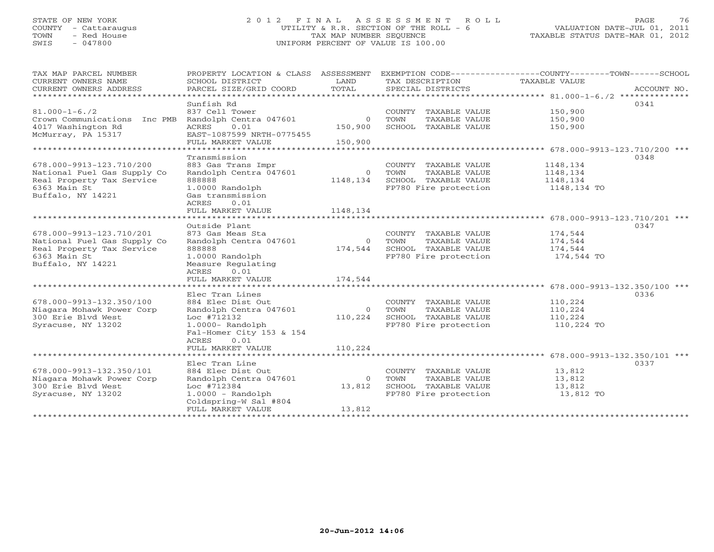# STATE OF NEW YORK 2 0 1 2 F I N A L A S S E S S M E N T R O L L PAGE 76 COUNTY - Cattaraugus UTILITY & R.R. SECTION OF THE ROLL - 6 VALUATION DATE-JUL 01, 2011 TOWN - Red House TAX MAP NUMBER SEQUENCE TAXABLE STATUS DATE-MAR 01, 2012 SWIS - 047800 UNIFORM PERCENT OF VALUE IS 100.00

| TAX MAP PARCEL NUMBER<br>CURRENT OWNERS NAME<br>CURRENT OWNERS ADDRESS | PROPERTY LOCATION & CLASS ASSESSMENT<br>SCHOOL DISTRICT<br>PARCEL SIZE/GRID COORD | LAND<br>TOTAL  | TAX DESCRIPTION<br>SPECIAL DISTRICTS          | EXEMPTION CODE-----------------COUNTY-------TOWN-----SCHOOL<br>TAXABLE VALUE<br>ACCOUNT NO. |
|------------------------------------------------------------------------|-----------------------------------------------------------------------------------|----------------|-----------------------------------------------|---------------------------------------------------------------------------------------------|
| *************************                                              |                                                                                   |                |                                               |                                                                                             |
| $81.000 - 1 - 6.72$<br>Crown Communications Inc PMB                    | Sunfish Rd<br>837 Cell Tower<br>Randolph Centra 047601                            | $\circ$        | COUNTY TAXABLE VALUE<br>TOWN<br>TAXABLE VALUE | 0341<br>150,900<br>150,900                                                                  |
| 4017 Washington Rd<br>McMurray, PA 15317                               | ACRES<br>0.01<br>EAST-1087599 NRTH-0775455                                        | 150,900        | SCHOOL TAXABLE VALUE                          | 150,900                                                                                     |
|                                                                        | FULL MARKET VALUE                                                                 | 150,900        |                                               |                                                                                             |
| *************************                                              |                                                                                   |                |                                               |                                                                                             |
| 678.000-9913-123.710/200                                               | Transmission<br>883 Gas Trans Impr                                                |                | COUNTY TAXABLE VALUE                          | 0348<br>1148,134                                                                            |
| National Fuel Gas Supply Co                                            | Randolph Centra 047601                                                            | $\overline{0}$ | TOWN<br>TAXABLE VALUE                         | 1148,134                                                                                    |
| Real Property Tax Service                                              | 888888                                                                            | 1148,134       | SCHOOL TAXABLE VALUE                          | 1148,134                                                                                    |
| 6363 Main St<br>Buffalo, NY 14221                                      | 1.0000 Randolph<br>Gas transmission                                               |                | FP780 Fire protection                         | 1148,134 TO                                                                                 |
|                                                                        | ACRES<br>0.01<br>FULL MARKET VALUE                                                | 1148,134       |                                               |                                                                                             |
|                                                                        |                                                                                   |                |                                               |                                                                                             |
|                                                                        | Outside Plant                                                                     |                |                                               | 0347                                                                                        |
| 678.000-9913-123.710/201                                               | 873 Gas Meas Sta                                                                  |                | COUNTY TAXABLE VALUE                          | 174,544                                                                                     |
| National Fuel Gas Supply Co                                            | Randolph Centra 047601                                                            | $\mathbf{0}$   | TOWN<br>TAXABLE VALUE                         | 174,544                                                                                     |
| Real Property Tax Service                                              | 888888                                                                            | 174,544        | SCHOOL TAXABLE VALUE                          | 174,544                                                                                     |
| 6363 Main St<br>Buffalo, NY 14221                                      | 1.0000 Randolph<br>Measure Regulating<br>0.01<br>ACRES                            |                | FP780 Fire protection                         | 174,544 TO                                                                                  |
|                                                                        | FULL MARKET VALUE                                                                 | 174,544        |                                               |                                                                                             |
| *************************                                              | ********************                                                              | ************** |                                               | ******************************** 678.000-9913-132.350/100 ***                               |
|                                                                        | Elec Tran Lines                                                                   |                |                                               | 0336                                                                                        |
| 678.000-9913-132.350/100                                               | 884 Elec Dist Out                                                                 |                | COUNTY TAXABLE VALUE                          | 110,224                                                                                     |
| Niagara Mohawk Power Corp                                              | Randolph Centra 047601                                                            | $\overline{0}$ | TOWN<br>TAXABLE VALUE                         | 110,224                                                                                     |
| 300 Erie Blvd West                                                     | Loc #712132                                                                       | 110,224        | SCHOOL TAXABLE VALUE                          | 110,224                                                                                     |
| Syracuse, NY 13202                                                     | 1.0000- Randolph<br>Fal-Homer City 153 & 154<br><b>ACRES</b><br>0.01              |                | FP780 Fire protection                         | 110,224 TO                                                                                  |
|                                                                        | FULL MARKET VALUE                                                                 | 110,224        |                                               |                                                                                             |
|                                                                        | Elec Tran Line                                                                    |                |                                               | 0337                                                                                        |
| 678.000-9913-132.350/101                                               | 884 Elec Dist Out                                                                 |                | COUNTY TAXABLE VALUE                          | 13,812                                                                                      |
| Niagara Mohawk Power Corp                                              | Randolph Centra 047601                                                            | $\circ$        | TAXABLE VALUE<br>TOWN                         | 13,812                                                                                      |
| 300 Erie Blvd West                                                     | Loc #712384                                                                       | 13,812         | SCHOOL TAXABLE VALUE                          | 13,812                                                                                      |
| Syracuse, NY 13202                                                     | $1.0000 - Random$<br>Coldspring-W Sal #804                                        |                | FP780 Fire protection                         | 13,812 TO                                                                                   |
|                                                                        | FULL MARKET VALUE                                                                 | 13,812         |                                               |                                                                                             |
|                                                                        |                                                                                   |                |                                               |                                                                                             |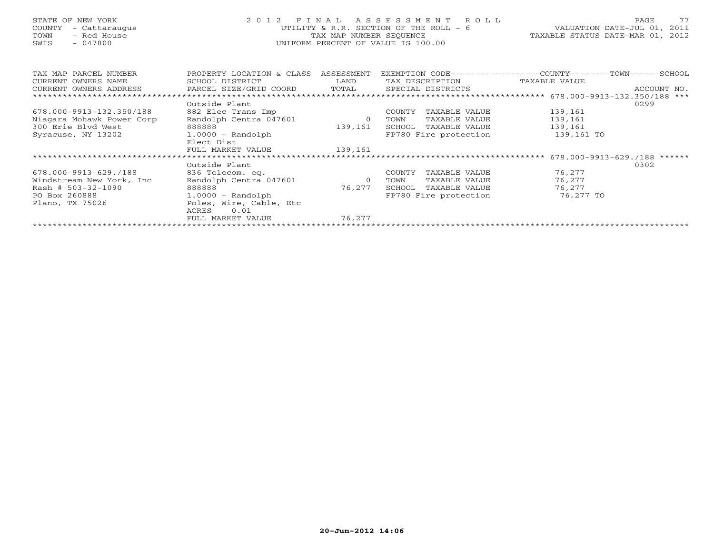# STATE OF NEW YORK 2 0 1 2 F I N A L A S S E S S M E N T R O L L PAGE 77 COUNTY - Cattaraugus UTILITY & R.R. SECTION OF THE ROLL - 6 VALUATION DATE-JUL 01, 2011 TOWN - Red House TAX MAP NUMBER SEQUENCE TAXABLE STATUS DATE-MAR 01, 2012 SWIS - 047800 UNIFORM PERCENT OF VALUE IS 100.00

| TAX MAP PARCEL NUMBER     | PROPERTY LOCATION & CLASS            | ASSESSMENT | EXEMPTION CODE---              | ---------------COUNTY---------TOWN------SCHOOL |             |
|---------------------------|--------------------------------------|------------|--------------------------------|------------------------------------------------|-------------|
| CURRENT OWNERS NAME       | SCHOOL DISTRICT                      | LAND       | TAX DESCRIPTION                | TAXABLE VALUE                                  |             |
| CURRENT OWNERS ADDRESS    | PARCEL SIZE/GRID COORD               | TOTAL      | SPECIAL DISTRICTS              |                                                | ACCOUNT NO. |
|                           | Outside Plant                        |            |                                | 678.000-9913-132.350/188 ***                   | 0299        |
|                           |                                      |            |                                |                                                |             |
| 678.000-9913-132.350/188  | 882 Elec Trans Imp                   |            | COUNTY<br>TAXABLE VALUE        | 139,161                                        |             |
| Niagara Mohawk Power Corp | Randolph Centra 047601               | $\circ$    | TAXABLE VALUE<br>TOWN          | 139,161                                        |             |
| 300 Erie Blvd West        | 888888                               | 139,161    | TAXABLE VALUE<br>SCHOOL        | 139,161                                        |             |
| Syracuse, NY 13202        | $1.0000 - Random$                    |            | FP780 Fire protection          | 139,161 TO                                     |             |
|                           | Elect Dist                           |            |                                |                                                |             |
|                           | FULL MARKET VALUE                    | 139,161    |                                |                                                |             |
|                           | ************************************ |            |                                | $678.000 - 9913 - 629.7188$ ******             |             |
|                           | Outside Plant                        |            |                                |                                                | 0302        |
| 678.000-9913-629./188     | 836 Telecom. eq.                     |            | TAXABLE VALUE<br><b>COUNTY</b> | 76,277                                         |             |
| Windstream New York, Inc. | Randolph Centra 047601               | $\circ$    | TOWN<br>TAXABLE VALUE          | 76,277                                         |             |
| $Rash # 503-32-1090$      | 888888                               | 76,277     | SCHOOL<br>TAXABLE VALUE        | 76.277                                         |             |
| PO Box 260888             | $1.0000 - Random$                    |            | FP780 Fire protection          | 76,277 TO                                      |             |
| Plano, TX 75026           | Poles, Wire, Cable, Etc              |            |                                |                                                |             |
|                           | 0.01<br>ACRES                        |            |                                |                                                |             |
|                           | FULL MARKET VALUE                    | 76.277     |                                |                                                |             |
|                           |                                      |            |                                |                                                |             |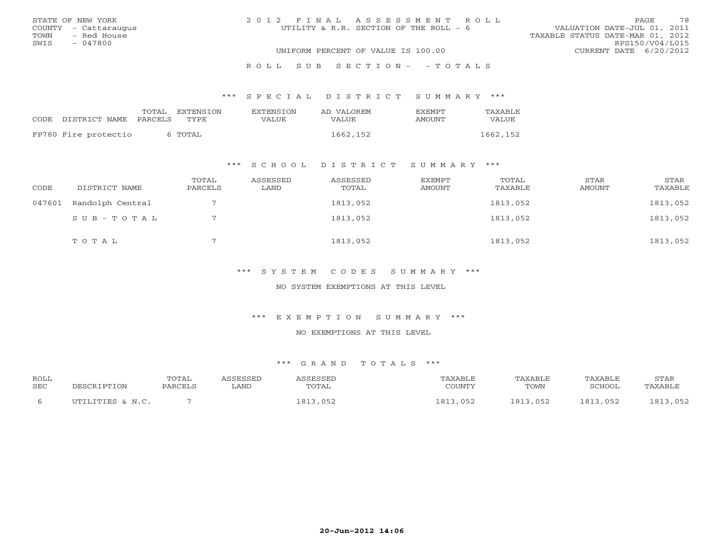|      | STATE OF NEW YORK    | 2012 FINAL ASSESSMENT ROLL             | 78<br>PAGE                       |
|------|----------------------|----------------------------------------|----------------------------------|
|      | COUNTY - Cattaraugus | UTILITY & R.R. SECTION OF THE ROLL - 6 | VALUATION DATE-JUL 01, 2011      |
| TOWN | - Red House          |                                        | TAXABLE STATUS DATE-MAR 01, 2012 |
| SWIS | - 047800             |                                        | RPS150/V04/L015                  |
|      |                      | UNIFORM PERCENT OF VALUE IS 100.00     | CURRENT DATE 6/20/2012           |
|      |                      |                                        |                                  |

## R O L L S U B S E C T I O N - - T O T A L S

## \*\*\* S P E C I A L D I S T R I C T S U M M A R Y \*\*\*

|                      | TOTAL   | EXTENSTON | <b>EXTENSION</b> | AD VALOREM | <b>FXFMPT</b> | TAXABLE  |
|----------------------|---------|-----------|------------------|------------|---------------|----------|
| CODE DISTRICT NAME   | PARCELS | TYPE.     | VALUE            | VALUE      | AMOUNT        | VALUE    |
| FP780 Fire protectio |         | 6 TOTAL   |                  | 1662, 152  |               | 1662,152 |

## \*\*\* S C H O O L D I S T R I C T S U M M A R Y \*\*\*

| CODE   | DISTRICT NAME    | TOTAL<br>PARCELS | ASSESSED<br>LAND | ASSESSED<br>TOTAL | EXEMPT<br>AMOUNT | TOTAL<br>TAXABLE | STAR<br>AMOUNT | STAR<br>TAXABLE |
|--------|------------------|------------------|------------------|-------------------|------------------|------------------|----------------|-----------------|
| 047601 | Randolph Central |                  |                  | 1813,052          |                  | 1813,052         |                | 1813,052        |
|        | SUB-TOTAL        |                  |                  | 1813,052          |                  | 1813,052         |                | 1813,052        |
|        | TOTAL            |                  |                  | 1813,052          |                  | 1813,052         |                | 1813,052        |

## \*\*\* S Y S T E M C O D E S S U M M A R Y \*\*\*

## NO SYSTEM EXEMPTIONS AT THIS LEVEL

### \*\*\* E X E M P T I O N S U M M A R Y \*\*\*

#### NO EXEMPTIONS AT THIS LEVEL

| <b>ROLL</b>  |                  | <b>TOTAL</b> | <i><b>\SSESSED</b></i> | <i><b>\SSESSED</b></i> | <b><i>TAXABLE</i></b> | <b>TAXABLE</b> | TAXABLE  | STAR                   |
|--------------|------------------|--------------|------------------------|------------------------|-----------------------|----------------|----------|------------------------|
| <b>SEC</b>   | DESCRIPTION      | PARCELS      | LAND                   | TOTAL                  | COUNTY                | TOWN           | SCHOOL   | TAXABLE                |
| <sub>6</sub> | UTILITIES & N.C. |              |                        | 1813,052               | .813<br>052           | 1813,052       | 1813,052 | .3.052<br>L81<br>, 002 |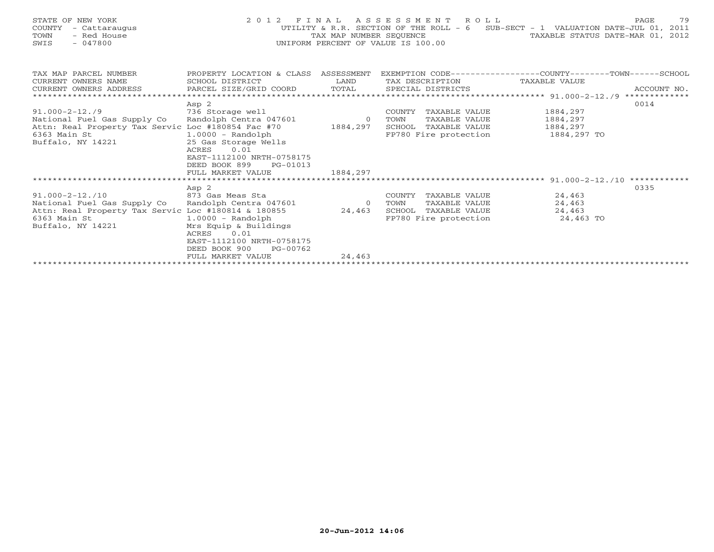| STATE OF NEW YORK<br>COUNTY<br>- Cattaraugus<br>- Red House<br>TOWN<br>$-047800$<br>SWIS                                                        |                                                                                                                                                                              |                          | 2012 FINAL ASSESSMENT ROLL<br>TAX MAP NUMBER SEOUENCE<br>UNIFORM PERCENT OF VALUE IS 100.00       | UTILITY & R.R. SECTION OF THE ROLL - 6 SUB-SECT - 1 VALUATION DATE-JUL 01, 2011<br>TAXABLE STATUS DATE-MAR 01, 2012 | 79<br>PAGE  |
|-------------------------------------------------------------------------------------------------------------------------------------------------|------------------------------------------------------------------------------------------------------------------------------------------------------------------------------|--------------------------|---------------------------------------------------------------------------------------------------|---------------------------------------------------------------------------------------------------------------------|-------------|
| TAX MAP PARCEL NUMBER<br>CURRENT OWNERS NAME<br>CURRENT OWNERS ADDRESS                                                                          | PROPERTY LOCATION & CLASS ASSESSMENT<br>SCHOOL DISTRICT<br>PARCEL SIZE/GRID COORD                                                                                            | LAND<br>TOTAL            | TAX DESCRIPTION TAXABLE VALUE<br>SPECIAL DISTRICTS                                                | EXEMPTION CODE-----------------COUNTY-------TOWN------SCHOOL                                                        | ACCOUNT NO. |
|                                                                                                                                                 |                                                                                                                                                                              |                          |                                                                                                   |                                                                                                                     |             |
|                                                                                                                                                 | Asp 2                                                                                                                                                                        |                          |                                                                                                   |                                                                                                                     | 0014        |
| $91.000 - 2 - 12.79$                                                                                                                            | 736 Storage well                                                                                                                                                             |                          | COUNTY<br>TAXABLE VALUE                                                                           | 1884,297                                                                                                            |             |
| National Fuel Gas Supply Co                                                                                                                     | Randolph Centra 047601                                                                                                                                                       | $\overline{0}$           | TOWN<br>TAXABLE VALUE                                                                             | 1884,297                                                                                                            |             |
| Attn: Real Property Tax Servic Loc #180854 Fac #70 1884,297                                                                                     |                                                                                                                                                                              |                          | SCHOOL TAXABLE VALUE                                                                              | 1884,297                                                                                                            |             |
| 6363 Main St<br>Buffalo, NY 14221                                                                                                               | $1.0000$ - Randolph<br>25 Gas Storage Wells<br>0.01<br>ACRES<br>EAST-1112100 NRTH-0758175<br>DEED BOOK 899<br>PG-01013                                                       |                          | FP780 Fire protection                                                                             | 1884,297 TO                                                                                                         |             |
|                                                                                                                                                 | FULL MARKET VALUE                                                                                                                                                            | 1884,297                 |                                                                                                   |                                                                                                                     |             |
|                                                                                                                                                 |                                                                                                                                                                              |                          |                                                                                                   |                                                                                                                     |             |
| $91.000 - 2 - 12.10$<br>National Fuel Gas Supply Co<br>Attn: Real Property Tax Servic Loc #180814 & 180855<br>6363 Main St<br>Buffalo, NY 14221 | Asp 2<br>873 Gas Meas Sta<br>Randolph Centra 047601<br>$1.0000 - Random$<br>Mrs Equip & Buildings<br>0.01<br>ACRES<br>EAST-1112100 NRTH-0758175<br>DEED BOOK 900<br>PG-00762 | $\overline{0}$<br>24,463 | COUNTY<br>TAXABLE VALUE<br>TAXABLE VALUE<br>TOWN<br>SCHOOL TAXABLE VALUE<br>FP780 Fire protection | 24,463<br>24,463<br>24,463<br>24,463 TO                                                                             | 0335        |
|                                                                                                                                                 | FIILL MARKET VALUE                                                                                                                                                           | 24 463                   |                                                                                                   |                                                                                                                     |             |

FULL MARKET VALUE 24,463 \*\*\*\*\*\*\*\*\*\*\*\*\*\*\*\*\*\*\*\*\*\*\*\*\*\*\*\*\*\*\*\*\*\*\*\*\*\*\*\*\*\*\*\*\*\*\*\*\*\*\*\*\*\*\*\*\*\*\*\*\*\*\*\*\*\*\*\*\*\*\*\*\*\*\*\*\*\*\*\*\*\*\*\*\*\*\*\*\*\*\*\*\*\*\*\*\*\*\*\*\*\*\*\*\*\*\*\*\*\*\*\*\*\*\*\*\*\*\*\*\*\*\*\*\*\*\*\*\*\*\*\*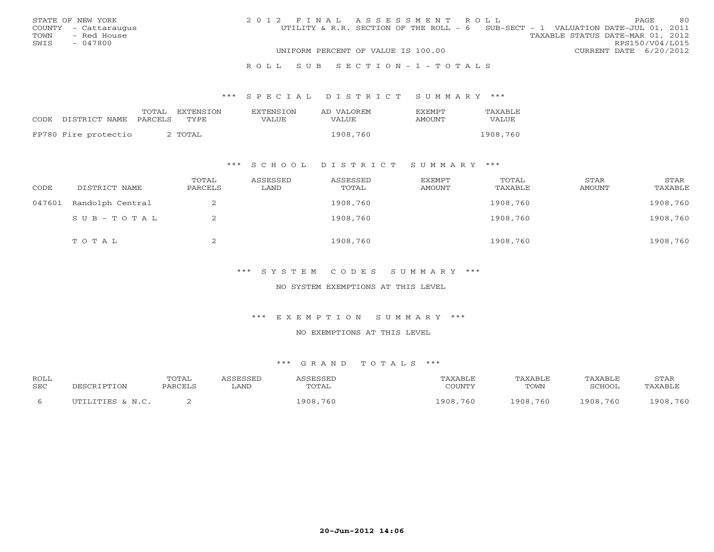|      | STATE OF NEW YORK    | 2012 FINAL ASSESSMENT ROLL                                                      | <b>PAGE</b>            | -80 |
|------|----------------------|---------------------------------------------------------------------------------|------------------------|-----|
|      | COUNTY - Cattaraugus | UTILITY & R.R. SECTION OF THE ROLL - 6 SUB-SECT - 1 VALUATION DATE-JUL 01, 2011 |                        |     |
| TOWN | - Red House          | TAXABLE STATUS DATE-MAR 01, 2012                                                |                        |     |
| SWTS | - 047800             |                                                                                 | RPS150/V04/L015        |     |
|      |                      | UNIFORM PERCENT OF VALUE IS 100.00                                              | CURRENT DATE 6/20/2012 |     |
|      |                      |                                                                                 |                        |     |

#### R O L L S U B S E C T I O N - 1 - T O T A L S

### \*\*\* S P E C I A L D I S T R I C T S U M M A R Y \*\*\*

|      |                      | TOTAL   | EXTENSTON | <b>EXTENSION</b> | AD VALOREM | <b>FXFMPT</b> | TAXABLE  |
|------|----------------------|---------|-----------|------------------|------------|---------------|----------|
| CODE | DISTRICT NAME        | PARCELS | TYPE      | VALUE            | VALUE      | <b>AMOUNT</b> | VALUE    |
|      |                      |         |           |                  |            |               |          |
|      | FP780 Fire protectio |         | ` TOTAL   |                  | 1908,760   |               | 1908,760 |

## \*\*\* S C H O O L D I S T R I C T S U M M A R Y \*\*\*

| CODE   | DISTRICT NAME    | TOTAL<br>PARCELS | ASSESSED<br>LAND | ASSESSED<br>TOTAL | EXEMPT<br>AMOUNT | TOTAL<br>TAXABLE | STAR<br>AMOUNT | STAR<br>TAXABLE |
|--------|------------------|------------------|------------------|-------------------|------------------|------------------|----------------|-----------------|
| 047601 | Randolph Central | ∠                |                  | 1908,760          |                  | 1908,760         |                | 1908,760        |
|        | SUB-TOTAL        | ∠                |                  | 1908,760          |                  | 1908,760         |                | 1908,760        |
|        | TOTAL            | ▵                |                  | 1908,760          |                  | 1908,760         |                | 1908,760        |

## \*\*\* S Y S T E M C O D E S S U M M A R Y \*\*\*

## NO SYSTEM EXEMPTIONS AT THIS LEVEL

## \*\*\* E X E M P T I O N S U M M A R Y \*\*\*

#### NO EXEMPTIONS AT THIS LEVEL

| <b>ROLL</b> |                  | <b>TOTAL</b> | <i><b>SSESSED</b></i> | ASSESSEL | TAXABLF       | TAXABLE  | TAXABLE  | STAR     |
|-------------|------------------|--------------|-----------------------|----------|---------------|----------|----------|----------|
| <b>SEC</b>  | DESCRIPTION      | PARCELS      | LAND                  | TOTAL    | COUNTY        | TOWN     | SCHOOL   | TAXABLE  |
|             | UTILITIES & N.C. |              |                       | 1908,760 | 1908.<br>.760 | 1908,760 | 1908,760 | 1908,760 |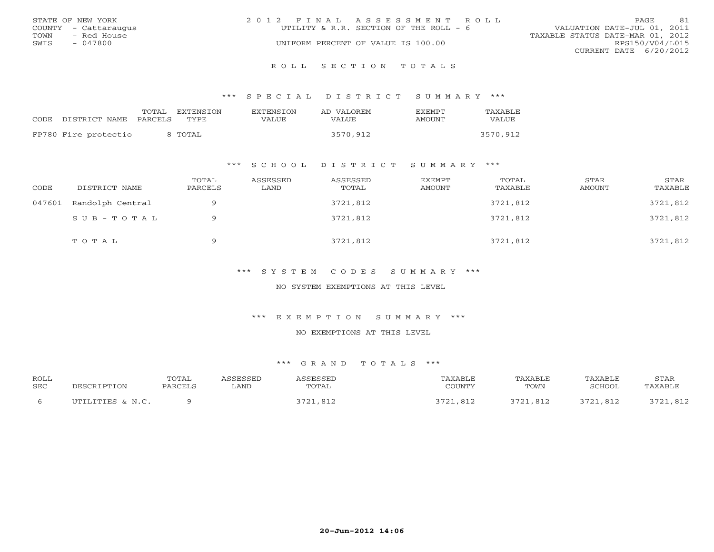|      | STATE OF NEW YORK    | 2012 FINAL ASSESSMENT ROLL         |                                        |                                  | <b>PAGE</b>     | 81 |
|------|----------------------|------------------------------------|----------------------------------------|----------------------------------|-----------------|----|
|      | COUNTY - Cattaraugus |                                    | UTILITY & R.R. SECTION OF THE ROLL - 6 | VALUATION DATE-JUL 01, 2011      |                 |    |
| TOWN | – Red House          |                                    |                                        | TAXABLE STATUS DATE-MAR 01, 2012 |                 |    |
| SWIS | $-047800$            | UNIFORM PERCENT OF VALUE IS 100.00 |                                        |                                  | RPS150/V04/L015 |    |
|      |                      |                                    |                                        | CURRENT DATE 6/20/2012           |                 |    |
|      |                      |                                    |                                        |                                  |                 |    |

#### R O L L S E C T I O N T O T A L S

### \*\*\* S P E C I A L D I S T R I C T S U M M A R Y \*\*\*

|                      | TOTAL   | EXTENSTON | EXTENSTON | AD VALOREM | <b>FXFMPT</b> | TAXABLE  |
|----------------------|---------|-----------|-----------|------------|---------------|----------|
| CODE DISTRICT NAME   | PARCELS | TYPE.     | VALUE     | VALUE      | AMOUNT        | VALUE    |
| FP780 Fire protectio |         | 8 TOTAL   |           | 3570,912   |               | 3570,912 |

## \*\*\* S C H O O L D I S T R I C T S U M M A R Y \*\*\*

| CODE   | DISTRICT NAME    | TOTAL<br>PARCELS | ASSESSED<br>LAND | ASSESSED<br>TOTAL | EXEMPT<br>AMOUNT | TOTAL<br>TAXABLE | STAR<br>AMOUNT | STAR<br>TAXABLE |
|--------|------------------|------------------|------------------|-------------------|------------------|------------------|----------------|-----------------|
| 047601 | Randolph Central | a                |                  | 3721,812          |                  | 3721,812         |                | 3721,812        |
|        | SUB-TOTAL        | $\Omega$         |                  | 3721,812          |                  | 3721,812         |                | 3721,812        |
|        | TOTAL            | $\Omega$         |                  | 3721,812          |                  | 3721,812         |                | 3721,812        |

## \*\*\* S Y S T E M C O D E S S U M M A R Y \*\*\*

## NO SYSTEM EXEMPTIONS AT THIS LEVEL

### \*\*\* E X E M P T I O N S U M M A R Y \*\*\*

#### NO EXEMPTIONS AT THIS LEVEL

| <b>ROLL</b>  |                  | TOTAL   | <i><b>\SSESSED</b></i> | ASSESSEI        | TAXABLE           | TAXABLE        | TAXABLE  | STAR           |
|--------------|------------------|---------|------------------------|-----------------|-------------------|----------------|----------|----------------|
| <b>SEC</b>   | DESCRIPTION      | PARCELS | LAND                   | TOTAL           | COUNTY            | TOWN           | SCHOOL   | TAXABLE        |
| <sub>b</sub> | UTILITIES & N.C. |         |                        | つワつ1<br>721,812 | ? 7 つ 1<br>- 81 2 | つワつ1<br>21,812 | 3721,812 | 3721<br>21,812 |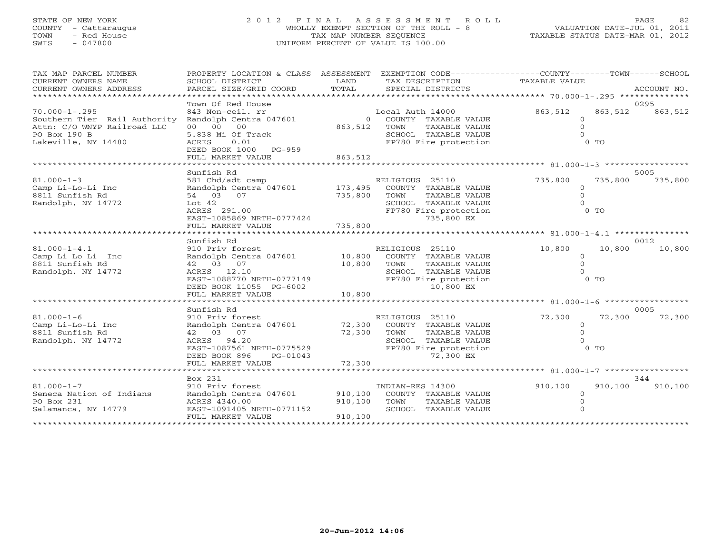## STATE OF NEW YORK 2 0 1 2 F I N A L A S S E S S M E N T R O L L PAGE 82 COUNTY - Cattaraugus WHOLLY EXEMPT SECTION OF THE ROLL - 8 VALUATION DATE-JUL 01, 2011 TOWN - Red House TAX MAP NUMBER SEQUENCE TAXABLE STATUS DATE-MAR 01, 2012 SWIS - 047800 UNIFORM PERCENT OF VALUE IS 100.00

| TAX MAP PARCEL NUMBER<br>CURRENT OWNERS NAME<br>CURRENT OWNERS ADDRESS                             | PROPERTY LOCATION & CLASS ASSESSMENT<br>SCHOOL DISTRICT<br>PARCEL SIZE/GRID COORD                                                                     | LAND<br>TOTAL                 | EXEMPTION CODE-----------------COUNTY-------TOWN------SCHOOL<br>TAX DESCRIPTION<br>SPECIAL DISTRICTS                            | TAXABLE VALUE                                       | ACCOUNT NO.     |
|----------------------------------------------------------------------------------------------------|-------------------------------------------------------------------------------------------------------------------------------------------------------|-------------------------------|---------------------------------------------------------------------------------------------------------------------------------|-----------------------------------------------------|-----------------|
| $70.000 - 1 - .295$                                                                                | Town Of Red House<br>843 Non-ceil. rr                                                                                                                 |                               | Local Auth 14000                                                                                                                | 863,512<br>863,512                                  | 0295<br>863,512 |
| Southern Tier Rail Authority<br>Attn: C/O WNYP Railroad LLC<br>PO Box 190 B<br>Lakeville, NY 14480 | Randolph Centra 047601<br>00 00 00<br>5.838 Mi Of Track<br>ACRES<br>0.01<br>DEED BOOK 1000 PG-959                                                     | 863,512                       | $\overline{0}$<br>COUNTY TAXABLE VALUE<br>TAXABLE VALUE<br>TOWN<br>SCHOOL TAXABLE VALUE<br>FP780 Fire protection                | $\Omega$<br>$\Omega$<br>$0$ TO                      |                 |
|                                                                                                    | FULL MARKET VALUE                                                                                                                                     | 863,512                       |                                                                                                                                 |                                                     |                 |
|                                                                                                    |                                                                                                                                                       |                               |                                                                                                                                 |                                                     |                 |
| $81.000 - 1 - 3$<br>Camp Li-Lo-Li Inc<br>8811 Sunfish Rd<br>Randolph, NY 14772                     | Sunfish Rd<br>581 Chd/adt camp<br>Randolph Centra 047601<br>54 03 07<br>Lot $42$<br>ACRES 291.00<br>EAST-1085869 NRTH-0777424                         | 173,495<br>735,800            | RELIGIOUS 25110<br>COUNTY TAXABLE VALUE<br>TOWN<br>TAXABLE VALUE<br>SCHOOL TAXABLE VALUE<br>FP780 Fire protection<br>735,800 EX | 735,800<br>735,800<br>$\circ$<br>$\Omega$<br>$0$ TO | 5005<br>735,800 |
|                                                                                                    | FULL MARKET VALUE                                                                                                                                     | 735,800                       |                                                                                                                                 |                                                     |                 |
|                                                                                                    |                                                                                                                                                       |                               |                                                                                                                                 |                                                     |                 |
| $81.000 - 1 - 4.1$                                                                                 | Sunfish Rd<br>910 Priv forest                                                                                                                         |                               | RELIGIOUS 25110                                                                                                                 | 10,800<br>10,800                                    | 0012<br>10,800  |
| Camp Li Lo Li Inc<br>8811 Sunfish Rd<br>Randolph, NY 14772                                         | Randolph Centra 047601<br>42 03 07<br>ACRES 12.10<br>EAST-1088770 NRTH-0777149<br>DEED BOOK 11055 PG-6002<br>FULL MARKET VALUE                        | 10,800<br>10,800<br>10,800    | COUNTY TAXABLE VALUE<br>TOWN<br>TAXABLE VALUE<br>SCHOOL TAXABLE VALUE<br>FP780 Fire protection<br>10,800 EX                     | $\Omega$<br>$\Omega$<br>0 <sub>0</sub>              |                 |
|                                                                                                    | ********************                                                                                                                                  |                               |                                                                                                                                 |                                                     |                 |
|                                                                                                    | Sunfish Rd                                                                                                                                            |                               |                                                                                                                                 |                                                     | 0005            |
| $81.000 - 1 - 6$<br>Camp Li-Lo-Li Inc<br>8811 Sunfish Rd<br>Randolph, NY 14772                     | 910 Priv forest<br>Randolph Centra 047601<br>42 03 07<br>ACRES 94.20<br>EAST-1087561 NRTH-0775529<br>DEED BOOK 896<br>$PG-01043$<br>FULL MARKET VALUE | 72,300<br>72,300<br>72,300    | RELIGIOUS 25110<br>COUNTY TAXABLE VALUE<br>TOWN<br>TAXABLE VALUE<br>SCHOOL TAXABLE VALUE<br>FP780 Fire protection<br>72,300 EX  | 72,300<br>72,300<br>$\circ$<br>$\Omega$<br>$0$ TO   | 72,300          |
|                                                                                                    |                                                                                                                                                       |                               |                                                                                                                                 |                                                     |                 |
| $81.000 - 1 - 7$<br>Seneca Nation of Indians<br>PO Box 231<br>Salamanca, NY 14779                  | Box 231<br>910 Priv forest<br>Randolph Centra 047601<br>ACRES 4340.00<br>EAST-1091405 NRTH-0771152<br>FULL MARKET VALUE                               | 910,100<br>910,100<br>910,100 | INDIAN-RES 14300<br>COUNTY TAXABLE VALUE<br>TOWN<br>TAXABLE VALUE<br>SCHOOL TAXABLE VALUE                                       | 910,100<br>910,100<br>$\Omega$                      | 344<br>910,100  |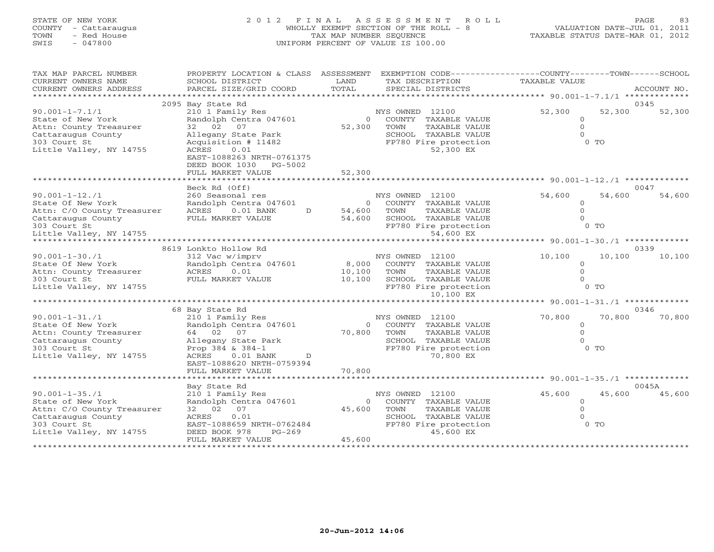# STATE OF NEW YORK 2 0 1 2 F I N A L A S S E S S M E N T R O L L PAGE 83 COUNTY - Cattaraugus WHOLLY EXEMPT SECTION OF THE ROLL - 8 VALUATION DATE-JUL 01, 2011 TOWN - Red House TAX MAP NUMBER SEQUENCE TAXABLE STATUS DATE-MAR 01, 2012 SWIS - 047800 UNIFORM PERCENT OF VALUE IS 100.00

| TAX MAP PARCEL NUMBER<br>CURRENT OWNERS NAME<br>CURRENT OWNERS ADDRESS                    | PROPERTY LOCATION & CLASS ASSESSMENT<br>SCHOOL DISTRICT<br>PARCEL SIZE/GRID COORD                                   | LAND<br>TOTAL     | EXEMPTION CODE-----------------COUNTY-------TOWN-----SCHOOL<br>TAX DESCRIPTION<br>SPECIAL DISTRICTS | TAXABLE VALUE                        | ACCOUNT NO.                          |
|-------------------------------------------------------------------------------------------|---------------------------------------------------------------------------------------------------------------------|-------------------|-----------------------------------------------------------------------------------------------------|--------------------------------------|--------------------------------------|
| *******************                                                                       |                                                                                                                     |                   |                                                                                                     |                                      |                                      |
|                                                                                           | 2095 Bay State Rd                                                                                                   |                   |                                                                                                     |                                      | 0345                                 |
| $90.001 - 1 - 7.1/1$<br>State of New York<br>Attn: County Treasurer<br>Cattaraugus County | 210 1 Family Res<br>Randolph Centra 047601<br>02<br>07<br>32<br>Allegany State Park                                 | $\circ$<br>52,300 | NYS OWNED 12100<br>COUNTY TAXABLE VALUE<br>TOWN<br>TAXABLE VALUE<br>SCHOOL TAXABLE VALUE            | 52,300<br>$\overline{0}$<br>$\Omega$ | 52,300<br>52,300                     |
| 303 Court St<br>Little Valley, NY 14755                                                   | Acquisition # 11482<br>ACRES<br>0.01<br>EAST-1088263 NRTH-0761375<br>PG-5002<br>DEED BOOK 1030<br>FULL MARKET VALUE | 52,300            | FP780 Fire protection<br>52,300 EX                                                                  |                                      | $0$ TO                               |
|                                                                                           | **************************                                                                                          |                   | ************************************ 90.001-1-12./1 **                                              |                                      |                                      |
|                                                                                           | Beck Rd (Off)                                                                                                       |                   |                                                                                                     |                                      | 0047                                 |
| $90.001 - 1 - 12.1$<br>State Of New York                                                  | 260 Seasonal res<br>Randolph Centra 047601                                                                          | $\circ$           | NYS OWNED 12100<br>COUNTY TAXABLE VALUE                                                             | 54,600<br>$\Omega$                   | 54,600<br>54,600                     |
| Attn: C/O County Treasurer                                                                | $0.01$ BANK<br>ACRES<br>D                                                                                           | 54,600            | TOWN<br>TAXABLE VALUE                                                                               | $\Omega$                             |                                      |
| Cattaraugus County<br>303 Court St                                                        | FULL MARKET VALUE                                                                                                   | 54,600            | SCHOOL TAXABLE VALUE<br>FP780 Fire protection                                                       |                                      | $0$ TO                               |
| Little Valley, NY 14755                                                                   |                                                                                                                     |                   | 54,600 EX                                                                                           |                                      |                                      |
|                                                                                           |                                                                                                                     |                   |                                                                                                     | ****** 90.001-1-30./1 *********      |                                      |
|                                                                                           | 8619 Lonkto Hollow Rd                                                                                               |                   |                                                                                                     |                                      | 0339                                 |
| $90.001 - 1 - 30.71$                                                                      | 312 Vac w/imprv                                                                                                     |                   | NYS OWNED 12100                                                                                     | 10,100                               | 10,100<br>10,100                     |
| State Of New York                                                                         | Randolph Centra 047601                                                                                              | 8,000             | COUNTY TAXABLE VALUE                                                                                | $\Omega$                             |                                      |
| Attn: County Treasurer<br>303 Court St                                                    | ACRES<br>0.01<br>FULL MARKET VALUE                                                                                  | 10,100<br>10,100  | TOWN<br>TAXABLE VALUE<br>SCHOOL TAXABLE VALUE                                                       | $\Omega$                             |                                      |
| Little Valley, NY 14755                                                                   |                                                                                                                     |                   | FP780 Fire protection                                                                               |                                      | $0$ TO                               |
|                                                                                           |                                                                                                                     |                   | 10,100 EX                                                                                           |                                      |                                      |
|                                                                                           |                                                                                                                     |                   |                                                                                                     | ****** 90.001-1-31./1 ***            |                                      |
|                                                                                           | 68 Bay State Rd                                                                                                     |                   |                                                                                                     |                                      | 0346                                 |
| $90.001 - 1 - 31.71$                                                                      | 210 1 Family Res                                                                                                    |                   | NYS OWNED 12100                                                                                     | 70,800                               | 70,800<br>70,800                     |
| State Of New York                                                                         | Randolph Centra 047601                                                                                              | $\circ$           | COUNTY TAXABLE VALUE                                                                                | $\circ$                              |                                      |
| Attn: County Treasurer                                                                    | 64 02<br>07                                                                                                         | 70,800            | TOWN<br>TAXABLE VALUE                                                                               | $\Omega$                             |                                      |
| Cattaraugus County<br>303 Court St                                                        | Allegany State Park<br>Prop $384 \& 384-1$                                                                          |                   | SCHOOL TAXABLE VALUE<br>FP780 Fire protection                                                       |                                      | $0$ TO                               |
| Little Valley, NY 14755                                                                   | $0.01$ BANK<br>ACRES<br>D<br>EAST-1088620 NRTH-0759394                                                              |                   | 70,800 EX                                                                                           |                                      |                                      |
|                                                                                           | FULL MARKET VALUE                                                                                                   | 70,800            |                                                                                                     |                                      |                                      |
|                                                                                           | * * * * * * * * * * * * * * * * * *                                                                                 |                   |                                                                                                     |                                      | ******* 90.001-1-35./1 ************* |
|                                                                                           | Bay State Rd                                                                                                        |                   |                                                                                                     |                                      | 0045A                                |
| $90.001 - 1 - 35.71$<br>State of New York                                                 | 210 1 Family Res<br>Randolph Centra 047601                                                                          | $\circ$           | NYS OWNED 12100<br>COUNTY TAXABLE VALUE                                                             | 45,600<br>$\circ$                    | 45,600<br>45,600                     |
| Attn: C/O County Treasurer                                                                | 32 02 07                                                                                                            | 45,600            | TOWN<br>TAXABLE VALUE                                                                               | $\Omega$                             |                                      |
| Cattaraugus County                                                                        | ACRES<br>0.01                                                                                                       |                   | SCHOOL TAXABLE VALUE                                                                                | $\cap$                               |                                      |
| 303 Court St                                                                              | EAST-1088659 NRTH-0762484                                                                                           |                   | FP780 Fire protection                                                                               |                                      | $0$ TO                               |
| Little Valley, NY 14755                                                                   | DEED BOOK 978<br>$PG-269$                                                                                           |                   | 45,600 EX                                                                                           |                                      |                                      |
|                                                                                           | FULL MARKET VALUE                                                                                                   | 45,600            |                                                                                                     |                                      |                                      |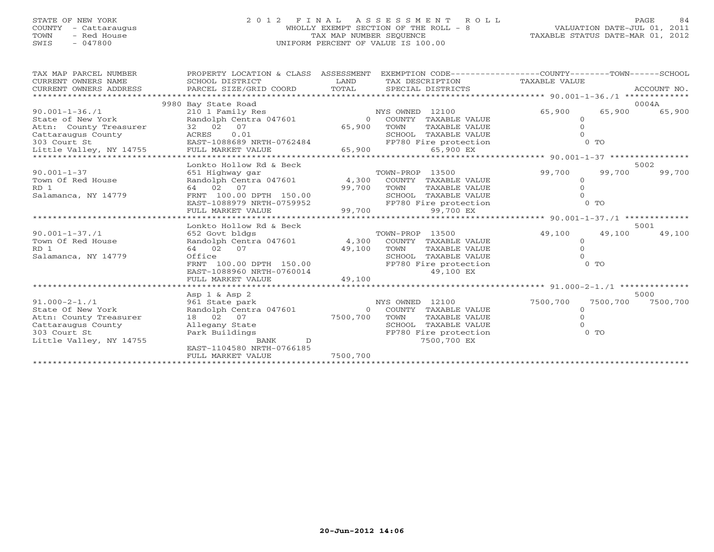# STATE OF NEW YORK 2 0 1 2 F I N A L A S S E S S M E N T R O L L PAGE 84 COUNTY - Cattaraugus WHOLLY EXEMPT SECTION OF THE ROLL - 8 VALUATION DATE-JUL 01, 2011 TOWN - Red House TAX MAP NUMBER SEQUENCE TAXABLE STATUS DATE-MAR 01, 2012 SWIS - 047800 UNIFORM PERCENT OF VALUE IS 100.00

| **********************<br>9980 Bay State Road<br>0004A<br>210 1 Family Res<br>NYS OWNED 12100<br>65,900<br>65,900<br>$90.001 - 1 - 36.71$<br>65,900<br>State of New York<br>Randolph Centra 047601<br>TAXABLE VALUE<br>$\overline{0}$<br>COUNTY<br>$\Omega$<br>32 02 07<br>Attn: County Treasurer<br>65,900<br>TOWN<br>$\circ$<br>TAXABLE VALUE<br>SCHOOL TAXABLE VALUE<br>$0$ TO<br>FP780 Fire protection<br>65,900 EX<br>.******************* 90.001-1-37 *****************<br>Lonkto Hollow Rd & Beck<br>5002<br>99,700<br>99,700<br>99,700<br>$90.001 - 1 - 37$<br>651 Highway gar<br>TOWN-PROP 13500<br>4,300 COUNTY TAXABLE VALUE<br>Town Of Red House<br>Randolph Centra 047601<br>$\circ$<br>RD <sub>1</sub><br>99,700<br>64 02 07<br>TOWN<br>TAXABLE VALUE<br>Salamanca, NY 14779<br>FRNT 100.00 DPTH 150.00<br>SCHOOL TAXABLE VALUE<br>$0$ TO<br>EAST-1088979 NRTH-0759952<br>FP780 Fire protection<br>99,700<br>99,700 EX<br>FULL MARKET VALUE<br>Lonkto Hollow Rd & Beck<br>5001<br>$90.001 - 1 - 37.1$<br>49,100<br>49,100<br>49,100<br>652 Govt bldgs<br>TOWN-PROP 13500<br>4,300 COUNTY TAXABLE VALUE<br>Town Of Red House<br>Randolph Centra 047601<br>$\circ$<br>$\Omega$<br>64 02<br>07<br>49,100<br>RD 1<br>TOWN<br>TAXABLE VALUE<br>Office<br>Salamanca, NY 14779<br>SCHOOL TAXABLE VALUE<br>FRNT 100.00 DPTH 150.00<br>FP780 Fire protection<br>$0$ TO<br>49,100 EX<br>EAST-1088960 NRTH-0760014<br>49,100<br>FULL MARKET VALUE |
|------------------------------------------------------------------------------------------------------------------------------------------------------------------------------------------------------------------------------------------------------------------------------------------------------------------------------------------------------------------------------------------------------------------------------------------------------------------------------------------------------------------------------------------------------------------------------------------------------------------------------------------------------------------------------------------------------------------------------------------------------------------------------------------------------------------------------------------------------------------------------------------------------------------------------------------------------------------------------------------------------------------------------------------------------------------------------------------------------------------------------------------------------------------------------------------------------------------------------------------------------------------------------------------------------------------------------------------------------------------------------------------------------------------------------------------------------|
|                                                                                                                                                                                                                                                                                                                                                                                                                                                                                                                                                                                                                                                                                                                                                                                                                                                                                                                                                                                                                                                                                                                                                                                                                                                                                                                                                                                                                                                      |
|                                                                                                                                                                                                                                                                                                                                                                                                                                                                                                                                                                                                                                                                                                                                                                                                                                                                                                                                                                                                                                                                                                                                                                                                                                                                                                                                                                                                                                                      |
|                                                                                                                                                                                                                                                                                                                                                                                                                                                                                                                                                                                                                                                                                                                                                                                                                                                                                                                                                                                                                                                                                                                                                                                                                                                                                                                                                                                                                                                      |
|                                                                                                                                                                                                                                                                                                                                                                                                                                                                                                                                                                                                                                                                                                                                                                                                                                                                                                                                                                                                                                                                                                                                                                                                                                                                                                                                                                                                                                                      |
|                                                                                                                                                                                                                                                                                                                                                                                                                                                                                                                                                                                                                                                                                                                                                                                                                                                                                                                                                                                                                                                                                                                                                                                                                                                                                                                                                                                                                                                      |
|                                                                                                                                                                                                                                                                                                                                                                                                                                                                                                                                                                                                                                                                                                                                                                                                                                                                                                                                                                                                                                                                                                                                                                                                                                                                                                                                                                                                                                                      |
|                                                                                                                                                                                                                                                                                                                                                                                                                                                                                                                                                                                                                                                                                                                                                                                                                                                                                                                                                                                                                                                                                                                                                                                                                                                                                                                                                                                                                                                      |
|                                                                                                                                                                                                                                                                                                                                                                                                                                                                                                                                                                                                                                                                                                                                                                                                                                                                                                                                                                                                                                                                                                                                                                                                                                                                                                                                                                                                                                                      |
|                                                                                                                                                                                                                                                                                                                                                                                                                                                                                                                                                                                                                                                                                                                                                                                                                                                                                                                                                                                                                                                                                                                                                                                                                                                                                                                                                                                                                                                      |
|                                                                                                                                                                                                                                                                                                                                                                                                                                                                                                                                                                                                                                                                                                                                                                                                                                                                                                                                                                                                                                                                                                                                                                                                                                                                                                                                                                                                                                                      |
|                                                                                                                                                                                                                                                                                                                                                                                                                                                                                                                                                                                                                                                                                                                                                                                                                                                                                                                                                                                                                                                                                                                                                                                                                                                                                                                                                                                                                                                      |
|                                                                                                                                                                                                                                                                                                                                                                                                                                                                                                                                                                                                                                                                                                                                                                                                                                                                                                                                                                                                                                                                                                                                                                                                                                                                                                                                                                                                                                                      |
|                                                                                                                                                                                                                                                                                                                                                                                                                                                                                                                                                                                                                                                                                                                                                                                                                                                                                                                                                                                                                                                                                                                                                                                                                                                                                                                                                                                                                                                      |
|                                                                                                                                                                                                                                                                                                                                                                                                                                                                                                                                                                                                                                                                                                                                                                                                                                                                                                                                                                                                                                                                                                                                                                                                                                                                                                                                                                                                                                                      |
|                                                                                                                                                                                                                                                                                                                                                                                                                                                                                                                                                                                                                                                                                                                                                                                                                                                                                                                                                                                                                                                                                                                                                                                                                                                                                                                                                                                                                                                      |
|                                                                                                                                                                                                                                                                                                                                                                                                                                                                                                                                                                                                                                                                                                                                                                                                                                                                                                                                                                                                                                                                                                                                                                                                                                                                                                                                                                                                                                                      |
|                                                                                                                                                                                                                                                                                                                                                                                                                                                                                                                                                                                                                                                                                                                                                                                                                                                                                                                                                                                                                                                                                                                                                                                                                                                                                                                                                                                                                                                      |
|                                                                                                                                                                                                                                                                                                                                                                                                                                                                                                                                                                                                                                                                                                                                                                                                                                                                                                                                                                                                                                                                                                                                                                                                                                                                                                                                                                                                                                                      |
|                                                                                                                                                                                                                                                                                                                                                                                                                                                                                                                                                                                                                                                                                                                                                                                                                                                                                                                                                                                                                                                                                                                                                                                                                                                                                                                                                                                                                                                      |
|                                                                                                                                                                                                                                                                                                                                                                                                                                                                                                                                                                                                                                                                                                                                                                                                                                                                                                                                                                                                                                                                                                                                                                                                                                                                                                                                                                                                                                                      |
|                                                                                                                                                                                                                                                                                                                                                                                                                                                                                                                                                                                                                                                                                                                                                                                                                                                                                                                                                                                                                                                                                                                                                                                                                                                                                                                                                                                                                                                      |
|                                                                                                                                                                                                                                                                                                                                                                                                                                                                                                                                                                                                                                                                                                                                                                                                                                                                                                                                                                                                                                                                                                                                                                                                                                                                                                                                                                                                                                                      |
| 5000<br>Asp $1 \&$ Asp $2$                                                                                                                                                                                                                                                                                                                                                                                                                                                                                                                                                                                                                                                                                                                                                                                                                                                                                                                                                                                                                                                                                                                                                                                                                                                                                                                                                                                                                           |
| $91.000 - 2 - 1.71$<br>NYS OWNED 12100<br>7500,700<br>7500,700<br>7500,700<br>961 State park                                                                                                                                                                                                                                                                                                                                                                                                                                                                                                                                                                                                                                                                                                                                                                                                                                                                                                                                                                                                                                                                                                                                                                                                                                                                                                                                                         |
| Randolph Centra 047601<br>State Of New York<br>$\Omega$<br>COUNTY<br>TAXABLE VALUE<br>$\Omega$                                                                                                                                                                                                                                                                                                                                                                                                                                                                                                                                                                                                                                                                                                                                                                                                                                                                                                                                                                                                                                                                                                                                                                                                                                                                                                                                                       |
| 18 02 07<br>7500,700<br>TOWN<br>Attn: County Treasurer<br>TAXABLE VALUE<br>$\Omega$                                                                                                                                                                                                                                                                                                                                                                                                                                                                                                                                                                                                                                                                                                                                                                                                                                                                                                                                                                                                                                                                                                                                                                                                                                                                                                                                                                  |
| Cattaraugus County<br>Allegany State<br>SCHOOL TAXABLE VALUE                                                                                                                                                                                                                                                                                                                                                                                                                                                                                                                                                                                                                                                                                                                                                                                                                                                                                                                                                                                                                                                                                                                                                                                                                                                                                                                                                                                         |
| $0$ TO<br>303 Court St<br>Park Buildings<br>FP780 Fire protection                                                                                                                                                                                                                                                                                                                                                                                                                                                                                                                                                                                                                                                                                                                                                                                                                                                                                                                                                                                                                                                                                                                                                                                                                                                                                                                                                                                    |
| Little Valley, NY 14755<br>7500,700 EX<br>BANK<br>D                                                                                                                                                                                                                                                                                                                                                                                                                                                                                                                                                                                                                                                                                                                                                                                                                                                                                                                                                                                                                                                                                                                                                                                                                                                                                                                                                                                                  |
| EAST-1104580 NRTH-0766185                                                                                                                                                                                                                                                                                                                                                                                                                                                                                                                                                                                                                                                                                                                                                                                                                                                                                                                                                                                                                                                                                                                                                                                                                                                                                                                                                                                                                            |
| 7500,700<br>FULL MARKET VALUE                                                                                                                                                                                                                                                                                                                                                                                                                                                                                                                                                                                                                                                                                                                                                                                                                                                                                                                                                                                                                                                                                                                                                                                                                                                                                                                                                                                                                        |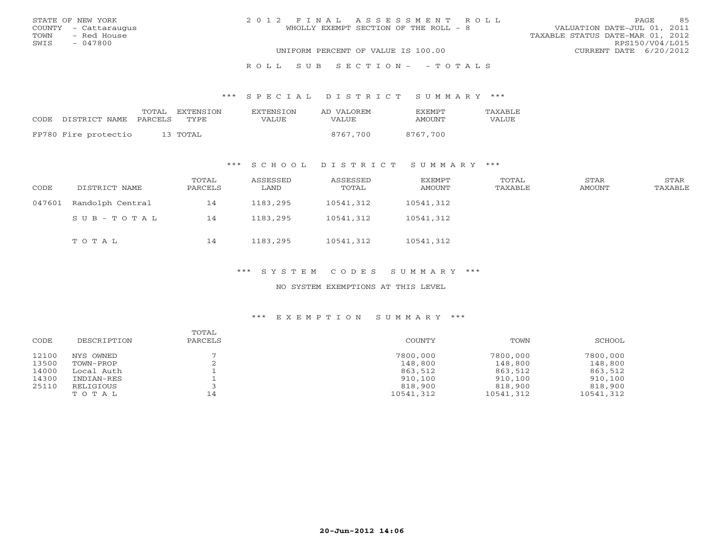|      | STATE OF NEW YORK    | 2012 FINAL ASSESSMENT ROLL                                           | PAGE                   | 85 |
|------|----------------------|----------------------------------------------------------------------|------------------------|----|
|      | COUNTY - Cattaraugus | VALUATION DATE-JUL 01, 2011<br>WHOLLY EXEMPT SECTION OF THE ROLL - 8 |                        |    |
| TOWN | - Red House          | TAXABLE STATUS DATE-MAR 01, 2012                                     |                        |    |
| SWIS | - 047800             |                                                                      | RPS150/V04/L015        |    |
|      |                      | UNIFORM PERCENT OF VALUE IS 100.00                                   | CURRENT DATE 6/20/2012 |    |
|      |                      |                                                                      |                        |    |

## R O L L S U B S E C T I O N - - T O T A L S

### \*\*\* S P E C I A L D I S T R I C T S U M M A R Y \*\*\*

| CODE DISTRICT NAME PARCELS | TOTAL EXTENSION<br>TYPE. | <b>EXTENSION</b><br>VALUE | AD VALOREM<br>VALUE | <b>FXFMPT</b><br>AMOUNT | TAXABLE<br>VALUE |
|----------------------------|--------------------------|---------------------------|---------------------|-------------------------|------------------|
|                            |                          |                           |                     |                         |                  |
| FP780 Fire protectio       | 13 TOTAL                 |                           | 8767,700            | 8767,700                |                  |

## \*\*\* S C H O O L D I S T R I C T S U M M A R Y \*\*\*

| CODE   | DISTRICT NAME    | TOTAL<br>PARCELS | ASSESSED<br>LAND | ASSESSED<br>TOTAL | EXEMPT<br>AMOUNT | TOTAL<br>TAXABLE | STAR<br>AMOUNT | STAR<br>TAXABLE |
|--------|------------------|------------------|------------------|-------------------|------------------|------------------|----------------|-----------------|
| 047601 | Randolph Central | 14               | 1183,295         | 10541,312         | 10541,312        |                  |                |                 |
|        | SUB-TOTAL        | 14               | 1183,295         | 10541,312         | 10541,312        |                  |                |                 |
|        | тотаь            | 14               | 1183,295         | 10541,312         | 10541,312        |                  |                |                 |

## \*\*\* S Y S T E M C O D E S S U M M A R Y \*\*\*

## NO SYSTEM EXEMPTIONS AT THIS LEVEL

| CODE  | DESCRIPTION | TOTAL<br>PARCELS | COUNTY    | TOWN      | SCHOOL    |
|-------|-------------|------------------|-----------|-----------|-----------|
| 12100 | NYS OWNED   |                  | 7800,000  | 7800,000  | 7800,000  |
| 13500 | TOWN-PROP   |                  | 148,800   | 148,800   | 148,800   |
| 14000 | Local Auth  |                  | 863,512   | 863,512   | 863,512   |
| 14300 | INDIAN-RES  |                  | 910,100   | 910,100   | 910,100   |
| 25110 | RELIGIOUS   |                  | 818,900   | 818,900   | 818,900   |
|       | TOTAL       | 14               | 10541,312 | 10541,312 | 10541,312 |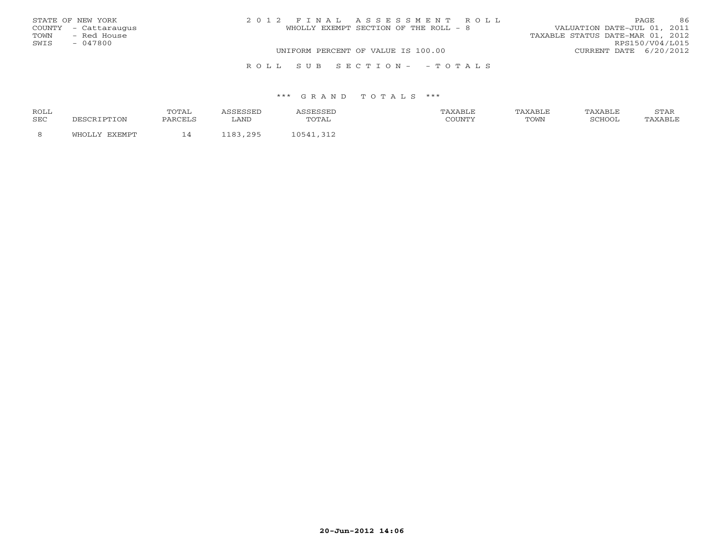| STATE OF NEW YORK    | 2012 FINAL ASSESSMENT ROLL            | 86<br><b>PAGE</b>                |
|----------------------|---------------------------------------|----------------------------------|
| COUNTY - Cattaraugus | WHOLLY EXEMPT SECTION OF THE ROLL - 8 | VALUATION DATE-JUL 01, 2011      |
| - Red House<br>TOWN  |                                       | TAXABLE STATUS DATE-MAR 01, 2012 |
| SWIS<br>- 047800     |                                       | RPS150/V04/L015                  |
|                      | UNIFORM PERCENT OF VALUE IS 100.00    | CURRENT DATE 6/20/2012           |
|                      | ROLL SUB SECTION- - TOTALS            |                                  |

| ROLL | <b>POTAL</b> |      |      |      |        | . |
|------|--------------|------|------|------|--------|---|
| SEC  |              | LAND | ---- | TOWN | SCHOOl |   |
|      |              | ו מי |      |      |        |   |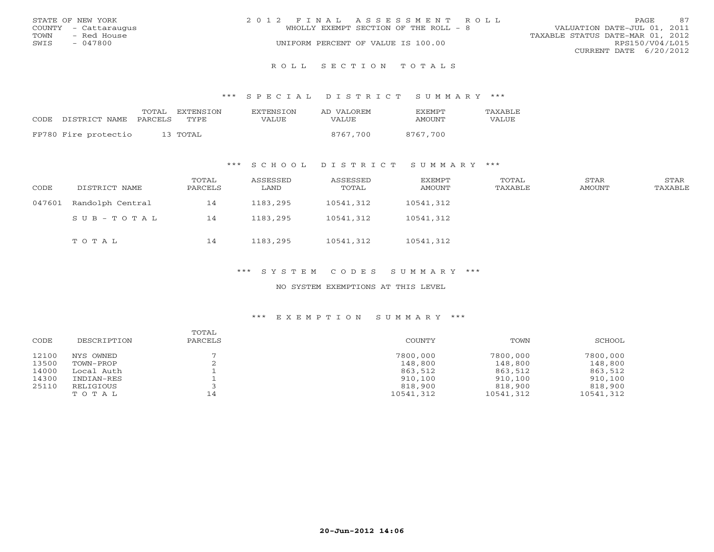|      | STATE OF NEW YORK    | 2012 FINAL ASSESSMENT ROLL         |                                       |                                  | PAGE.           | 87 |
|------|----------------------|------------------------------------|---------------------------------------|----------------------------------|-----------------|----|
|      | COUNTY - Cattaraugus |                                    | WHOLLY EXEMPT SECTION OF THE ROLL - 8 | VALUATION DATE-JUL 01, 2011      |                 |    |
| TOWN | - Red House          |                                    |                                       | TAXABLE STATUS DATE-MAR 01, 2012 |                 |    |
| SWIS | - 047800             | UNIFORM PERCENT OF VALUE IS 100.00 |                                       |                                  | RPS150/V04/L015 |    |
|      |                      |                                    |                                       | CURRENT DATE 6/20/2012           |                 |    |
|      |                      |                                    |                                       |                                  |                 |    |

R O L L S E C T I O N T O T A L S

\*\*\* S P E C I A L D I S T R I C T S U M M A R Y \*\*\*

|       |                       | TOTAL EXTENSION | EXTENSION | AD VALOREM | <b>FXFMPT</b> | TAXABLE |
|-------|-----------------------|-----------------|-----------|------------|---------------|---------|
| CODE. | DISTRICT NAME PARCELS | TYPE.           | VALUE     | VALUE      | AMOUNT        | VALUE   |
|       | FP780 Fire protectio  | 13 TOTAL        |           | 8767,700   | 8767.700      |         |

\*\*\* S C H O O L D I S T R I C T S U M M A R Y \*\*\*

| CODE   | DISTRICT NAME    | TOTAL<br>PARCELS | ASSESSED<br>LAND | ASSESSED<br>TOTAL | EXEMPT<br>AMOUNT | TOTAL<br>TAXABLE | STAR<br>AMOUNT | STAR<br>TAXABLE |
|--------|------------------|------------------|------------------|-------------------|------------------|------------------|----------------|-----------------|
| 047601 | Randolph Central | 14               | 1183,295         | 10541,312         | 10541,312        |                  |                |                 |
|        | SUB-TOTAL        | 14               | 1183,295         | 10541,312         | 10541,312        |                  |                |                 |
|        | TOTAL            | 14               | 1183,295         | 10541,312         | 10541,312        |                  |                |                 |

\*\*\* S Y S T E M C O D E S S U M M A R Y \*\*\*

NO SYSTEM EXEMPTIONS AT THIS LEVEL

| CODE  | DESCRIPTION | TOTAL<br>PARCELS | COUNTY    | TOWN      | SCHOOL    |
|-------|-------------|------------------|-----------|-----------|-----------|
| 12100 | NYS OWNED   |                  | 7800,000  | 7800,000  | 7800,000  |
| 13500 | TOWN-PROP   |                  | 148,800   | 148,800   | 148,800   |
| 14000 | Local Auth  |                  | 863,512   | 863,512   | 863,512   |
| 14300 | INDIAN-RES  |                  | 910,100   | 910,100   | 910,100   |
| 25110 | RELIGIOUS   |                  | 818,900   | 818,900   | 818,900   |
|       | TOTAL       | 14               | 10541,312 | 10541,312 | 10541,312 |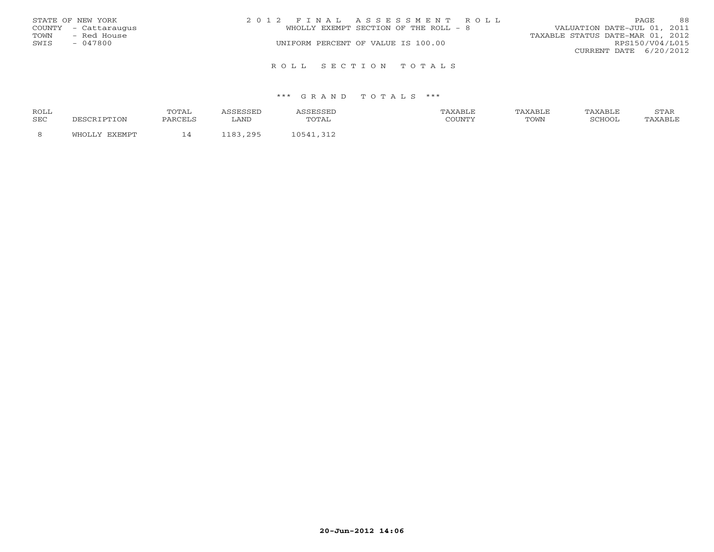|      | STATE OF NEW YORK    | 2012 FINAL ASSESSMENT ROLL            | 88<br>PAGE.                      |
|------|----------------------|---------------------------------------|----------------------------------|
|      | COUNTY - Cattaraugus | WHOLLY EXEMPT SECTION OF THE ROLL - 8 | VALUATION DATE-JUL 01, 2011      |
| TOWN | - Red House          |                                       | TAXABLE STATUS DATE-MAR 01, 2012 |
| SWIS | - 047800             | UNIFORM PERCENT OF VALUE IS 100.00    | RPS150/V04/L015                  |
|      |                      |                                       | CURRENT DATE 6/20/2012           |
|      |                      |                                       |                                  |
|      |                      | ROLL SECTION TOTALS                   |                                  |

| ROLL       |        | TOTAI   |                         |                                                | AXABLE | AXABLE | TAXABLE | <b>CERT</b><br>ת בתוכ |
|------------|--------|---------|-------------------------|------------------------------------------------|--------|--------|---------|-----------------------|
| <b>SEC</b> | TION ו | PARCELS | LAND                    | utal                                           | COUNTY | TOWN   | SCHOOI  |                       |
|            | THOT.  | - -     | 295<br>102<br>- - - U - | $\bigcap$ $\sqcap$ $\sqcap$ $\land$ $\uparrow$ |        |        |         |                       |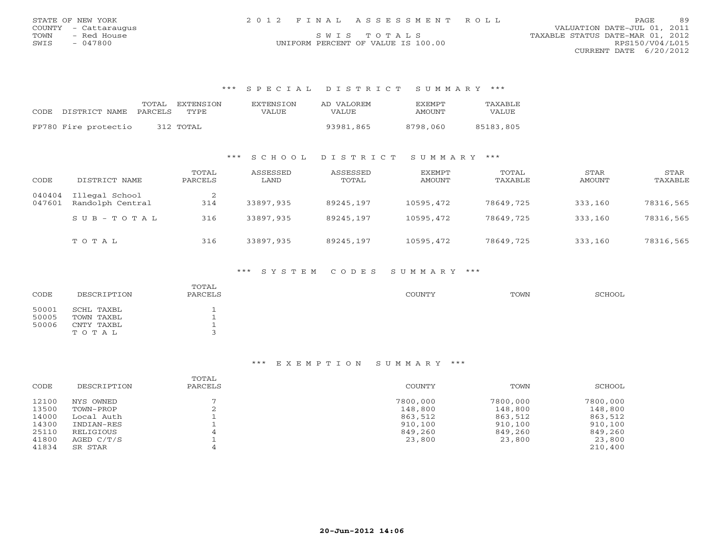| STATE OF NEW YORK    | 2012 FINAL ASSESSMENT ROLL         | 89<br><b>PAGE</b>                |
|----------------------|------------------------------------|----------------------------------|
| COUNTY - Cattaraugus |                                    | VALUATION DATE-JUL 01, 2011      |
| TOWN<br>- Red House  | SWIS TOTALS                        | TAXABLE STATUS DATE-MAR 01, 2012 |
| 047800<br>SWIS       | UNIFORM PERCENT OF VALUE IS 100.00 | RPS150/V04/L015                  |

CURRENT DATE 6/20/2012

## \*\*\* S P E C I A L D I S T R I C T S U M M A R Y \*\*\*

| CODE DISTRICT NAME PARCELS | TOTAL | EXTENSTON<br>TYPE. | <b>EXTENSION</b><br>VALUE | AD VALOREM<br>VALUE | <b>EXEMPT</b><br>AMOUNT | <b>TAXABLE</b><br>VALUE |
|----------------------------|-------|--------------------|---------------------------|---------------------|-------------------------|-------------------------|
| FP780 Fire protectio       |       | 312 TOTAL          |                           | 93981,865           | 8798.060                | 85183,805               |

## \*\*\* S C H O O L D I S T R I C T S U M M A R Y \*\*\*

| CODE             | DISTRICT NAME                      | TOTAL<br>PARCELS | ASSESSED<br>LAND | ASSESSED<br>TOTAL | EXEMPT<br>AMOUNT | TOTAL<br>TAXABLE | STAR<br>AMOUNT | STAR<br>TAXABLE |
|------------------|------------------------------------|------------------|------------------|-------------------|------------------|------------------|----------------|-----------------|
| 040404<br>047601 | Illegal School<br>Randolph Central | 2<br>314         | 33897,935        | 89245,197         | 10595,472        | 78649,725        | 333,160        | 78316,565       |
|                  | $SUB - TO T AL$                    | 316              | 33897,935        | 89245,197         | 10595,472        | 78649,725        | 333,160        | 78316,565       |
|                  | TOTAL                              | 316              | 33897,935        | 89245,197         | 10595,472        | 78649,725        | 333,160        | 78316,565       |

## \*\*\* S Y S T E M C O D E S S U M M A R Y \*\*\*

| CODE  | DESCRIPTION | TOTAL<br>PARCELS | <b>COUNTY</b> | TOWN | SCHOOL |
|-------|-------------|------------------|---------------|------|--------|
| 50001 | SCHL TAXBL  |                  |               |      |        |
| 50005 | TOWN TAXBL  |                  |               |      |        |
| 50006 | CNTY TAXBL  |                  |               |      |        |
|       | TOTAL       |                  |               |      |        |

| CODE  | DESCRIPTION | TOTAL<br>PARCELS | COUNTY   | TOWN     | SCHOOL   |
|-------|-------------|------------------|----------|----------|----------|
| 12100 | NYS OWNED   |                  | 7800,000 | 7800,000 | 7800,000 |
| 13500 | TOWN-PROP   |                  | 148,800  | 148,800  | 148,800  |
| 14000 | Local Auth  |                  | 863,512  | 863,512  | 863,512  |
| 14300 | INDIAN-RES  |                  | 910,100  | 910,100  | 910,100  |
| 25110 | RELIGIOUS   |                  | 849,260  | 849,260  | 849,260  |
| 41800 | AGED C/T/S  |                  | 23,800   | 23,800   | 23,800   |
| 41834 | SR STAR     |                  |          |          | 210,400  |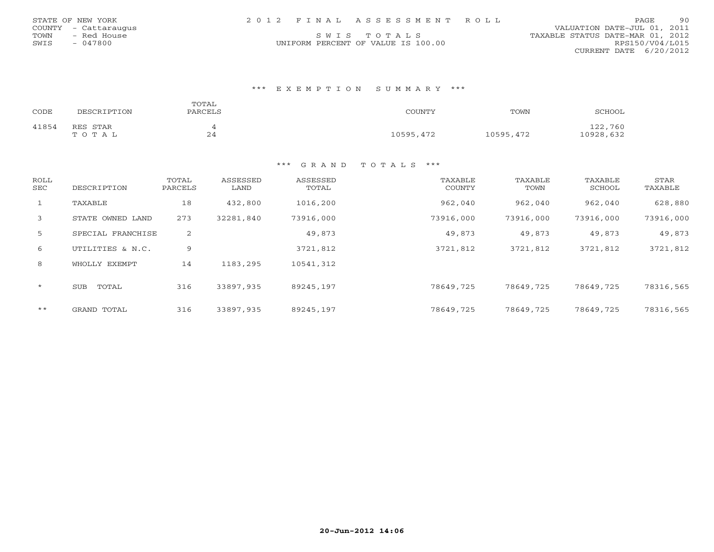|      | STATE OF NEW YORK    |  | 2012 FINAL ASSESSMENT ROLL         |                                  | PAGE            | 90 |
|------|----------------------|--|------------------------------------|----------------------------------|-----------------|----|
|      | COUNTY - Cattaraugus |  |                                    | VALUATION DATE-JUL 01, 2011      |                 |    |
| TOWN | – Red House          |  | SWIS TOTALS                        | TAXABLE STATUS DATE-MAR 01, 2012 |                 |    |
| SWIS | - 047800             |  | UNIFORM PERCENT OF VALUE IS 100.00 |                                  | RPS150/V04/L015 |    |

CURRENT DATE 6/20/2012

## \*\*\* E X E M P T I O N S U M M A R Y \*\*\*

| CODE  | DESCRIPTION       | TOTAL<br>PARCELS | COUNTY    | TOWN      | SCHOOL               |
|-------|-------------------|------------------|-----------|-----------|----------------------|
| 41854 | RES STAR<br>TOTAL | 24               | 10595,472 | 10595,472 | 122,760<br>10928,632 |

| <b>ROLL</b><br>SEC | DESCRIPTION         | TOTAL<br>PARCELS | ASSESSED<br>LAND | ASSESSED<br>TOTAL | TAXABLE<br><b>COUNTY</b> | TAXABLE<br>TOWN | TAXABLE<br>SCHOOL | STAR<br>TAXABLE |
|--------------------|---------------------|------------------|------------------|-------------------|--------------------------|-----------------|-------------------|-----------------|
| 1                  | TAXABLE             | 18               | 432,800          | 1016,200          | 962,040                  | 962,040         | 962,040           | 628,880         |
| 3                  | STATE OWNED LAND    | 273              | 32281,840        | 73916,000         | 73916,000                | 73916,000       | 73916,000         | 73916,000       |
| 5                  | SPECIAL FRANCHISE   | 2                |                  | 49,873            | 49,873                   | 49,873          | 49,873            | 49,873          |
| 6                  | UTILITIES & N.C.    | 9                |                  | 3721,812          | 3721,812                 | 3721,812        | 3721,812          | 3721,812        |
| 8                  | WHOLLY EXEMPT       | 14               | 1183,295         | 10541,312         |                          |                 |                   |                 |
| $\star$            | <b>SUB</b><br>TOTAL | 316              | 33897,935        | 89245,197         | 78649,725                | 78649,725       | 78649,725         | 78316,565       |
| $***$              | GRAND TOTAL         | 316              | 33897,935        | 89245,197         | 78649,725                | 78649,725       | 78649,725         | 78316,565       |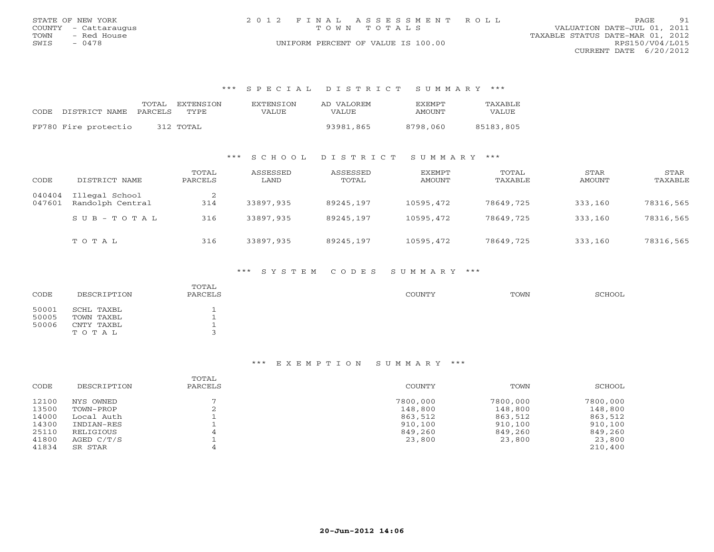|      | STATE OF NEW YORK    | 2012 FINAL ASSESSMENT ROLL         | PAGE                             | 91 |
|------|----------------------|------------------------------------|----------------------------------|----|
|      | COUNTY - Cattaraugus | TOWN TOTALS                        | VALUATION DATE-JUL 01, 2011      |    |
| TOWN | - Red House          |                                    | TAXABLE STATUS DATE-MAR 01, 2012 |    |
| SWIS | $-0478$              | UNIFORM PERCENT OF VALUE IS 100.00 | RPS150/V04/L015                  |    |
|      |                      |                                    | CURRENT DATE 6/20/2012           |    |

## \*\*\* S P E C I A L D I S T R I C T S U M M A R Y \*\*\*

| CODE DISTRICT NAME PARCELS | TOTAL | <b>FXTENSTON</b><br>TYPE. | EXTENSTON<br>VALUE | AD VALOREM<br>VALUE | <b>FXFMPT</b><br>AMOUNT | TAXABLE<br><b>VALUE</b> |
|----------------------------|-------|---------------------------|--------------------|---------------------|-------------------------|-------------------------|
|                            |       |                           |                    |                     |                         |                         |
| FP780 Fire protectio       |       | 312 TOTAL                 |                    | 93981,865           | 8798,060                | 85183,805               |

## \*\*\* S C H O O L D I S T R I C T S U M M A R Y \*\*\*

| CODE             | DISTRICT NAME                      | TOTAL<br>PARCELS | ASSESSED<br>LAND | ASSESSED<br>TOTAL | EXEMPT<br>AMOUNT | TOTAL<br>TAXABLE | STAR<br>AMOUNT | STAR<br>TAXABLE |
|------------------|------------------------------------|------------------|------------------|-------------------|------------------|------------------|----------------|-----------------|
| 040404<br>047601 | Illegal School<br>Randolph Central | 314              | 33897,935        | 89245,197         | 10595,472        | 78649,725        | 333,160        | 78316,565       |
|                  | $S \cup B - T \cup T A L$          | 316              | 33897,935        | 89245,197         | 10595,472        | 78649,725        | 333,160        | 78316,565       |
|                  | TOTAL                              | 316              | 33897,935        | 89245,197         | 10595,472        | 78649,725        | 333,160        | 78316,565       |

## \*\*\* S Y S T E M C O D E S S U M M A R Y \*\*\*

| CODE  | DESCRIPTION | TOTAL<br>PARCELS | <b>COUNTY</b> | TOWN | SCHOOL |
|-------|-------------|------------------|---------------|------|--------|
| 50001 | SCHL TAXBL  |                  |               |      |        |
| 50005 | TOWN TAXBL  |                  |               |      |        |
| 50006 | CNTY TAXBL  |                  |               |      |        |
|       | ТОТАЬ       |                  |               |      |        |

| CODE  | DESCRIPTION | TOTAL<br>PARCELS | COUNTY   | TOWN     | SCHOOL   |
|-------|-------------|------------------|----------|----------|----------|
| 12100 | NYS OWNED   |                  | 7800,000 | 7800,000 | 7800,000 |
| 13500 | TOWN-PROP   |                  | 148,800  | 148,800  | 148,800  |
| 14000 | Local Auth  |                  | 863,512  | 863,512  | 863,512  |
| 14300 | INDIAN-RES  |                  | 910,100  | 910,100  | 910,100  |
| 25110 | RELIGIOUS   |                  | 849,260  | 849,260  | 849,260  |
| 41800 | AGED C/T/S  |                  | 23,800   | 23,800   | 23,800   |
| 41834 | SR STAR     |                  |          |          | 210,400  |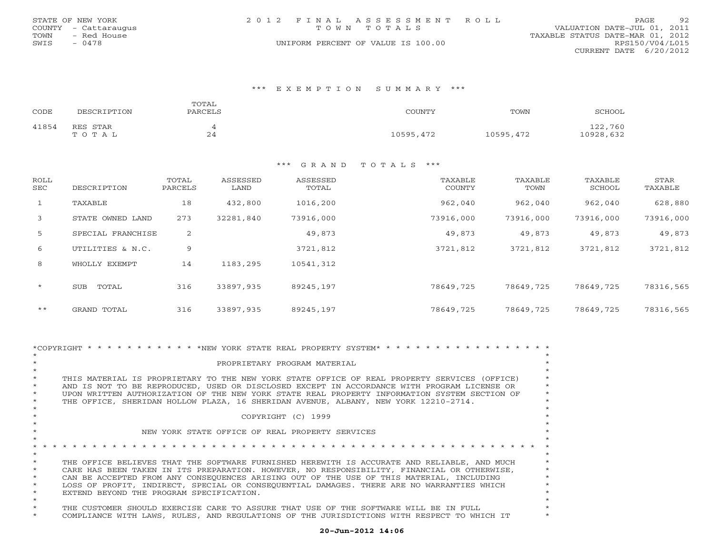| STATE OF NEW YORK |                      | 2012 FINAL ASSESSMENT ROLL |                                    |                                  | PAGE.           | 92 |
|-------------------|----------------------|----------------------------|------------------------------------|----------------------------------|-----------------|----|
|                   | COUNTY - Cattaraugus |                            | TOWN TOTALS                        | VALUATION DATE-JUL 01, 2011      |                 |    |
| TOWN              | - Red House          |                            |                                    | TAXABLE STATUS DATE-MAR 01, 2012 |                 |    |
| SWIS              | $-0478$              |                            | UNIFORM PERCENT OF VALUE IS 100.00 |                                  | RPS150/V04/L015 |    |
|                   |                      |                            |                                    | CURRENT DATE 6/20/2012           |                 |    |

### \*\*\* E X E M P T I O N S U M M A R Y \*\*\*

| CODE  | DESCRIPTION       | TOTAL<br>PARCELS       | COUNTY    | TOWN      | SCHOOL               |
|-------|-------------------|------------------------|-----------|-----------|----------------------|
| 41854 | RES STAR<br>TOTAL | $\sim$ $\lambda$<br>24 | 10595,472 | 10595,472 | 122,760<br>10928,632 |

| ROLL<br>SEC  | DESCRIPTION         | TOTAL<br>PARCELS | ASSESSED<br>LAND | ASSESSED<br>TOTAL | TAXABLE<br>COUNTY | TAXABLE<br>TOWN | TAXABLE<br>SCHOOL | STAR<br>TAXABLE |
|--------------|---------------------|------------------|------------------|-------------------|-------------------|-----------------|-------------------|-----------------|
| $\mathbf{1}$ | TAXABLE             | 18               | 432,800          | 1016,200          | 962,040           | 962,040         | 962,040           | 628,880         |
| 3            | STATE OWNED LAND    | 273              | 32281,840        | 73916,000         | 73916,000         | 73916,000       | 73916,000         | 73916,000       |
| 5            | SPECIAL FRANCHISE   | 2                |                  | 49,873            | 49,873            | 49,873          | 49,873            | 49,873          |
| 6            | UTILITIES & N.C.    | 9                |                  | 3721,812          | 3721,812          | 3721,812        | 3721,812          | 3721,812        |
| 8            | WHOLLY EXEMPT       | 14               | 1183,295         | 10541,312         |                   |                 |                   |                 |
| $\star$      | TOTAL<br><b>SUB</b> | 316              | 33897,935        | 89245,197         | 78649,725         | 78649,725       | 78649,725         | 78316,565       |
| $***$        | GRAND TOTAL         | 316              | 33897,935        | 89245,197         | 78649,725         | 78649,725       | 78649,725         | 78316,565       |

|         | *COPYRIGHT * * * * * * * * * * * * * NEW YORK STATE REAL PROPERTY SYSTEM* * * * * * * * * * * * * * * * * |  |
|---------|-----------------------------------------------------------------------------------------------------------|--|
|         |                                                                                                           |  |
|         | PROPRIETARY PROGRAM MATERIAL                                                                              |  |
|         |                                                                                                           |  |
|         | THIS MATERIAL IS PROPRIETARY TO THE NEW YORK STATE OFFICE OF REAL PROPERTY SERVICES (OFFICE)              |  |
|         | AND IS NOT TO BE REPRODUCED, USED OR DISCLOSED EXCEPT IN ACCORDANCE WITH PROGRAM LICENSE OR               |  |
|         | UPON WRITTEN AUTHORIZATION OF THE NEW YORK STATE REAL PROPERTY INFORMATION SYSTEM SECTION OF              |  |
| $\star$ | THE OFFICE, SHERIDAN HOLLOW PLAZA, 16 SHERIDAN AVENUE, ALBANY, NEW YORK 12210-2714.                       |  |
|         |                                                                                                           |  |
|         | COPYRIGHT (C) 1999                                                                                        |  |
|         |                                                                                                           |  |
|         | NEW YORK STATE OFFICE OF REAL PROPERTY SERVICES                                                           |  |
|         |                                                                                                           |  |
|         |                                                                                                           |  |
|         |                                                                                                           |  |
|         | THE OFFICE BELIEVES THAT THE SOFTWARE FURNISHED HEREWITH IS ACCURATE AND RELIABLE, AND MUCH               |  |
|         | CARE HAS BEEN TAKEN IN ITS PREPARATION. HOWEVER, NO RESPONSIBILITY, FINANCIAL OR OTHERWISE,               |  |
|         | CAN BE ACCEPTED FROM ANY CONSEOUENCES ARISING OUT OF THE USE OF THIS MATERIAL, INCLUDING                  |  |
|         | LOSS OF PROFIT, INDIRECT, SPECIAL OR CONSEQUENTIAL DAMAGES. THERE ARE NO WARRANTIES WHICH                 |  |
|         | EXTEND BEYOND THE PROGRAM SPECIFICATION.                                                                  |  |
|         |                                                                                                           |  |
|         | THE CUSTOMER SHOULD EXERCISE CARE TO ASSURE THAT USE OF THE SOFTWARE WILL BE IN FULL                      |  |
|         | COMPLIANCE WITH LAWS, RULES, AND REGULATIONS OF THE JURISDICTIONS WITH RESPECT TO WHICH IT                |  |
|         |                                                                                                           |  |